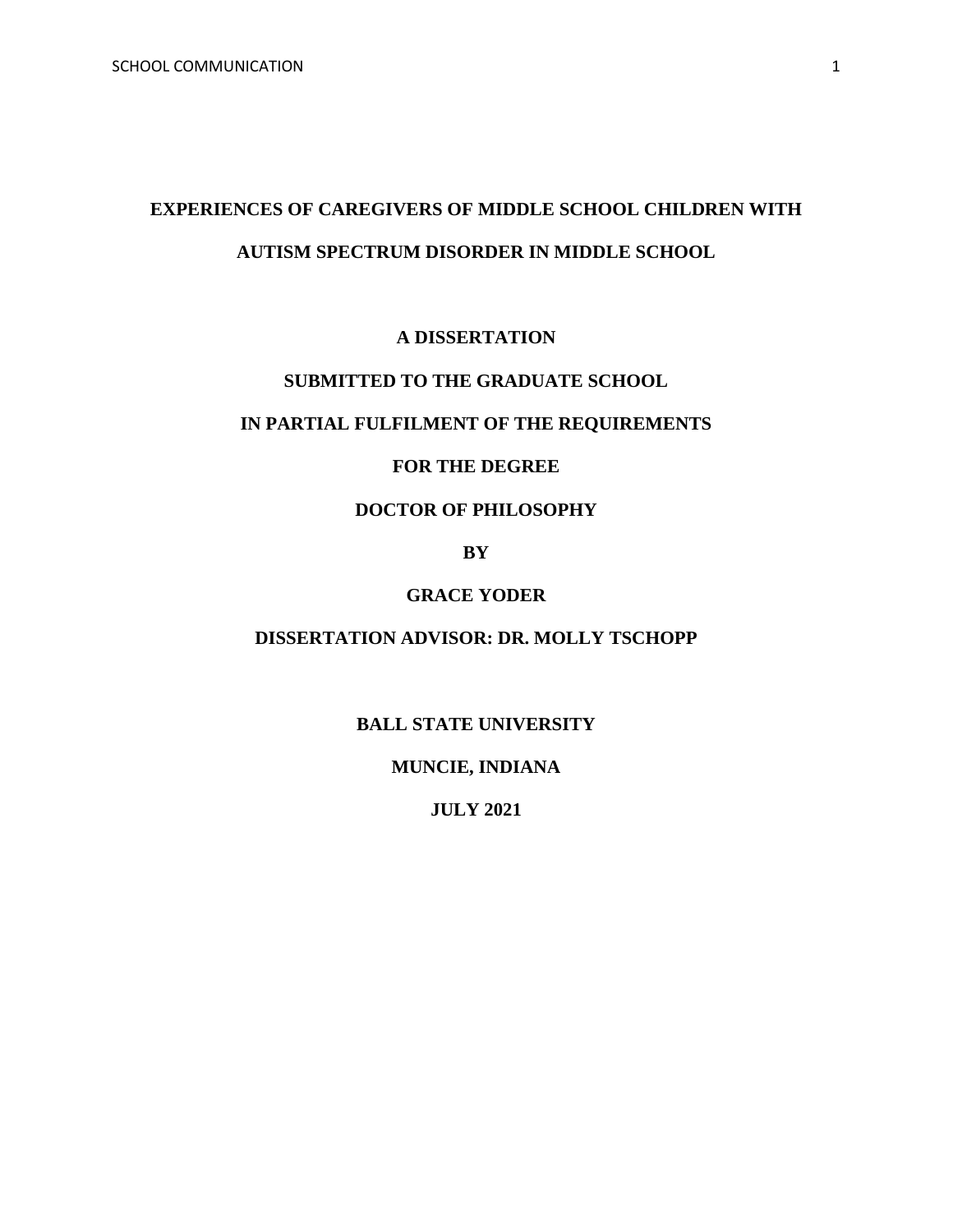# **EXPERIENCES OF CAREGIVERS OF MIDDLE SCHOOL CHILDREN WITH AUTISM SPECTRUM DISORDER IN MIDDLE SCHOOL**

## **A DISSERTATION**

# **SUBMITTED TO THE GRADUATE SCHOOL**

# **IN PARTIAL FULFILMENT OF THE REQUIREMENTS**

## **FOR THE DEGREE**

# **DOCTOR OF PHILOSOPHY**

**BY** 

## **GRACE YODER**

#### **DISSERTATION ADVISOR: DR. MOLLY TSCHOPP**

## **BALL STATE UNIVERSITY**

**MUNCIE, INDIANA**

**JULY 2021**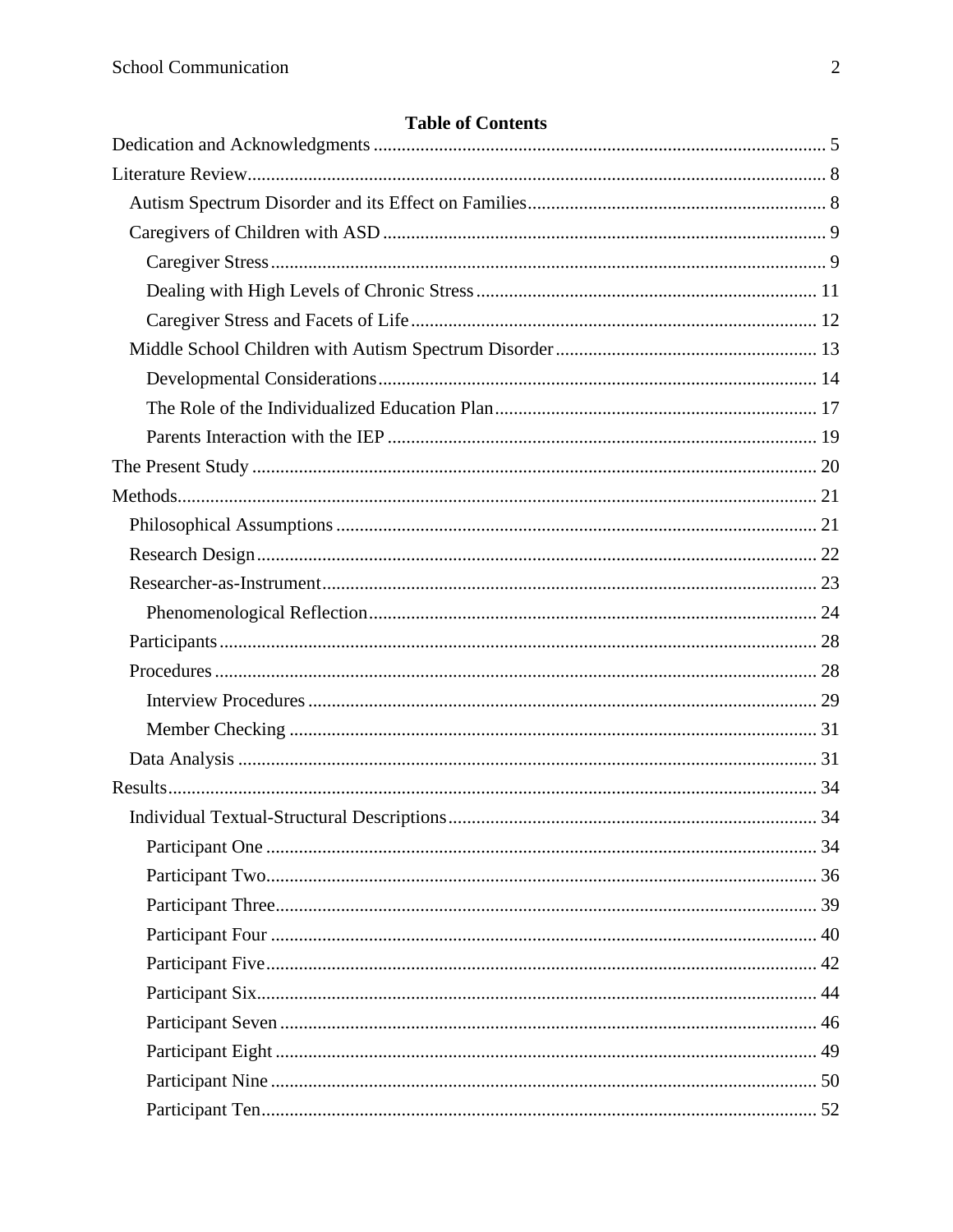## **Table of Contents**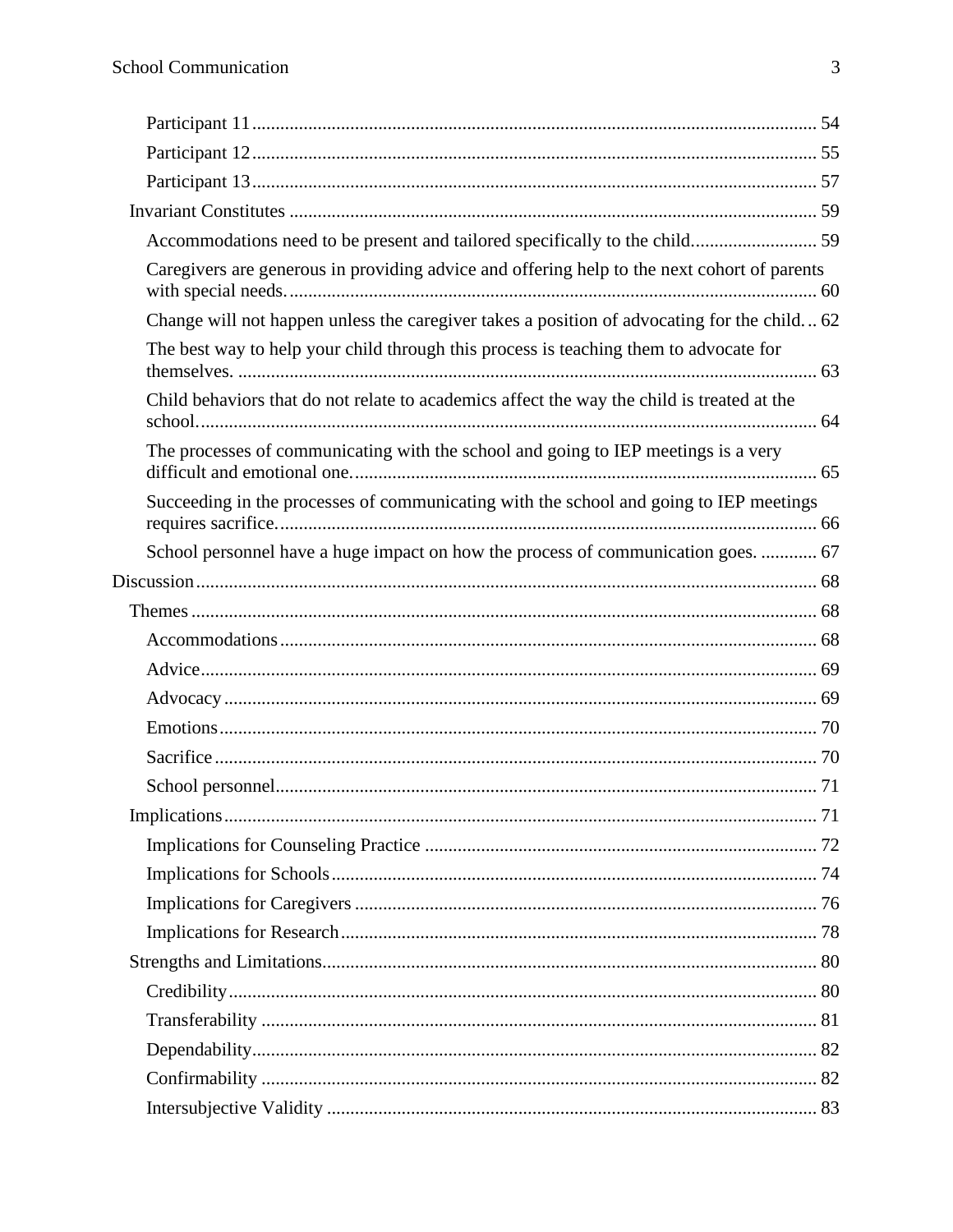| Caregivers are generous in providing advice and offering help to the next cohort of parents |  |
|---------------------------------------------------------------------------------------------|--|
| Change will not happen unless the caregiver takes a position of advocating for the child 62 |  |
| The best way to help your child through this process is teaching them to advocate for       |  |
| Child behaviors that do not relate to academics affect the way the child is treated at the  |  |
| The processes of communicating with the school and going to IEP meetings is a very          |  |
| Succeeding in the processes of communicating with the school and going to IEP meetings      |  |
| School personnel have a huge impact on how the process of communication goes.  67           |  |
|                                                                                             |  |
|                                                                                             |  |
|                                                                                             |  |
|                                                                                             |  |
|                                                                                             |  |
|                                                                                             |  |
|                                                                                             |  |
|                                                                                             |  |
|                                                                                             |  |
|                                                                                             |  |
|                                                                                             |  |
|                                                                                             |  |
|                                                                                             |  |
|                                                                                             |  |
|                                                                                             |  |
|                                                                                             |  |
|                                                                                             |  |
|                                                                                             |  |
|                                                                                             |  |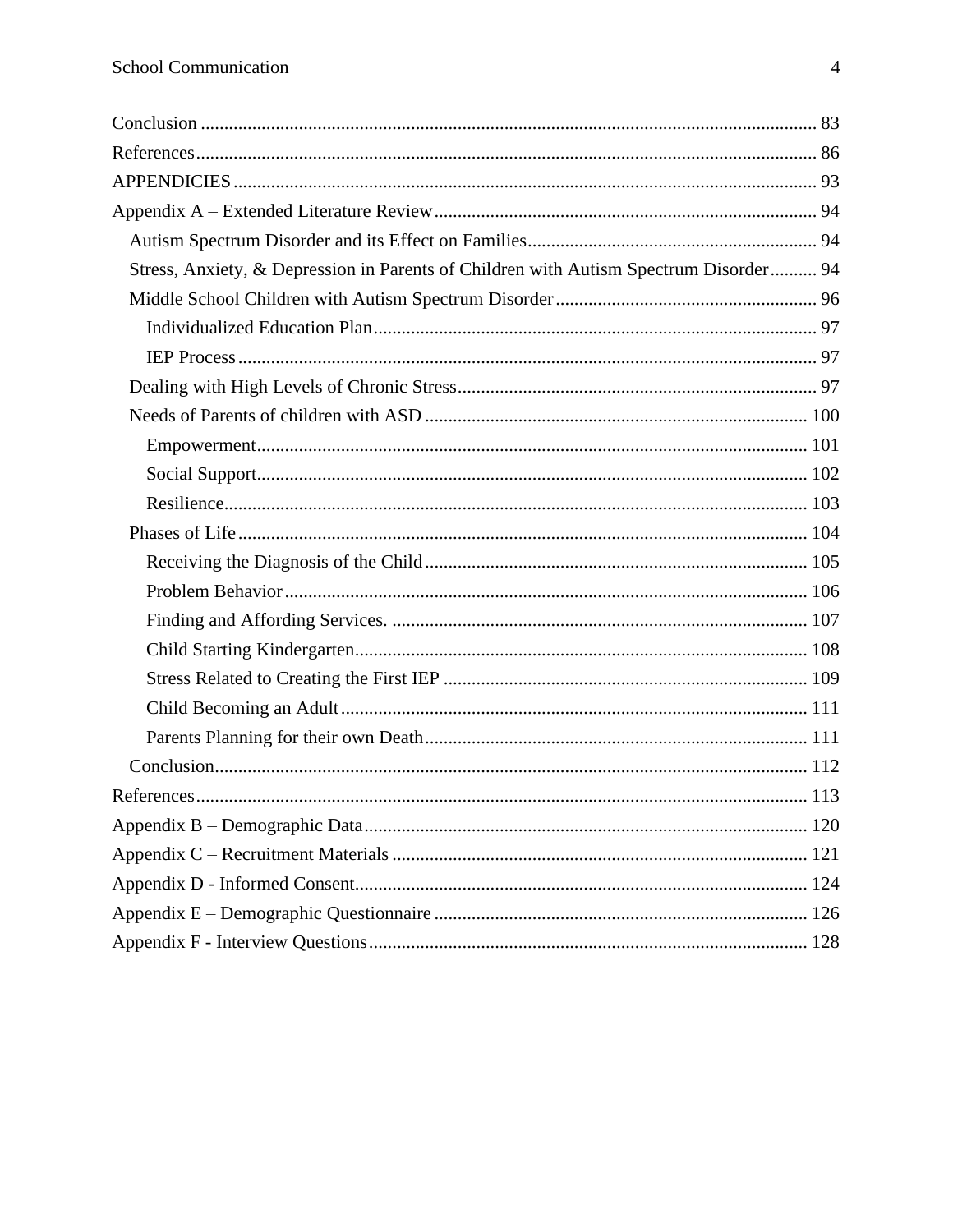| Stress, Anxiety, & Depression in Parents of Children with Autism Spectrum Disorder 94 |  |
|---------------------------------------------------------------------------------------|--|
|                                                                                       |  |
|                                                                                       |  |
|                                                                                       |  |
|                                                                                       |  |
|                                                                                       |  |
|                                                                                       |  |
|                                                                                       |  |
|                                                                                       |  |
|                                                                                       |  |
|                                                                                       |  |
|                                                                                       |  |
|                                                                                       |  |
|                                                                                       |  |
|                                                                                       |  |
|                                                                                       |  |
|                                                                                       |  |
|                                                                                       |  |
|                                                                                       |  |
|                                                                                       |  |
|                                                                                       |  |
|                                                                                       |  |
|                                                                                       |  |
|                                                                                       |  |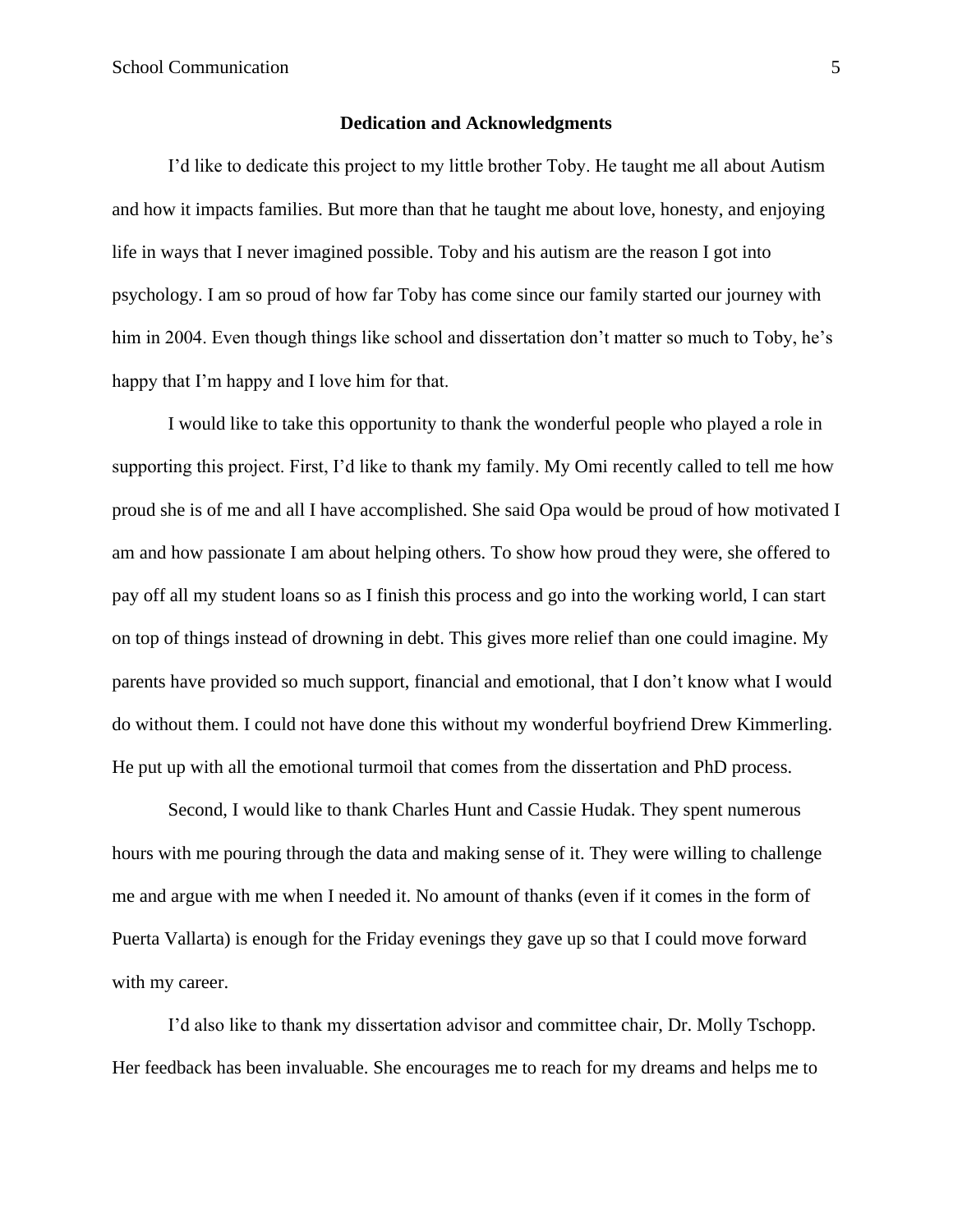#### **Dedication and Acknowledgments**

<span id="page-4-0"></span>I'd like to dedicate this project to my little brother Toby. He taught me all about Autism and how it impacts families. But more than that he taught me about love, honesty, and enjoying life in ways that I never imagined possible. Toby and his autism are the reason I got into psychology. I am so proud of how far Toby has come since our family started our journey with him in 2004. Even though things like school and dissertation don't matter so much to Toby, he's happy that I'm happy and I love him for that.

I would like to take this opportunity to thank the wonderful people who played a role in supporting this project. First, I'd like to thank my family. My Omi recently called to tell me how proud she is of me and all I have accomplished. She said Opa would be proud of how motivated I am and how passionate I am about helping others. To show how proud they were, she offered to pay off all my student loans so as I finish this process and go into the working world, I can start on top of things instead of drowning in debt. This gives more relief than one could imagine. My parents have provided so much support, financial and emotional, that I don't know what I would do without them. I could not have done this without my wonderful boyfriend Drew Kimmerling. He put up with all the emotional turmoil that comes from the dissertation and PhD process.

Second, I would like to thank Charles Hunt and Cassie Hudak. They spent numerous hours with me pouring through the data and making sense of it. They were willing to challenge me and argue with me when I needed it. No amount of thanks (even if it comes in the form of Puerta Vallarta) is enough for the Friday evenings they gave up so that I could move forward with my career.

I'd also like to thank my dissertation advisor and committee chair, Dr. Molly Tschopp. Her feedback has been invaluable. She encourages me to reach for my dreams and helps me to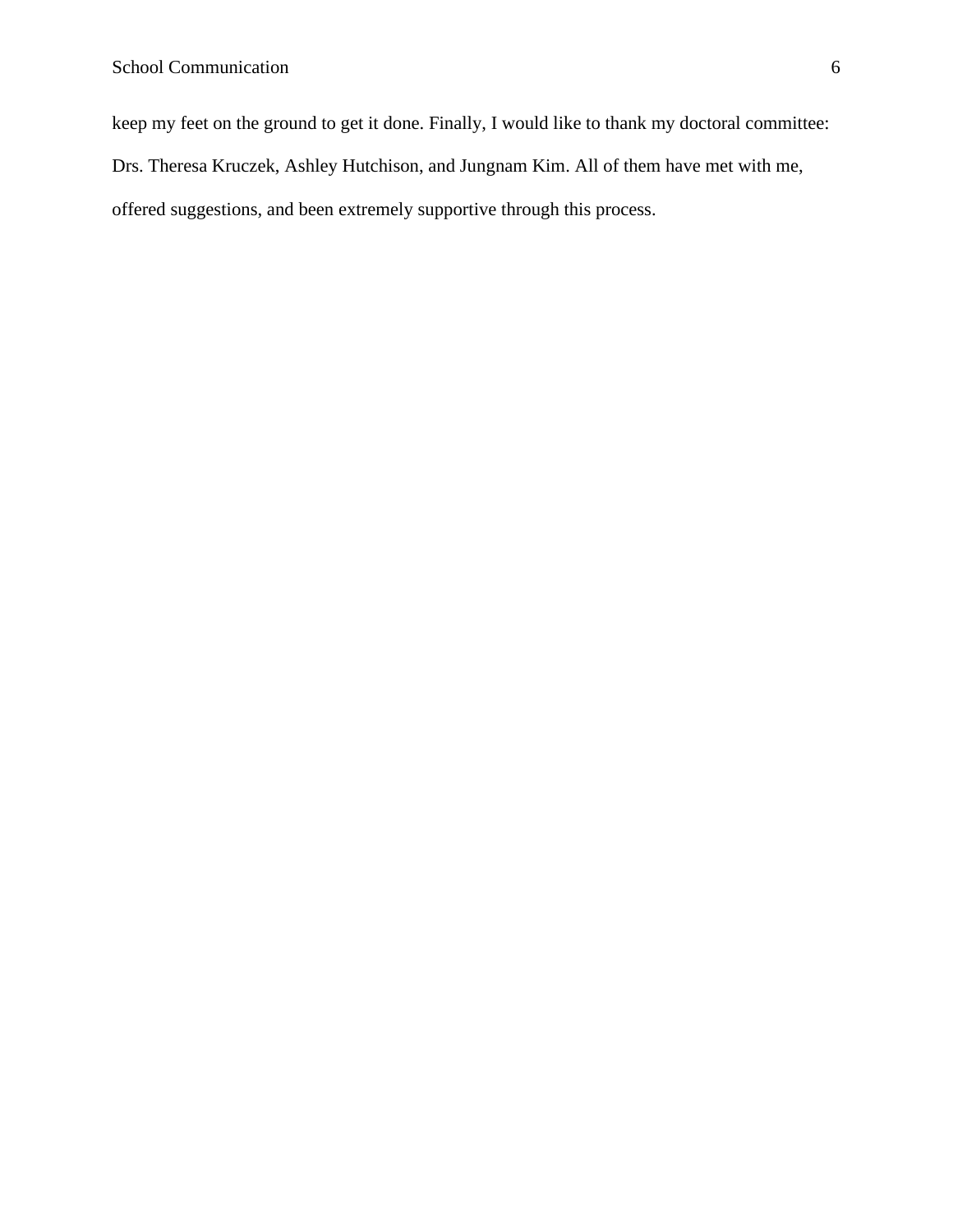keep my feet on the ground to get it done. Finally, I would like to thank my doctoral committee:

Drs. Theresa Kruczek, Ashley Hutchison, and Jungnam Kim. All of them have met with me,

offered suggestions, and been extremely supportive through this process.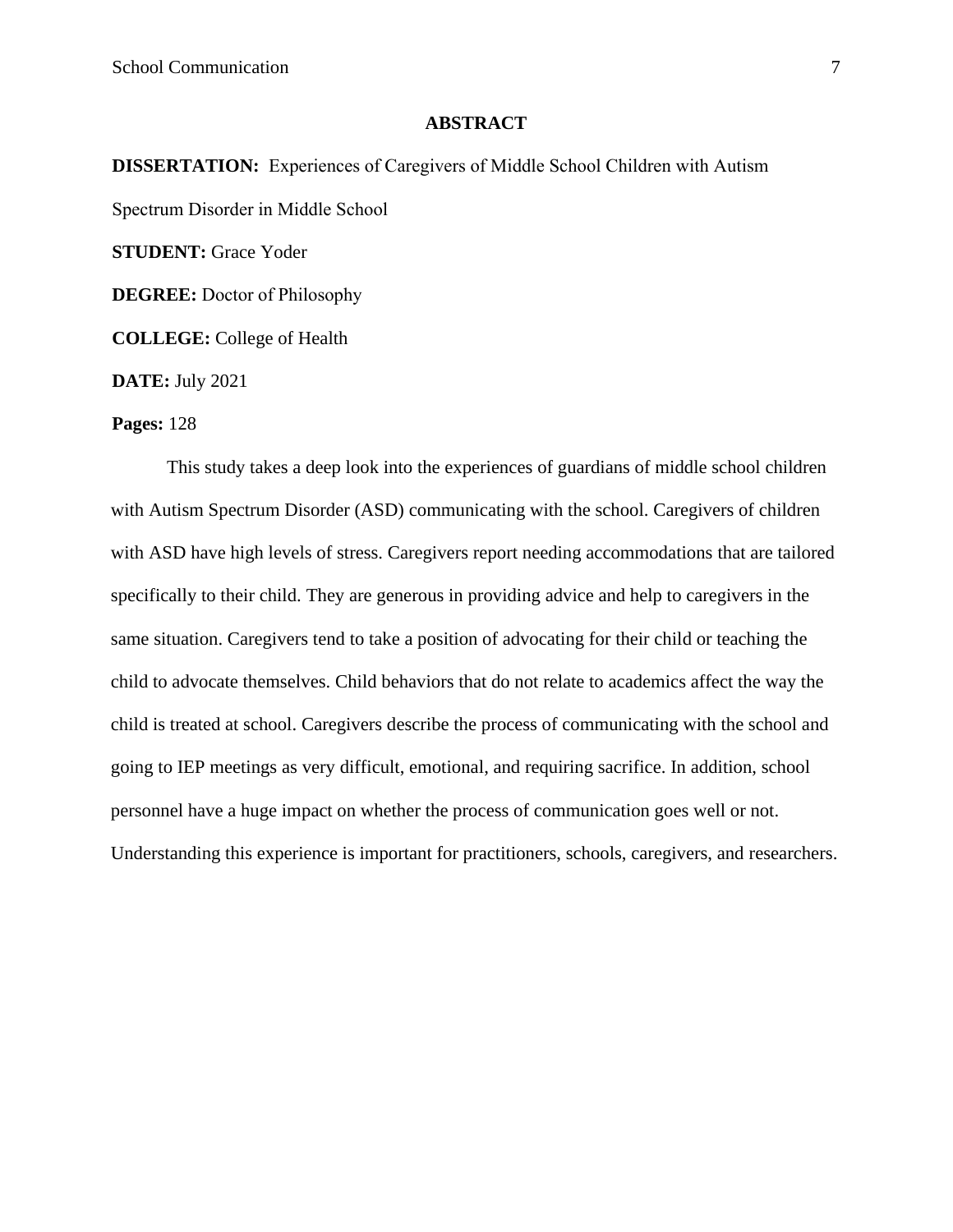#### **ABSTRACT**

**DISSERTATION:** Experiences of Caregivers of Middle School Children with Autism Spectrum Disorder in Middle School **STUDENT:** Grace Yoder **DEGREE:** Doctor of Philosophy **COLLEGE:** College of Health

**DATE:** July 2021

#### **Pages:** 128

This study takes a deep look into the experiences of guardians of middle school children with Autism Spectrum Disorder (ASD) communicating with the school. Caregivers of children with ASD have high levels of stress. Caregivers report needing accommodations that are tailored specifically to their child. They are generous in providing advice and help to caregivers in the same situation. Caregivers tend to take a position of advocating for their child or teaching the child to advocate themselves. Child behaviors that do not relate to academics affect the way the child is treated at school. Caregivers describe the process of communicating with the school and going to IEP meetings as very difficult, emotional, and requiring sacrifice. In addition, school personnel have a huge impact on whether the process of communication goes well or not. Understanding this experience is important for practitioners, schools, caregivers, and researchers.

7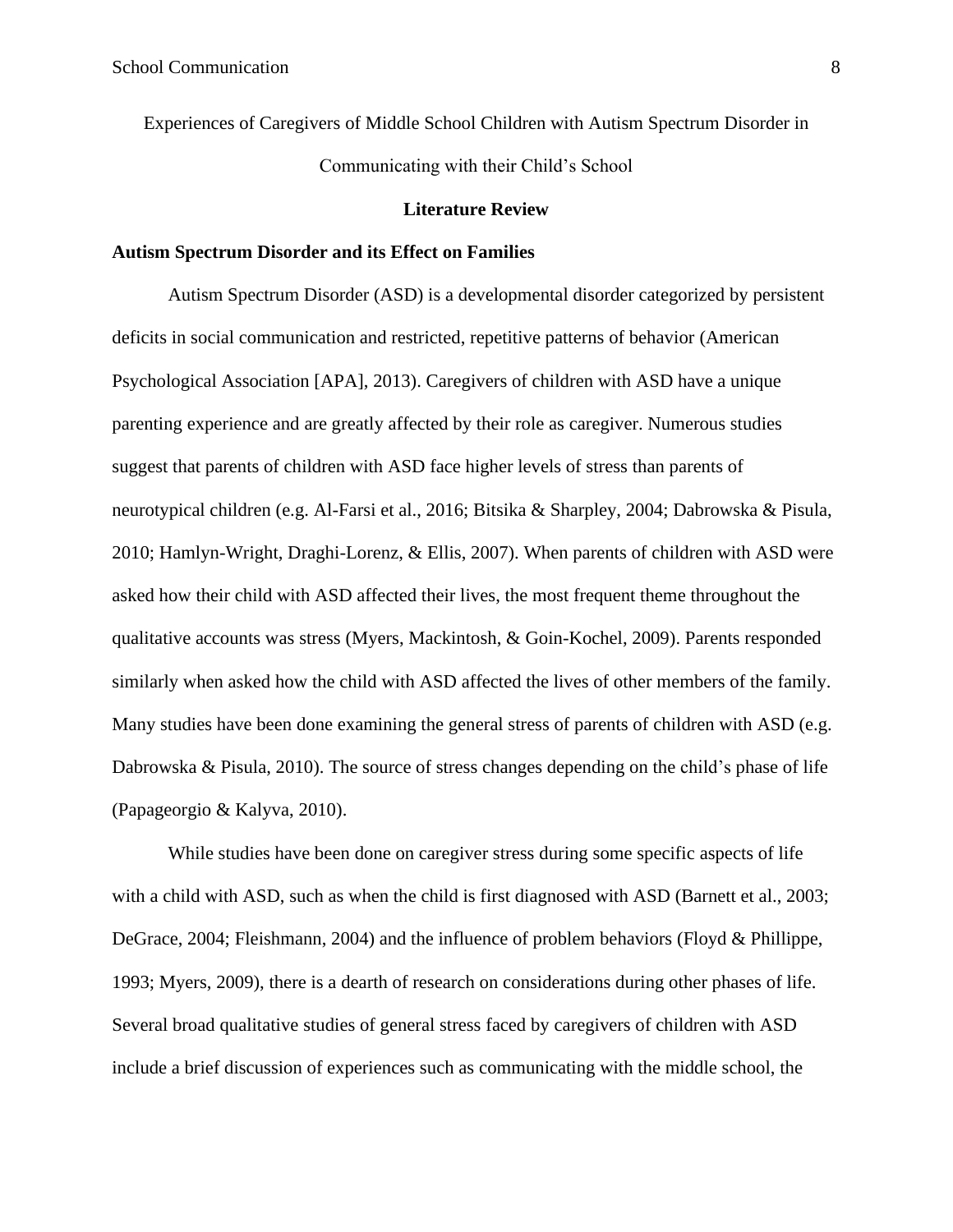Experiences of Caregivers of Middle School Children with Autism Spectrum Disorder in Communicating with their Child's School

#### **Literature Review**

#### <span id="page-7-1"></span><span id="page-7-0"></span>**Autism Spectrum Disorder and its Effect on Families**

Autism Spectrum Disorder (ASD) is a developmental disorder categorized by persistent deficits in social communication and restricted, repetitive patterns of behavior (American Psychological Association [APA], 2013). Caregivers of children with ASD have a unique parenting experience and are greatly affected by their role as caregiver. Numerous studies suggest that parents of children with ASD face higher levels of stress than parents of neurotypical children (e.g. Al-Farsi et al., 2016; Bitsika & Sharpley, 2004; Dabrowska & Pisula, 2010; Hamlyn-Wright, Draghi-Lorenz, & Ellis, 2007). When parents of children with ASD were asked how their child with ASD affected their lives, the most frequent theme throughout the qualitative accounts was stress (Myers, Mackintosh, & Goin-Kochel, 2009). Parents responded similarly when asked how the child with ASD affected the lives of other members of the family. Many studies have been done examining the general stress of parents of children with ASD (e.g. Dabrowska & Pisula, 2010). The source of stress changes depending on the child's phase of life (Papageorgio & Kalyva, 2010).

While studies have been done on caregiver stress during some specific aspects of life with a child with ASD, such as when the child is first diagnosed with ASD (Barnett et al., 2003; DeGrace, 2004; Fleishmann, 2004) and the influence of problem behaviors (Floyd & Phillippe, 1993; Myers, 2009), there is a dearth of research on considerations during other phases of life. Several broad qualitative studies of general stress faced by caregivers of children with ASD include a brief discussion of experiences such as communicating with the middle school, the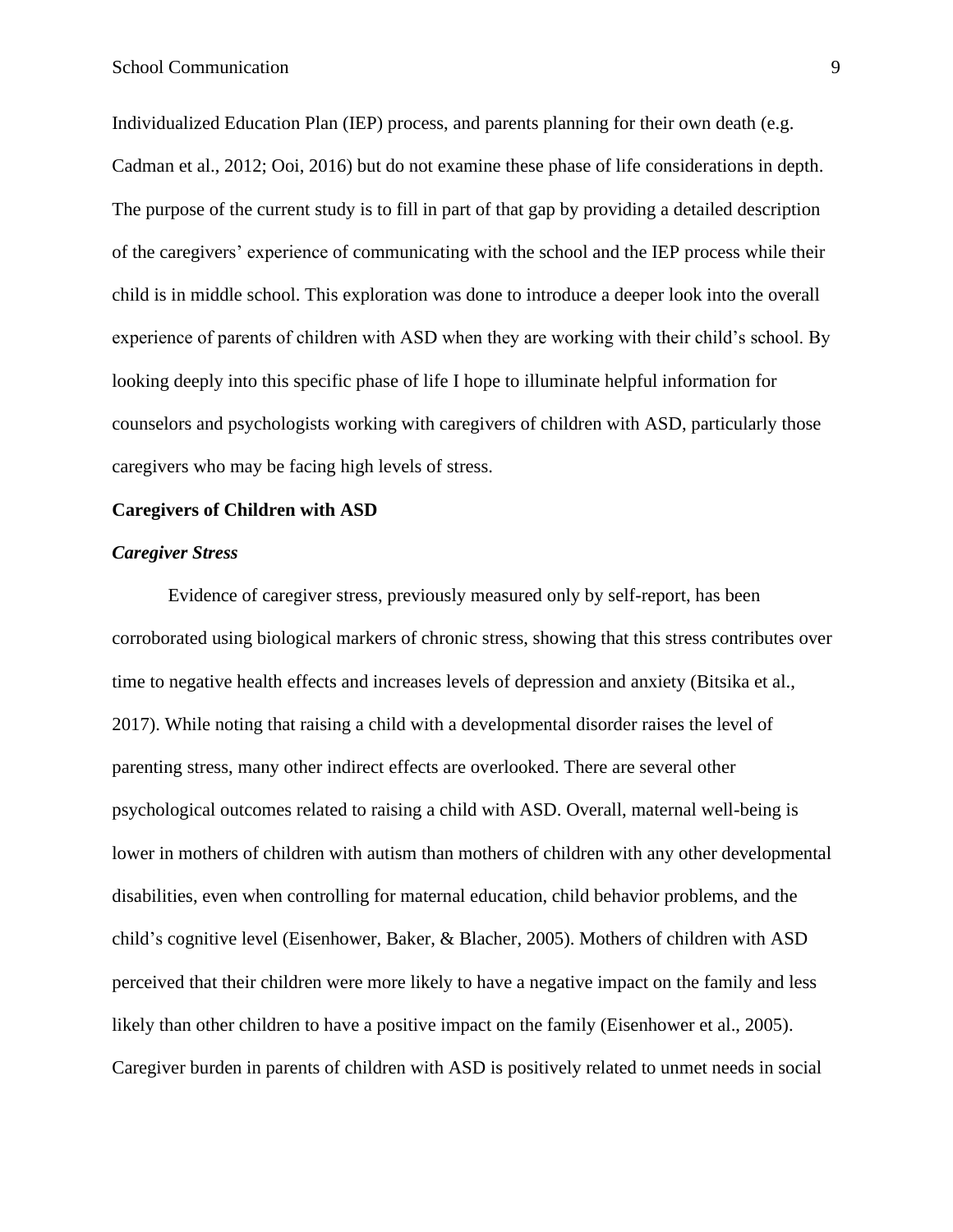Individualized Education Plan (IEP) process, and parents planning for their own death (e.g. Cadman et al., 2012; Ooi, 2016) but do not examine these phase of life considerations in depth. The purpose of the current study is to fill in part of that gap by providing a detailed description of the caregivers' experience of communicating with the school and the IEP process while their child is in middle school. This exploration was done to introduce a deeper look into the overall experience of parents of children with ASD when they are working with their child's school. By looking deeply into this specific phase of life I hope to illuminate helpful information for counselors and psychologists working with caregivers of children with ASD, particularly those caregivers who may be facing high levels of stress.

#### <span id="page-8-0"></span>**Caregivers of Children with ASD**

#### <span id="page-8-1"></span>*Caregiver Stress*

Evidence of caregiver stress, previously measured only by self-report, has been corroborated using biological markers of chronic stress, showing that this stress contributes over time to negative health effects and increases levels of depression and anxiety (Bitsika et al., 2017). While noting that raising a child with a developmental disorder raises the level of parenting stress, many other indirect effects are overlooked. There are several other psychological outcomes related to raising a child with ASD. Overall, maternal well-being is lower in mothers of children with autism than mothers of children with any other developmental disabilities, even when controlling for maternal education, child behavior problems, and the child's cognitive level (Eisenhower, Baker, & Blacher, 2005). Mothers of children with ASD perceived that their children were more likely to have a negative impact on the family and less likely than other children to have a positive impact on the family (Eisenhower et al., 2005). Caregiver burden in parents of children with ASD is positively related to unmet needs in social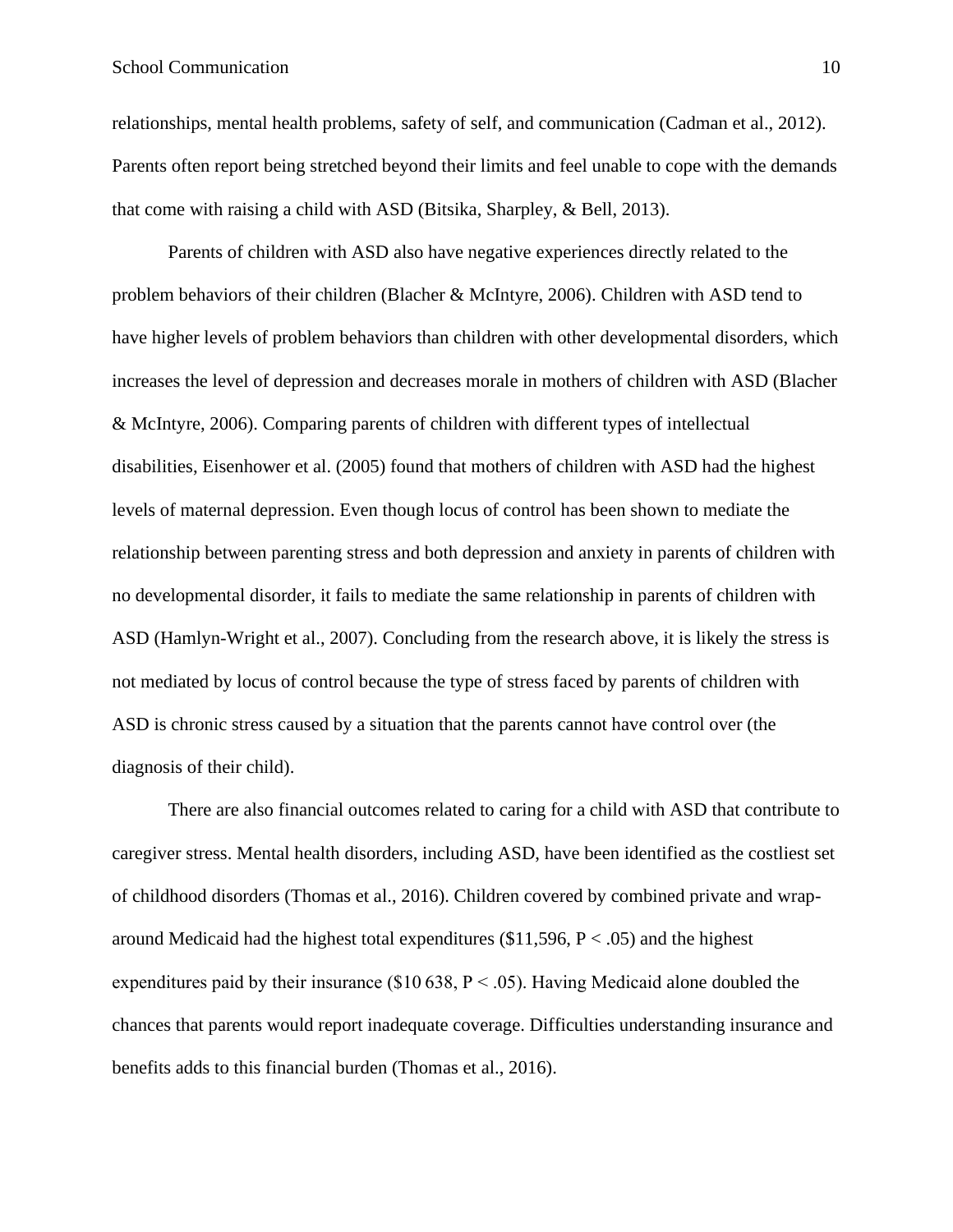#### School Communication 10

relationships, mental health problems, safety of self, and communication (Cadman et al., 2012). Parents often report being stretched beyond their limits and feel unable to cope with the demands that come with raising a child with ASD (Bitsika, Sharpley, & Bell, 2013).

Parents of children with ASD also have negative experiences directly related to the problem behaviors of their children (Blacher & McIntyre, 2006). Children with ASD tend to have higher levels of problem behaviors than children with other developmental disorders, which increases the level of depression and decreases morale in mothers of children with ASD (Blacher & McIntyre, 2006). Comparing parents of children with different types of intellectual disabilities, Eisenhower et al. (2005) found that mothers of children with ASD had the highest levels of maternal depression. Even though locus of control has been shown to mediate the relationship between parenting stress and both depression and anxiety in parents of children with no developmental disorder, it fails to mediate the same relationship in parents of children with ASD (Hamlyn-Wright et al., 2007). Concluding from the research above, it is likely the stress is not mediated by locus of control because the type of stress faced by parents of children with ASD is chronic stress caused by a situation that the parents cannot have control over (the diagnosis of their child).

There are also financial outcomes related to caring for a child with ASD that contribute to caregiver stress. Mental health disorders, including ASD, have been identified as the costliest set of childhood disorders (Thomas et al., 2016). Children covered by combined private and wraparound Medicaid had the highest total expenditures  $(\$11,596, P < .05)$  and the highest expenditures paid by their insurance (\$10 638,  $P < .05$ ). Having Medicaid alone doubled the chances that parents would report inadequate coverage. Difficulties understanding insurance and benefits adds to this financial burden (Thomas et al., 2016).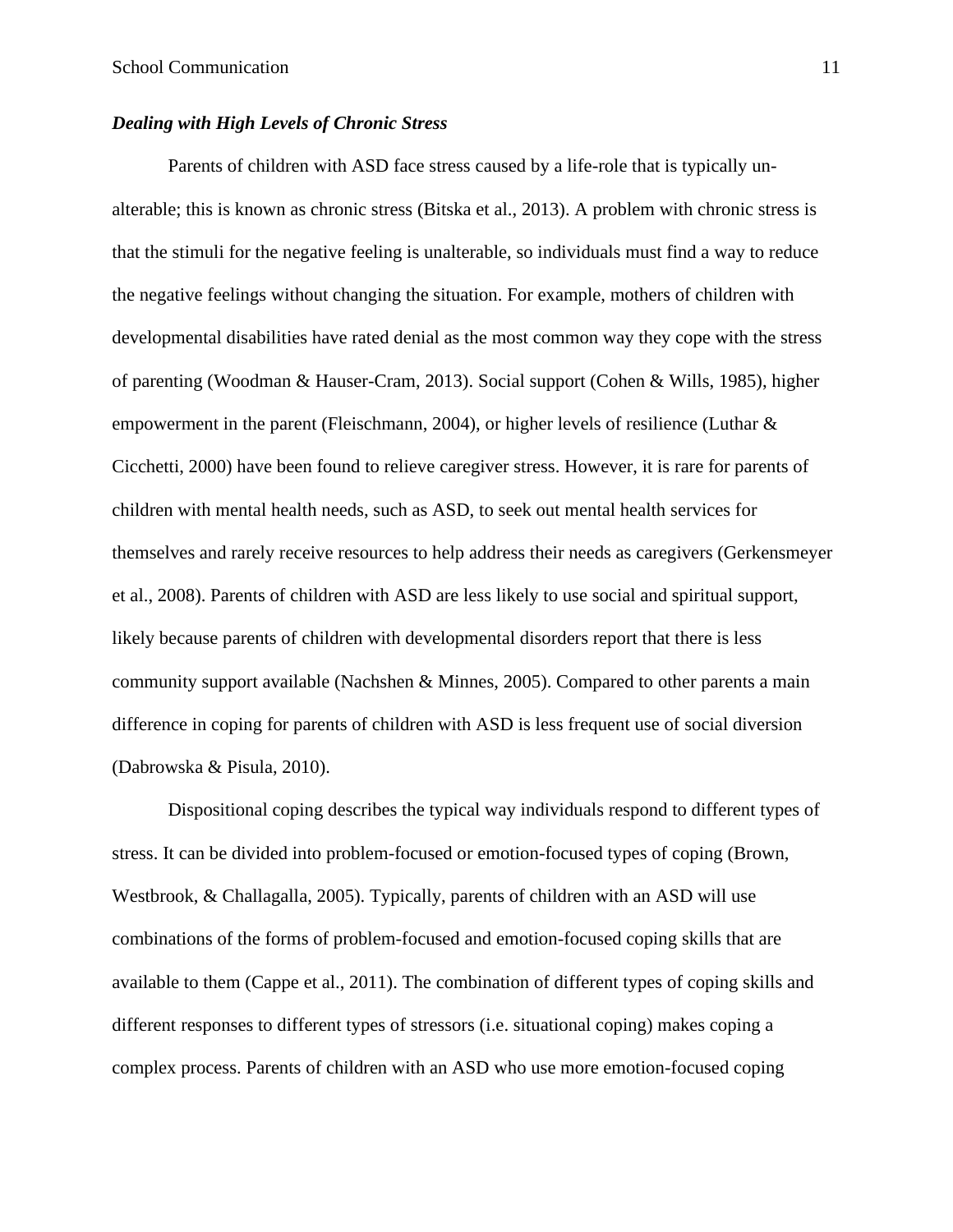## <span id="page-10-0"></span>*Dealing with High Levels of Chronic Stress*

Parents of children with ASD face stress caused by a life-role that is typically unalterable; this is known as chronic stress (Bitska et al., 2013). A problem with chronic stress is that the stimuli for the negative feeling is unalterable, so individuals must find a way to reduce the negative feelings without changing the situation. For example, mothers of children with developmental disabilities have rated denial as the most common way they cope with the stress of parenting (Woodman & Hauser-Cram, 2013). Social support (Cohen & Wills, 1985), higher empowerment in the parent (Fleischmann, 2004), or higher levels of resilience (Luthar & Cicchetti, 2000) have been found to relieve caregiver stress. However, it is rare for parents of children with mental health needs, such as ASD, to seek out mental health services for themselves and rarely receive resources to help address their needs as caregivers (Gerkensmeyer et al., 2008). Parents of children with ASD are less likely to use social and spiritual support, likely because parents of children with developmental disorders report that there is less community support available (Nachshen & Minnes, 2005). Compared to other parents a main difference in coping for parents of children with ASD is less frequent use of social diversion (Dabrowska & Pisula, 2010).

Dispositional coping describes the typical way individuals respond to different types of stress. It can be divided into problem-focused or emotion-focused types of coping (Brown, Westbrook, & Challagalla, 2005). Typically, parents of children with an ASD will use combinations of the forms of problem-focused and emotion-focused coping skills that are available to them (Cappe et al., 2011). The combination of different types of coping skills and different responses to different types of stressors (i.e. situational coping) makes coping a complex process. Parents of children with an ASD who use more emotion-focused coping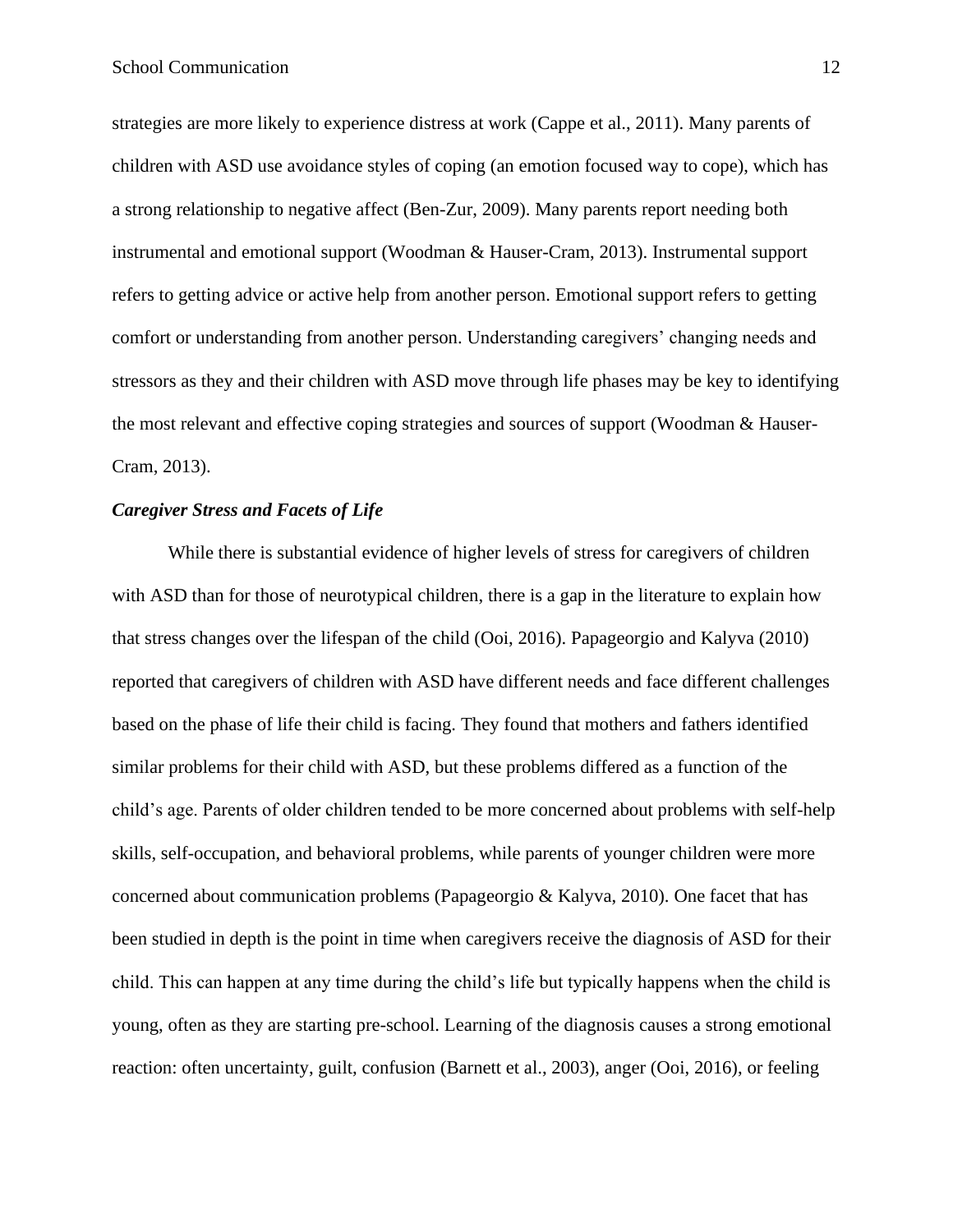strategies are more likely to experience distress at work (Cappe et al., 2011). Many parents of children with ASD use avoidance styles of coping (an emotion focused way to cope), which has a strong relationship to negative affect (Ben-Zur, 2009). Many parents report needing both instrumental and emotional support (Woodman & Hauser-Cram, 2013). Instrumental support refers to getting advice or active help from another person. Emotional support refers to getting comfort or understanding from another person. Understanding caregivers' changing needs and stressors as they and their children with ASD move through life phases may be key to identifying the most relevant and effective coping strategies and sources of support (Woodman & Hauser-Cram, 2013).

#### <span id="page-11-0"></span>*Caregiver Stress and Facets of Life*

While there is substantial evidence of higher levels of stress for caregivers of children with ASD than for those of neurotypical children, there is a gap in the literature to explain how that stress changes over the lifespan of the child (Ooi, 2016). Papageorgio and Kalyva (2010) reported that caregivers of children with ASD have different needs and face different challenges based on the phase of life their child is facing. They found that mothers and fathers identified similar problems for their child with ASD, but these problems differed as a function of the child's age. Parents of older children tended to be more concerned about problems with self-help skills, self-occupation, and behavioral problems, while parents of younger children were more concerned about communication problems (Papageorgio  $&$  Kalyva, 2010). One facet that has been studied in depth is the point in time when caregivers receive the diagnosis of ASD for their child. This can happen at any time during the child's life but typically happens when the child is young, often as they are starting pre-school. Learning of the diagnosis causes a strong emotional reaction: often uncertainty, guilt, confusion (Barnett et al., 2003), anger (Ooi, 2016), or feeling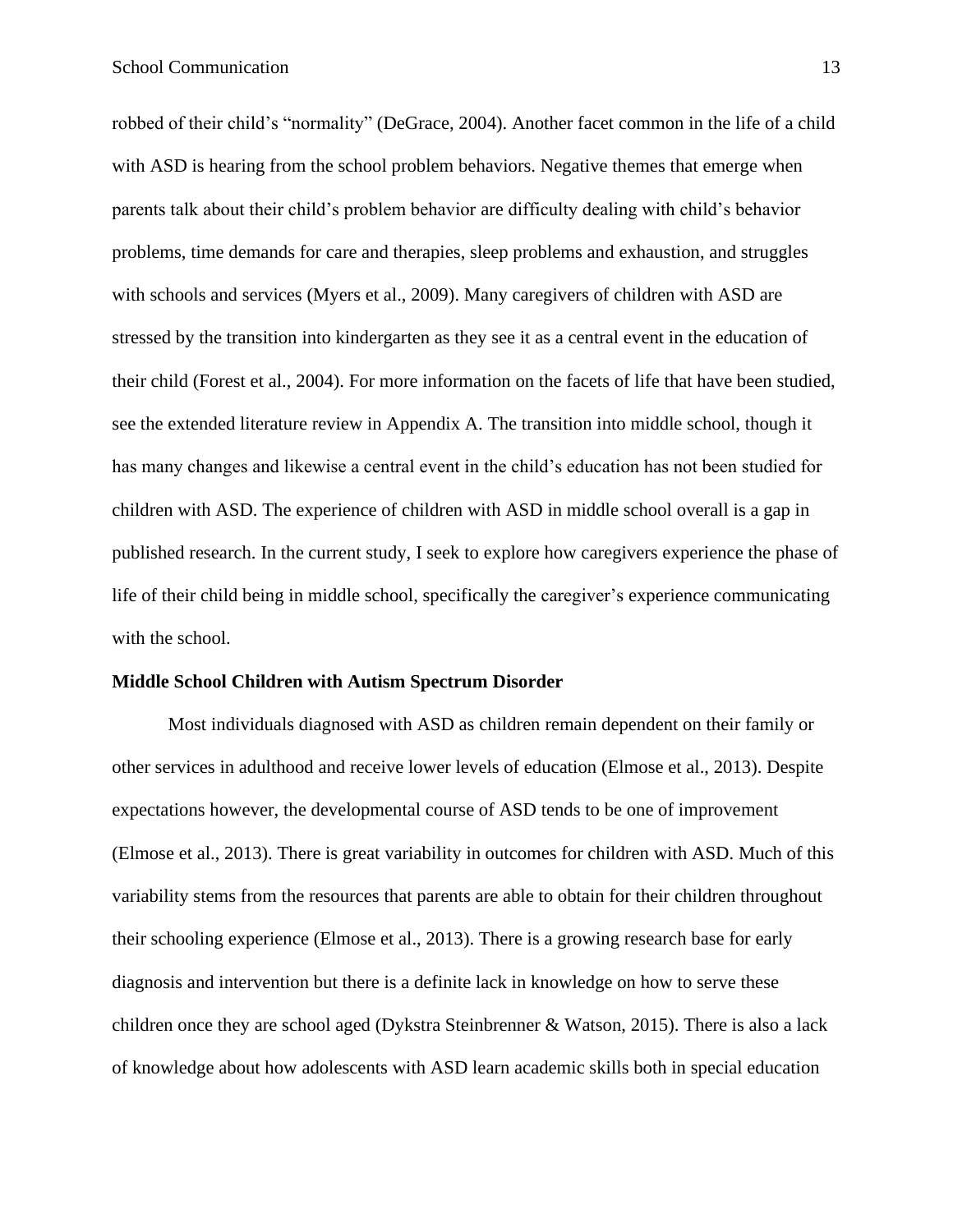robbed of their child's "normality" (DeGrace, 2004). Another facet common in the life of a child with ASD is hearing from the school problem behaviors. Negative themes that emerge when parents talk about their child's problem behavior are difficulty dealing with child's behavior problems, time demands for care and therapies, sleep problems and exhaustion, and struggles with schools and services (Myers et al., 2009). Many caregivers of children with ASD are stressed by the transition into kindergarten as they see it as a central event in the education of their child (Forest et al., 2004). For more information on the facets of life that have been studied, see the extended literature review in Appendix A. The transition into middle school, though it has many changes and likewise a central event in the child's education has not been studied for children with ASD. The experience of children with ASD in middle school overall is a gap in published research. In the current study, I seek to explore how caregivers experience the phase of life of their child being in middle school, specifically the caregiver's experience communicating with the school.

#### <span id="page-12-0"></span>**Middle School Children with Autism Spectrum Disorder**

Most individuals diagnosed with ASD as children remain dependent on their family or other services in adulthood and receive lower levels of education (Elmose et al., 2013). Despite expectations however, the developmental course of ASD tends to be one of improvement (Elmose et al., 2013). There is great variability in outcomes for children with ASD. Much of this variability stems from the resources that parents are able to obtain for their children throughout their schooling experience (Elmose et al., 2013). There is a growing research base for early diagnosis and intervention but there is a definite lack in knowledge on how to serve these children once they are school aged (Dykstra Steinbrenner & Watson, 2015). There is also a lack of knowledge about how adolescents with ASD learn academic skills both in special education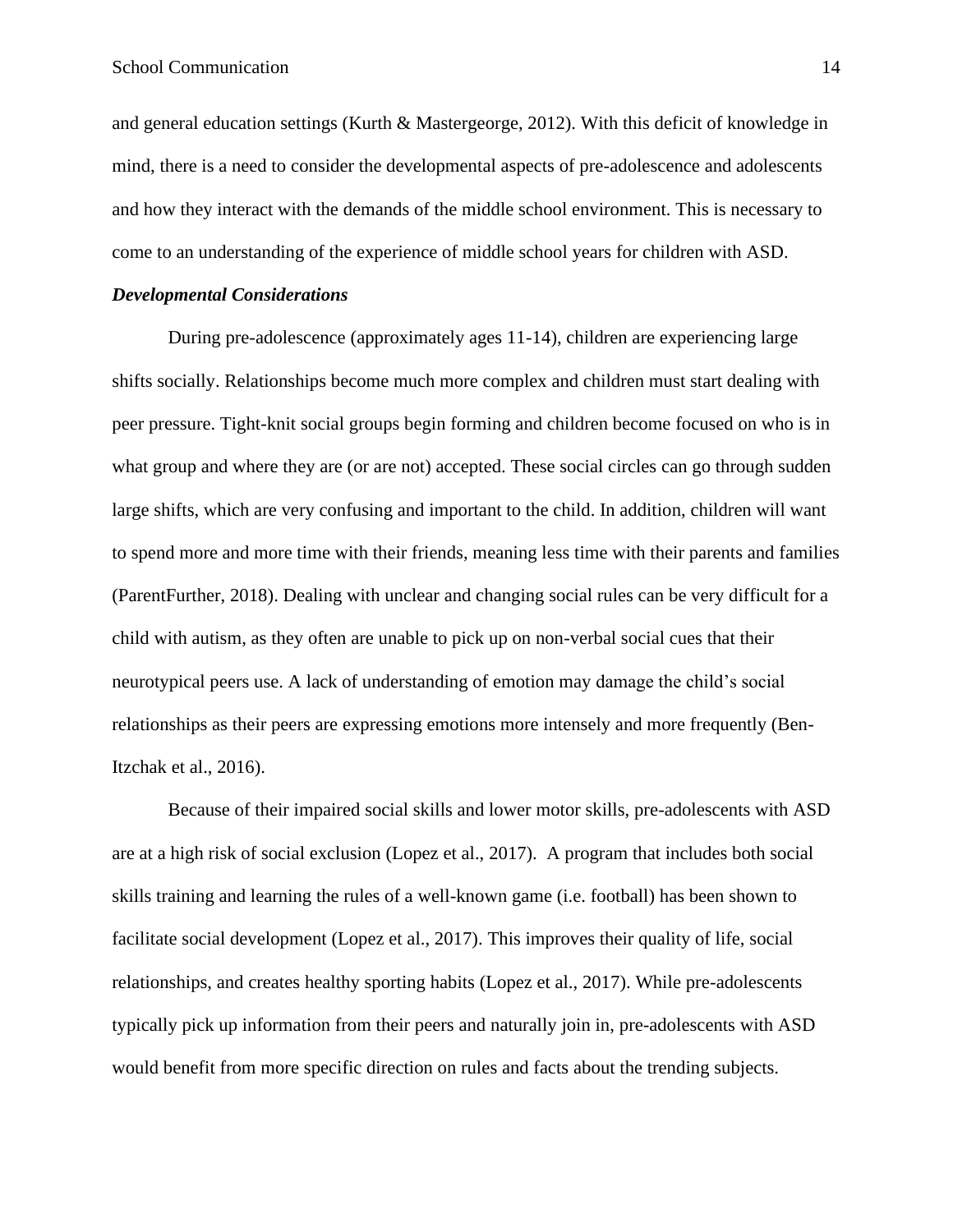and general education settings (Kurth & Mastergeorge, 2012). With this deficit of knowledge in mind, there is a need to consider the developmental aspects of pre-adolescence and adolescents and how they interact with the demands of the middle school environment. This is necessary to come to an understanding of the experience of middle school years for children with ASD.

#### <span id="page-13-0"></span>*Developmental Considerations*

During pre-adolescence (approximately ages 11-14), children are experiencing large shifts socially. Relationships become much more complex and children must start dealing with peer pressure. Tight-knit social groups begin forming and children become focused on who is in what group and where they are (or are not) accepted. These social circles can go through sudden large shifts, which are very confusing and important to the child. In addition, children will want to spend more and more time with their friends, meaning less time with their parents and families (ParentFurther, 2018). Dealing with unclear and changing social rules can be very difficult for a child with autism, as they often are unable to pick up on non-verbal social cues that their neurotypical peers use. A lack of understanding of emotion may damage the child's social relationships as their peers are expressing emotions more intensely and more frequently (Ben-Itzchak et al., 2016).

Because of their impaired social skills and lower motor skills, pre-adolescents with ASD are at a high risk of social exclusion (Lopez et al., 2017). A program that includes both social skills training and learning the rules of a well-known game (i.e. football) has been shown to facilitate social development (Lopez et al., 2017). This improves their quality of life, social relationships, and creates healthy sporting habits (Lopez et al., 2017). While pre-adolescents typically pick up information from their peers and naturally join in, pre-adolescents with ASD would benefit from more specific direction on rules and facts about the trending subjects.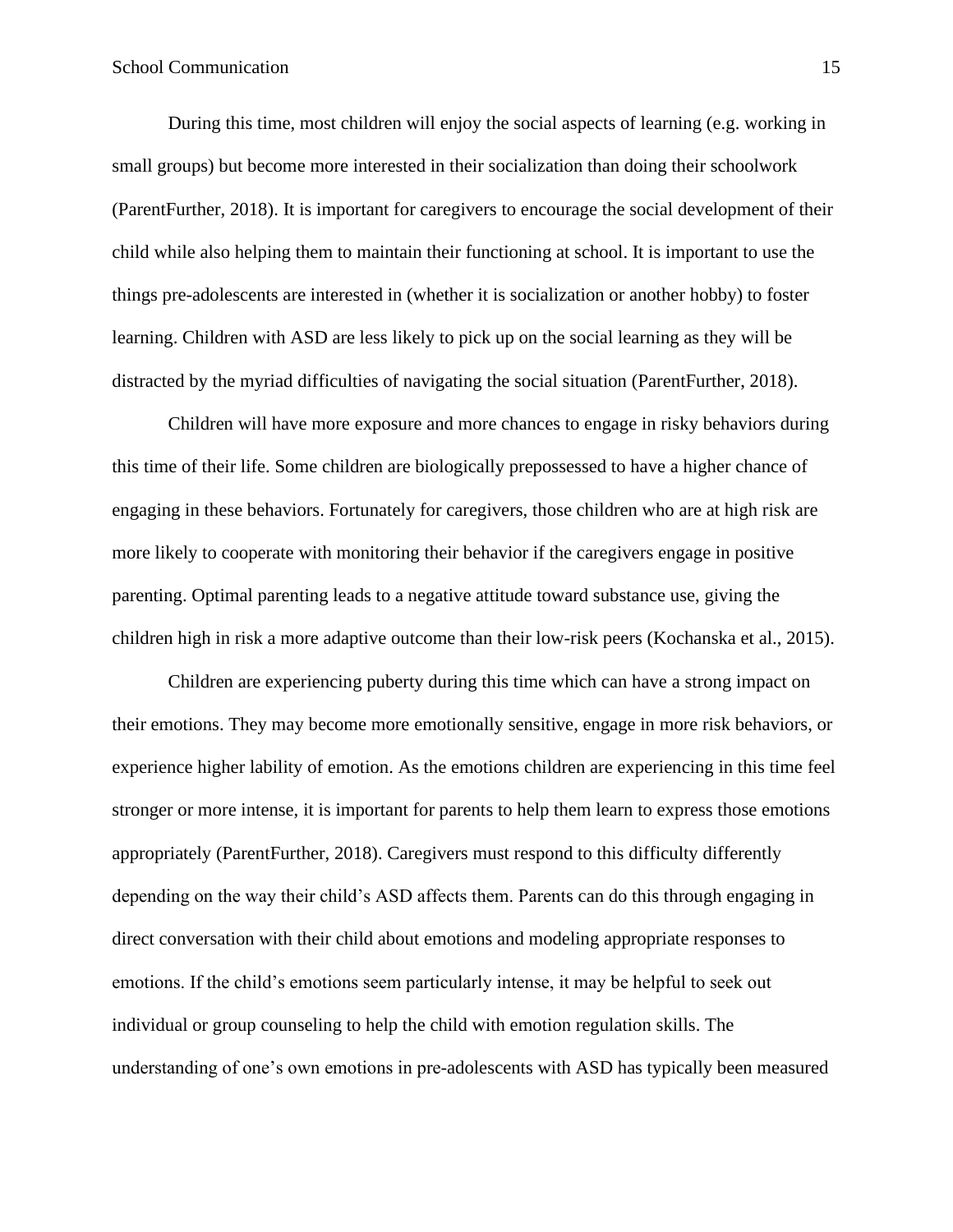During this time, most children will enjoy the social aspects of learning (e.g. working in small groups) but become more interested in their socialization than doing their schoolwork (ParentFurther, 2018). It is important for caregivers to encourage the social development of their child while also helping them to maintain their functioning at school. It is important to use the things pre-adolescents are interested in (whether it is socialization or another hobby) to foster learning. Children with ASD are less likely to pick up on the social learning as they will be distracted by the myriad difficulties of navigating the social situation (ParentFurther, 2018).

Children will have more exposure and more chances to engage in risky behaviors during this time of their life. Some children are biologically prepossessed to have a higher chance of engaging in these behaviors. Fortunately for caregivers, those children who are at high risk are more likely to cooperate with monitoring their behavior if the caregivers engage in positive parenting. Optimal parenting leads to a negative attitude toward substance use, giving the children high in risk a more adaptive outcome than their low-risk peers (Kochanska et al., 2015).

Children are experiencing puberty during this time which can have a strong impact on their emotions. They may become more emotionally sensitive, engage in more risk behaviors, or experience higher lability of emotion. As the emotions children are experiencing in this time feel stronger or more intense, it is important for parents to help them learn to express those emotions appropriately (ParentFurther, 2018). Caregivers must respond to this difficulty differently depending on the way their child's ASD affects them. Parents can do this through engaging in direct conversation with their child about emotions and modeling appropriate responses to emotions. If the child's emotions seem particularly intense, it may be helpful to seek out individual or group counseling to help the child with emotion regulation skills. The understanding of one's own emotions in pre-adolescents with ASD has typically been measured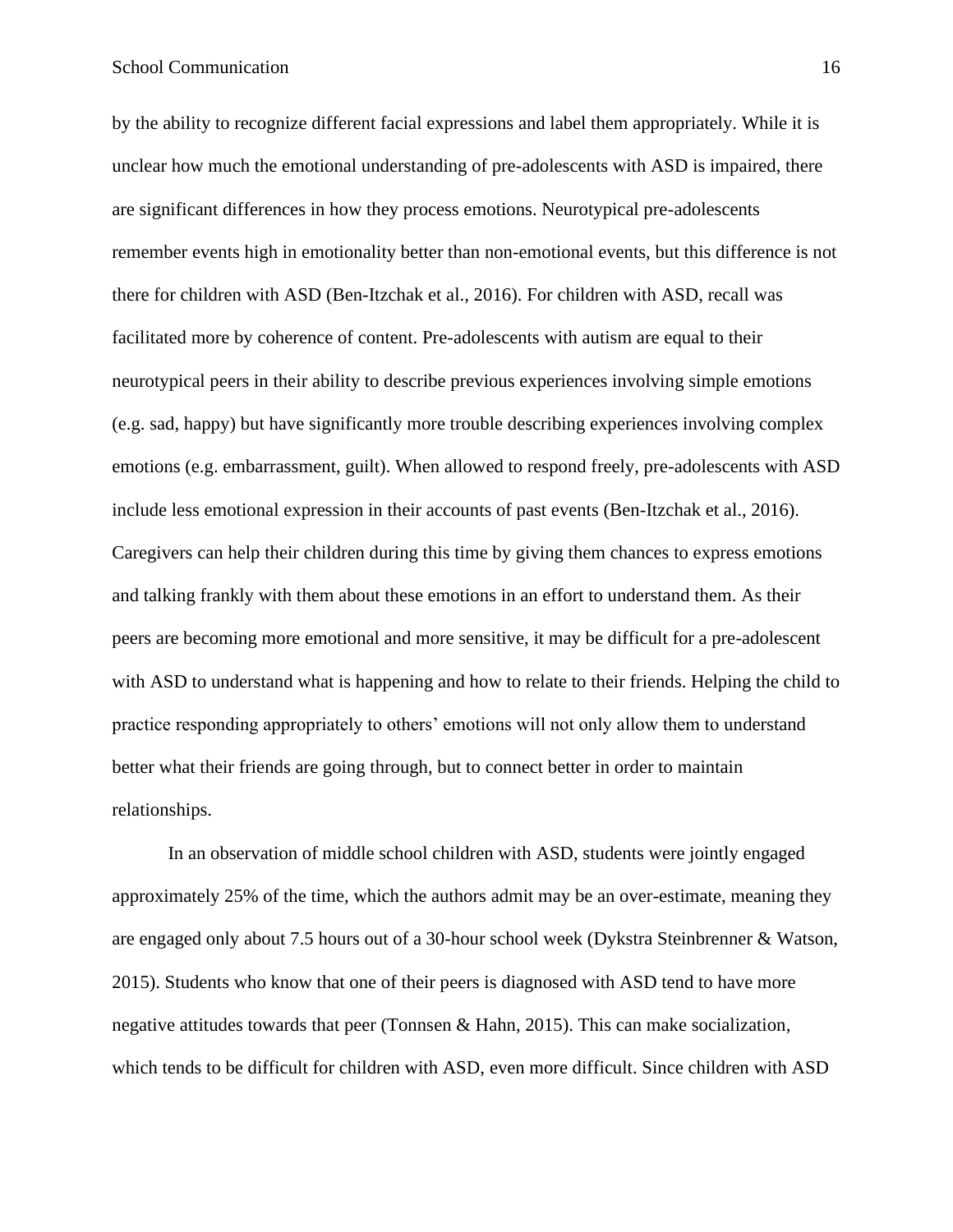by the ability to recognize different facial expressions and label them appropriately. While it is unclear how much the emotional understanding of pre-adolescents with ASD is impaired, there are significant differences in how they process emotions. Neurotypical pre-adolescents remember events high in emotionality better than non-emotional events, but this difference is not there for children with ASD (Ben-Itzchak et al., 2016). For children with ASD, recall was facilitated more by coherence of content. Pre-adolescents with autism are equal to their neurotypical peers in their ability to describe previous experiences involving simple emotions (e.g. sad, happy) but have significantly more trouble describing experiences involving complex emotions (e.g. embarrassment, guilt). When allowed to respond freely, pre-adolescents with ASD include less emotional expression in their accounts of past events (Ben-Itzchak et al., 2016). Caregivers can help their children during this time by giving them chances to express emotions and talking frankly with them about these emotions in an effort to understand them. As their peers are becoming more emotional and more sensitive, it may be difficult for a pre-adolescent with ASD to understand what is happening and how to relate to their friends. Helping the child to practice responding appropriately to others' emotions will not only allow them to understand better what their friends are going through, but to connect better in order to maintain relationships.

In an observation of middle school children with ASD, students were jointly engaged approximately 25% of the time, which the authors admit may be an over-estimate, meaning they are engaged only about 7.5 hours out of a 30-hour school week (Dykstra Steinbrenner & Watson, 2015). Students who know that one of their peers is diagnosed with ASD tend to have more negative attitudes towards that peer (Tonnsen & Hahn, 2015). This can make socialization, which tends to be difficult for children with ASD, even more difficult. Since children with ASD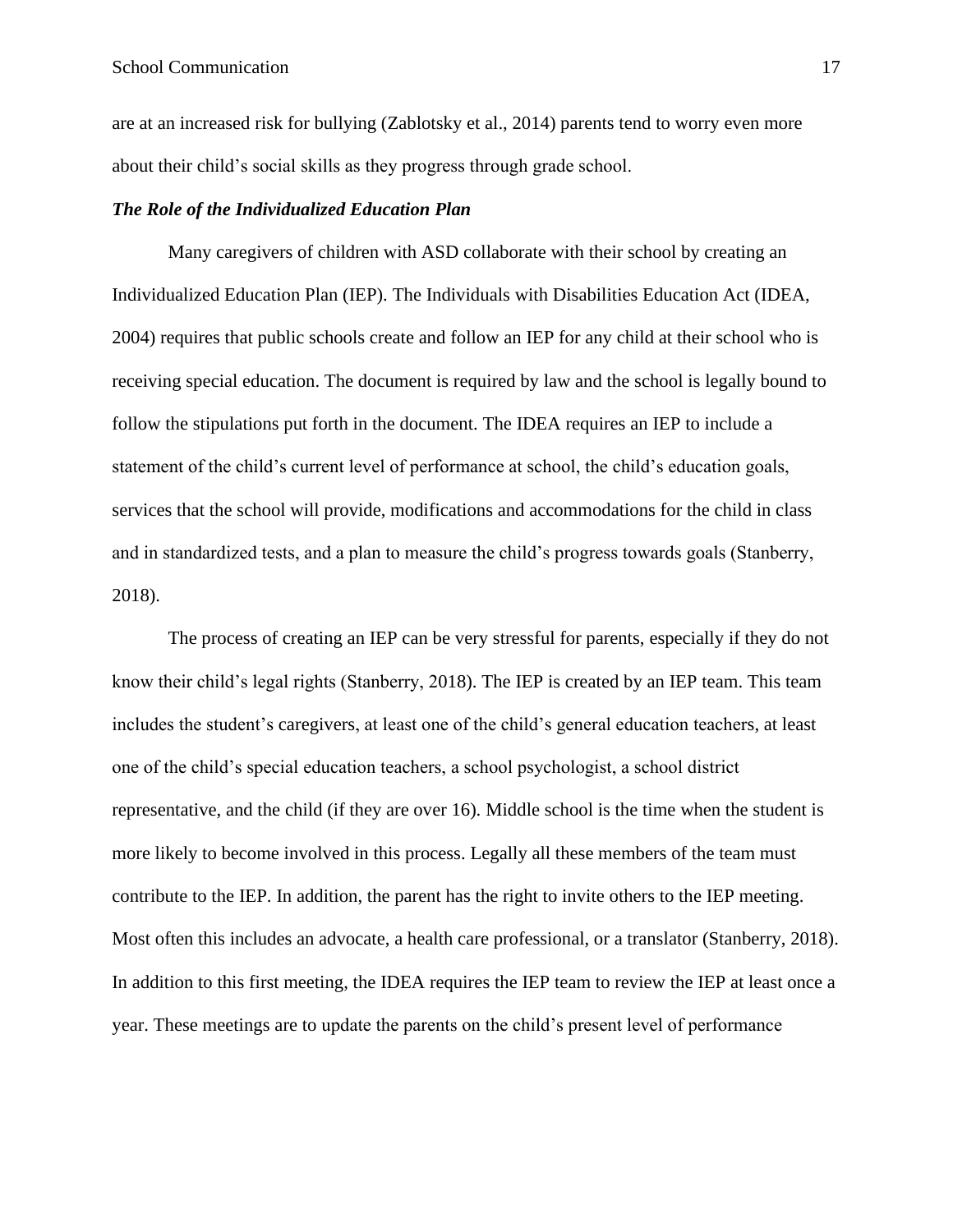are at an increased risk for bullying (Zablotsky et al., 2014) parents tend to worry even more about their child's social skills as they progress through grade school.

#### <span id="page-16-0"></span>*The Role of the Individualized Education Plan*

Many caregivers of children with ASD collaborate with their school by creating an Individualized Education Plan (IEP). The Individuals with Disabilities Education Act (IDEA, 2004) requires that public schools create and follow an IEP for any child at their school who is receiving special education. The document is required by law and the school is legally bound to follow the stipulations put forth in the document. The IDEA requires an IEP to include a statement of the child's current level of performance at school, the child's education goals, services that the school will provide, modifications and accommodations for the child in class and in standardized tests, and a plan to measure the child's progress towards goals (Stanberry, 2018).

The process of creating an IEP can be very stressful for parents, especially if they do not know their child's legal rights (Stanberry, 2018). The IEP is created by an IEP team. This team includes the student's caregivers, at least one of the child's general education teachers, at least one of the child's special education teachers, a school psychologist, a school district representative, and the child (if they are over 16). Middle school is the time when the student is more likely to become involved in this process. Legally all these members of the team must contribute to the IEP. In addition, the parent has the right to invite others to the IEP meeting. Most often this includes an advocate, a health care professional, or a translator (Stanberry, 2018). In addition to this first meeting, the IDEA requires the IEP team to review the IEP at least once a year. These meetings are to update the parents on the child's present level of performance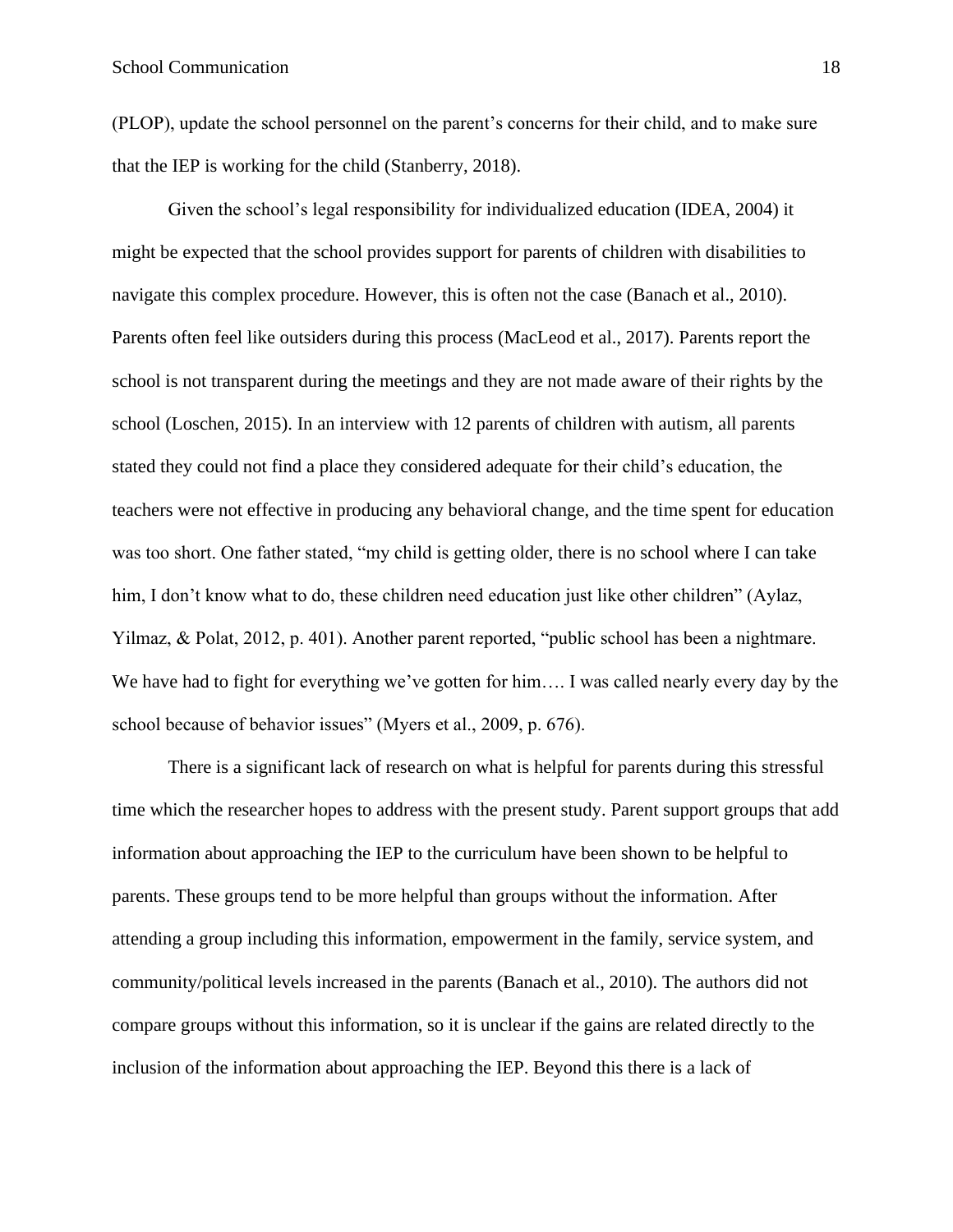(PLOP), update the school personnel on the parent's concerns for their child, and to make sure that the IEP is working for the child (Stanberry, 2018).

Given the school's legal responsibility for individualized education (IDEA, 2004) it might be expected that the school provides support for parents of children with disabilities to navigate this complex procedure. However, this is often not the case (Banach et al., 2010). Parents often feel like outsiders during this process (MacLeod et al., 2017). Parents report the school is not transparent during the meetings and they are not made aware of their rights by the school (Loschen, 2015). In an interview with 12 parents of children with autism, all parents stated they could not find a place they considered adequate for their child's education, the teachers were not effective in producing any behavioral change, and the time spent for education was too short. One father stated, "my child is getting older, there is no school where I can take him, I don't know what to do, these children need education just like other children" (Aylaz, Yilmaz, & Polat, 2012, p. 401). Another parent reported, "public school has been a nightmare. We have had to fight for everything we've gotten for him.... I was called nearly every day by the school because of behavior issues" (Myers et al., 2009, p. 676).

There is a significant lack of research on what is helpful for parents during this stressful time which the researcher hopes to address with the present study. Parent support groups that add information about approaching the IEP to the curriculum have been shown to be helpful to parents. These groups tend to be more helpful than groups without the information. After attending a group including this information, empowerment in the family, service system, and community/political levels increased in the parents (Banach et al., 2010). The authors did not compare groups without this information, so it is unclear if the gains are related directly to the inclusion of the information about approaching the IEP. Beyond this there is a lack of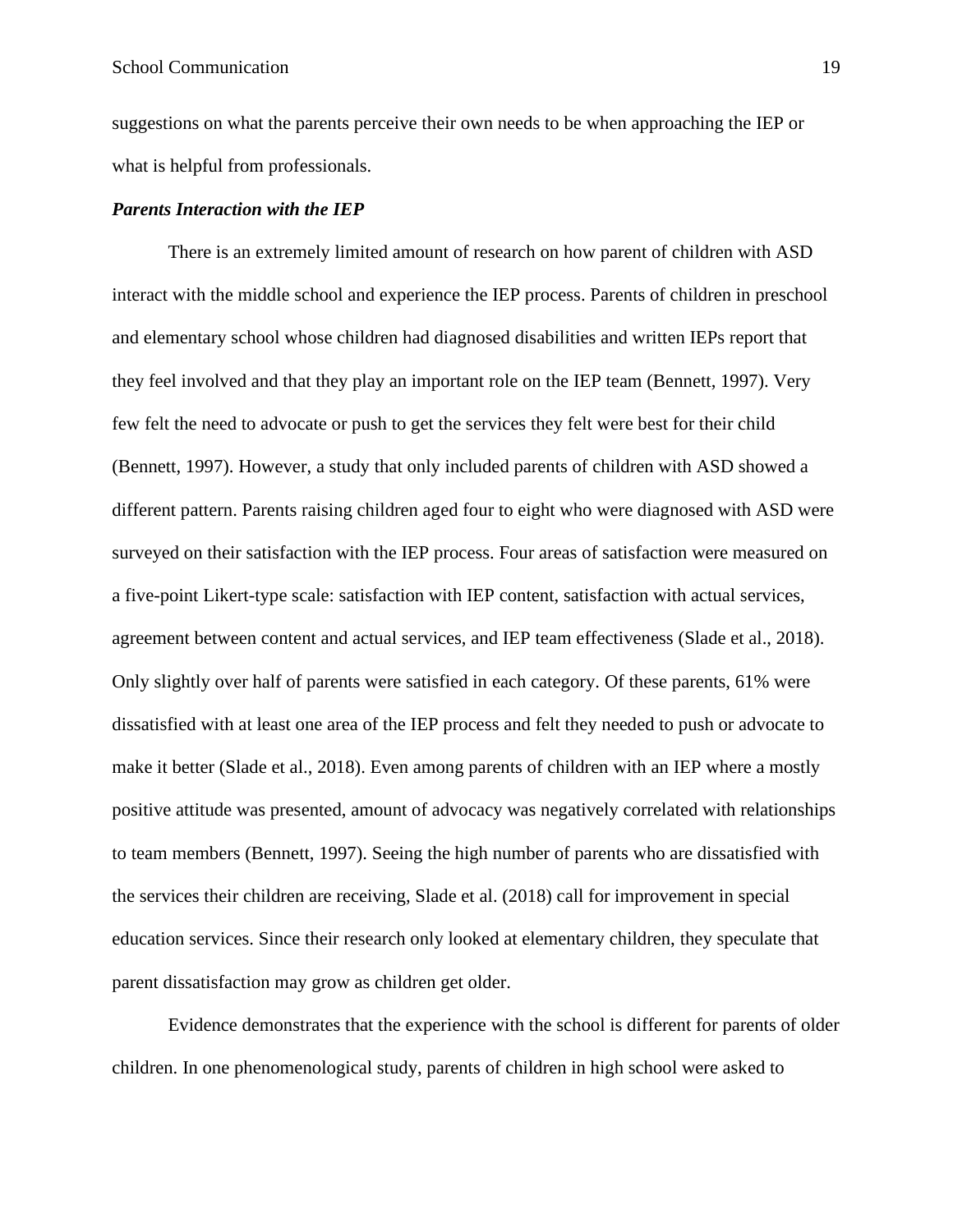suggestions on what the parents perceive their own needs to be when approaching the IEP or what is helpful from professionals.

#### <span id="page-18-0"></span>*Parents Interaction with the IEP*

There is an extremely limited amount of research on how parent of children with ASD interact with the middle school and experience the IEP process. Parents of children in preschool and elementary school whose children had diagnosed disabilities and written IEPs report that they feel involved and that they play an important role on the IEP team (Bennett, 1997). Very few felt the need to advocate or push to get the services they felt were best for their child (Bennett, 1997). However, a study that only included parents of children with ASD showed a different pattern. Parents raising children aged four to eight who were diagnosed with ASD were surveyed on their satisfaction with the IEP process. Four areas of satisfaction were measured on a five-point Likert-type scale: satisfaction with IEP content, satisfaction with actual services, agreement between content and actual services, and IEP team effectiveness (Slade et al., 2018). Only slightly over half of parents were satisfied in each category. Of these parents, 61% were dissatisfied with at least one area of the IEP process and felt they needed to push or advocate to make it better (Slade et al., 2018). Even among parents of children with an IEP where a mostly positive attitude was presented, amount of advocacy was negatively correlated with relationships to team members (Bennett, 1997). Seeing the high number of parents who are dissatisfied with the services their children are receiving, Slade et al. (2018) call for improvement in special education services. Since their research only looked at elementary children, they speculate that parent dissatisfaction may grow as children get older.

Evidence demonstrates that the experience with the school is different for parents of older children. In one phenomenological study, parents of children in high school were asked to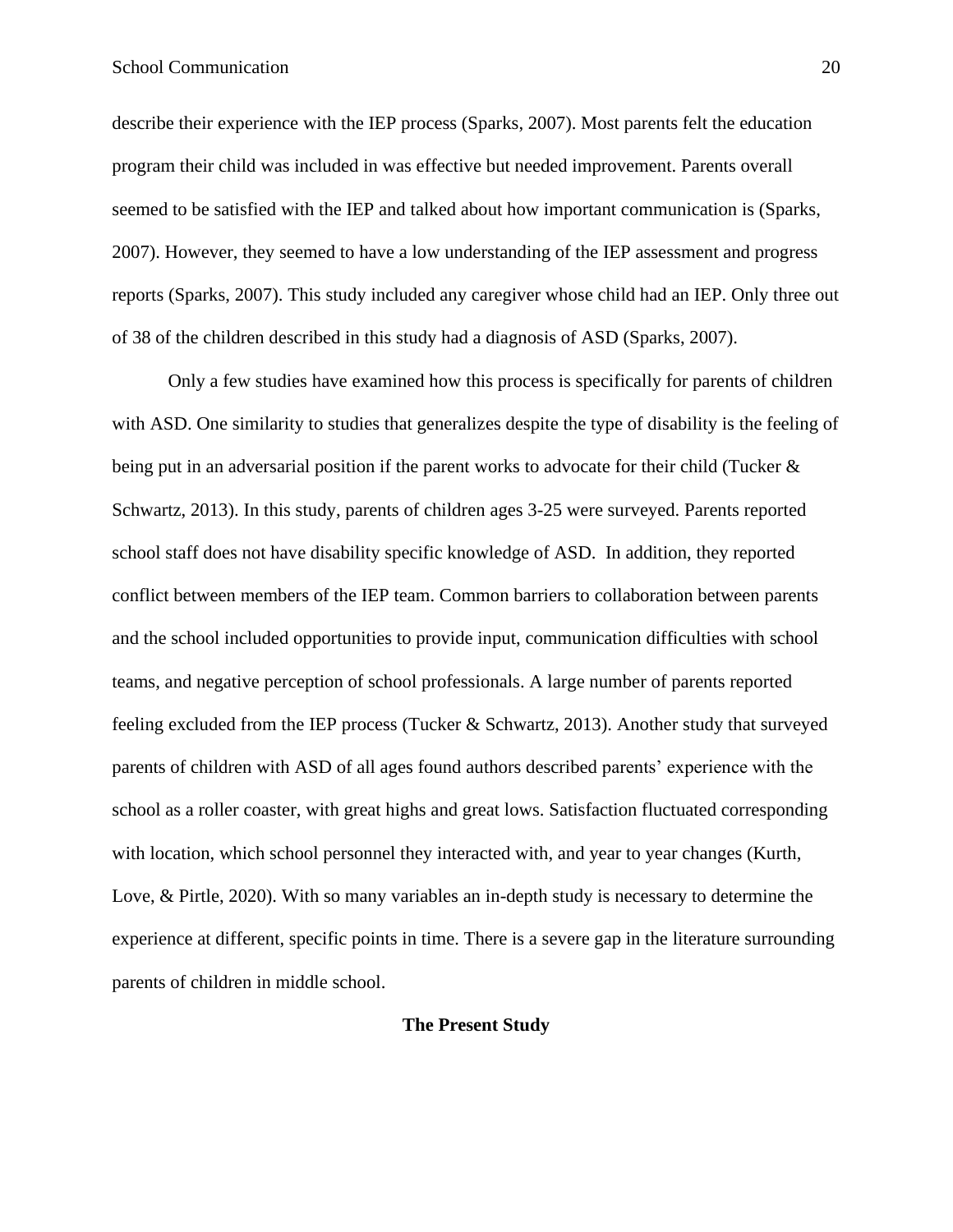describe their experience with the IEP process (Sparks, 2007). Most parents felt the education program their child was included in was effective but needed improvement. Parents overall seemed to be satisfied with the IEP and talked about how important communication is (Sparks, 2007). However, they seemed to have a low understanding of the IEP assessment and progress reports (Sparks, 2007). This study included any caregiver whose child had an IEP. Only three out of 38 of the children described in this study had a diagnosis of ASD (Sparks, 2007).

Only a few studies have examined how this process is specifically for parents of children with ASD. One similarity to studies that generalizes despite the type of disability is the feeling of being put in an adversarial position if the parent works to advocate for their child (Tucker & Schwartz, 2013). In this study, parents of children ages 3-25 were surveyed. Parents reported school staff does not have disability specific knowledge of ASD. In addition, they reported conflict between members of the IEP team. Common barriers to collaboration between parents and the school included opportunities to provide input, communication difficulties with school teams, and negative perception of school professionals. A large number of parents reported feeling excluded from the IEP process (Tucker & Schwartz, 2013). Another study that surveyed parents of children with ASD of all ages found authors described parents' experience with the school as a roller coaster, with great highs and great lows. Satisfaction fluctuated corresponding with location, which school personnel they interacted with, and year to year changes (Kurth, Love, & Pirtle, 2020). With so many variables an in-depth study is necessary to determine the experience at different, specific points in time. There is a severe gap in the literature surrounding parents of children in middle school.

## <span id="page-19-0"></span>**The Present Study**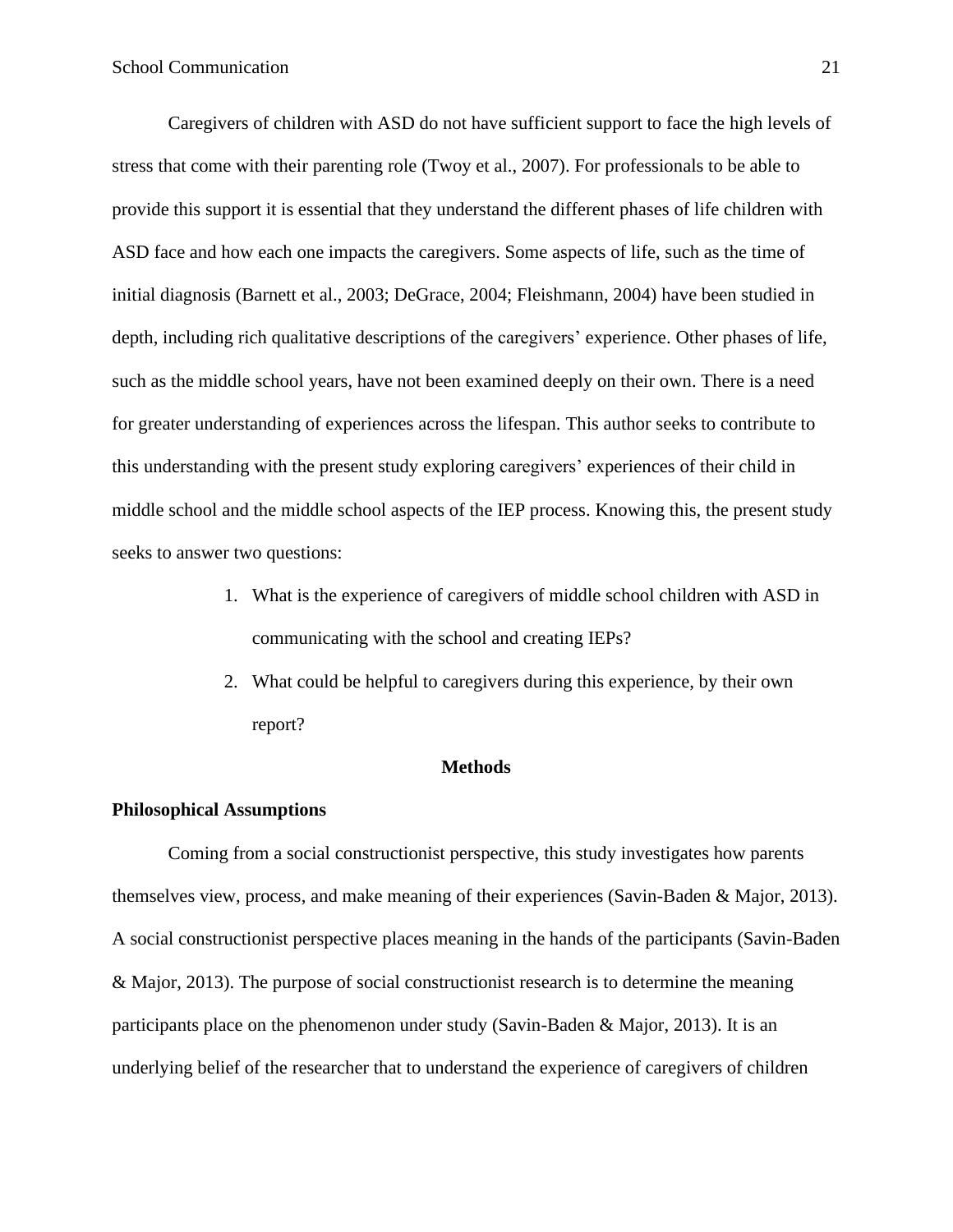Caregivers of children with ASD do not have sufficient support to face the high levels of stress that come with their parenting role (Twoy et al., 2007). For professionals to be able to provide this support it is essential that they understand the different phases of life children with ASD face and how each one impacts the caregivers. Some aspects of life, such as the time of initial diagnosis (Barnett et al., 2003; DeGrace, 2004; Fleishmann, 2004) have been studied in depth, including rich qualitative descriptions of the caregivers' experience. Other phases of life, such as the middle school years, have not been examined deeply on their own. There is a need for greater understanding of experiences across the lifespan. This author seeks to contribute to this understanding with the present study exploring caregivers' experiences of their child in middle school and the middle school aspects of the IEP process. Knowing this, the present study seeks to answer two questions:

- 1. What is the experience of caregivers of middle school children with ASD in communicating with the school and creating IEPs?
- 2. What could be helpful to caregivers during this experience, by their own report?

#### **Methods**

#### <span id="page-20-1"></span><span id="page-20-0"></span>**Philosophical Assumptions**

Coming from a social constructionist perspective, this study investigates how parents themselves view, process, and make meaning of their experiences (Savin-Baden & Major, 2013). A social constructionist perspective places meaning in the hands of the participants (Savin-Baden & Major, 2013). The purpose of social constructionist research is to determine the meaning participants place on the phenomenon under study (Savin-Baden & Major, 2013). It is an underlying belief of the researcher that to understand the experience of caregivers of children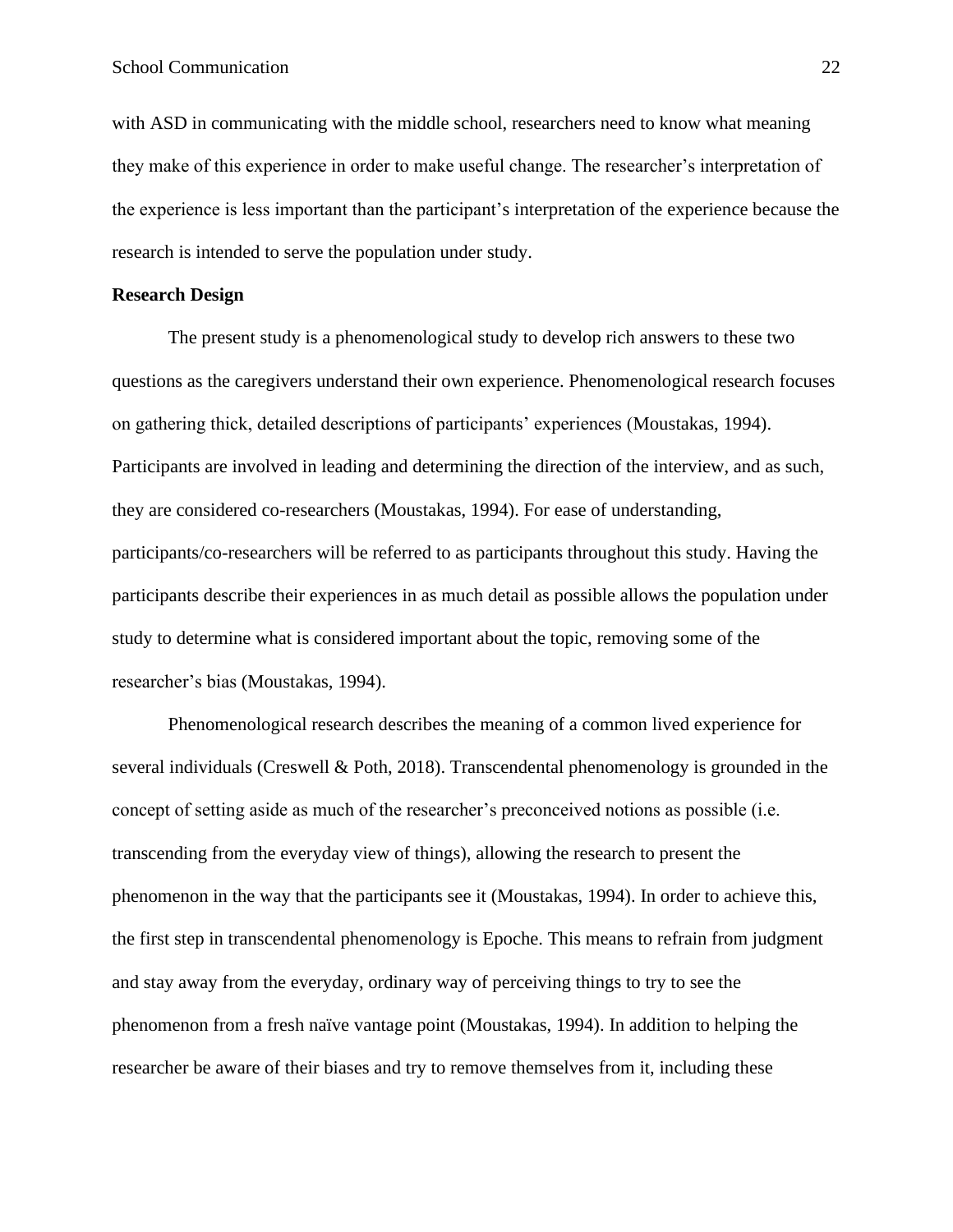with ASD in communicating with the middle school, researchers need to know what meaning they make of this experience in order to make useful change. The researcher's interpretation of the experience is less important than the participant's interpretation of the experience because the research is intended to serve the population under study.

#### <span id="page-21-0"></span>**Research Design**

The present study is a phenomenological study to develop rich answers to these two questions as the caregivers understand their own experience. Phenomenological research focuses on gathering thick, detailed descriptions of participants' experiences (Moustakas, 1994). Participants are involved in leading and determining the direction of the interview, and as such, they are considered co-researchers (Moustakas, 1994). For ease of understanding, participants/co-researchers will be referred to as participants throughout this study. Having the participants describe their experiences in as much detail as possible allows the population under study to determine what is considered important about the topic, removing some of the researcher's bias (Moustakas, 1994).

Phenomenological research describes the meaning of a common lived experience for several individuals (Creswell & Poth, 2018). Transcendental phenomenology is grounded in the concept of setting aside as much of the researcher's preconceived notions as possible (i.e. transcending from the everyday view of things), allowing the research to present the phenomenon in the way that the participants see it (Moustakas, 1994). In order to achieve this, the first step in transcendental phenomenology is Epoche. This means to refrain from judgment and stay away from the everyday, ordinary way of perceiving things to try to see the phenomenon from a fresh naïve vantage point (Moustakas, 1994). In addition to helping the researcher be aware of their biases and try to remove themselves from it, including these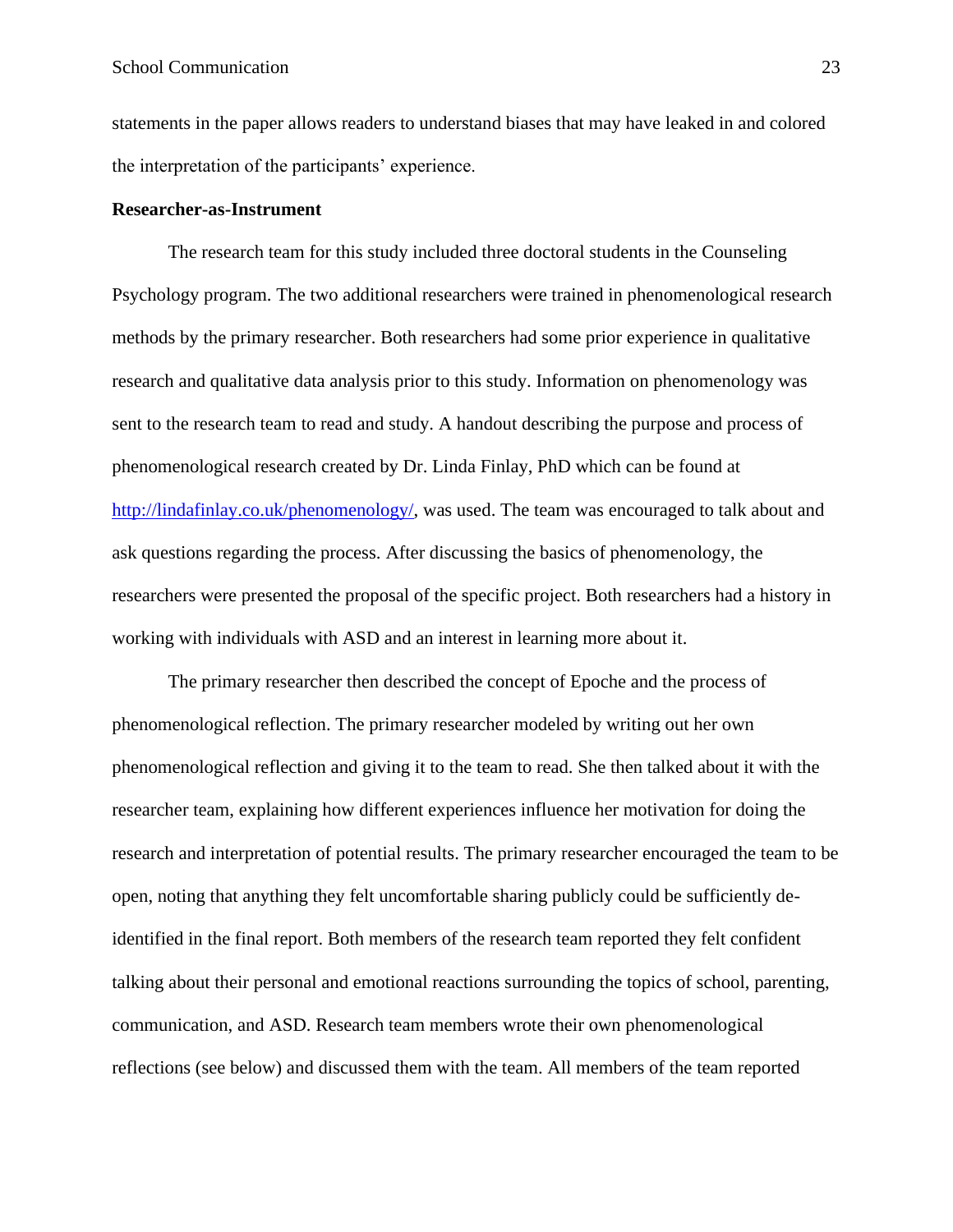statements in the paper allows readers to understand biases that may have leaked in and colored the interpretation of the participants' experience.

#### <span id="page-22-0"></span>**Researcher-as-Instrument**

The research team for this study included three doctoral students in the Counseling Psychology program. The two additional researchers were trained in phenomenological research methods by the primary researcher. Both researchers had some prior experience in qualitative research and qualitative data analysis prior to this study. Information on phenomenology was sent to the research team to read and study. A handout describing the purpose and process of phenomenological research created by Dr. Linda Finlay, PhD which can be found at [http://lindafinlay.co.uk/phenomenology/,](http://lindafinlay.co.uk/phenomenology/) was used. The team was encouraged to talk about and ask questions regarding the process. After discussing the basics of phenomenology, the researchers were presented the proposal of the specific project. Both researchers had a history in working with individuals with ASD and an interest in learning more about it.

The primary researcher then described the concept of Epoche and the process of phenomenological reflection. The primary researcher modeled by writing out her own phenomenological reflection and giving it to the team to read. She then talked about it with the researcher team, explaining how different experiences influence her motivation for doing the research and interpretation of potential results. The primary researcher encouraged the team to be open, noting that anything they felt uncomfortable sharing publicly could be sufficiently deidentified in the final report. Both members of the research team reported they felt confident talking about their personal and emotional reactions surrounding the topics of school, parenting, communication, and ASD. Research team members wrote their own phenomenological reflections (see below) and discussed them with the team. All members of the team reported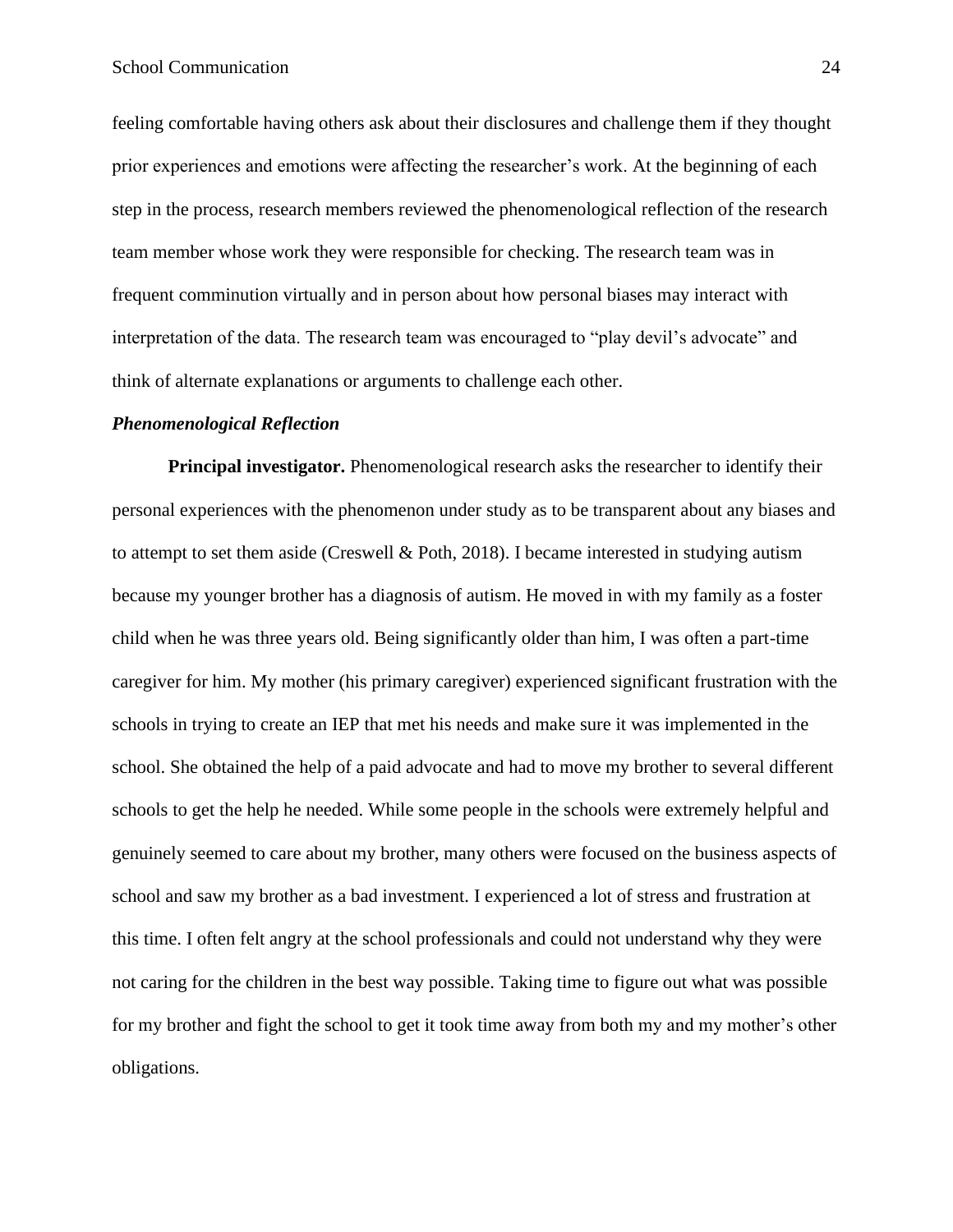feeling comfortable having others ask about their disclosures and challenge them if they thought prior experiences and emotions were affecting the researcher's work. At the beginning of each step in the process, research members reviewed the phenomenological reflection of the research team member whose work they were responsible for checking. The research team was in frequent comminution virtually and in person about how personal biases may interact with interpretation of the data. The research team was encouraged to "play devil's advocate" and think of alternate explanations or arguments to challenge each other.

#### <span id="page-23-0"></span>*Phenomenological Reflection*

**Principal investigator.** Phenomenological research asks the researcher to identify their personal experiences with the phenomenon under study as to be transparent about any biases and to attempt to set them aside (Creswell & Poth, 2018). I became interested in studying autism because my younger brother has a diagnosis of autism. He moved in with my family as a foster child when he was three years old. Being significantly older than him, I was often a part-time caregiver for him. My mother (his primary caregiver) experienced significant frustration with the schools in trying to create an IEP that met his needs and make sure it was implemented in the school. She obtained the help of a paid advocate and had to move my brother to several different schools to get the help he needed. While some people in the schools were extremely helpful and genuinely seemed to care about my brother, many others were focused on the business aspects of school and saw my brother as a bad investment. I experienced a lot of stress and frustration at this time. I often felt angry at the school professionals and could not understand why they were not caring for the children in the best way possible. Taking time to figure out what was possible for my brother and fight the school to get it took time away from both my and my mother's other obligations.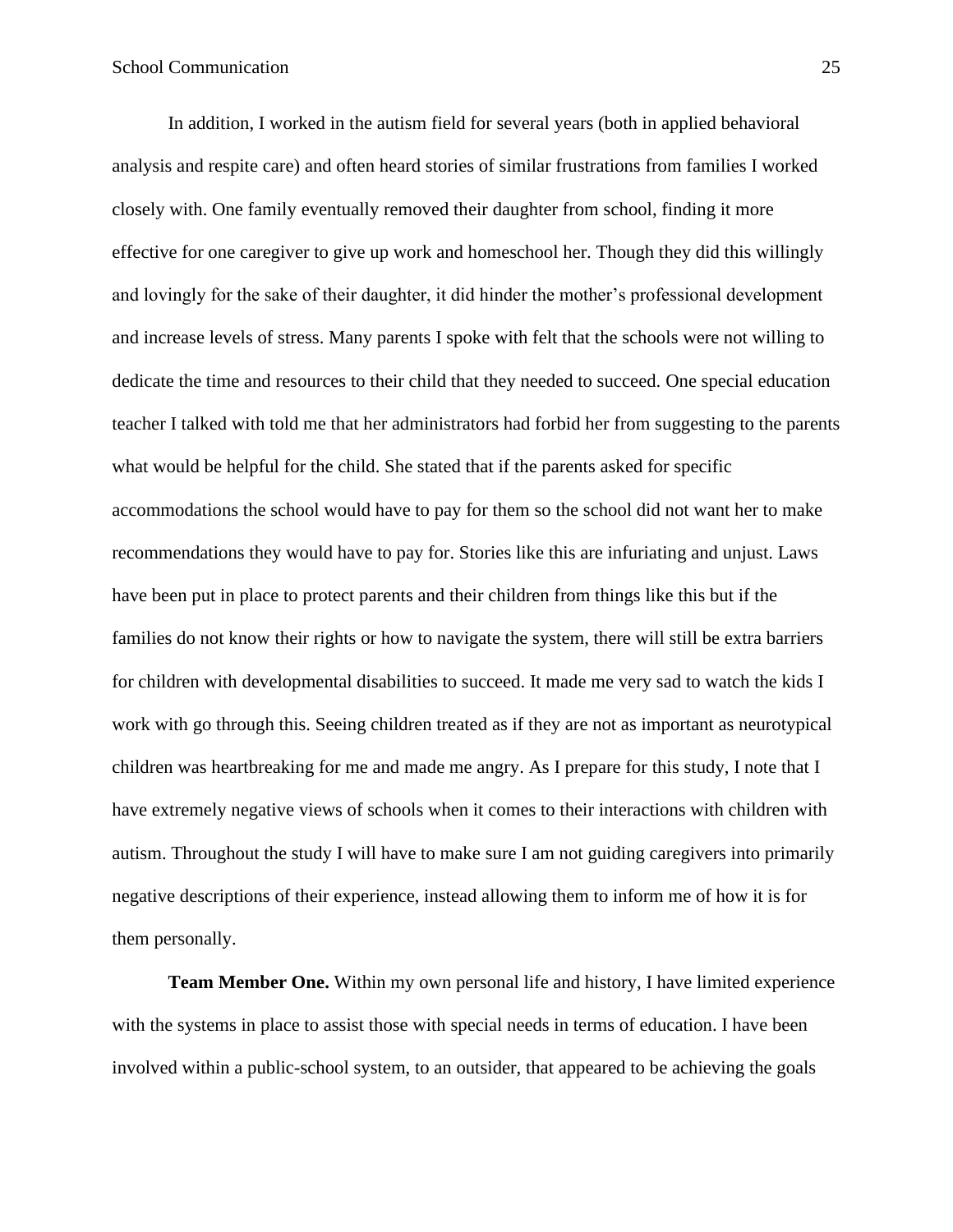In addition, I worked in the autism field for several years (both in applied behavioral analysis and respite care) and often heard stories of similar frustrations from families I worked closely with. One family eventually removed their daughter from school, finding it more effective for one caregiver to give up work and homeschool her. Though they did this willingly and lovingly for the sake of their daughter, it did hinder the mother's professional development and increase levels of stress. Many parents I spoke with felt that the schools were not willing to dedicate the time and resources to their child that they needed to succeed. One special education teacher I talked with told me that her administrators had forbid her from suggesting to the parents what would be helpful for the child. She stated that if the parents asked for specific accommodations the school would have to pay for them so the school did not want her to make recommendations they would have to pay for. Stories like this are infuriating and unjust. Laws have been put in place to protect parents and their children from things like this but if the families do not know their rights or how to navigate the system, there will still be extra barriers for children with developmental disabilities to succeed. It made me very sad to watch the kids I work with go through this. Seeing children treated as if they are not as important as neurotypical children was heartbreaking for me and made me angry. As I prepare for this study, I note that I have extremely negative views of schools when it comes to their interactions with children with autism. Throughout the study I will have to make sure I am not guiding caregivers into primarily negative descriptions of their experience, instead allowing them to inform me of how it is for them personally.

**Team Member One.** Within my own personal life and history, I have limited experience with the systems in place to assist those with special needs in terms of education. I have been involved within a public-school system, to an outsider, that appeared to be achieving the goals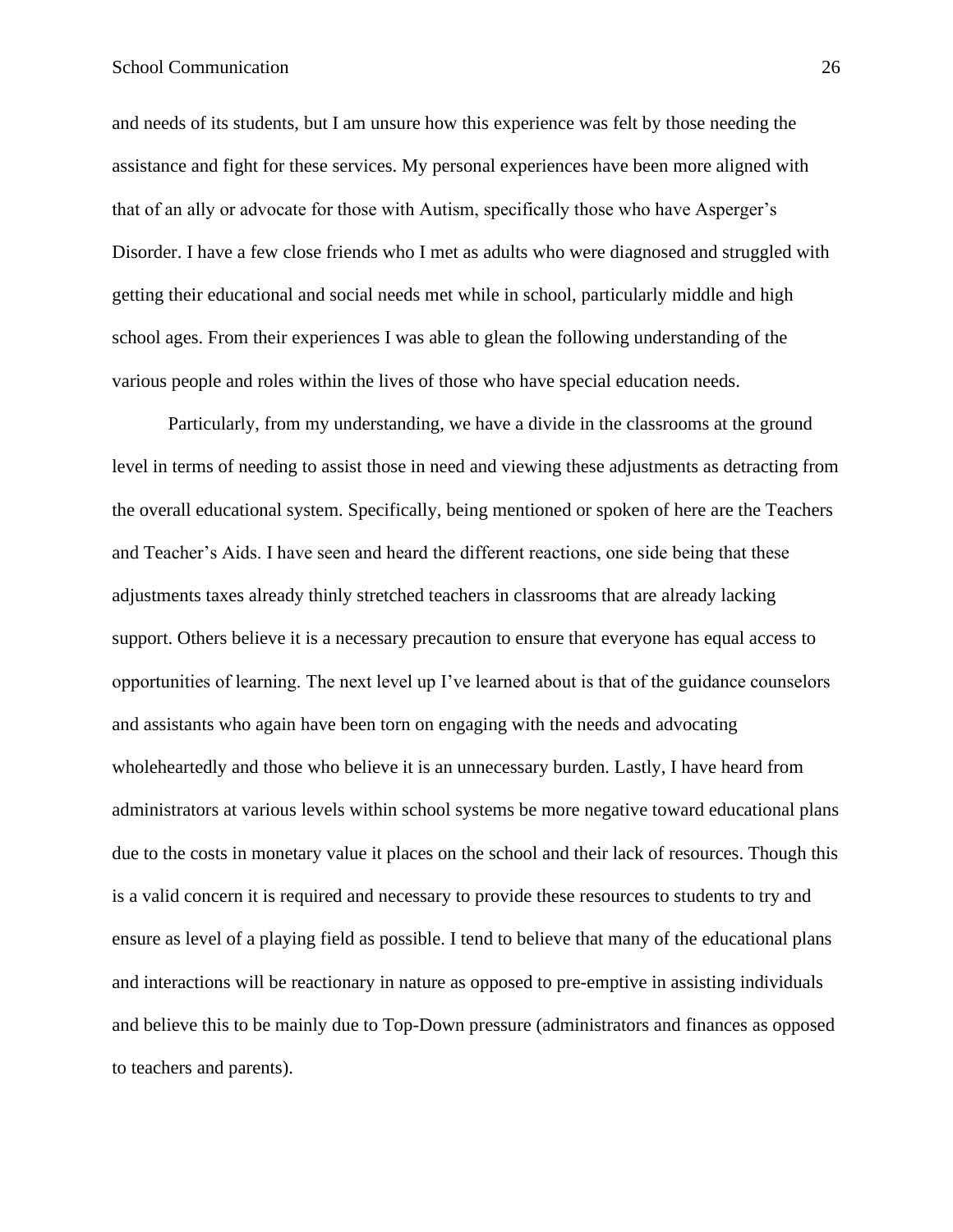#### School Communication 26

and needs of its students, but I am unsure how this experience was felt by those needing the assistance and fight for these services. My personal experiences have been more aligned with that of an ally or advocate for those with Autism, specifically those who have Asperger's Disorder. I have a few close friends who I met as adults who were diagnosed and struggled with getting their educational and social needs met while in school, particularly middle and high school ages. From their experiences I was able to glean the following understanding of the various people and roles within the lives of those who have special education needs.

Particularly, from my understanding, we have a divide in the classrooms at the ground level in terms of needing to assist those in need and viewing these adjustments as detracting from the overall educational system. Specifically, being mentioned or spoken of here are the Teachers and Teacher's Aids. I have seen and heard the different reactions, one side being that these adjustments taxes already thinly stretched teachers in classrooms that are already lacking support. Others believe it is a necessary precaution to ensure that everyone has equal access to opportunities of learning. The next level up I've learned about is that of the guidance counselors and assistants who again have been torn on engaging with the needs and advocating wholeheartedly and those who believe it is an unnecessary burden. Lastly, I have heard from administrators at various levels within school systems be more negative toward educational plans due to the costs in monetary value it places on the school and their lack of resources. Though this is a valid concern it is required and necessary to provide these resources to students to try and ensure as level of a playing field as possible. I tend to believe that many of the educational plans and interactions will be reactionary in nature as opposed to pre-emptive in assisting individuals and believe this to be mainly due to Top-Down pressure (administrators and finances as opposed to teachers and parents).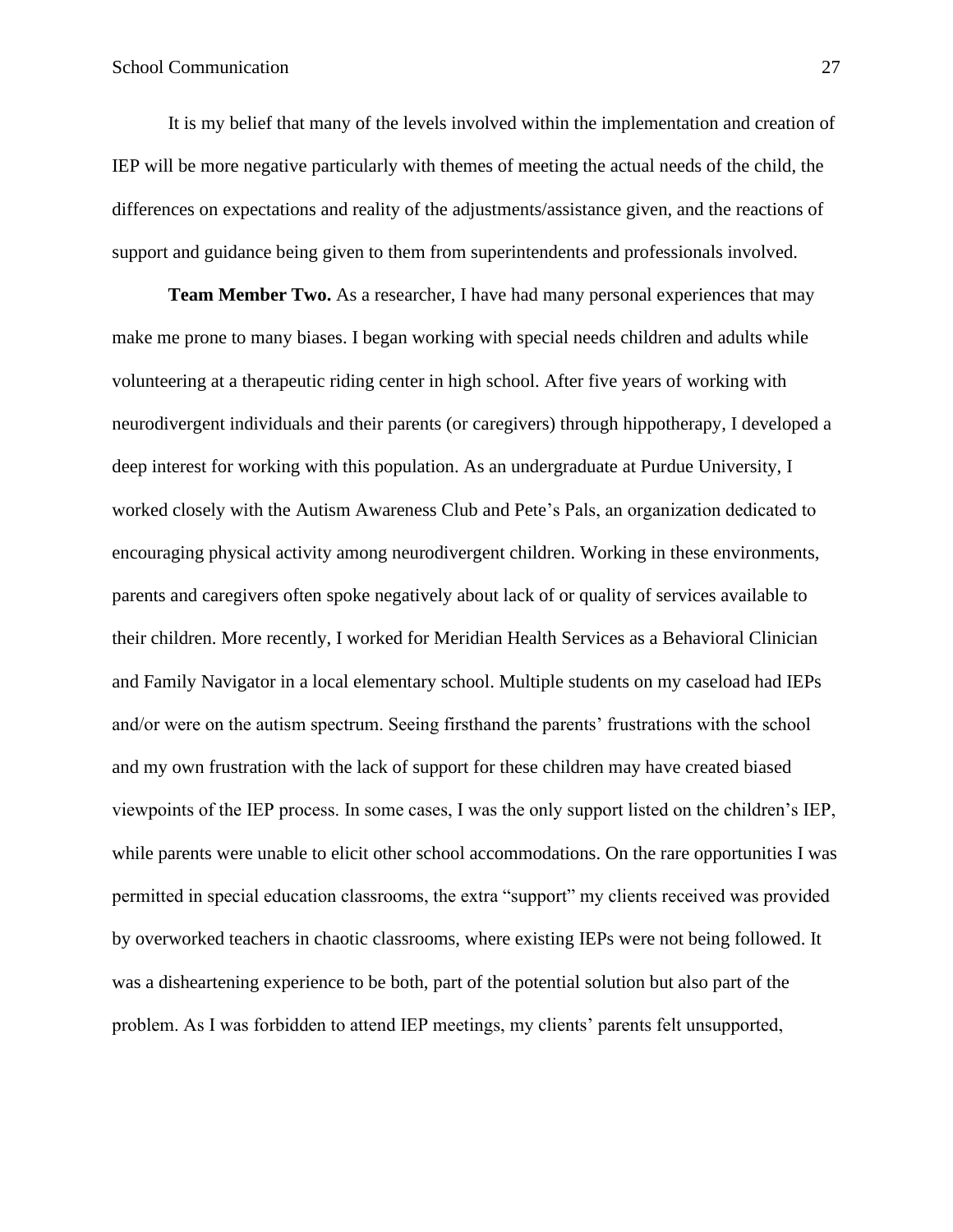It is my belief that many of the levels involved within the implementation and creation of IEP will be more negative particularly with themes of meeting the actual needs of the child, the differences on expectations and reality of the adjustments/assistance given, and the reactions of support and guidance being given to them from superintendents and professionals involved.

**Team Member Two.** As a researcher, I have had many personal experiences that may make me prone to many biases. I began working with special needs children and adults while volunteering at a therapeutic riding center in high school. After five years of working with neurodivergent individuals and their parents (or caregivers) through hippotherapy, I developed a deep interest for working with this population. As an undergraduate at Purdue University, I worked closely with the Autism Awareness Club and Pete's Pals, an organization dedicated to encouraging physical activity among neurodivergent children. Working in these environments, parents and caregivers often spoke negatively about lack of or quality of services available to their children. More recently, I worked for Meridian Health Services as a Behavioral Clinician and Family Navigator in a local elementary school. Multiple students on my caseload had IEPs and/or were on the autism spectrum. Seeing firsthand the parents' frustrations with the school and my own frustration with the lack of support for these children may have created biased viewpoints of the IEP process. In some cases, I was the only support listed on the children's IEP, while parents were unable to elicit other school accommodations. On the rare opportunities I was permitted in special education classrooms, the extra "support" my clients received was provided by overworked teachers in chaotic classrooms, where existing IEPs were not being followed. It was a disheartening experience to be both, part of the potential solution but also part of the problem. As I was forbidden to attend IEP meetings, my clients' parents felt unsupported,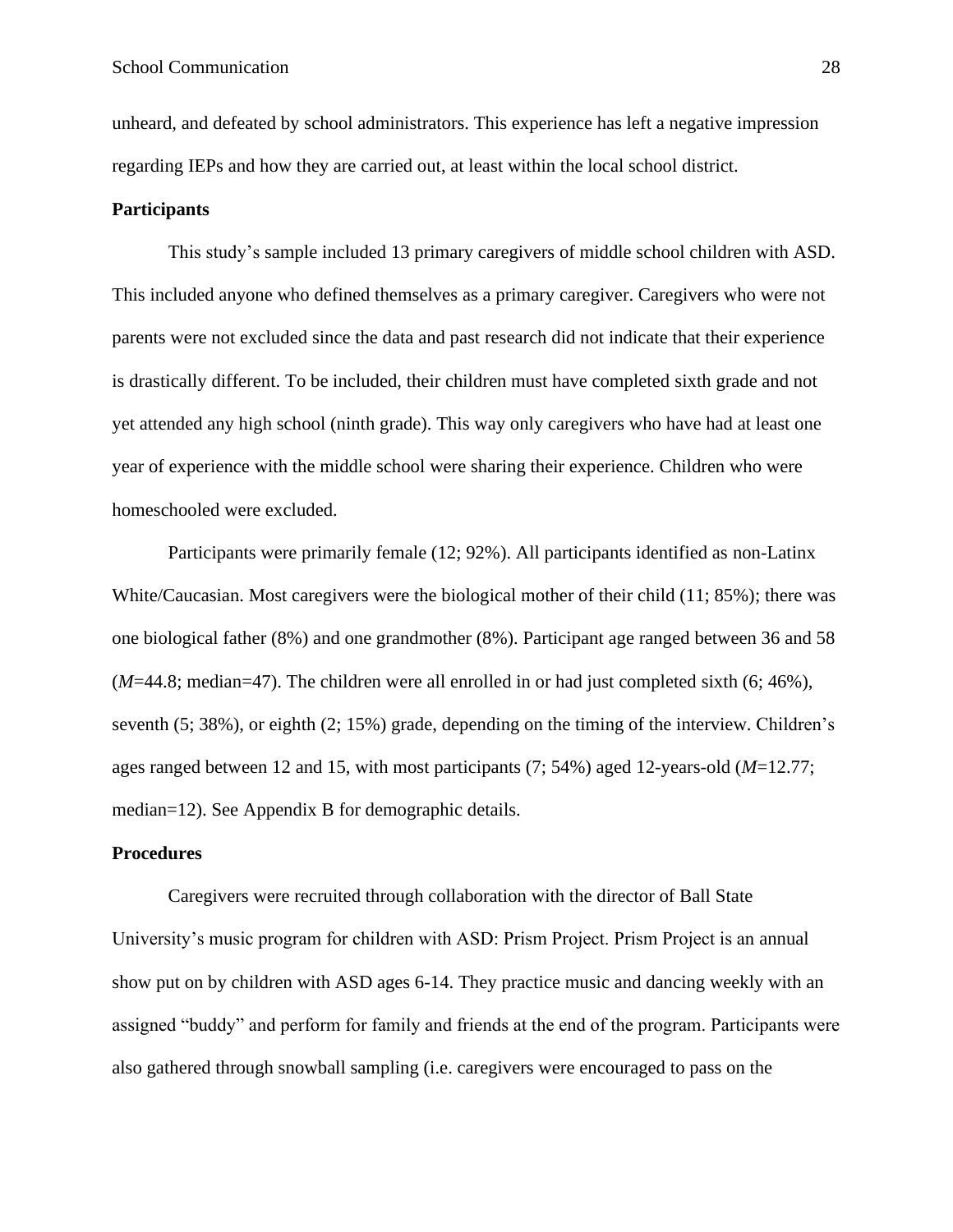unheard, and defeated by school administrators. This experience has left a negative impression regarding IEPs and how they are carried out, at least within the local school district.

#### <span id="page-27-0"></span>**Participants**

This study's sample included 13 primary caregivers of middle school children with ASD. This included anyone who defined themselves as a primary caregiver. Caregivers who were not parents were not excluded since the data and past research did not indicate that their experience is drastically different. To be included, their children must have completed sixth grade and not yet attended any high school (ninth grade). This way only caregivers who have had at least one year of experience with the middle school were sharing their experience. Children who were homeschooled were excluded.

Participants were primarily female (12; 92%). All participants identified as non-Latinx White/Caucasian. Most caregivers were the biological mother of their child (11; 85%); there was one biological father (8%) and one grandmother (8%). Participant age ranged between 36 and 58 (*M*=44.8; median=47). The children were all enrolled in or had just completed sixth (6; 46%), seventh (5; 38%), or eighth (2; 15%) grade, depending on the timing of the interview. Children's ages ranged between 12 and 15, with most participants (7; 54%) aged 12-years-old (*M*=12.77; median=12). See Appendix B for demographic details.

#### <span id="page-27-1"></span>**Procedures**

Caregivers were recruited through collaboration with the director of Ball State University's music program for children with ASD: Prism Project. Prism Project is an annual show put on by children with ASD ages 6-14. They practice music and dancing weekly with an assigned "buddy" and perform for family and friends at the end of the program. Participants were also gathered through snowball sampling (i.e. caregivers were encouraged to pass on the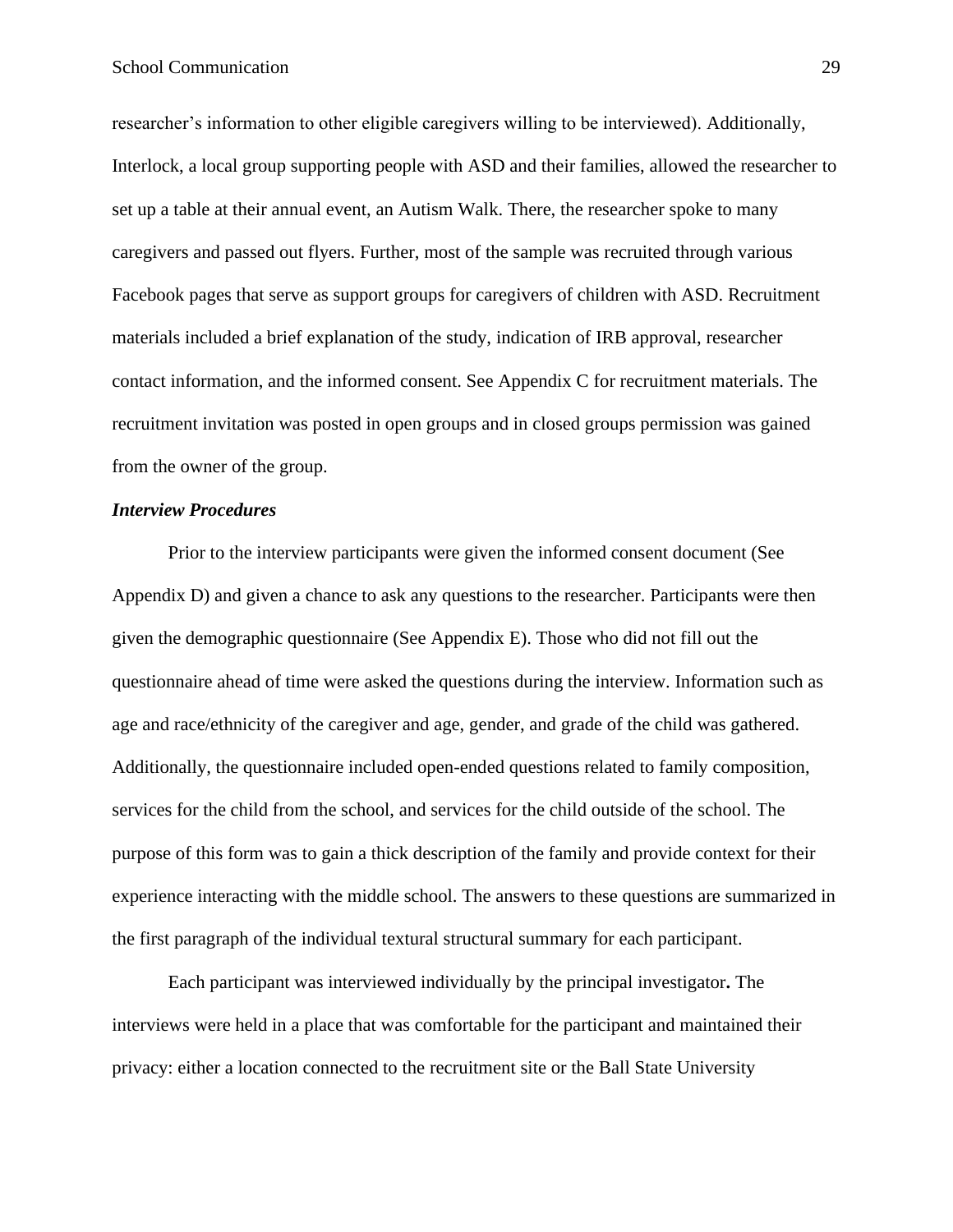researcher's information to other eligible caregivers willing to be interviewed). Additionally, Interlock, a local group supporting people with ASD and their families, allowed the researcher to set up a table at their annual event, an Autism Walk. There, the researcher spoke to many caregivers and passed out flyers. Further, most of the sample was recruited through various Facebook pages that serve as support groups for caregivers of children with ASD. Recruitment materials included a brief explanation of the study, indication of IRB approval, researcher contact information, and the informed consent. See Appendix C for recruitment materials. The recruitment invitation was posted in open groups and in closed groups permission was gained from the owner of the group.

#### <span id="page-28-0"></span>*Interview Procedures*

Prior to the interview participants were given the informed consent document (See Appendix D) and given a chance to ask any questions to the researcher. Participants were then given the demographic questionnaire (See Appendix E). Those who did not fill out the questionnaire ahead of time were asked the questions during the interview. Information such as age and race/ethnicity of the caregiver and age, gender, and grade of the child was gathered. Additionally, the questionnaire included open-ended questions related to family composition, services for the child from the school, and services for the child outside of the school. The purpose of this form was to gain a thick description of the family and provide context for their experience interacting with the middle school. The answers to these questions are summarized in the first paragraph of the individual textural structural summary for each participant.

Each participant was interviewed individually by the principal investigator**.** The interviews were held in a place that was comfortable for the participant and maintained their privacy: either a location connected to the recruitment site or the Ball State University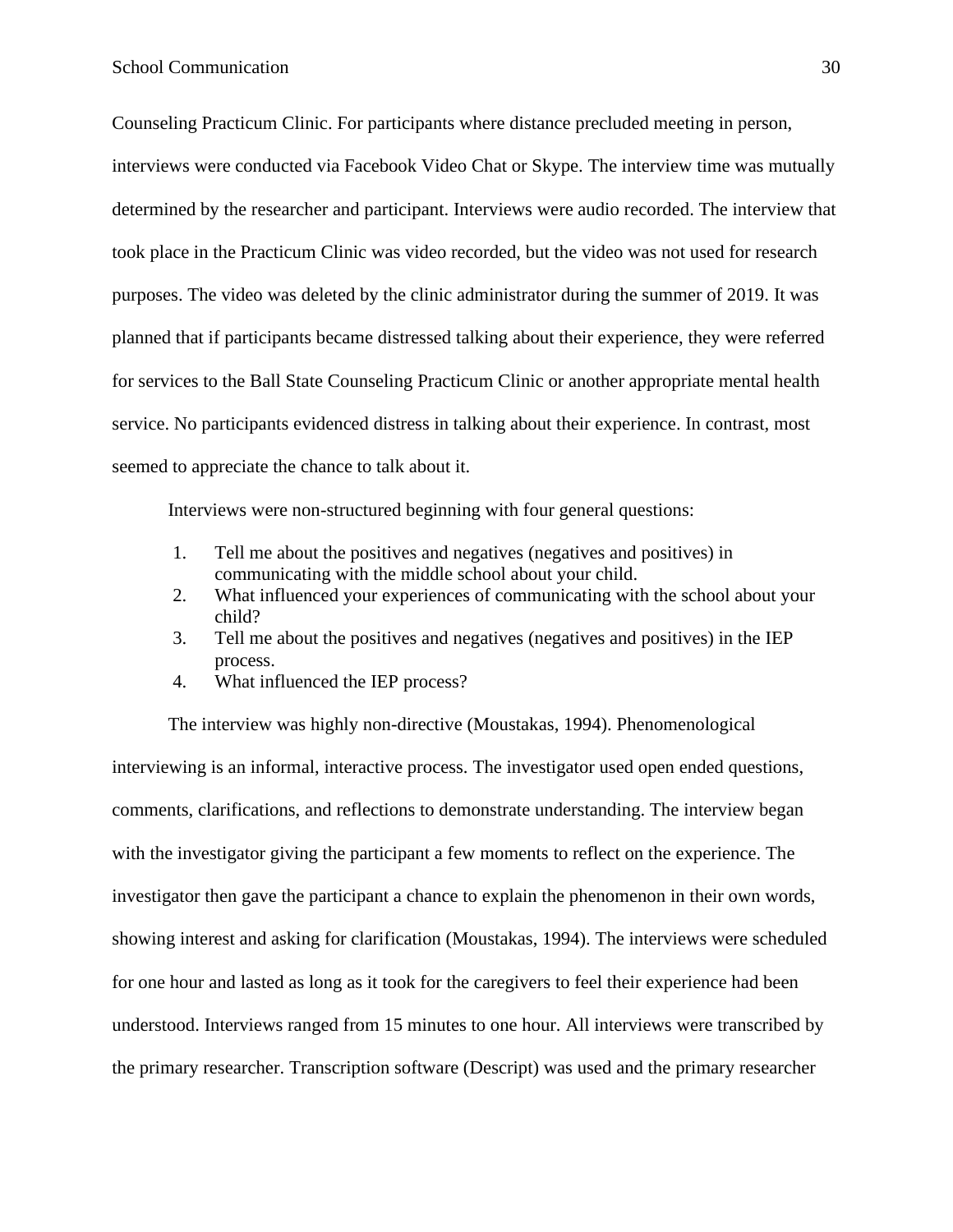Counseling Practicum Clinic. For participants where distance precluded meeting in person, interviews were conducted via Facebook Video Chat or Skype. The interview time was mutually determined by the researcher and participant. Interviews were audio recorded. The interview that took place in the Practicum Clinic was video recorded, but the video was not used for research purposes. The video was deleted by the clinic administrator during the summer of 2019. It was planned that if participants became distressed talking about their experience, they were referred for services to the Ball State Counseling Practicum Clinic or another appropriate mental health service. No participants evidenced distress in talking about their experience. In contrast, most seemed to appreciate the chance to talk about it.

Interviews were non-structured beginning with four general questions:

- 1. Tell me about the positives and negatives (negatives and positives) in communicating with the middle school about your child.
- 2. What influenced your experiences of communicating with the school about your child?
- 3. Tell me about the positives and negatives (negatives and positives) in the IEP process.
- 4. What influenced the IEP process?

The interview was highly non-directive (Moustakas, 1994). Phenomenological interviewing is an informal, interactive process. The investigator used open ended questions, comments, clarifications, and reflections to demonstrate understanding. The interview began with the investigator giving the participant a few moments to reflect on the experience. The investigator then gave the participant a chance to explain the phenomenon in their own words, showing interest and asking for clarification (Moustakas, 1994). The interviews were scheduled for one hour and lasted as long as it took for the caregivers to feel their experience had been understood. Interviews ranged from 15 minutes to one hour. All interviews were transcribed by the primary researcher. Transcription software (Descript) was used and the primary researcher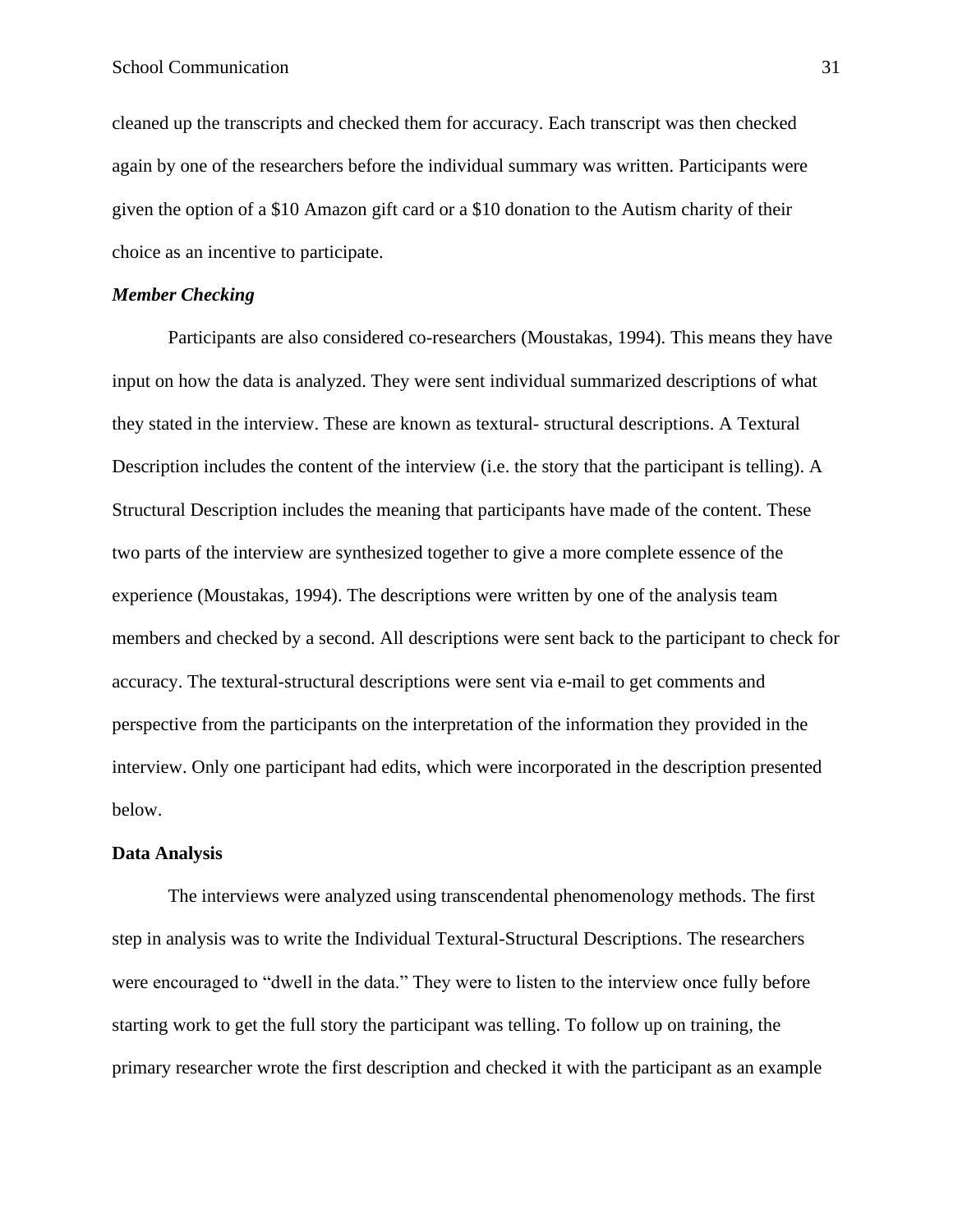cleaned up the transcripts and checked them for accuracy. Each transcript was then checked again by one of the researchers before the individual summary was written. Participants were given the option of a \$10 Amazon gift card or a \$10 donation to the Autism charity of their choice as an incentive to participate.

#### <span id="page-30-0"></span>*Member Checking*

Participants are also considered co-researchers (Moustakas, 1994). This means they have input on how the data is analyzed. They were sent individual summarized descriptions of what they stated in the interview. These are known as textural- structural descriptions. A Textural Description includes the content of the interview (i.e. the story that the participant is telling). A Structural Description includes the meaning that participants have made of the content. These two parts of the interview are synthesized together to give a more complete essence of the experience (Moustakas, 1994). The descriptions were written by one of the analysis team members and checked by a second. All descriptions were sent back to the participant to check for accuracy. The textural-structural descriptions were sent via e-mail to get comments and perspective from the participants on the interpretation of the information they provided in the interview. Only one participant had edits, which were incorporated in the description presented below.

#### <span id="page-30-1"></span>**Data Analysis**

The interviews were analyzed using transcendental phenomenology methods. The first step in analysis was to write the Individual Textural-Structural Descriptions. The researchers were encouraged to "dwell in the data." They were to listen to the interview once fully before starting work to get the full story the participant was telling. To follow up on training, the primary researcher wrote the first description and checked it with the participant as an example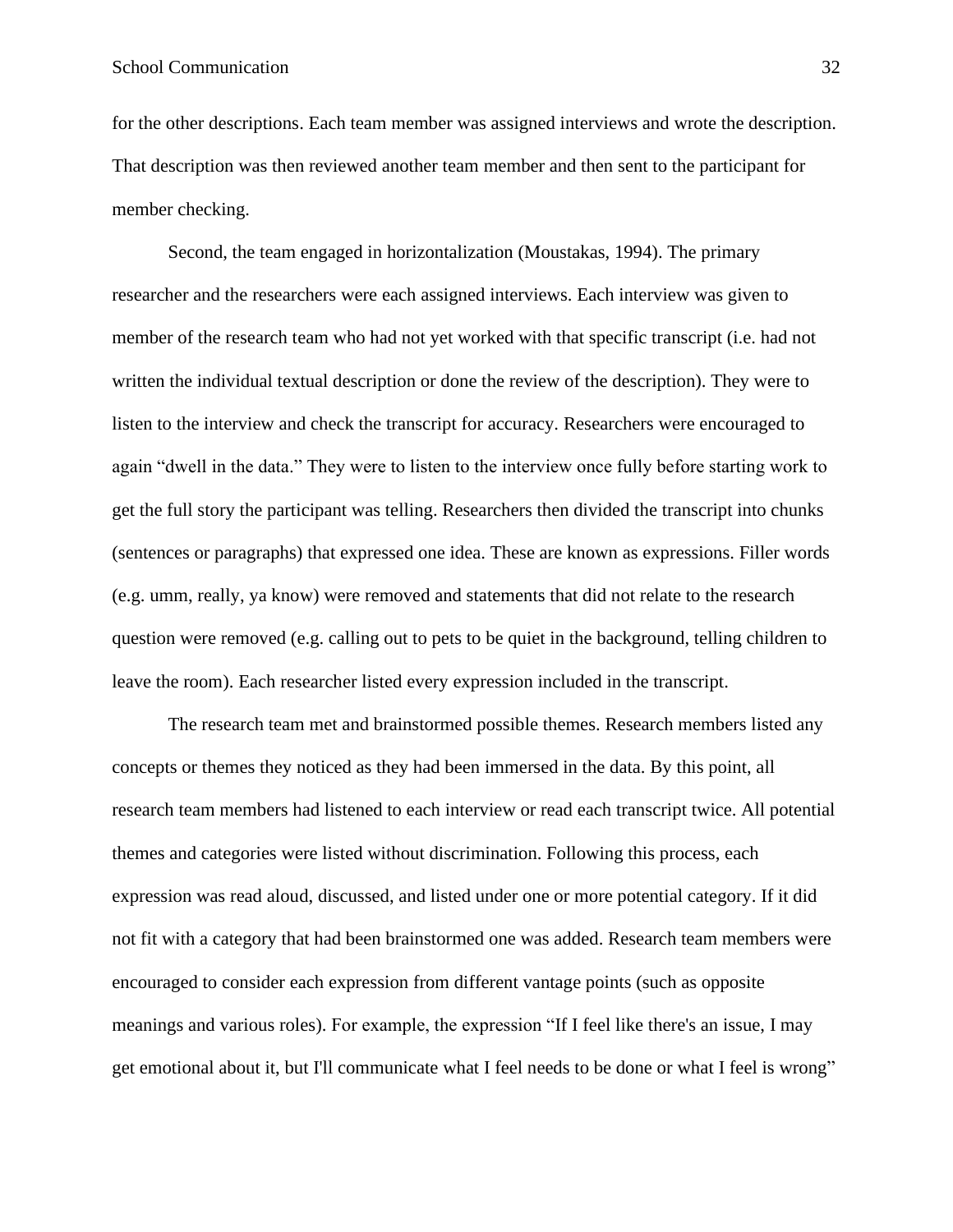for the other descriptions. Each team member was assigned interviews and wrote the description. That description was then reviewed another team member and then sent to the participant for member checking.

Second, the team engaged in horizontalization (Moustakas, 1994). The primary researcher and the researchers were each assigned interviews. Each interview was given to member of the research team who had not yet worked with that specific transcript (i.e. had not written the individual textual description or done the review of the description). They were to listen to the interview and check the transcript for accuracy. Researchers were encouraged to again "dwell in the data." They were to listen to the interview once fully before starting work to get the full story the participant was telling. Researchers then divided the transcript into chunks (sentences or paragraphs) that expressed one idea. These are known as expressions. Filler words (e.g. umm, really, ya know) were removed and statements that did not relate to the research question were removed (e.g. calling out to pets to be quiet in the background, telling children to leave the room). Each researcher listed every expression included in the transcript.

The research team met and brainstormed possible themes. Research members listed any concepts or themes they noticed as they had been immersed in the data. By this point, all research team members had listened to each interview or read each transcript twice. All potential themes and categories were listed without discrimination. Following this process, each expression was read aloud, discussed, and listed under one or more potential category. If it did not fit with a category that had been brainstormed one was added. Research team members were encouraged to consider each expression from different vantage points (such as opposite meanings and various roles). For example, the expression "If I feel like there's an issue, I may get emotional about it, but I'll communicate what I feel needs to be done or what I feel is wrong"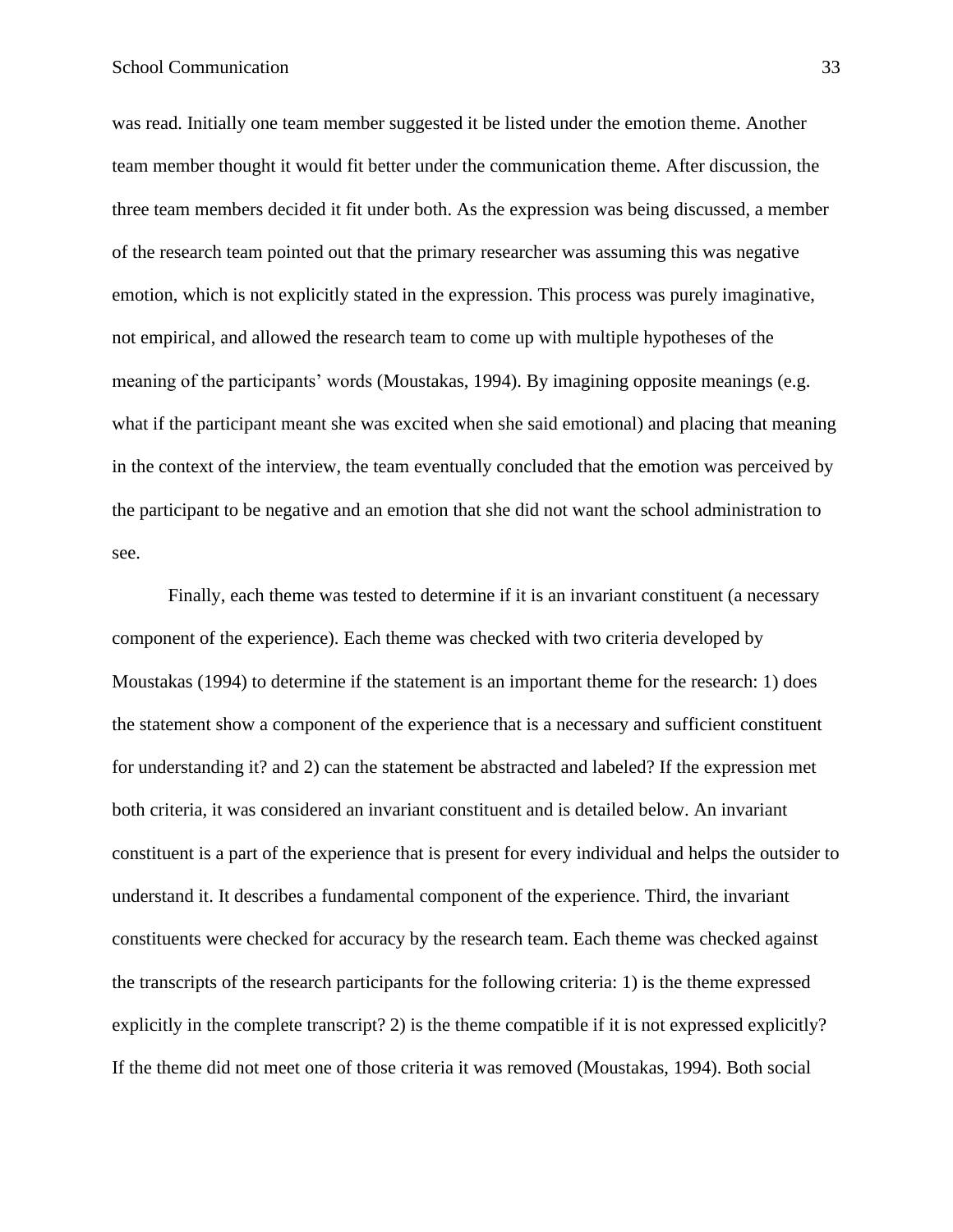was read. Initially one team member suggested it be listed under the emotion theme. Another team member thought it would fit better under the communication theme. After discussion, the three team members decided it fit under both. As the expression was being discussed, a member of the research team pointed out that the primary researcher was assuming this was negative emotion, which is not explicitly stated in the expression. This process was purely imaginative, not empirical, and allowed the research team to come up with multiple hypotheses of the meaning of the participants' words (Moustakas, 1994). By imagining opposite meanings (e.g. what if the participant meant she was excited when she said emotional) and placing that meaning in the context of the interview, the team eventually concluded that the emotion was perceived by the participant to be negative and an emotion that she did not want the school administration to see.

Finally, each theme was tested to determine if it is an invariant constituent (a necessary component of the experience). Each theme was checked with two criteria developed by Moustakas (1994) to determine if the statement is an important theme for the research: 1) does the statement show a component of the experience that is a necessary and sufficient constituent for understanding it? and 2) can the statement be abstracted and labeled? If the expression met both criteria, it was considered an invariant constituent and is detailed below. An invariant constituent is a part of the experience that is present for every individual and helps the outsider to understand it. It describes a fundamental component of the experience. Third, the invariant constituents were checked for accuracy by the research team. Each theme was checked against the transcripts of the research participants for the following criteria: 1) is the theme expressed explicitly in the complete transcript? 2) is the theme compatible if it is not expressed explicitly? If the theme did not meet one of those criteria it was removed (Moustakas, 1994). Both social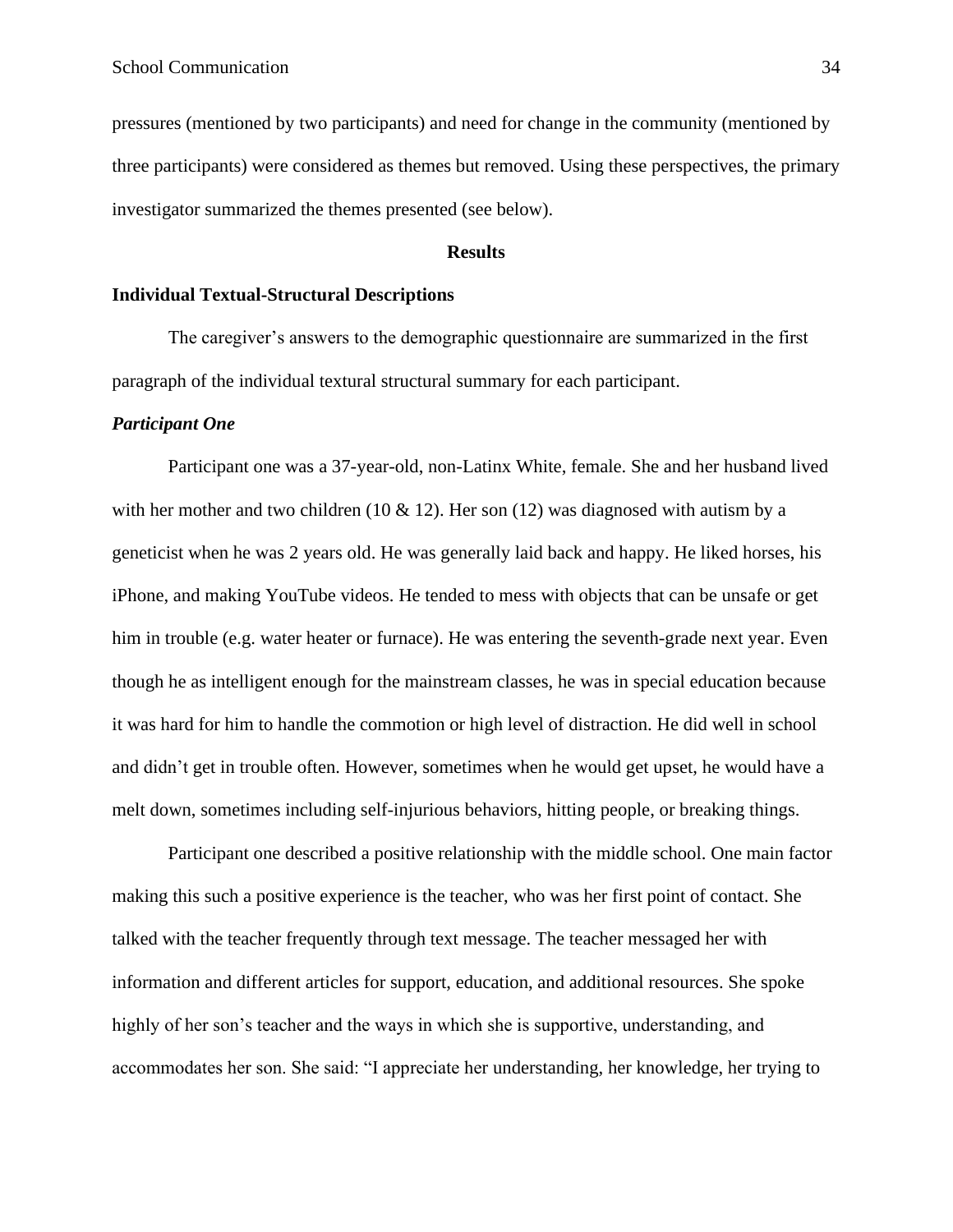pressures (mentioned by two participants) and need for change in the community (mentioned by three participants) were considered as themes but removed. Using these perspectives, the primary investigator summarized the themes presented (see below).

#### **Results**

#### <span id="page-33-1"></span><span id="page-33-0"></span>**Individual Textual-Structural Descriptions**

The caregiver's answers to the demographic questionnaire are summarized in the first paragraph of the individual textural structural summary for each participant.

#### <span id="page-33-2"></span>*Participant One*

Participant one was a 37-year-old, non-Latinx White, female. She and her husband lived with her mother and two children (10  $\&$  12). Her son (12) was diagnosed with autism by a geneticist when he was 2 years old. He was generally laid back and happy. He liked horses, his iPhone, and making YouTube videos. He tended to mess with objects that can be unsafe or get him in trouble (e.g. water heater or furnace). He was entering the seventh-grade next year. Even though he as intelligent enough for the mainstream classes, he was in special education because it was hard for him to handle the commotion or high level of distraction. He did well in school and didn't get in trouble often. However, sometimes when he would get upset, he would have a melt down, sometimes including self-injurious behaviors, hitting people, or breaking things.

Participant one described a positive relationship with the middle school. One main factor making this such a positive experience is the teacher, who was her first point of contact. She talked with the teacher frequently through text message. The teacher messaged her with information and different articles for support, education, and additional resources. She spoke highly of her son's teacher and the ways in which she is supportive, understanding, and accommodates her son. She said: "I appreciate her understanding, her knowledge, her trying to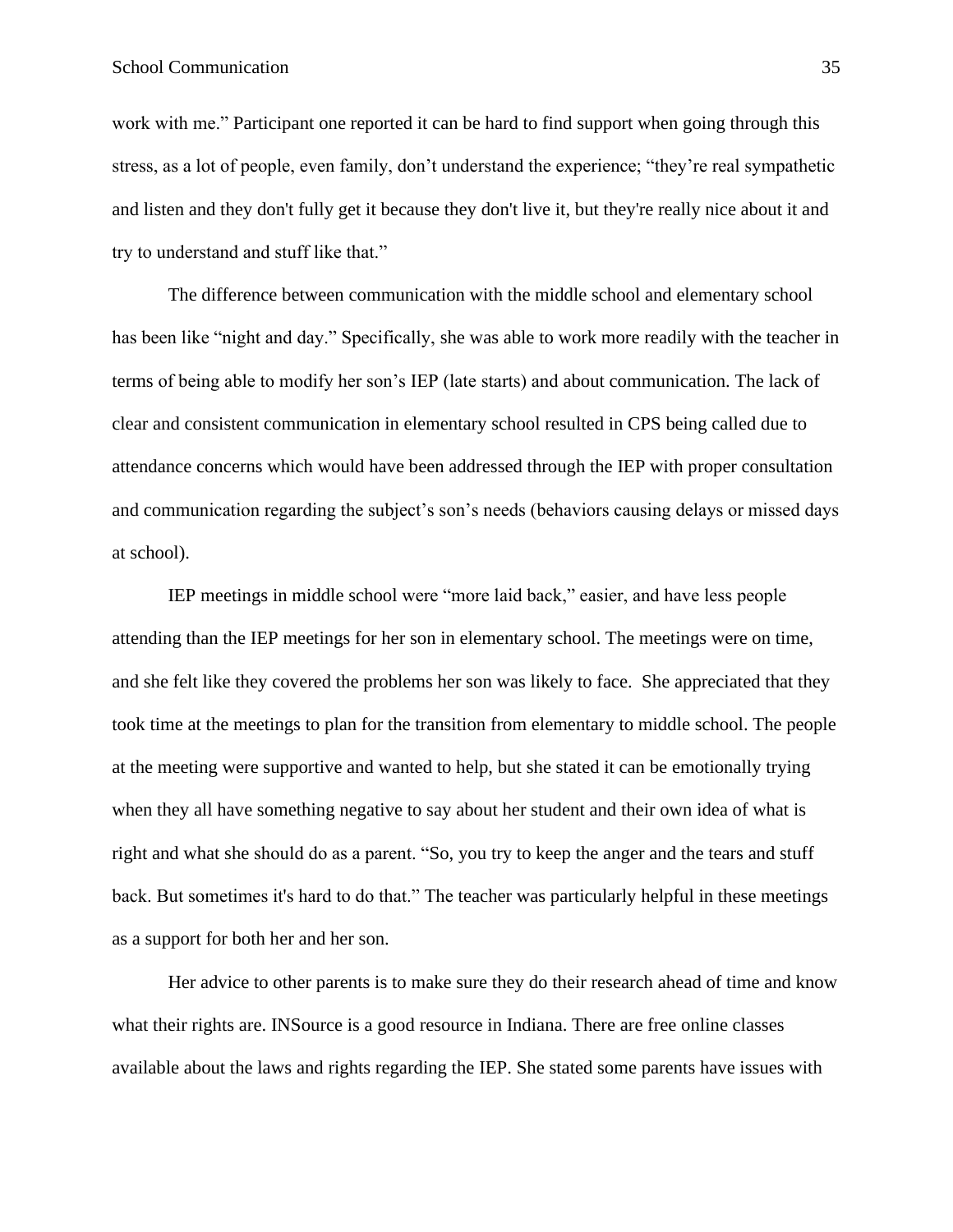#### School Communication 35

work with me." Participant one reported it can be hard to find support when going through this stress, as a lot of people, even family, don't understand the experience; "they're real sympathetic and listen and they don't fully get it because they don't live it, but they're really nice about it and try to understand and stuff like that."

The difference between communication with the middle school and elementary school has been like "night and day." Specifically, she was able to work more readily with the teacher in terms of being able to modify her son's IEP (late starts) and about communication. The lack of clear and consistent communication in elementary school resulted in CPS being called due to attendance concerns which would have been addressed through the IEP with proper consultation and communication regarding the subject's son's needs (behaviors causing delays or missed days at school).

IEP meetings in middle school were "more laid back," easier, and have less people attending than the IEP meetings for her son in elementary school. The meetings were on time, and she felt like they covered the problems her son was likely to face. She appreciated that they took time at the meetings to plan for the transition from elementary to middle school. The people at the meeting were supportive and wanted to help, but she stated it can be emotionally trying when they all have something negative to say about her student and their own idea of what is right and what she should do as a parent. "So, you try to keep the anger and the tears and stuff back. But sometimes it's hard to do that." The teacher was particularly helpful in these meetings as a support for both her and her son.

Her advice to other parents is to make sure they do their research ahead of time and know what their rights are. INSource is a good resource in Indiana. There are free online classes available about the laws and rights regarding the IEP. She stated some parents have issues with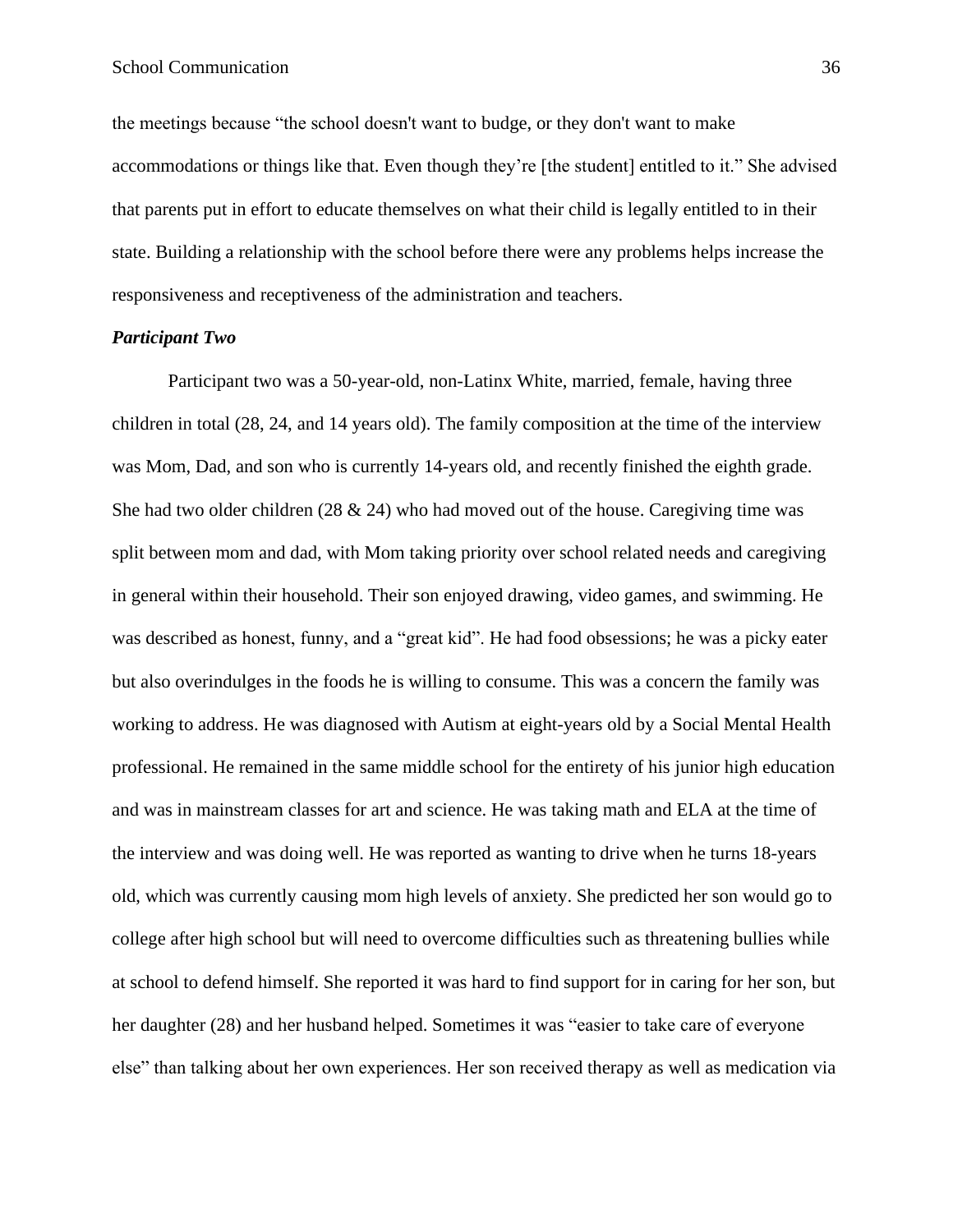the meetings because "the school doesn't want to budge, or they don't want to make accommodations or things like that. Even though they're [the student] entitled to it." She advised that parents put in effort to educate themselves on what their child is legally entitled to in their state. Building a relationship with the school before there were any problems helps increase the responsiveness and receptiveness of the administration and teachers.

#### <span id="page-35-0"></span>*Participant Two*

Participant two was a 50-year-old, non-Latinx White, married, female, having three children in total (28, 24, and 14 years old). The family composition at the time of the interview was Mom, Dad, and son who is currently 14-years old, and recently finished the eighth grade. She had two older children  $(28 \& 24)$  who had moved out of the house. Caregiving time was split between mom and dad, with Mom taking priority over school related needs and caregiving in general within their household. Their son enjoyed drawing, video games, and swimming. He was described as honest, funny, and a "great kid". He had food obsessions; he was a picky eater but also overindulges in the foods he is willing to consume. This was a concern the family was working to address. He was diagnosed with Autism at eight-years old by a Social Mental Health professional. He remained in the same middle school for the entirety of his junior high education and was in mainstream classes for art and science. He was taking math and ELA at the time of the interview and was doing well. He was reported as wanting to drive when he turns 18-years old, which was currently causing mom high levels of anxiety. She predicted her son would go to college after high school but will need to overcome difficulties such as threatening bullies while at school to defend himself. She reported it was hard to find support for in caring for her son, but her daughter (28) and her husband helped. Sometimes it was "easier to take care of everyone else" than talking about her own experiences. Her son received therapy as well as medication via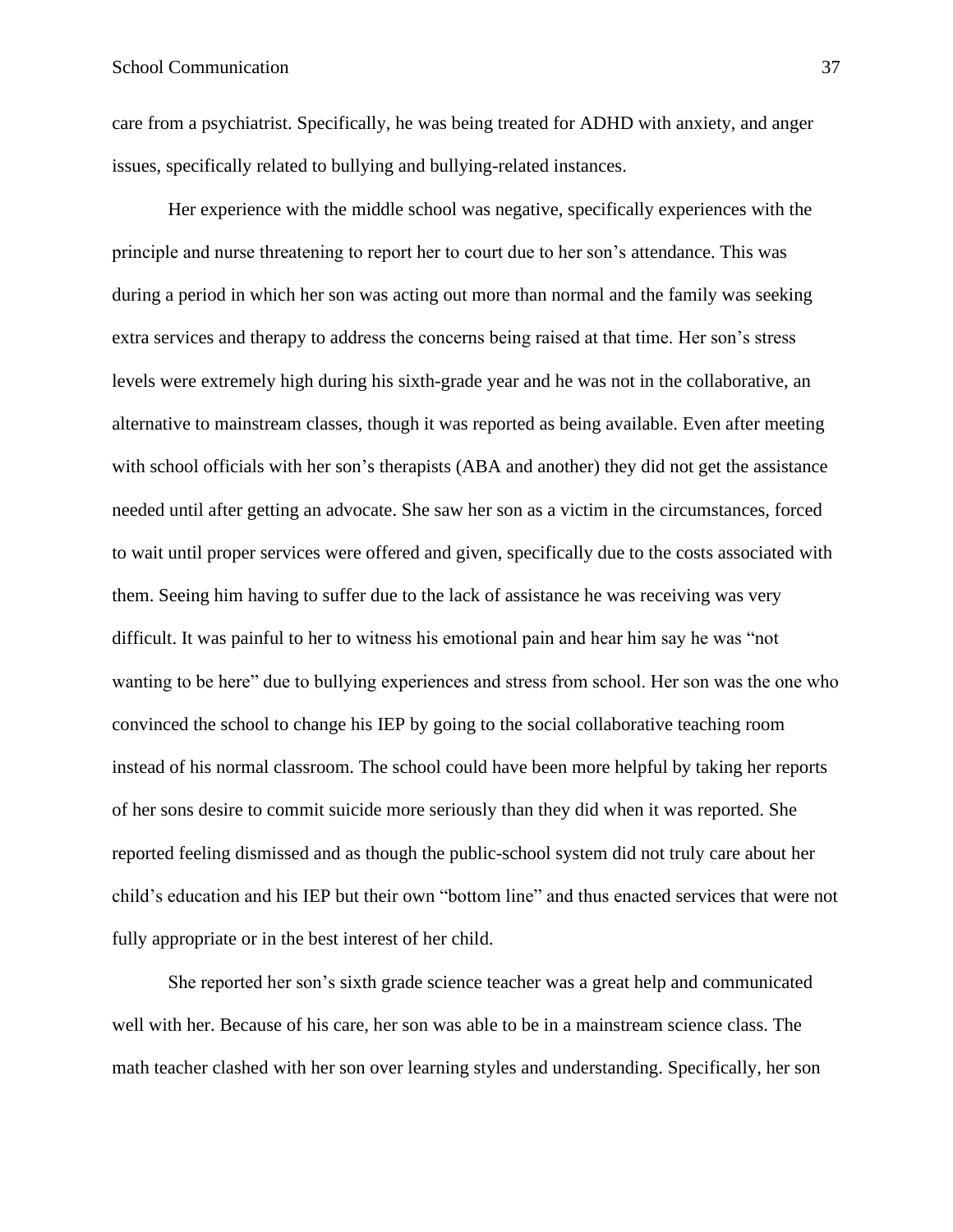care from a psychiatrist. Specifically, he was being treated for ADHD with anxiety, and anger issues, specifically related to bullying and bullying-related instances.

Her experience with the middle school was negative, specifically experiences with the principle and nurse threatening to report her to court due to her son's attendance. This was during a period in which her son was acting out more than normal and the family was seeking extra services and therapy to address the concerns being raised at that time. Her son's stress levels were extremely high during his sixth-grade year and he was not in the collaborative, an alternative to mainstream classes, though it was reported as being available. Even after meeting with school officials with her son's therapists (ABA and another) they did not get the assistance needed until after getting an advocate. She saw her son as a victim in the circumstances, forced to wait until proper services were offered and given, specifically due to the costs associated with them. Seeing him having to suffer due to the lack of assistance he was receiving was very difficult. It was painful to her to witness his emotional pain and hear him say he was "not wanting to be here" due to bullying experiences and stress from school. Her son was the one who convinced the school to change his IEP by going to the social collaborative teaching room instead of his normal classroom. The school could have been more helpful by taking her reports of her sons desire to commit suicide more seriously than they did when it was reported. She reported feeling dismissed and as though the public-school system did not truly care about her child's education and his IEP but their own "bottom line" and thus enacted services that were not fully appropriate or in the best interest of her child.

She reported her son's sixth grade science teacher was a great help and communicated well with her. Because of his care, her son was able to be in a mainstream science class. The math teacher clashed with her son over learning styles and understanding. Specifically, her son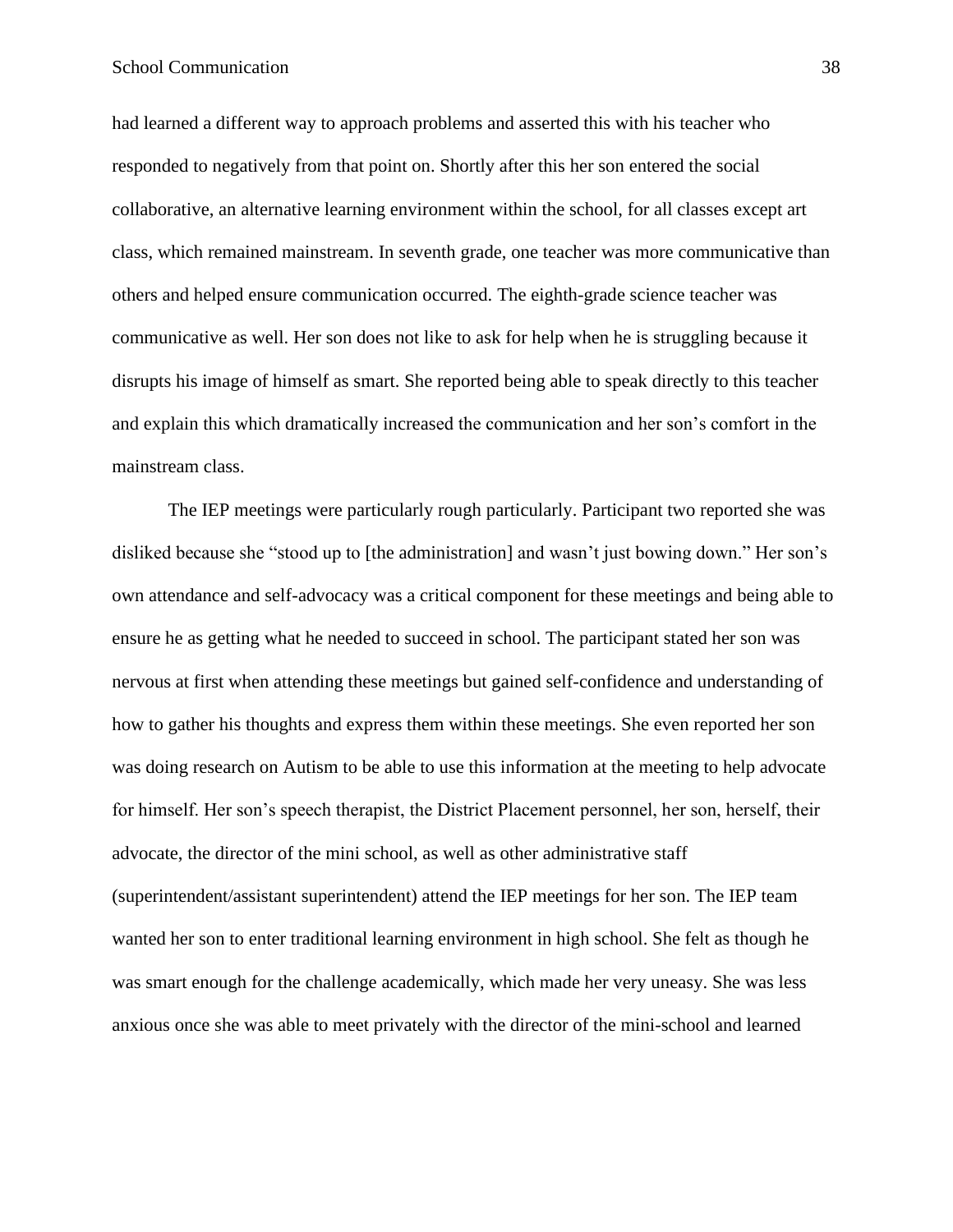## School Communication 38

had learned a different way to approach problems and asserted this with his teacher who responded to negatively from that point on. Shortly after this her son entered the social collaborative, an alternative learning environment within the school, for all classes except art class, which remained mainstream. In seventh grade, one teacher was more communicative than others and helped ensure communication occurred. The eighth-grade science teacher was communicative as well. Her son does not like to ask for help when he is struggling because it disrupts his image of himself as smart. She reported being able to speak directly to this teacher and explain this which dramatically increased the communication and her son's comfort in the mainstream class.

The IEP meetings were particularly rough particularly. Participant two reported she was disliked because she "stood up to [the administration] and wasn't just bowing down." Her son's own attendance and self-advocacy was a critical component for these meetings and being able to ensure he as getting what he needed to succeed in school. The participant stated her son was nervous at first when attending these meetings but gained self-confidence and understanding of how to gather his thoughts and express them within these meetings. She even reported her son was doing research on Autism to be able to use this information at the meeting to help advocate for himself. Her son's speech therapist, the District Placement personnel, her son, herself, their advocate, the director of the mini school, as well as other administrative staff (superintendent/assistant superintendent) attend the IEP meetings for her son. The IEP team wanted her son to enter traditional learning environment in high school. She felt as though he was smart enough for the challenge academically, which made her very uneasy. She was less anxious once she was able to meet privately with the director of the mini-school and learned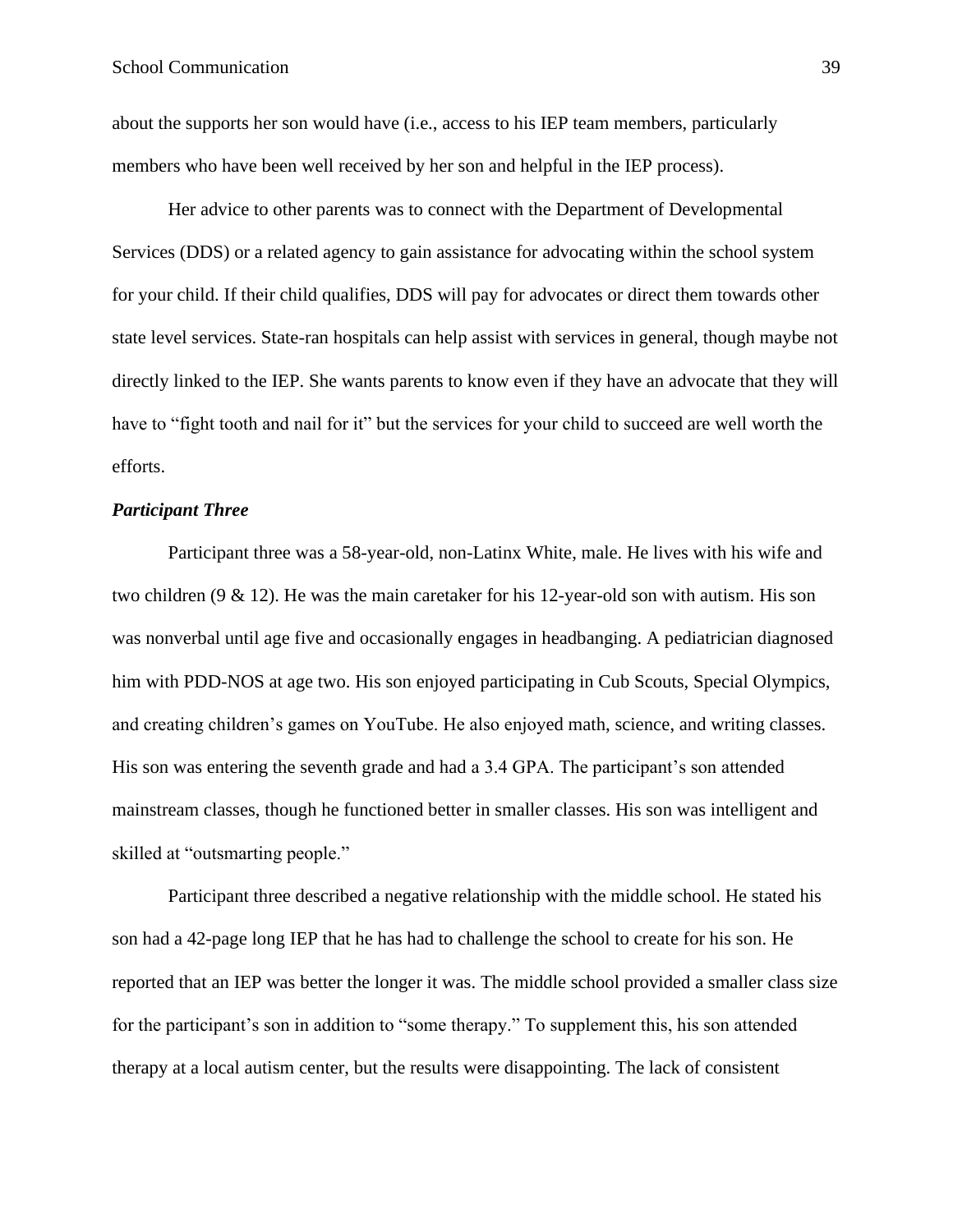about the supports her son would have (i.e., access to his IEP team members, particularly members who have been well received by her son and helpful in the IEP process).

Her advice to other parents was to connect with the Department of Developmental Services (DDS) or a related agency to gain assistance for advocating within the school system for your child. If their child qualifies, DDS will pay for advocates or direct them towards other state level services. State-ran hospitals can help assist with services in general, though maybe not directly linked to the IEP. She wants parents to know even if they have an advocate that they will have to "fight tooth and nail for it" but the services for your child to succeed are well worth the efforts.

## *Participant Three*

Participant three was a 58-year-old, non-Latinx White, male. He lives with his wife and two children (9 & 12). He was the main caretaker for his 12-year-old son with autism. His son was nonverbal until age five and occasionally engages in headbanging. A pediatrician diagnosed him with PDD-NOS at age two. His son enjoyed participating in Cub Scouts, Special Olympics, and creating children's games on YouTube. He also enjoyed math, science, and writing classes. His son was entering the seventh grade and had a 3.4 GPA. The participant's son attended mainstream classes, though he functioned better in smaller classes. His son was intelligent and skilled at "outsmarting people."

Participant three described a negative relationship with the middle school. He stated his son had a 42-page long IEP that he has had to challenge the school to create for his son. He reported that an IEP was better the longer it was. The middle school provided a smaller class size for the participant's son in addition to "some therapy." To supplement this, his son attended therapy at a local autism center, but the results were disappointing. The lack of consistent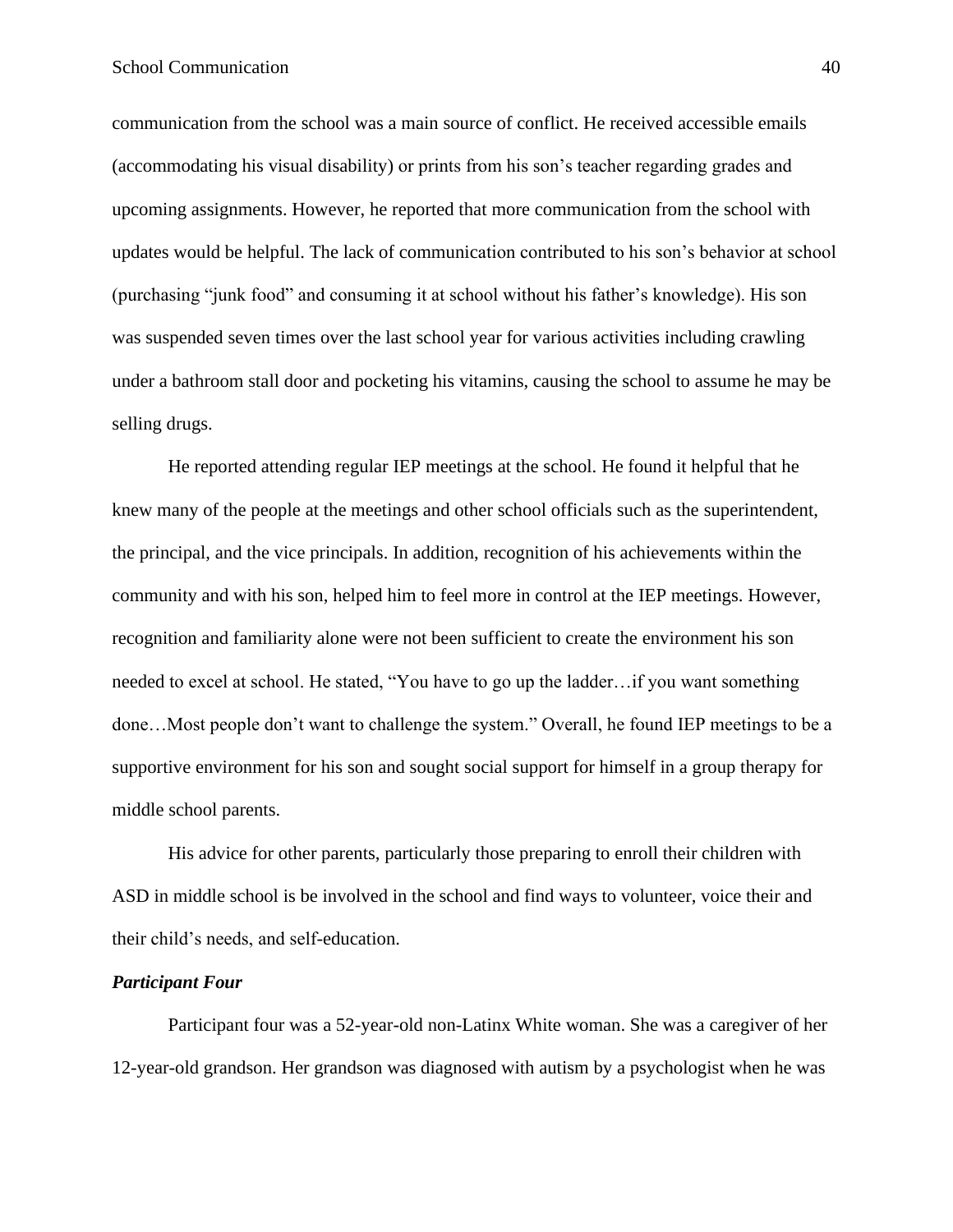communication from the school was a main source of conflict. He received accessible emails (accommodating his visual disability) or prints from his son's teacher regarding grades and upcoming assignments. However, he reported that more communication from the school with updates would be helpful. The lack of communication contributed to his son's behavior at school (purchasing "junk food" and consuming it at school without his father's knowledge). His son was suspended seven times over the last school year for various activities including crawling under a bathroom stall door and pocketing his vitamins, causing the school to assume he may be selling drugs.

He reported attending regular IEP meetings at the school. He found it helpful that he knew many of the people at the meetings and other school officials such as the superintendent, the principal, and the vice principals. In addition, recognition of his achievements within the community and with his son, helped him to feel more in control at the IEP meetings. However, recognition and familiarity alone were not been sufficient to create the environment his son needed to excel at school. He stated, "You have to go up the ladder…if you want something done…Most people don't want to challenge the system." Overall, he found IEP meetings to be a supportive environment for his son and sought social support for himself in a group therapy for middle school parents.

His advice for other parents, particularly those preparing to enroll their children with ASD in middle school is be involved in the school and find ways to volunteer, voice their and their child's needs, and self-education.

#### *Participant Four*

Participant four was a 52-year-old non-Latinx White woman. She was a caregiver of her 12-year-old grandson. Her grandson was diagnosed with autism by a psychologist when he was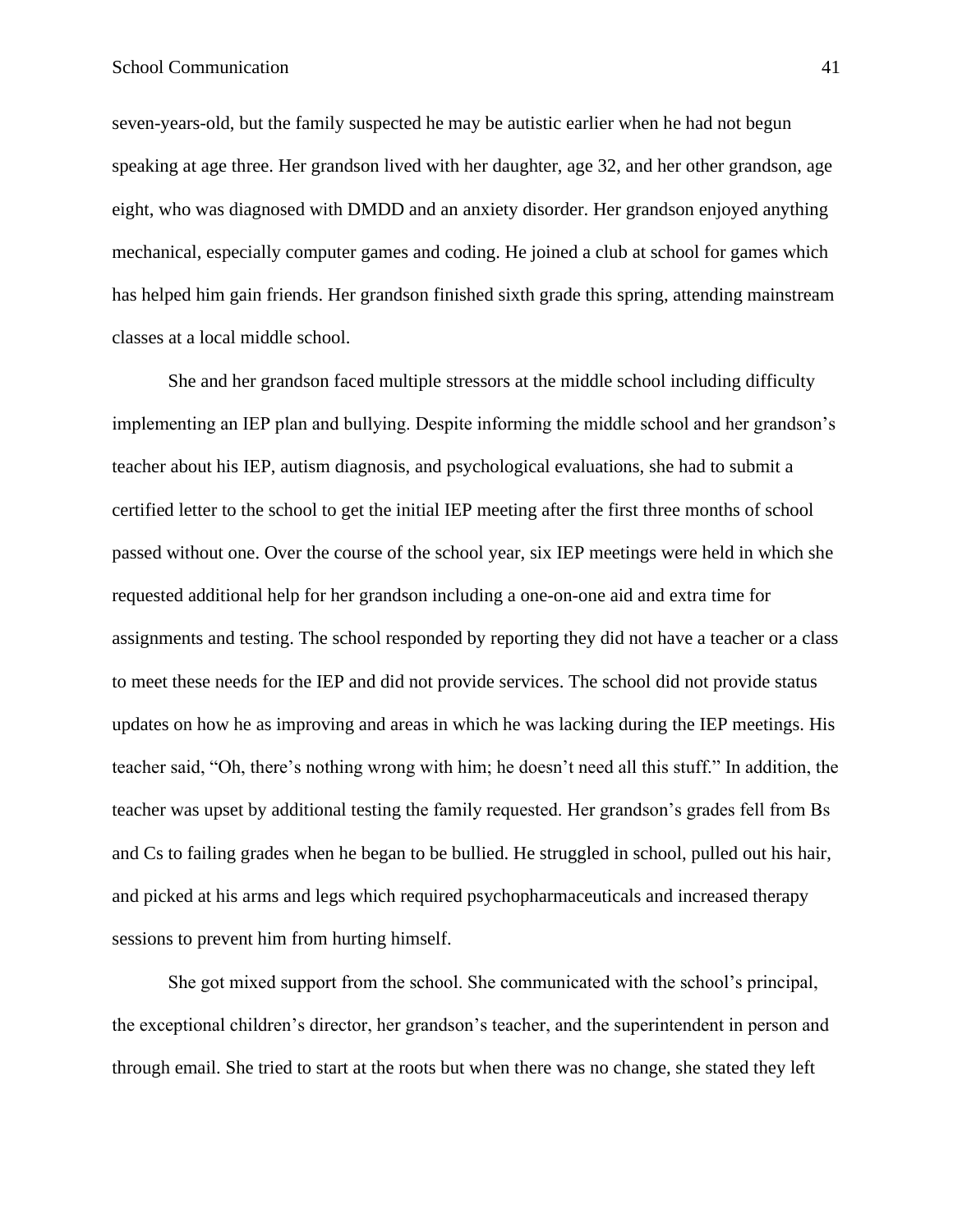seven-years-old, but the family suspected he may be autistic earlier when he had not begun speaking at age three. Her grandson lived with her daughter, age 32, and her other grandson, age eight, who was diagnosed with DMDD and an anxiety disorder. Her grandson enjoyed anything mechanical, especially computer games and coding. He joined a club at school for games which has helped him gain friends. Her grandson finished sixth grade this spring, attending mainstream classes at a local middle school.

She and her grandson faced multiple stressors at the middle school including difficulty implementing an IEP plan and bullying. Despite informing the middle school and her grandson's teacher about his IEP, autism diagnosis, and psychological evaluations, she had to submit a certified letter to the school to get the initial IEP meeting after the first three months of school passed without one. Over the course of the school year, six IEP meetings were held in which she requested additional help for her grandson including a one-on-one aid and extra time for assignments and testing. The school responded by reporting they did not have a teacher or a class to meet these needs for the IEP and did not provide services. The school did not provide status updates on how he as improving and areas in which he was lacking during the IEP meetings. His teacher said, "Oh, there's nothing wrong with him; he doesn't need all this stuff." In addition, the teacher was upset by additional testing the family requested. Her grandson's grades fell from Bs and Cs to failing grades when he began to be bullied. He struggled in school, pulled out his hair, and picked at his arms and legs which required psychopharmaceuticals and increased therapy sessions to prevent him from hurting himself.

She got mixed support from the school. She communicated with the school's principal, the exceptional children's director, her grandson's teacher, and the superintendent in person and through email. She tried to start at the roots but when there was no change, she stated they left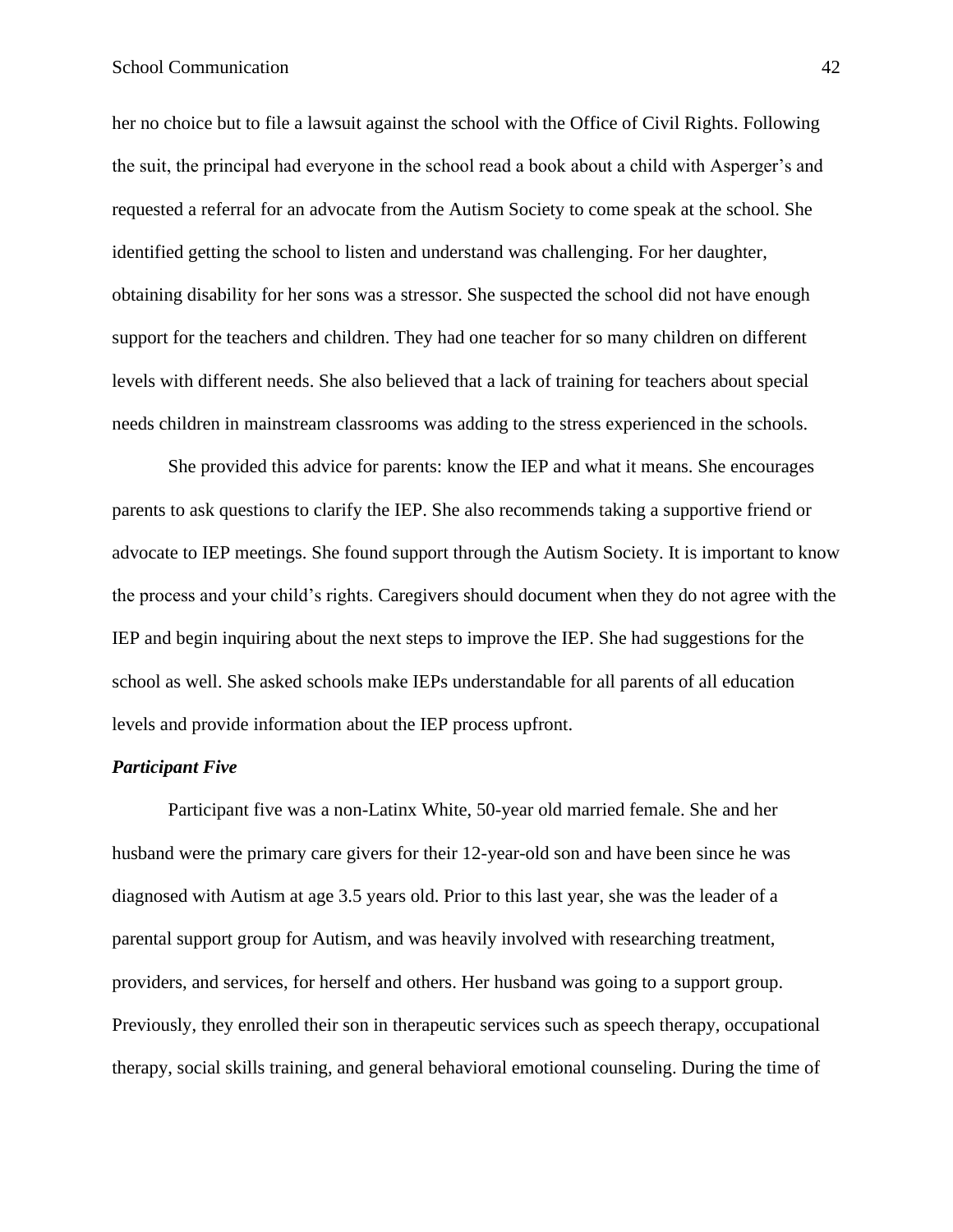her no choice but to file a lawsuit against the school with the Office of Civil Rights. Following the suit, the principal had everyone in the school read a book about a child with Asperger's and requested a referral for an advocate from the Autism Society to come speak at the school. She identified getting the school to listen and understand was challenging. For her daughter, obtaining disability for her sons was a stressor. She suspected the school did not have enough support for the teachers and children. They had one teacher for so many children on different levels with different needs. She also believed that a lack of training for teachers about special needs children in mainstream classrooms was adding to the stress experienced in the schools.

She provided this advice for parents: know the IEP and what it means. She encourages parents to ask questions to clarify the IEP. She also recommends taking a supportive friend or advocate to IEP meetings. She found support through the Autism Society. It is important to know the process and your child's rights. Caregivers should document when they do not agree with the IEP and begin inquiring about the next steps to improve the IEP. She had suggestions for the school as well. She asked schools make IEPs understandable for all parents of all education levels and provide information about the IEP process upfront.

## *Participant Five*

Participant five was a non-Latinx White, 50-year old married female. She and her husband were the primary care givers for their 12-year-old son and have been since he was diagnosed with Autism at age 3.5 years old. Prior to this last year, she was the leader of a parental support group for Autism, and was heavily involved with researching treatment, providers, and services, for herself and others. Her husband was going to a support group. Previously, they enrolled their son in therapeutic services such as speech therapy, occupational therapy, social skills training, and general behavioral emotional counseling. During the time of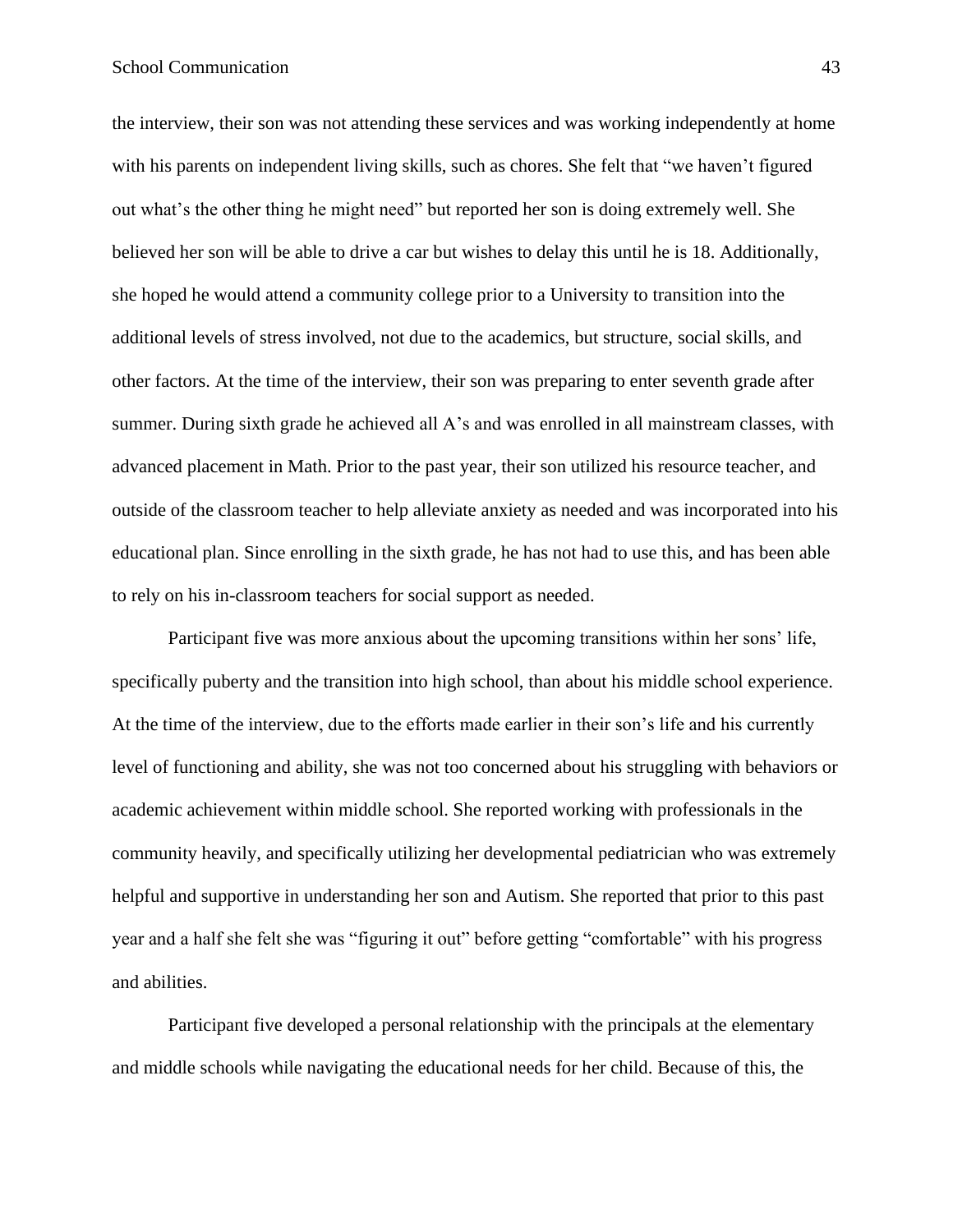the interview, their son was not attending these services and was working independently at home with his parents on independent living skills, such as chores. She felt that "we haven't figured out what's the other thing he might need" but reported her son is doing extremely well. She believed her son will be able to drive a car but wishes to delay this until he is 18. Additionally, she hoped he would attend a community college prior to a University to transition into the additional levels of stress involved, not due to the academics, but structure, social skills, and other factors. At the time of the interview, their son was preparing to enter seventh grade after summer. During sixth grade he achieved all A's and was enrolled in all mainstream classes, with advanced placement in Math. Prior to the past year, their son utilized his resource teacher, and outside of the classroom teacher to help alleviate anxiety as needed and was incorporated into his educational plan. Since enrolling in the sixth grade, he has not had to use this, and has been able to rely on his in-classroom teachers for social support as needed.

Participant five was more anxious about the upcoming transitions within her sons' life, specifically puberty and the transition into high school, than about his middle school experience. At the time of the interview, due to the efforts made earlier in their son's life and his currently level of functioning and ability, she was not too concerned about his struggling with behaviors or academic achievement within middle school. She reported working with professionals in the community heavily, and specifically utilizing her developmental pediatrician who was extremely helpful and supportive in understanding her son and Autism. She reported that prior to this past year and a half she felt she was "figuring it out" before getting "comfortable" with his progress and abilities.

Participant five developed a personal relationship with the principals at the elementary and middle schools while navigating the educational needs for her child. Because of this, the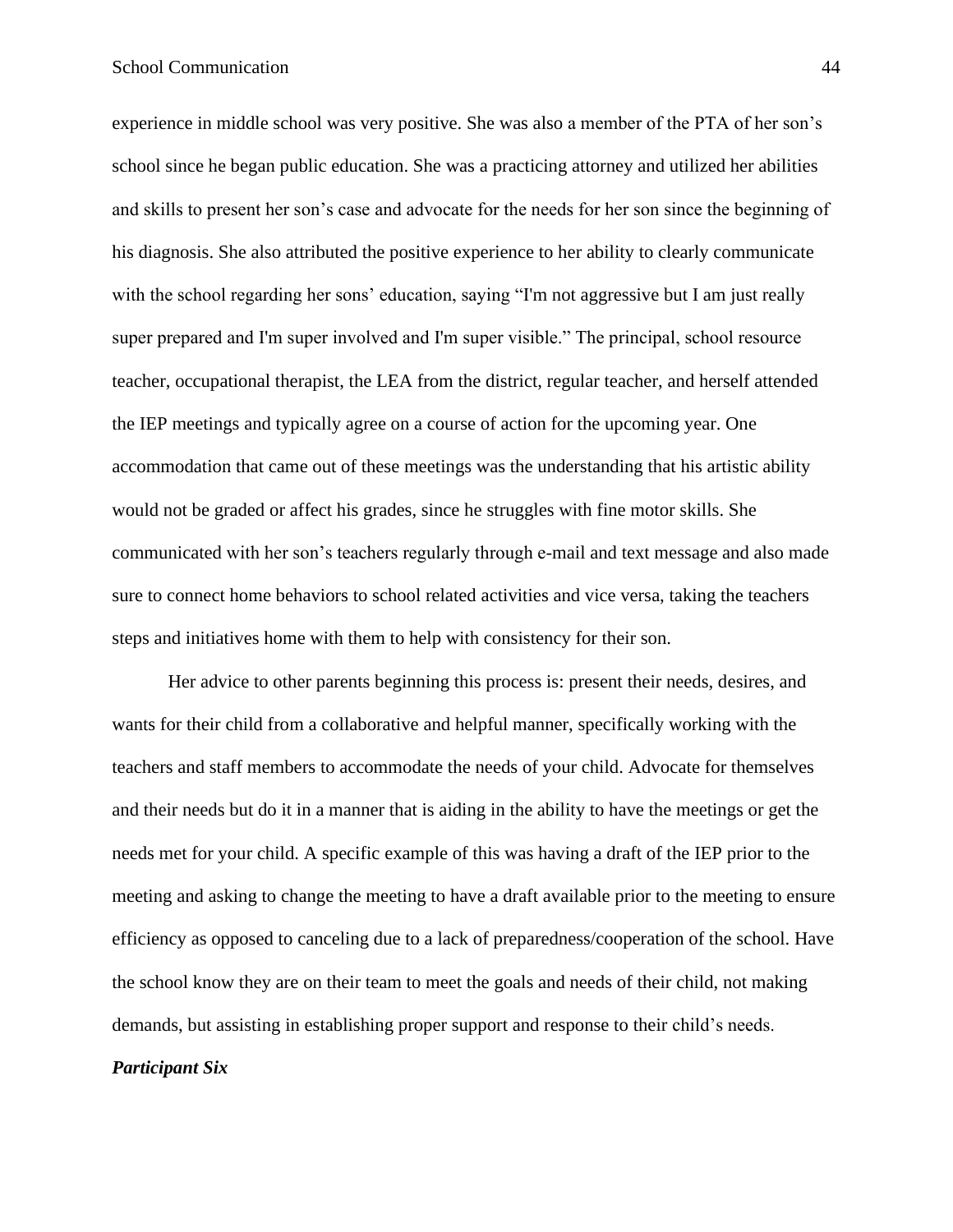experience in middle school was very positive. She was also a member of the PTA of her son's school since he began public education. She was a practicing attorney and utilized her abilities and skills to present her son's case and advocate for the needs for her son since the beginning of his diagnosis. She also attributed the positive experience to her ability to clearly communicate with the school regarding her sons' education, saying "I'm not aggressive but I am just really super prepared and I'm super involved and I'm super visible." The principal, school resource teacher, occupational therapist, the LEA from the district, regular teacher, and herself attended the IEP meetings and typically agree on a course of action for the upcoming year. One accommodation that came out of these meetings was the understanding that his artistic ability would not be graded or affect his grades, since he struggles with fine motor skills. She communicated with her son's teachers regularly through e-mail and text message and also made sure to connect home behaviors to school related activities and vice versa, taking the teachers steps and initiatives home with them to help with consistency for their son.

Her advice to other parents beginning this process is: present their needs, desires, and wants for their child from a collaborative and helpful manner, specifically working with the teachers and staff members to accommodate the needs of your child. Advocate for themselves and their needs but do it in a manner that is aiding in the ability to have the meetings or get the needs met for your child. A specific example of this was having a draft of the IEP prior to the meeting and asking to change the meeting to have a draft available prior to the meeting to ensure efficiency as opposed to canceling due to a lack of preparedness/cooperation of the school. Have the school know they are on their team to meet the goals and needs of their child, not making demands, but assisting in establishing proper support and response to their child's needs.

## *Participant Six*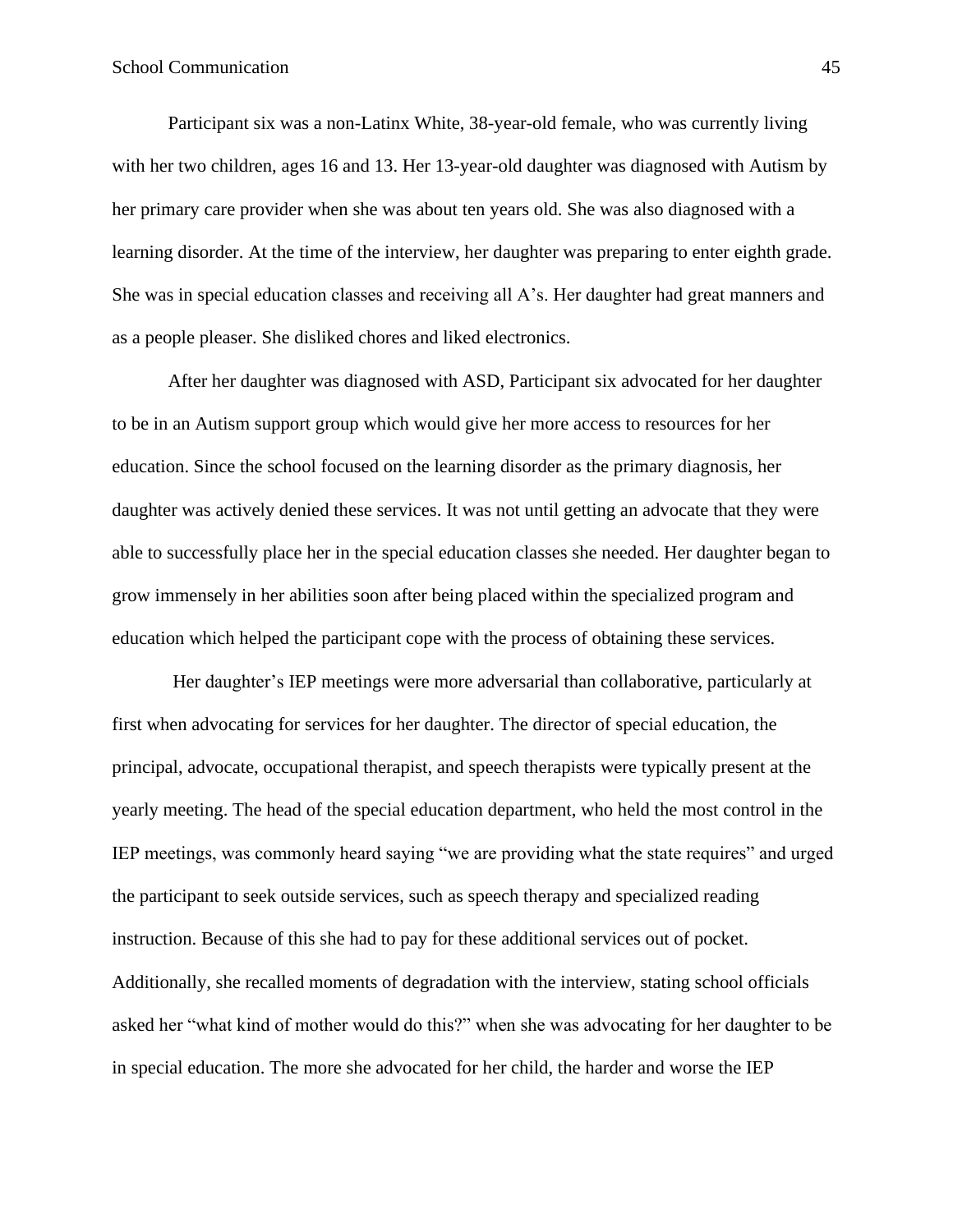Participant six was a non-Latinx White, 38-year-old female, who was currently living with her two children, ages 16 and 13. Her 13-year-old daughter was diagnosed with Autism by her primary care provider when she was about ten years old. She was also diagnosed with a learning disorder. At the time of the interview, her daughter was preparing to enter eighth grade. She was in special education classes and receiving all A's. Her daughter had great manners and as a people pleaser. She disliked chores and liked electronics.

After her daughter was diagnosed with ASD, Participant six advocated for her daughter to be in an Autism support group which would give her more access to resources for her education. Since the school focused on the learning disorder as the primary diagnosis, her daughter was actively denied these services. It was not until getting an advocate that they were able to successfully place her in the special education classes she needed. Her daughter began to grow immensely in her abilities soon after being placed within the specialized program and education which helped the participant cope with the process of obtaining these services.

Her daughter's IEP meetings were more adversarial than collaborative, particularly at first when advocating for services for her daughter. The director of special education, the principal, advocate, occupational therapist, and speech therapists were typically present at the yearly meeting. The head of the special education department, who held the most control in the IEP meetings, was commonly heard saying "we are providing what the state requires" and urged the participant to seek outside services, such as speech therapy and specialized reading instruction. Because of this she had to pay for these additional services out of pocket. Additionally, she recalled moments of degradation with the interview, stating school officials asked her "what kind of mother would do this?" when she was advocating for her daughter to be in special education. The more she advocated for her child, the harder and worse the IEP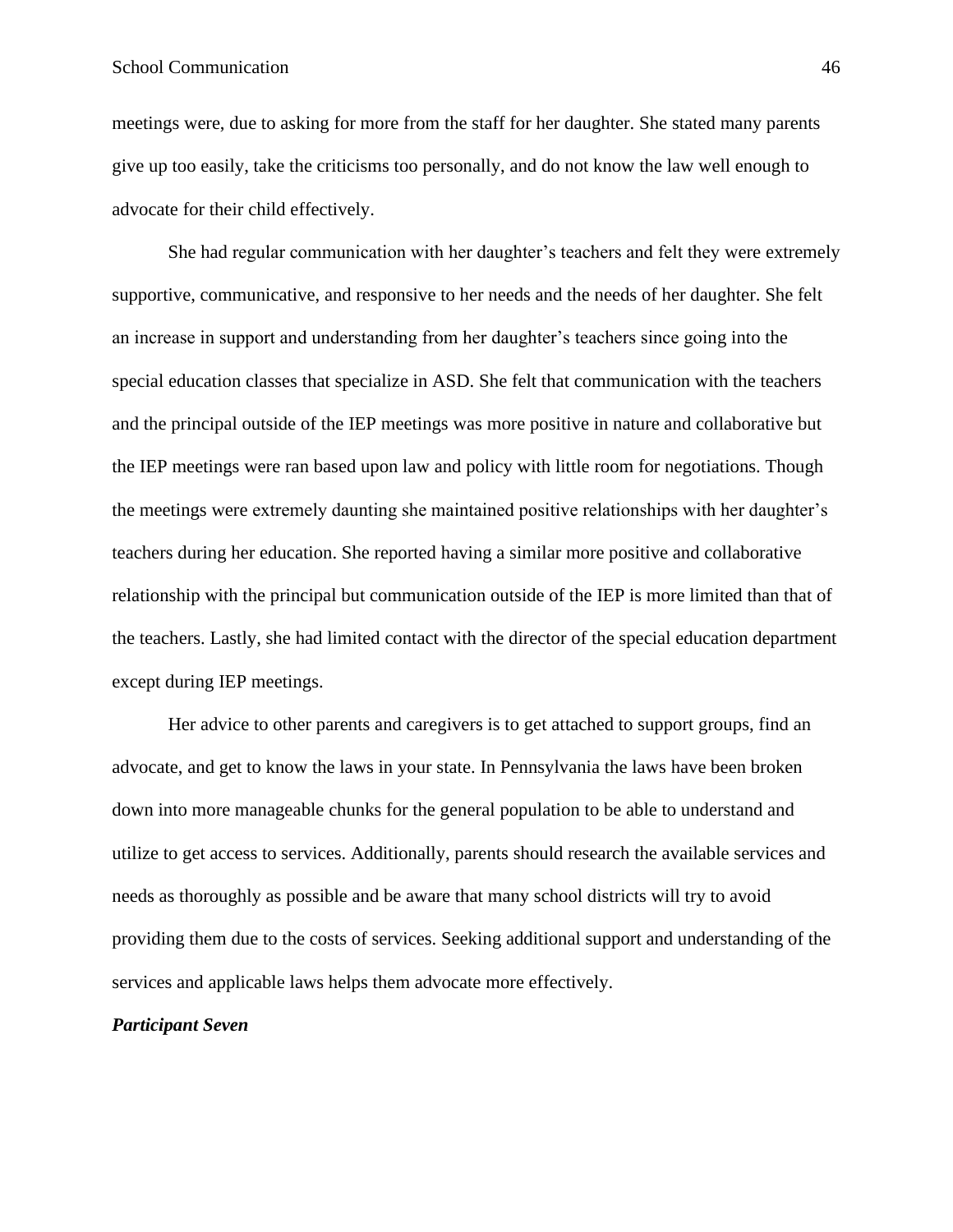## School Communication 46

meetings were, due to asking for more from the staff for her daughter. She stated many parents give up too easily, take the criticisms too personally, and do not know the law well enough to advocate for their child effectively.

She had regular communication with her daughter's teachers and felt they were extremely supportive, communicative, and responsive to her needs and the needs of her daughter. She felt an increase in support and understanding from her daughter's teachers since going into the special education classes that specialize in ASD. She felt that communication with the teachers and the principal outside of the IEP meetings was more positive in nature and collaborative but the IEP meetings were ran based upon law and policy with little room for negotiations. Though the meetings were extremely daunting she maintained positive relationships with her daughter's teachers during her education. She reported having a similar more positive and collaborative relationship with the principal but communication outside of the IEP is more limited than that of the teachers. Lastly, she had limited contact with the director of the special education department except during IEP meetings.

Her advice to other parents and caregivers is to get attached to support groups, find an advocate, and get to know the laws in your state. In Pennsylvania the laws have been broken down into more manageable chunks for the general population to be able to understand and utilize to get access to services. Additionally, parents should research the available services and needs as thoroughly as possible and be aware that many school districts will try to avoid providing them due to the costs of services. Seeking additional support and understanding of the services and applicable laws helps them advocate more effectively.

### *Participant Seven*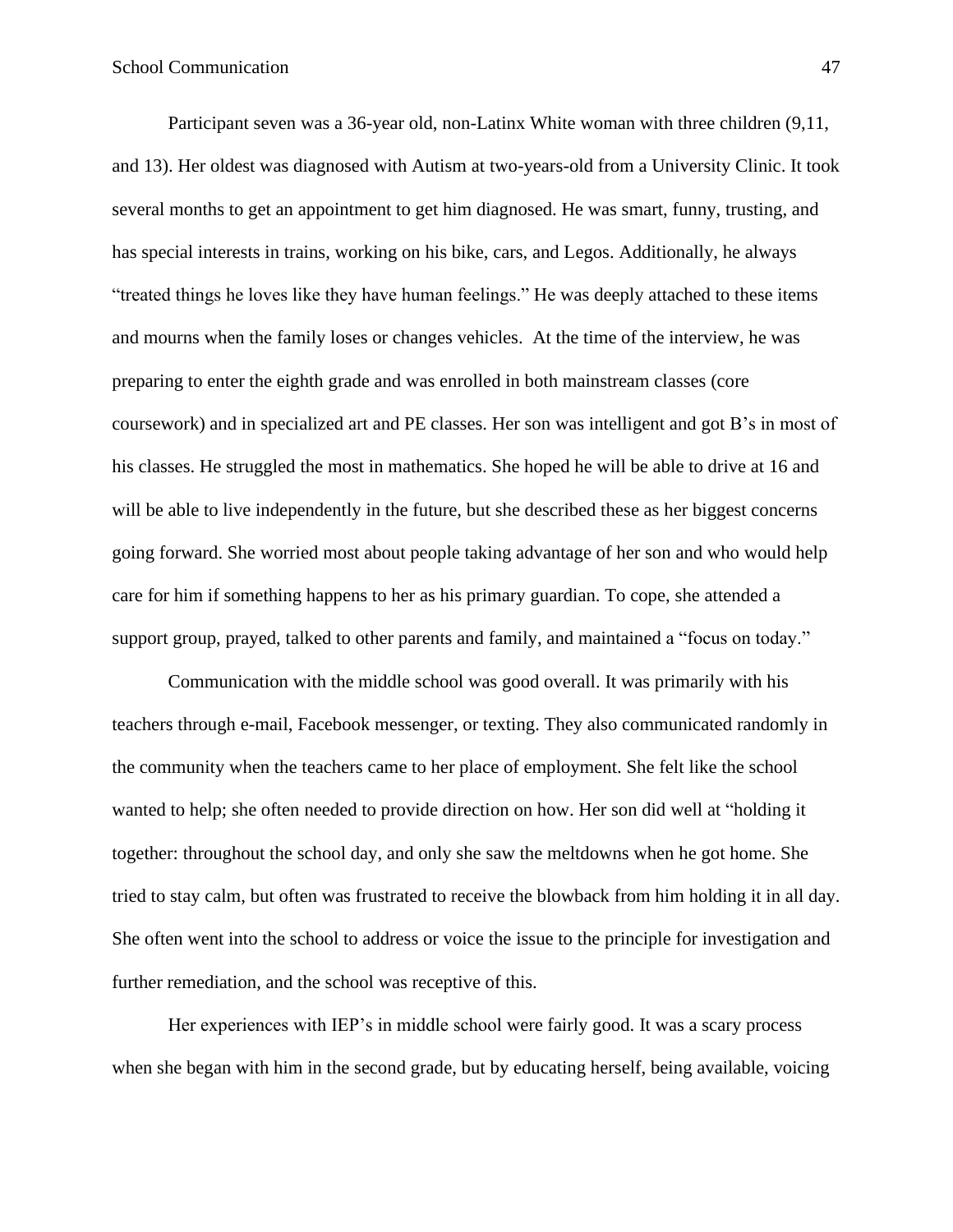Participant seven was a 36-year old, non-Latinx White woman with three children (9,11, and 13). Her oldest was diagnosed with Autism at two-years-old from a University Clinic. It took several months to get an appointment to get him diagnosed. He was smart, funny, trusting, and has special interests in trains, working on his bike, cars, and Legos. Additionally, he always "treated things he loves like they have human feelings." He was deeply attached to these items and mourns when the family loses or changes vehicles. At the time of the interview, he was preparing to enter the eighth grade and was enrolled in both mainstream classes (core coursework) and in specialized art and PE classes. Her son was intelligent and got B's in most of his classes. He struggled the most in mathematics. She hoped he will be able to drive at 16 and will be able to live independently in the future, but she described these as her biggest concerns going forward. She worried most about people taking advantage of her son and who would help care for him if something happens to her as his primary guardian. To cope, she attended a support group, prayed, talked to other parents and family, and maintained a "focus on today."

Communication with the middle school was good overall. It was primarily with his teachers through e-mail, Facebook messenger, or texting. They also communicated randomly in the community when the teachers came to her place of employment. She felt like the school wanted to help; she often needed to provide direction on how. Her son did well at "holding it together: throughout the school day, and only she saw the meltdowns when he got home. She tried to stay calm, but often was frustrated to receive the blowback from him holding it in all day. She often went into the school to address or voice the issue to the principle for investigation and further remediation, and the school was receptive of this.

Her experiences with IEP's in middle school were fairly good. It was a scary process when she began with him in the second grade, but by educating herself, being available, voicing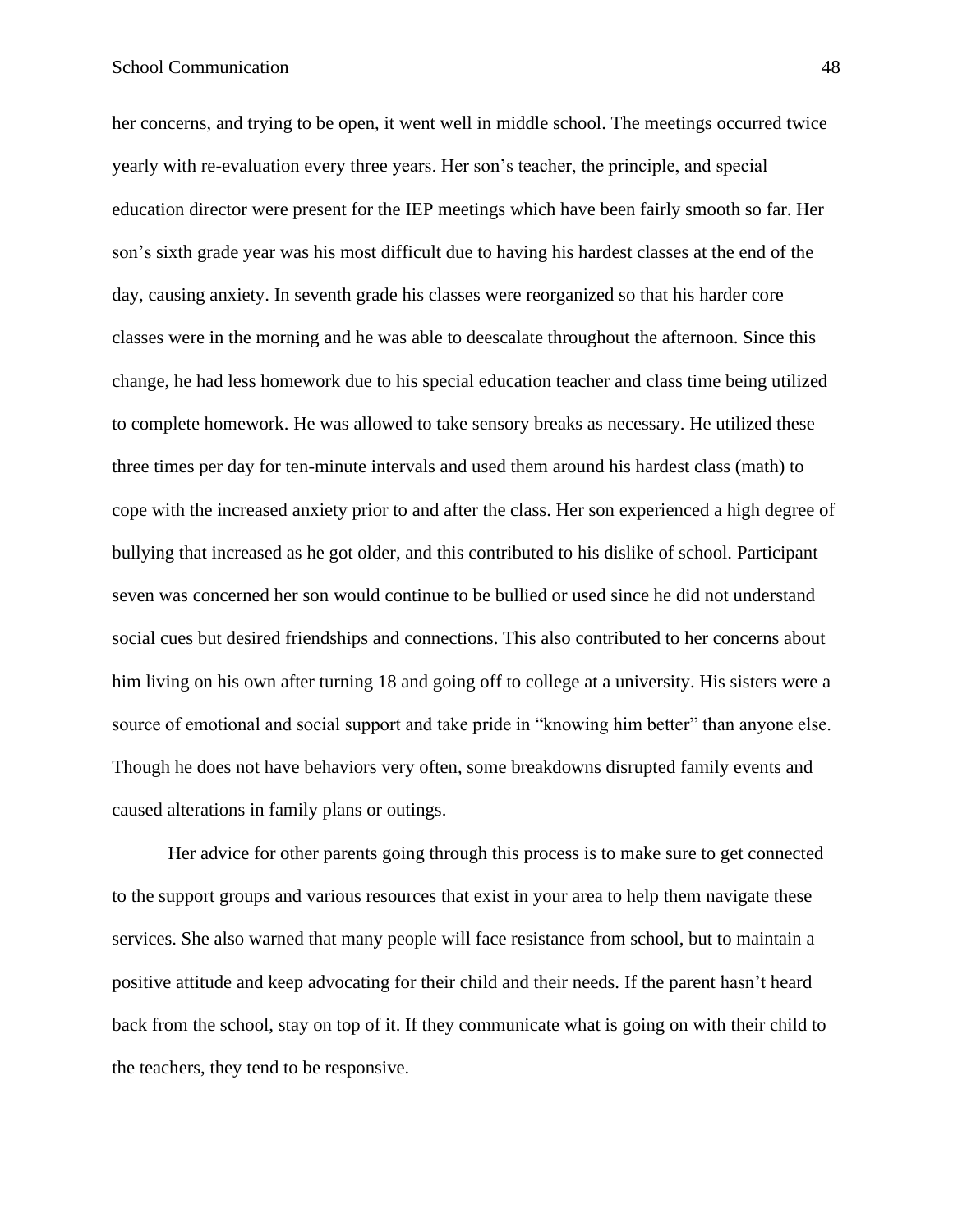her concerns, and trying to be open, it went well in middle school. The meetings occurred twice yearly with re-evaluation every three years. Her son's teacher, the principle, and special education director were present for the IEP meetings which have been fairly smooth so far. Her son's sixth grade year was his most difficult due to having his hardest classes at the end of the day, causing anxiety. In seventh grade his classes were reorganized so that his harder core classes were in the morning and he was able to deescalate throughout the afternoon. Since this change, he had less homework due to his special education teacher and class time being utilized to complete homework. He was allowed to take sensory breaks as necessary. He utilized these three times per day for ten-minute intervals and used them around his hardest class (math) to cope with the increased anxiety prior to and after the class. Her son experienced a high degree of bullying that increased as he got older, and this contributed to his dislike of school. Participant seven was concerned her son would continue to be bullied or used since he did not understand social cues but desired friendships and connections. This also contributed to her concerns about him living on his own after turning 18 and going off to college at a university. His sisters were a source of emotional and social support and take pride in "knowing him better" than anyone else. Though he does not have behaviors very often, some breakdowns disrupted family events and caused alterations in family plans or outings.

Her advice for other parents going through this process is to make sure to get connected to the support groups and various resources that exist in your area to help them navigate these services. She also warned that many people will face resistance from school, but to maintain a positive attitude and keep advocating for their child and their needs. If the parent hasn't heard back from the school, stay on top of it. If they communicate what is going on with their child to the teachers, they tend to be responsive.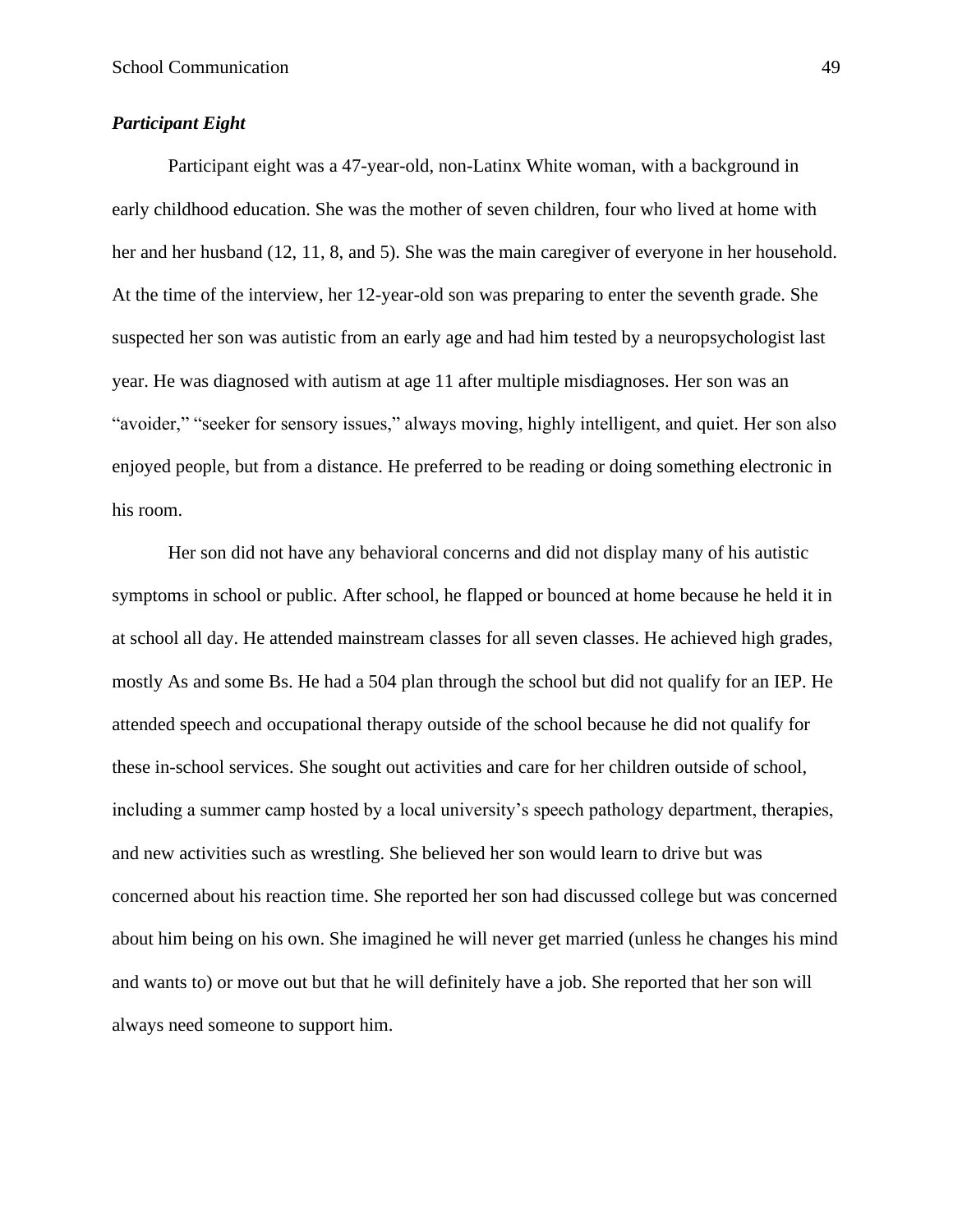## *Participant Eight*

Participant eight was a 47-year-old, non-Latinx White woman, with a background in early childhood education. She was the mother of seven children, four who lived at home with her and her husband (12, 11, 8, and 5). She was the main caregiver of everyone in her household. At the time of the interview, her 12-year-old son was preparing to enter the seventh grade. She suspected her son was autistic from an early age and had him tested by a neuropsychologist last year. He was diagnosed with autism at age 11 after multiple misdiagnoses. Her son was an "avoider," "seeker for sensory issues," always moving, highly intelligent, and quiet. Her son also enjoyed people, but from a distance. He preferred to be reading or doing something electronic in his room.

Her son did not have any behavioral concerns and did not display many of his autistic symptoms in school or public. After school, he flapped or bounced at home because he held it in at school all day. He attended mainstream classes for all seven classes. He achieved high grades, mostly As and some Bs. He had a 504 plan through the school but did not qualify for an IEP. He attended speech and occupational therapy outside of the school because he did not qualify for these in-school services. She sought out activities and care for her children outside of school, including a summer camp hosted by a local university's speech pathology department, therapies, and new activities such as wrestling. She believed her son would learn to drive but was concerned about his reaction time. She reported her son had discussed college but was concerned about him being on his own. She imagined he will never get married (unless he changes his mind and wants to) or move out but that he will definitely have a job. She reported that her son will always need someone to support him.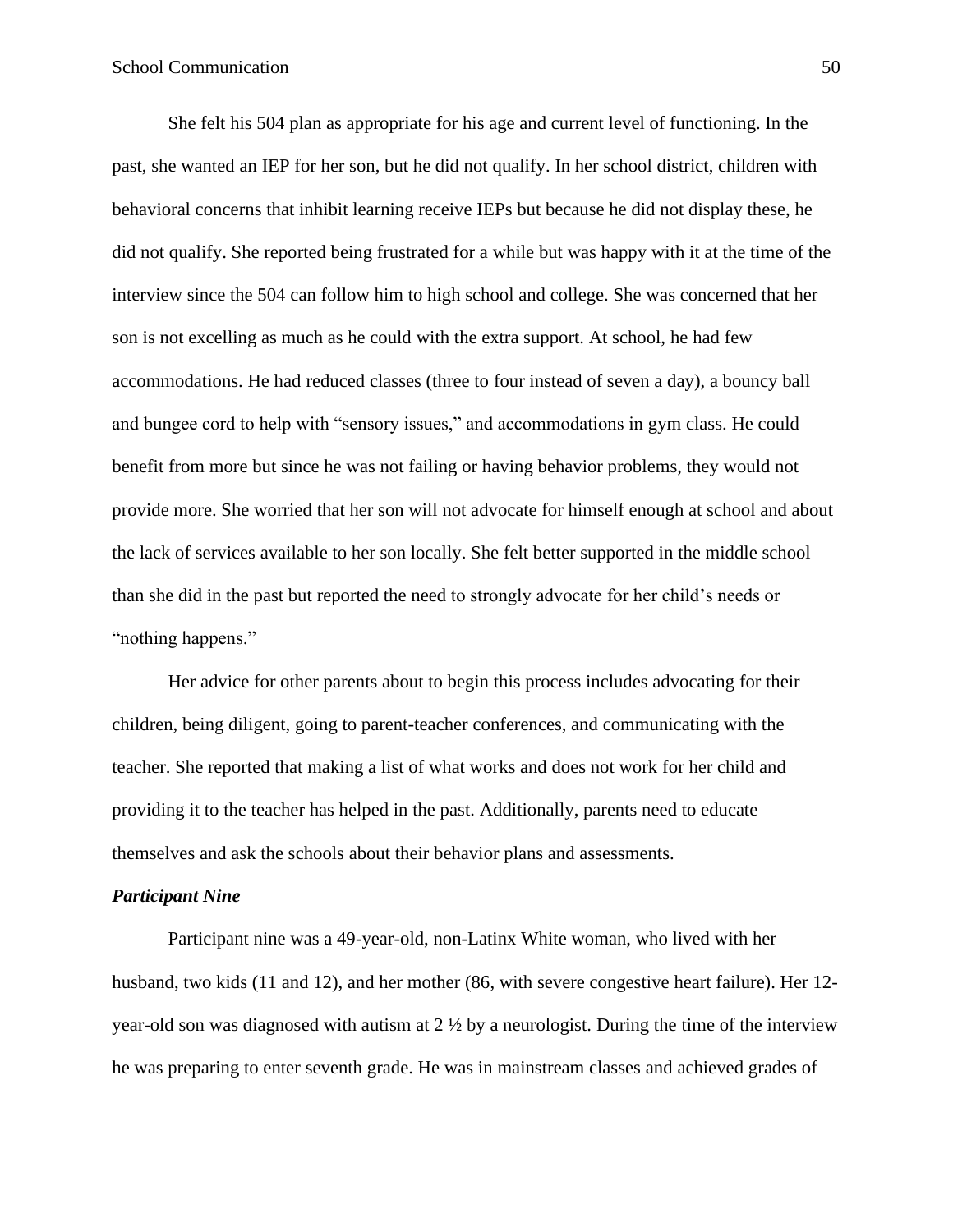She felt his 504 plan as appropriate for his age and current level of functioning. In the past, she wanted an IEP for her son, but he did not qualify. In her school district, children with behavioral concerns that inhibit learning receive IEPs but because he did not display these, he did not qualify. She reported being frustrated for a while but was happy with it at the time of the interview since the 504 can follow him to high school and college. She was concerned that her son is not excelling as much as he could with the extra support. At school, he had few accommodations. He had reduced classes (three to four instead of seven a day), a bouncy ball and bungee cord to help with "sensory issues," and accommodations in gym class. He could benefit from more but since he was not failing or having behavior problems, they would not provide more. She worried that her son will not advocate for himself enough at school and about the lack of services available to her son locally. She felt better supported in the middle school than she did in the past but reported the need to strongly advocate for her child's needs or "nothing happens."

Her advice for other parents about to begin this process includes advocating for their children, being diligent, going to parent-teacher conferences, and communicating with the teacher. She reported that making a list of what works and does not work for her child and providing it to the teacher has helped in the past. Additionally, parents need to educate themselves and ask the schools about their behavior plans and assessments.

#### *Participant Nine*

Participant nine was a 49-year-old, non-Latinx White woman, who lived with her husband, two kids (11 and 12), and her mother (86, with severe congestive heart failure). Her 12 year-old son was diagnosed with autism at 2 ½ by a neurologist. During the time of the interview he was preparing to enter seventh grade. He was in mainstream classes and achieved grades of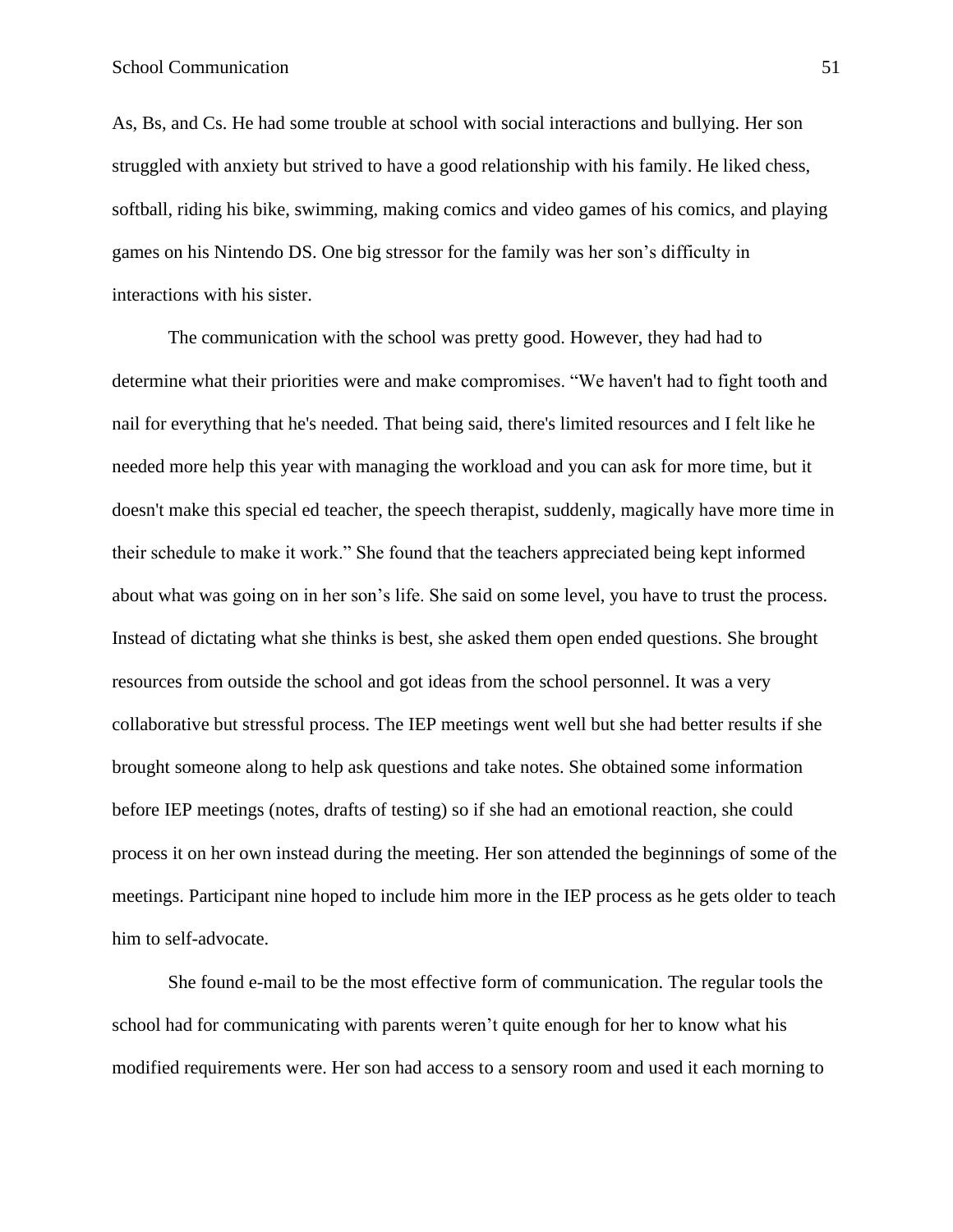As, Bs, and Cs. He had some trouble at school with social interactions and bullying. Her son struggled with anxiety but strived to have a good relationship with his family. He liked chess, softball, riding his bike, swimming, making comics and video games of his comics, and playing games on his Nintendo DS. One big stressor for the family was her son's difficulty in interactions with his sister.

The communication with the school was pretty good. However, they had had to determine what their priorities were and make compromises. "We haven't had to fight tooth and nail for everything that he's needed. That being said, there's limited resources and I felt like he needed more help this year with managing the workload and you can ask for more time, but it doesn't make this special ed teacher, the speech therapist, suddenly, magically have more time in their schedule to make it work." She found that the teachers appreciated being kept informed about what was going on in her son's life. She said on some level, you have to trust the process. Instead of dictating what she thinks is best, she asked them open ended questions. She brought resources from outside the school and got ideas from the school personnel. It was a very collaborative but stressful process. The IEP meetings went well but she had better results if she brought someone along to help ask questions and take notes. She obtained some information before IEP meetings (notes, drafts of testing) so if she had an emotional reaction, she could process it on her own instead during the meeting. Her son attended the beginnings of some of the meetings. Participant nine hoped to include him more in the IEP process as he gets older to teach him to self-advocate.

She found e-mail to be the most effective form of communication. The regular tools the school had for communicating with parents weren't quite enough for her to know what his modified requirements were. Her son had access to a sensory room and used it each morning to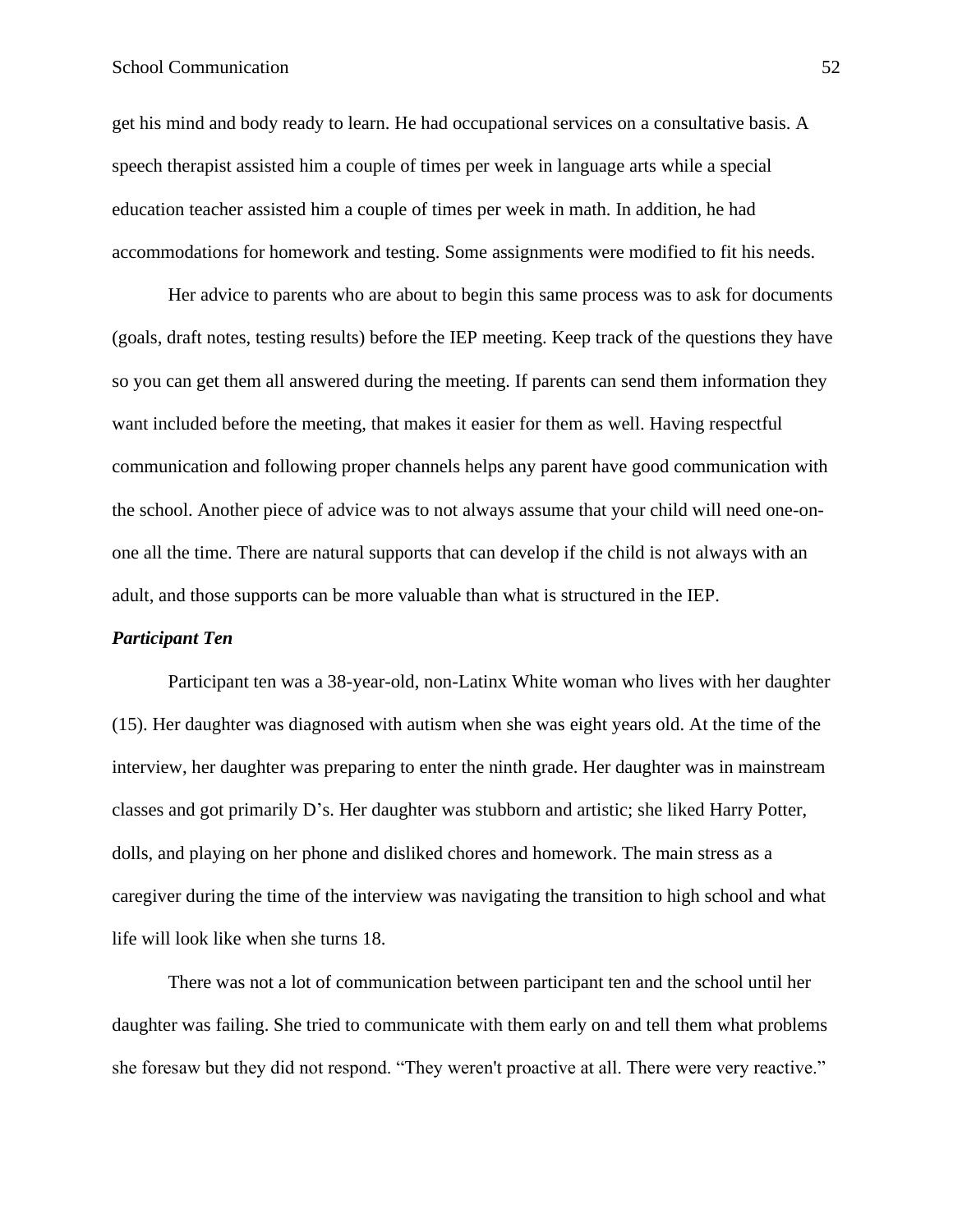## School Communication 52

get his mind and body ready to learn. He had occupational services on a consultative basis. A speech therapist assisted him a couple of times per week in language arts while a special education teacher assisted him a couple of times per week in math. In addition, he had accommodations for homework and testing. Some assignments were modified to fit his needs.

Her advice to parents who are about to begin this same process was to ask for documents (goals, draft notes, testing results) before the IEP meeting. Keep track of the questions they have so you can get them all answered during the meeting. If parents can send them information they want included before the meeting, that makes it easier for them as well. Having respectful communication and following proper channels helps any parent have good communication with the school. Another piece of advice was to not always assume that your child will need one-onone all the time. There are natural supports that can develop if the child is not always with an adult, and those supports can be more valuable than what is structured in the IEP.

## *Participant Ten*

Participant ten was a 38-year-old, non-Latinx White woman who lives with her daughter (15). Her daughter was diagnosed with autism when she was eight years old. At the time of the interview, her daughter was preparing to enter the ninth grade. Her daughter was in mainstream classes and got primarily D's. Her daughter was stubborn and artistic; she liked Harry Potter, dolls, and playing on her phone and disliked chores and homework. The main stress as a caregiver during the time of the interview was navigating the transition to high school and what life will look like when she turns 18.

There was not a lot of communication between participant ten and the school until her daughter was failing. She tried to communicate with them early on and tell them what problems she foresaw but they did not respond. "They weren't proactive at all. There were very reactive."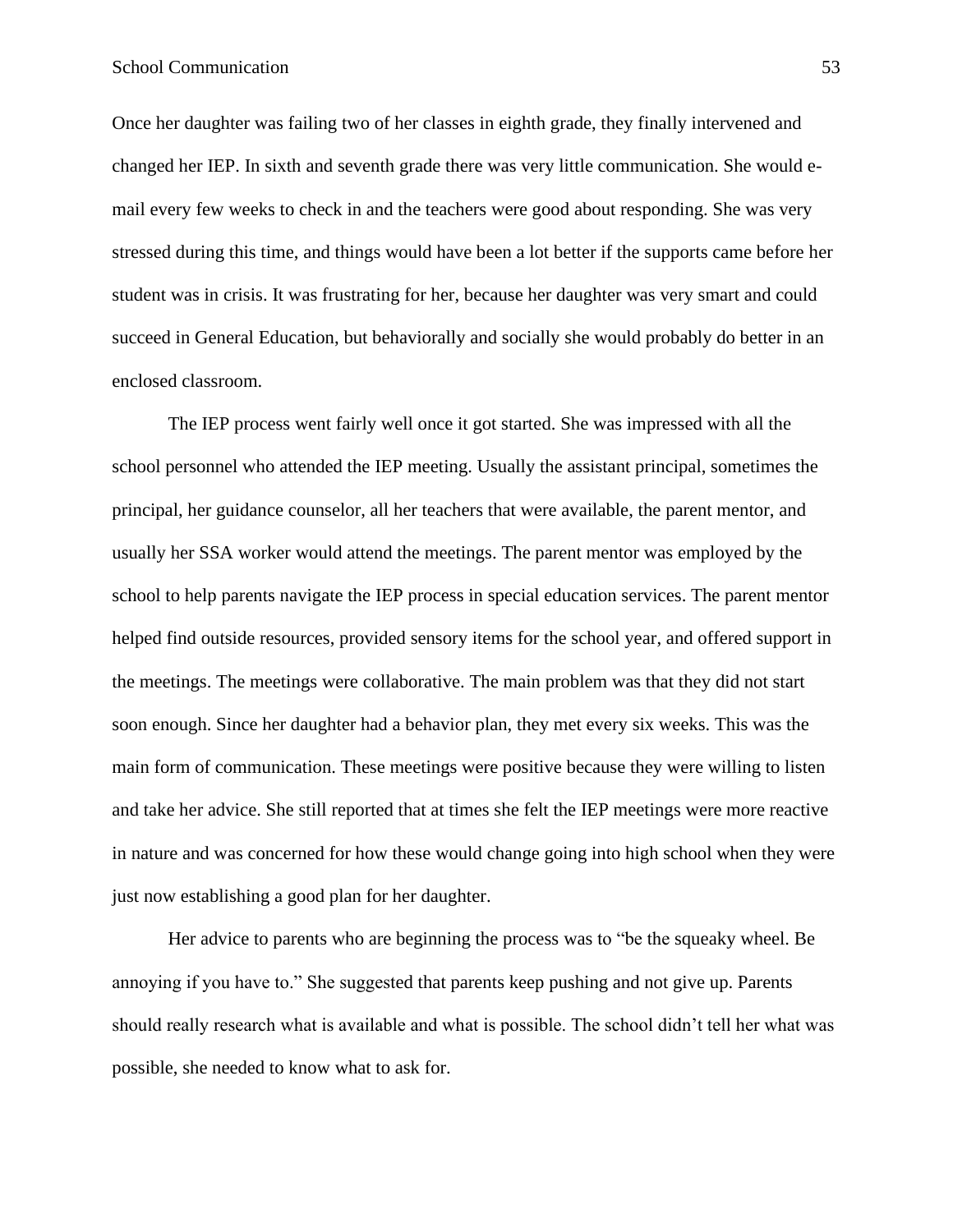Once her daughter was failing two of her classes in eighth grade, they finally intervened and changed her IEP. In sixth and seventh grade there was very little communication. She would email every few weeks to check in and the teachers were good about responding. She was very stressed during this time, and things would have been a lot better if the supports came before her student was in crisis. It was frustrating for her, because her daughter was very smart and could succeed in General Education, but behaviorally and socially she would probably do better in an enclosed classroom.

The IEP process went fairly well once it got started. She was impressed with all the school personnel who attended the IEP meeting. Usually the assistant principal, sometimes the principal, her guidance counselor, all her teachers that were available, the parent mentor, and usually her SSA worker would attend the meetings. The parent mentor was employed by the school to help parents navigate the IEP process in special education services. The parent mentor helped find outside resources, provided sensory items for the school year, and offered support in the meetings. The meetings were collaborative. The main problem was that they did not start soon enough. Since her daughter had a behavior plan, they met every six weeks. This was the main form of communication. These meetings were positive because they were willing to listen and take her advice. She still reported that at times she felt the IEP meetings were more reactive in nature and was concerned for how these would change going into high school when they were just now establishing a good plan for her daughter.

Her advice to parents who are beginning the process was to "be the squeaky wheel. Be annoying if you have to." She suggested that parents keep pushing and not give up. Parents should really research what is available and what is possible. The school didn't tell her what was possible, she needed to know what to ask for.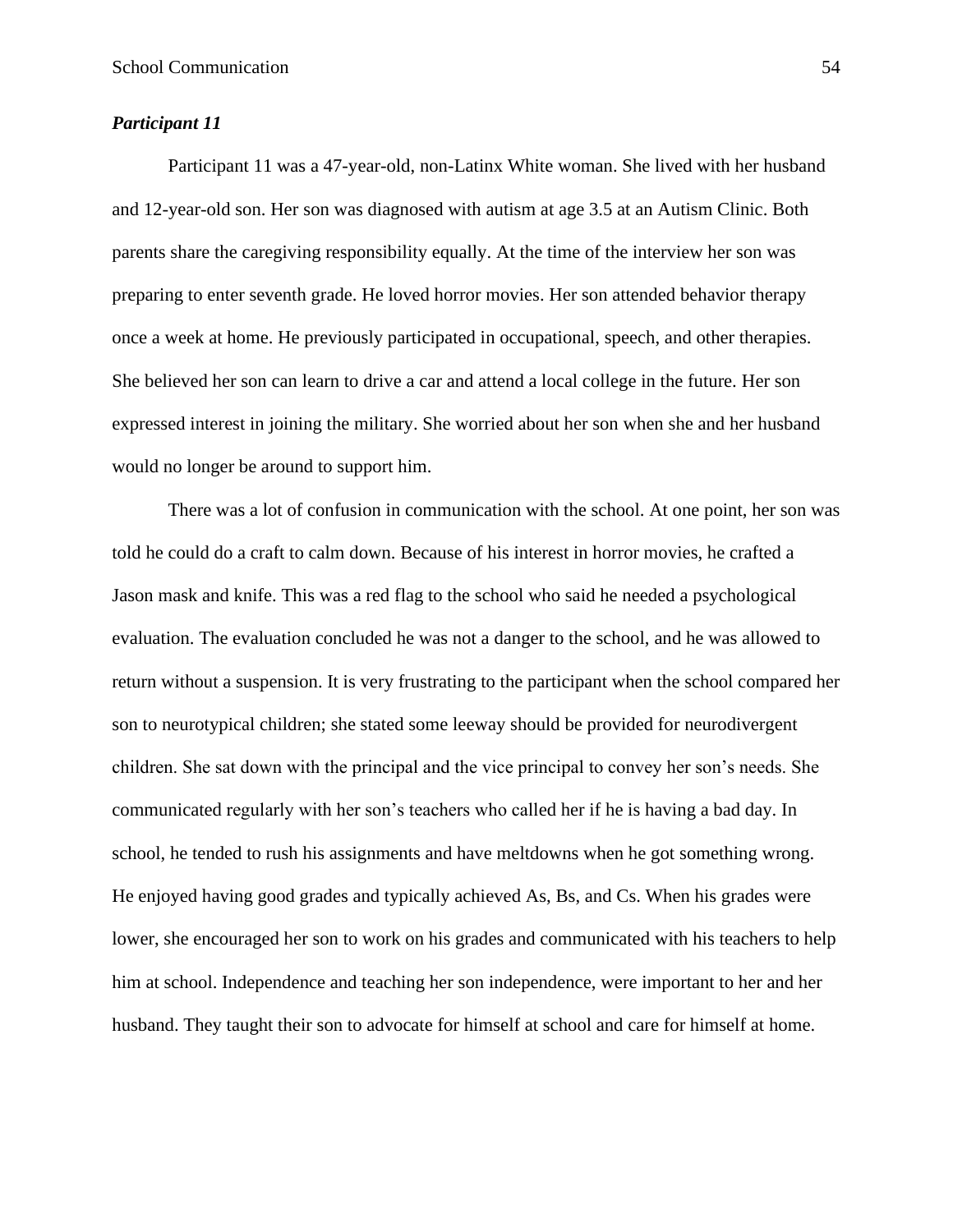## *Participant 11*

Participant 11 was a 47-year-old, non-Latinx White woman. She lived with her husband and 12-year-old son. Her son was diagnosed with autism at age 3.5 at an Autism Clinic. Both parents share the caregiving responsibility equally. At the time of the interview her son was preparing to enter seventh grade. He loved horror movies. Her son attended behavior therapy once a week at home. He previously participated in occupational, speech, and other therapies. She believed her son can learn to drive a car and attend a local college in the future. Her son expressed interest in joining the military. She worried about her son when she and her husband would no longer be around to support him.

There was a lot of confusion in communication with the school. At one point, her son was told he could do a craft to calm down. Because of his interest in horror movies, he crafted a Jason mask and knife. This was a red flag to the school who said he needed a psychological evaluation. The evaluation concluded he was not a danger to the school, and he was allowed to return without a suspension. It is very frustrating to the participant when the school compared her son to neurotypical children; she stated some leeway should be provided for neurodivergent children. She sat down with the principal and the vice principal to convey her son's needs. She communicated regularly with her son's teachers who called her if he is having a bad day. In school, he tended to rush his assignments and have meltdowns when he got something wrong. He enjoyed having good grades and typically achieved As, Bs, and Cs. When his grades were lower, she encouraged her son to work on his grades and communicated with his teachers to help him at school. Independence and teaching her son independence, were important to her and her husband. They taught their son to advocate for himself at school and care for himself at home.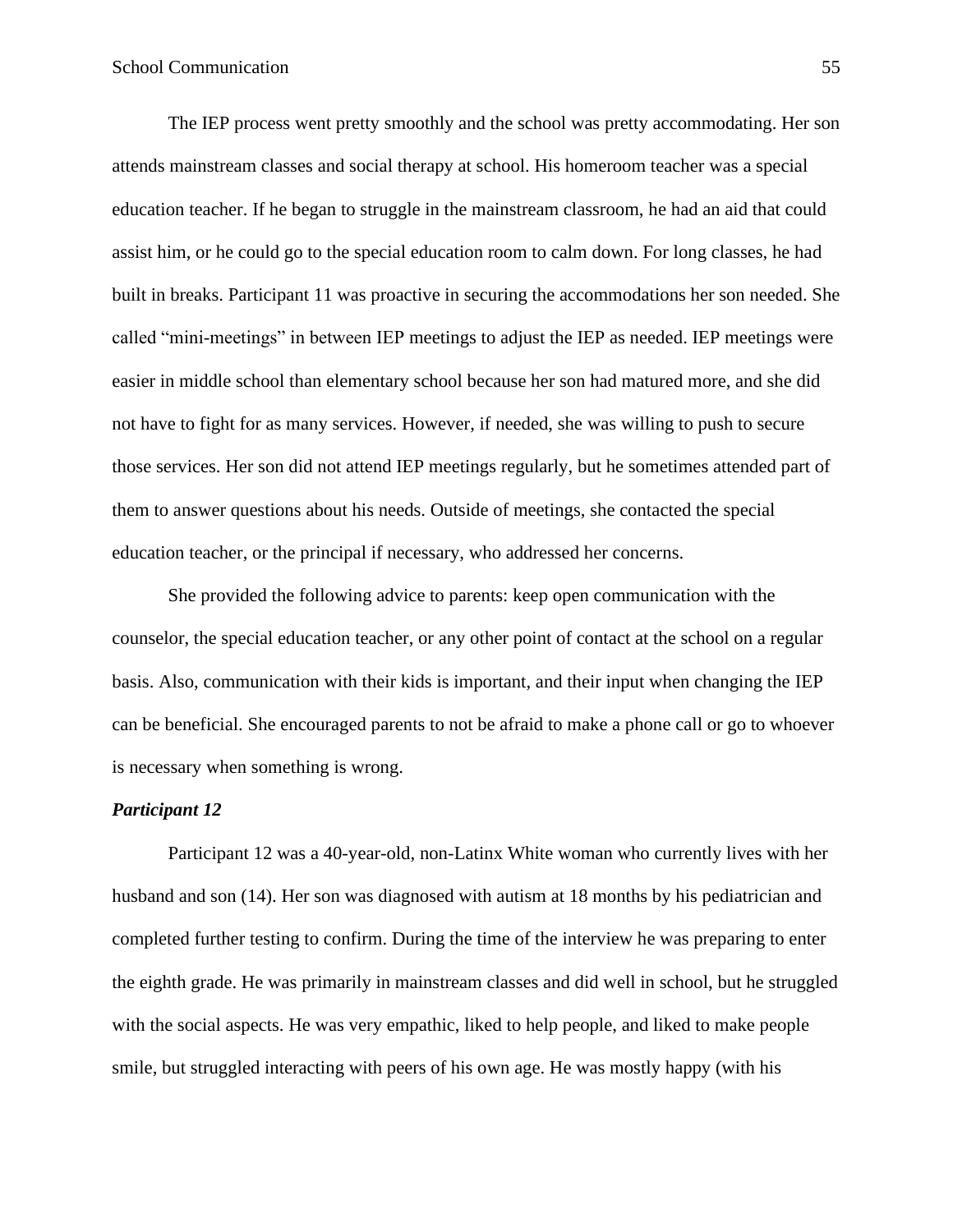The IEP process went pretty smoothly and the school was pretty accommodating. Her son attends mainstream classes and social therapy at school. His homeroom teacher was a special education teacher. If he began to struggle in the mainstream classroom, he had an aid that could assist him, or he could go to the special education room to calm down. For long classes, he had built in breaks. Participant 11 was proactive in securing the accommodations her son needed. She called "mini-meetings" in between IEP meetings to adjust the IEP as needed. IEP meetings were easier in middle school than elementary school because her son had matured more, and she did not have to fight for as many services. However, if needed, she was willing to push to secure those services. Her son did not attend IEP meetings regularly, but he sometimes attended part of them to answer questions about his needs. Outside of meetings, she contacted the special education teacher, or the principal if necessary, who addressed her concerns.

She provided the following advice to parents: keep open communication with the counselor, the special education teacher, or any other point of contact at the school on a regular basis. Also, communication with their kids is important, and their input when changing the IEP can be beneficial. She encouraged parents to not be afraid to make a phone call or go to whoever is necessary when something is wrong.

## *Participant 12*

Participant 12 was a 40-year-old, non-Latinx White woman who currently lives with her husband and son (14). Her son was diagnosed with autism at 18 months by his pediatrician and completed further testing to confirm. During the time of the interview he was preparing to enter the eighth grade. He was primarily in mainstream classes and did well in school, but he struggled with the social aspects. He was very empathic, liked to help people, and liked to make people smile, but struggled interacting with peers of his own age. He was mostly happy (with his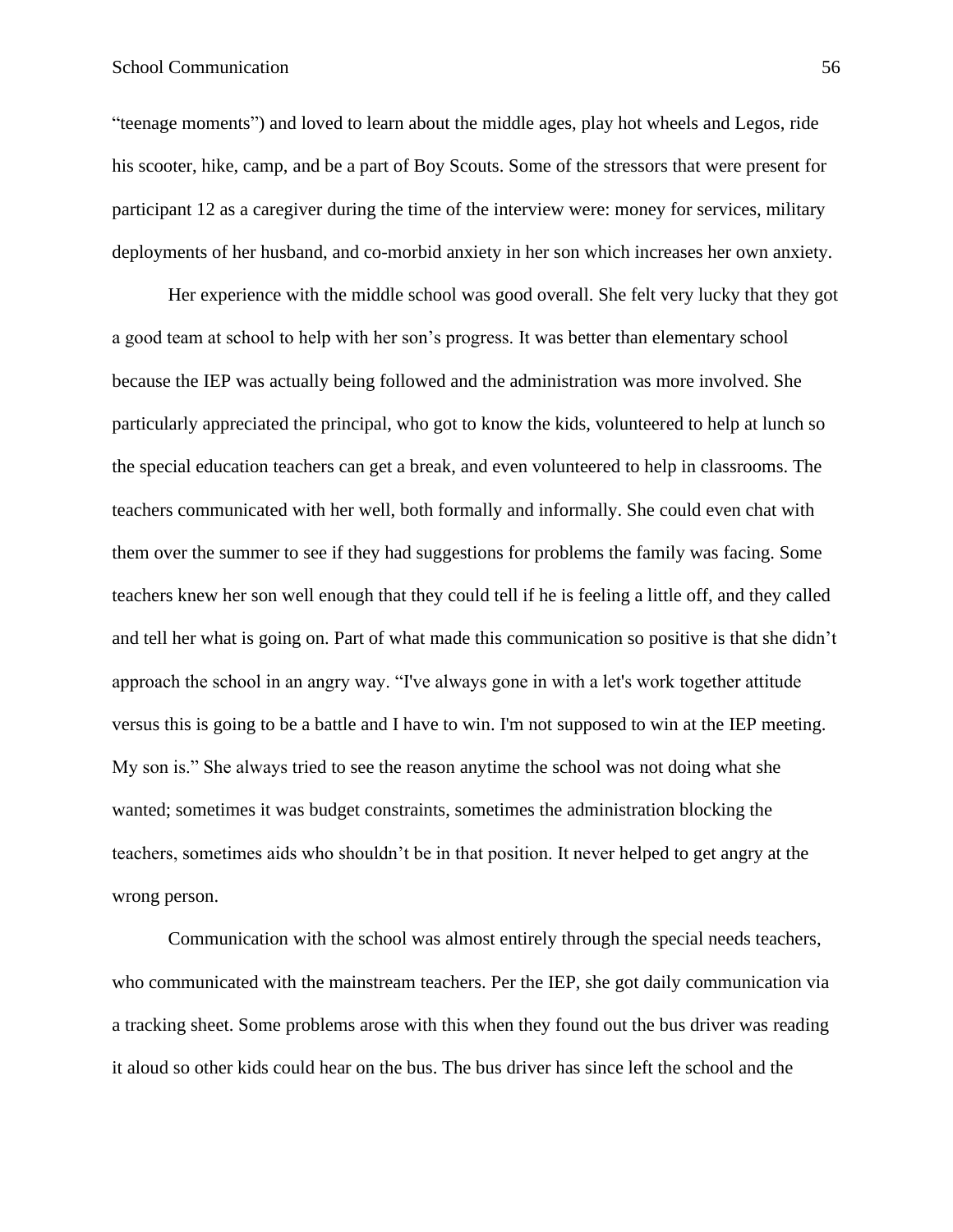"teenage moments") and loved to learn about the middle ages, play hot wheels and Legos, ride his scooter, hike, camp, and be a part of Boy Scouts. Some of the stressors that were present for participant 12 as a caregiver during the time of the interview were: money for services, military deployments of her husband, and co-morbid anxiety in her son which increases her own anxiety.

Her experience with the middle school was good overall. She felt very lucky that they got a good team at school to help with her son's progress. It was better than elementary school because the IEP was actually being followed and the administration was more involved. She particularly appreciated the principal, who got to know the kids, volunteered to help at lunch so the special education teachers can get a break, and even volunteered to help in classrooms. The teachers communicated with her well, both formally and informally. She could even chat with them over the summer to see if they had suggestions for problems the family was facing. Some teachers knew her son well enough that they could tell if he is feeling a little off, and they called and tell her what is going on. Part of what made this communication so positive is that she didn't approach the school in an angry way. "I've always gone in with a let's work together attitude versus this is going to be a battle and I have to win. I'm not supposed to win at the IEP meeting. My son is." She always tried to see the reason anytime the school was not doing what she wanted; sometimes it was budget constraints, sometimes the administration blocking the teachers, sometimes aids who shouldn't be in that position. It never helped to get angry at the wrong person.

Communication with the school was almost entirely through the special needs teachers, who communicated with the mainstream teachers. Per the IEP, she got daily communication via a tracking sheet. Some problems arose with this when they found out the bus driver was reading it aloud so other kids could hear on the bus. The bus driver has since left the school and the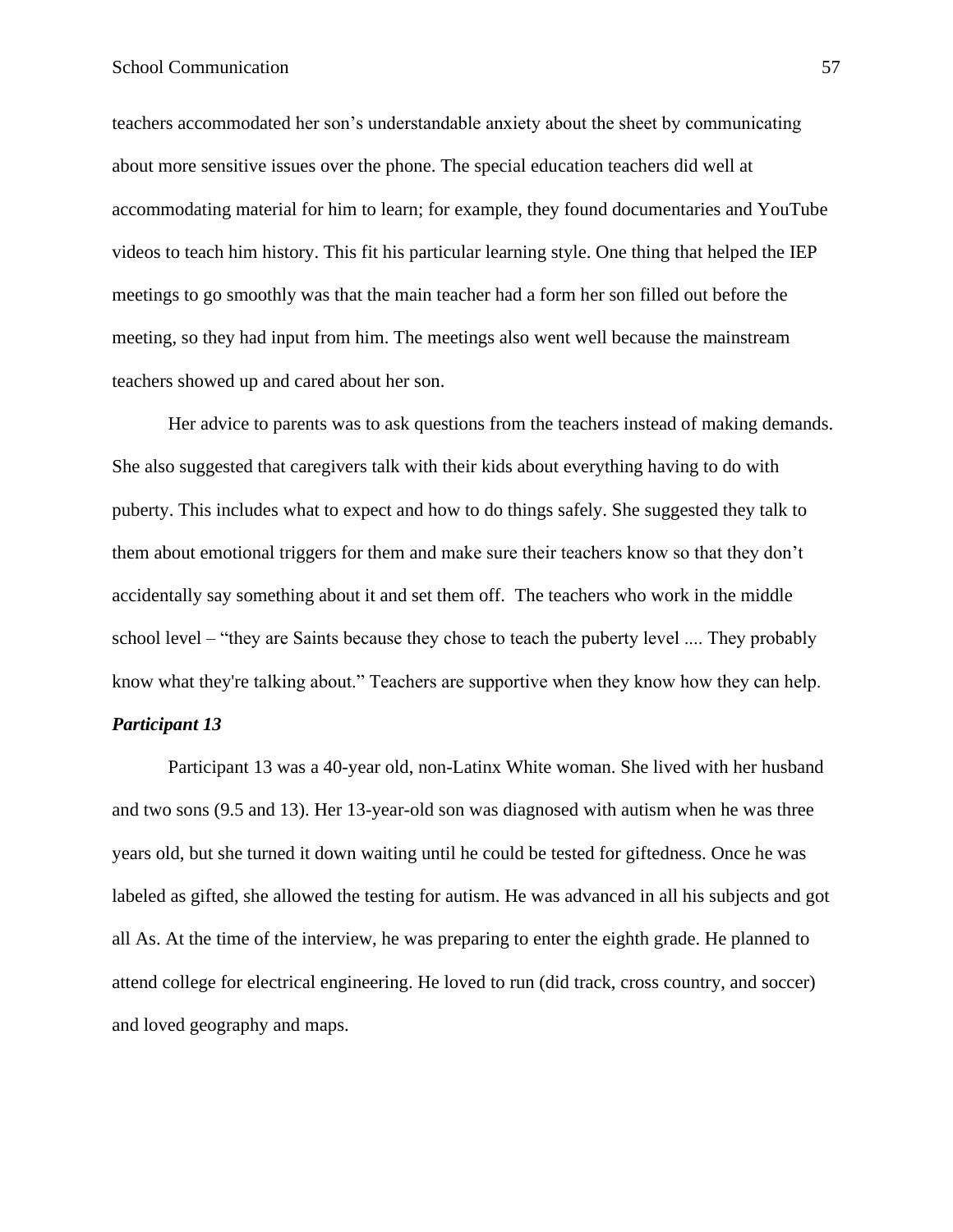teachers accommodated her son's understandable anxiety about the sheet by communicating about more sensitive issues over the phone. The special education teachers did well at accommodating material for him to learn; for example, they found documentaries and YouTube videos to teach him history. This fit his particular learning style. One thing that helped the IEP meetings to go smoothly was that the main teacher had a form her son filled out before the meeting, so they had input from him. The meetings also went well because the mainstream teachers showed up and cared about her son.

Her advice to parents was to ask questions from the teachers instead of making demands. She also suggested that caregivers talk with their kids about everything having to do with puberty. This includes what to expect and how to do things safely. She suggested they talk to them about emotional triggers for them and make sure their teachers know so that they don't accidentally say something about it and set them off. The teachers who work in the middle school level – "they are Saints because they chose to teach the puberty level .... They probably know what they're talking about." Teachers are supportive when they know how they can help.

## *Participant 13*

Participant 13 was a 40-year old, non-Latinx White woman. She lived with her husband and two sons (9.5 and 13). Her 13-year-old son was diagnosed with autism when he was three years old, but she turned it down waiting until he could be tested for giftedness. Once he was labeled as gifted, she allowed the testing for autism. He was advanced in all his subjects and got all As. At the time of the interview, he was preparing to enter the eighth grade. He planned to attend college for electrical engineering. He loved to run (did track, cross country, and soccer) and loved geography and maps.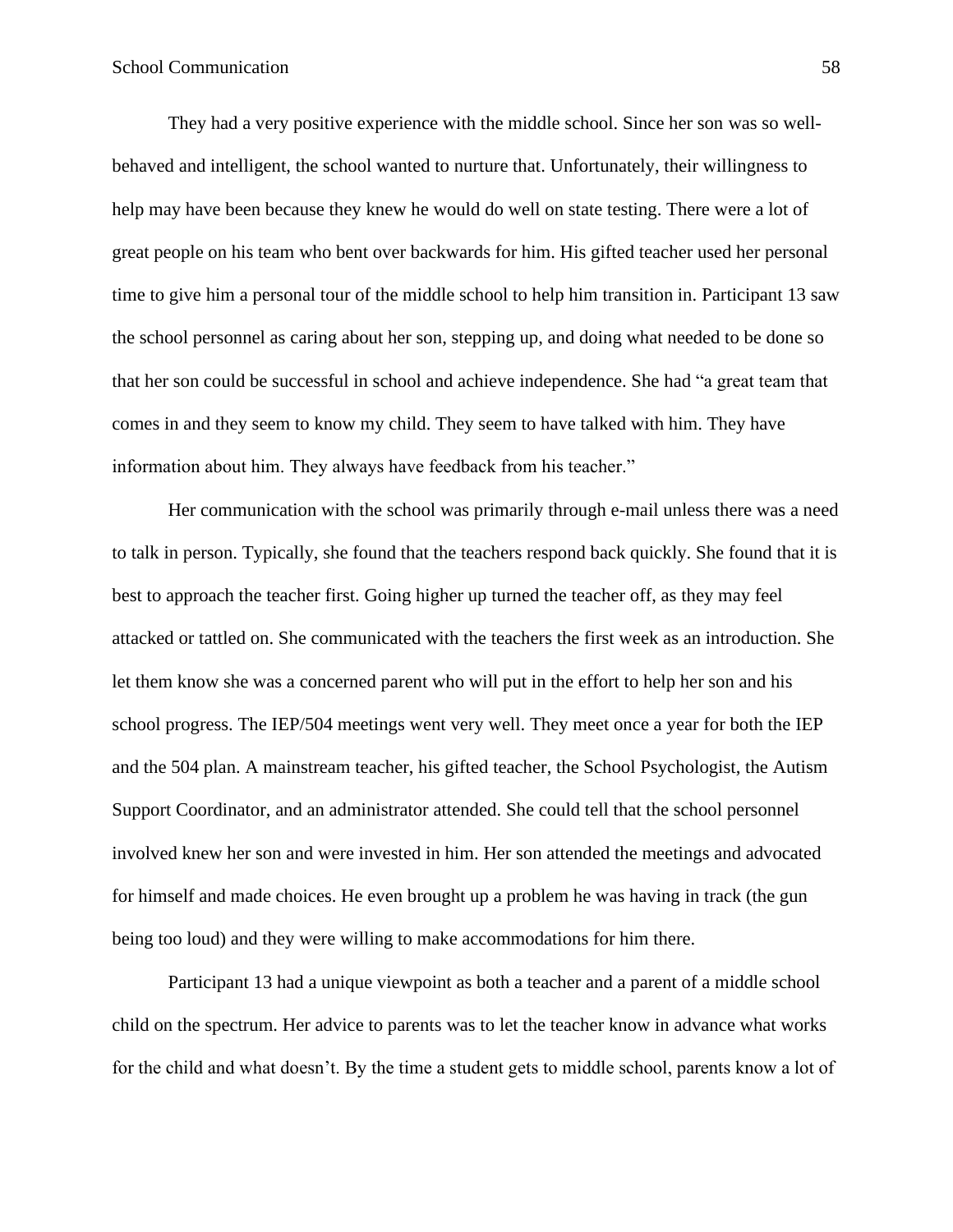They had a very positive experience with the middle school. Since her son was so wellbehaved and intelligent, the school wanted to nurture that. Unfortunately, their willingness to help may have been because they knew he would do well on state testing. There were a lot of great people on his team who bent over backwards for him. His gifted teacher used her personal time to give him a personal tour of the middle school to help him transition in. Participant 13 saw the school personnel as caring about her son, stepping up, and doing what needed to be done so that her son could be successful in school and achieve independence. She had "a great team that comes in and they seem to know my child. They seem to have talked with him. They have information about him. They always have feedback from his teacher."

Her communication with the school was primarily through e-mail unless there was a need to talk in person. Typically, she found that the teachers respond back quickly. She found that it is best to approach the teacher first. Going higher up turned the teacher off, as they may feel attacked or tattled on. She communicated with the teachers the first week as an introduction. She let them know she was a concerned parent who will put in the effort to help her son and his school progress. The IEP/504 meetings went very well. They meet once a year for both the IEP and the 504 plan. A mainstream teacher, his gifted teacher, the School Psychologist, the Autism Support Coordinator, and an administrator attended. She could tell that the school personnel involved knew her son and were invested in him. Her son attended the meetings and advocated for himself and made choices. He even brought up a problem he was having in track (the gun being too loud) and they were willing to make accommodations for him there.

Participant 13 had a unique viewpoint as both a teacher and a parent of a middle school child on the spectrum. Her advice to parents was to let the teacher know in advance what works for the child and what doesn't. By the time a student gets to middle school, parents know a lot of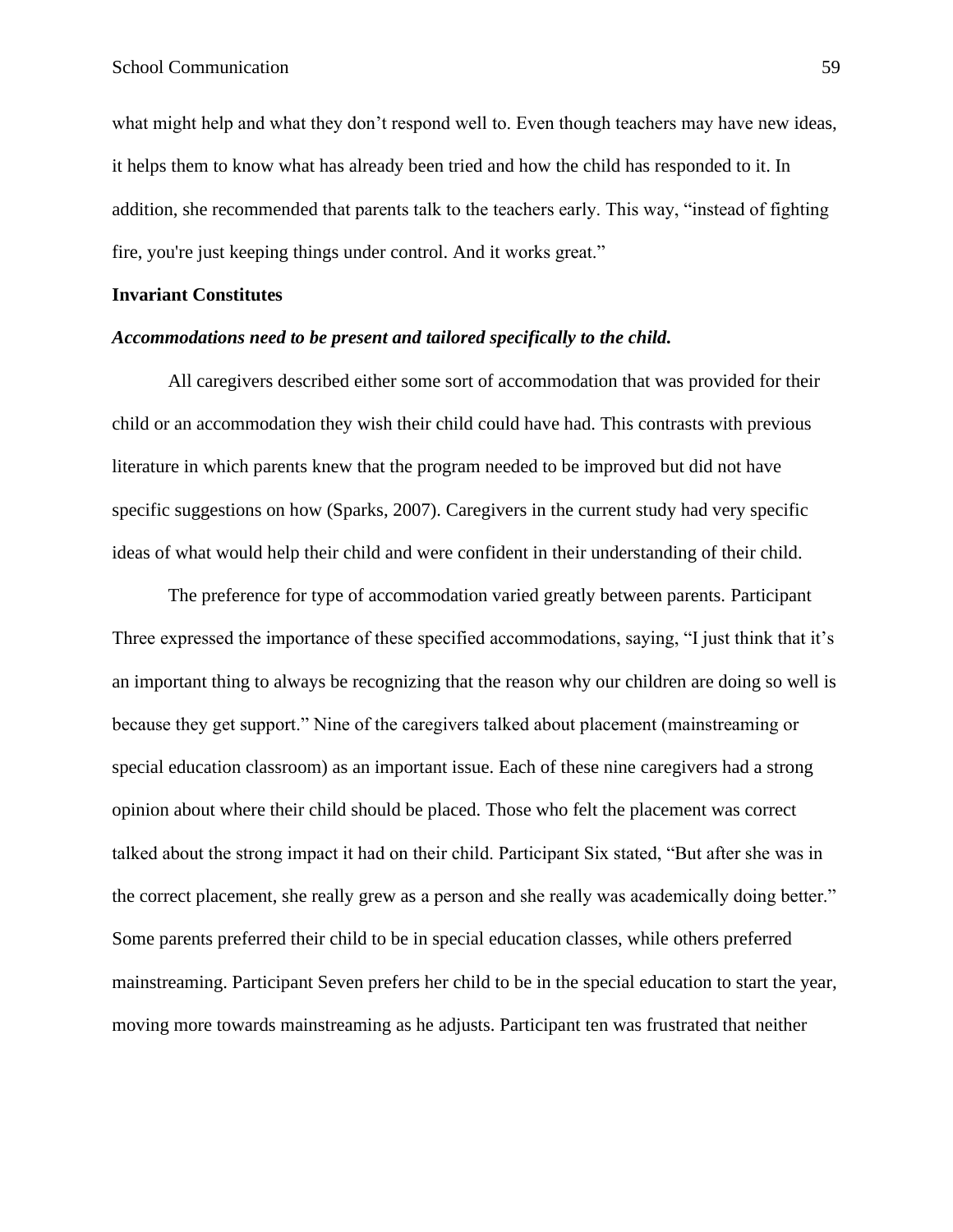what might help and what they don't respond well to. Even though teachers may have new ideas, it helps them to know what has already been tried and how the child has responded to it. In addition, she recommended that parents talk to the teachers early. This way, "instead of fighting fire, you're just keeping things under control. And it works great."

## **Invariant Constitutes**

#### *Accommodations need to be present and tailored specifically to the child.*

All caregivers described either some sort of accommodation that was provided for their child or an accommodation they wish their child could have had. This contrasts with previous literature in which parents knew that the program needed to be improved but did not have specific suggestions on how (Sparks, 2007). Caregivers in the current study had very specific ideas of what would help their child and were confident in their understanding of their child.

The preference for type of accommodation varied greatly between parents. Participant Three expressed the importance of these specified accommodations, saying, "I just think that it's an important thing to always be recognizing that the reason why our children are doing so well is because they get support." Nine of the caregivers talked about placement (mainstreaming or special education classroom) as an important issue. Each of these nine caregivers had a strong opinion about where their child should be placed. Those who felt the placement was correct talked about the strong impact it had on their child. Participant Six stated, "But after she was in the correct placement, she really grew as a person and she really was academically doing better." Some parents preferred their child to be in special education classes, while others preferred mainstreaming. Participant Seven prefers her child to be in the special education to start the year, moving more towards mainstreaming as he adjusts. Participant ten was frustrated that neither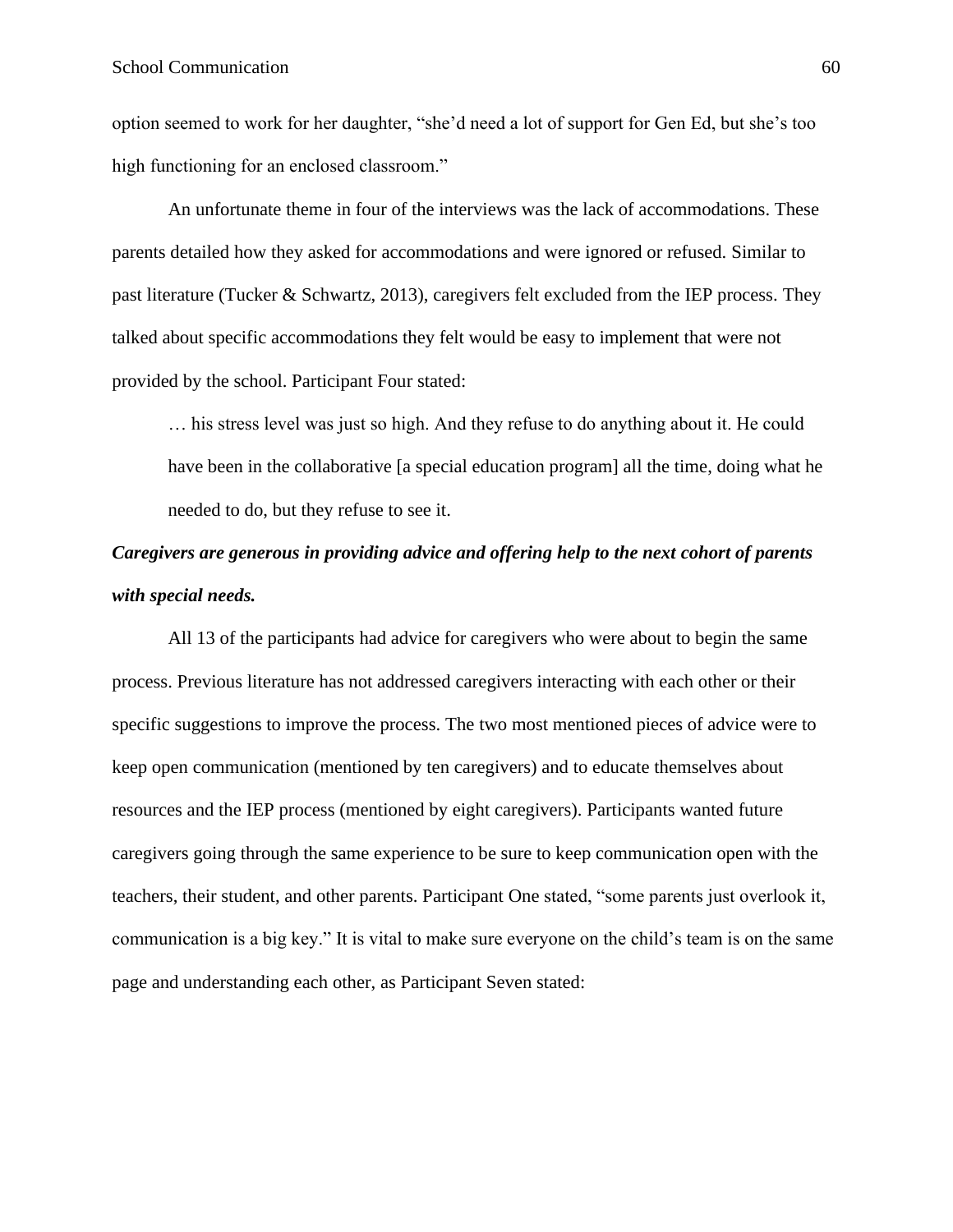option seemed to work for her daughter, "she'd need a lot of support for Gen Ed, but she's too high functioning for an enclosed classroom."

An unfortunate theme in four of the interviews was the lack of accommodations. These parents detailed how they asked for accommodations and were ignored or refused. Similar to past literature (Tucker & Schwartz, 2013), caregivers felt excluded from the IEP process. They talked about specific accommodations they felt would be easy to implement that were not provided by the school. Participant Four stated:

… his stress level was just so high. And they refuse to do anything about it. He could have been in the collaborative [a special education program] all the time, doing what he needed to do, but they refuse to see it.

## *Caregivers are generous in providing advice and offering help to the next cohort of parents with special needs.*

All 13 of the participants had advice for caregivers who were about to begin the same process. Previous literature has not addressed caregivers interacting with each other or their specific suggestions to improve the process. The two most mentioned pieces of advice were to keep open communication (mentioned by ten caregivers) and to educate themselves about resources and the IEP process (mentioned by eight caregivers). Participants wanted future caregivers going through the same experience to be sure to keep communication open with the teachers, their student, and other parents. Participant One stated, "some parents just overlook it, communication is a big key." It is vital to make sure everyone on the child's team is on the same page and understanding each other, as Participant Seven stated: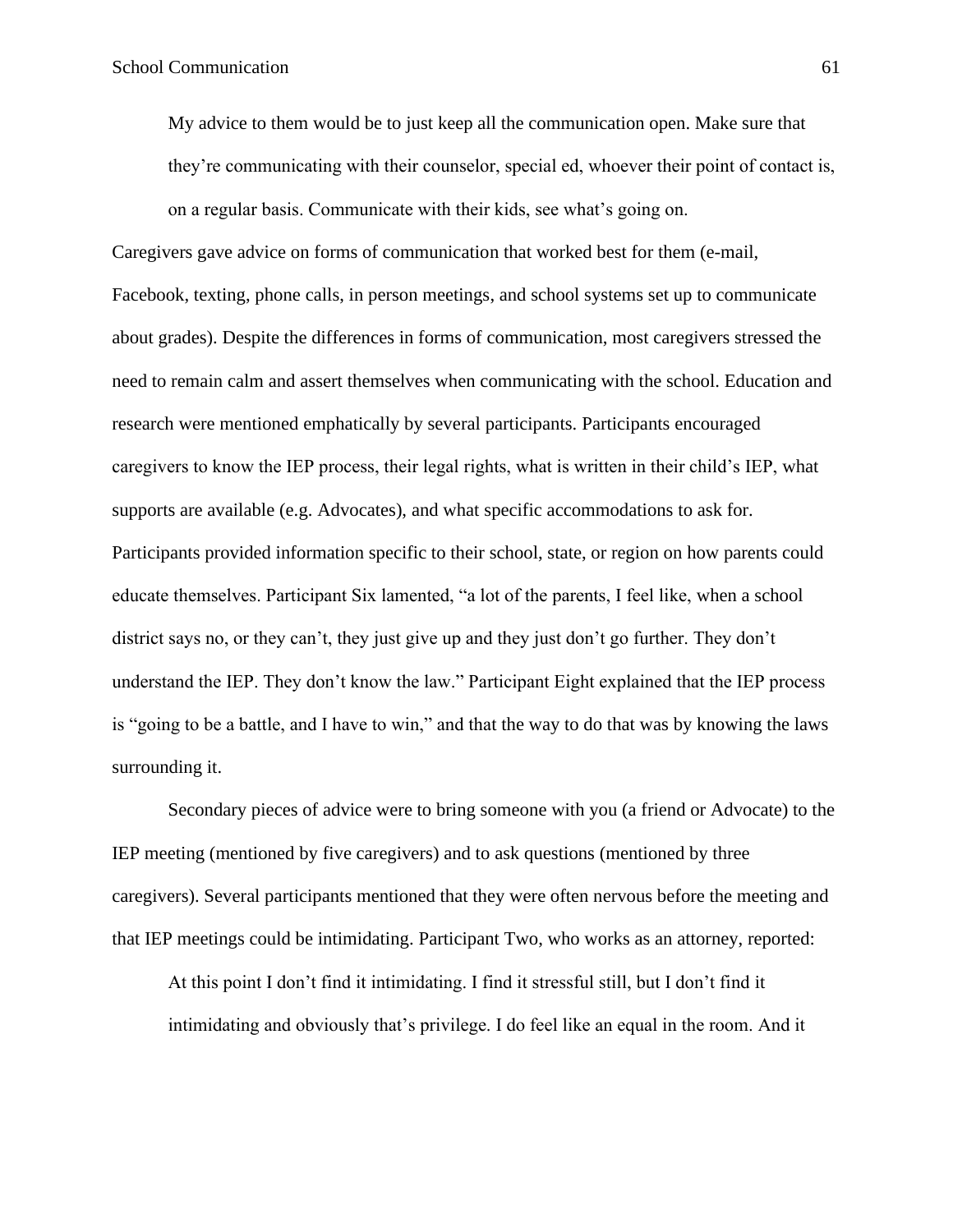My advice to them would be to just keep all the communication open. Make sure that they're communicating with their counselor, special ed, whoever their point of contact is, on a regular basis. Communicate with their kids, see what's going on.

Caregivers gave advice on forms of communication that worked best for them (e-mail, Facebook, texting, phone calls, in person meetings, and school systems set up to communicate about grades). Despite the differences in forms of communication, most caregivers stressed the need to remain calm and assert themselves when communicating with the school. Education and research were mentioned emphatically by several participants. Participants encouraged caregivers to know the IEP process, their legal rights, what is written in their child's IEP, what supports are available (e.g. Advocates), and what specific accommodations to ask for. Participants provided information specific to their school, state, or region on how parents could educate themselves. Participant Six lamented, "a lot of the parents, I feel like, when a school district says no, or they can't, they just give up and they just don't go further. They don't understand the IEP. They don't know the law." Participant Eight explained that the IEP process is "going to be a battle, and I have to win," and that the way to do that was by knowing the laws surrounding it.

Secondary pieces of advice were to bring someone with you (a friend or Advocate) to the IEP meeting (mentioned by five caregivers) and to ask questions (mentioned by three caregivers). Several participants mentioned that they were often nervous before the meeting and that IEP meetings could be intimidating. Participant Two, who works as an attorney, reported:

At this point I don't find it intimidating. I find it stressful still, but I don't find it intimidating and obviously that's privilege. I do feel like an equal in the room. And it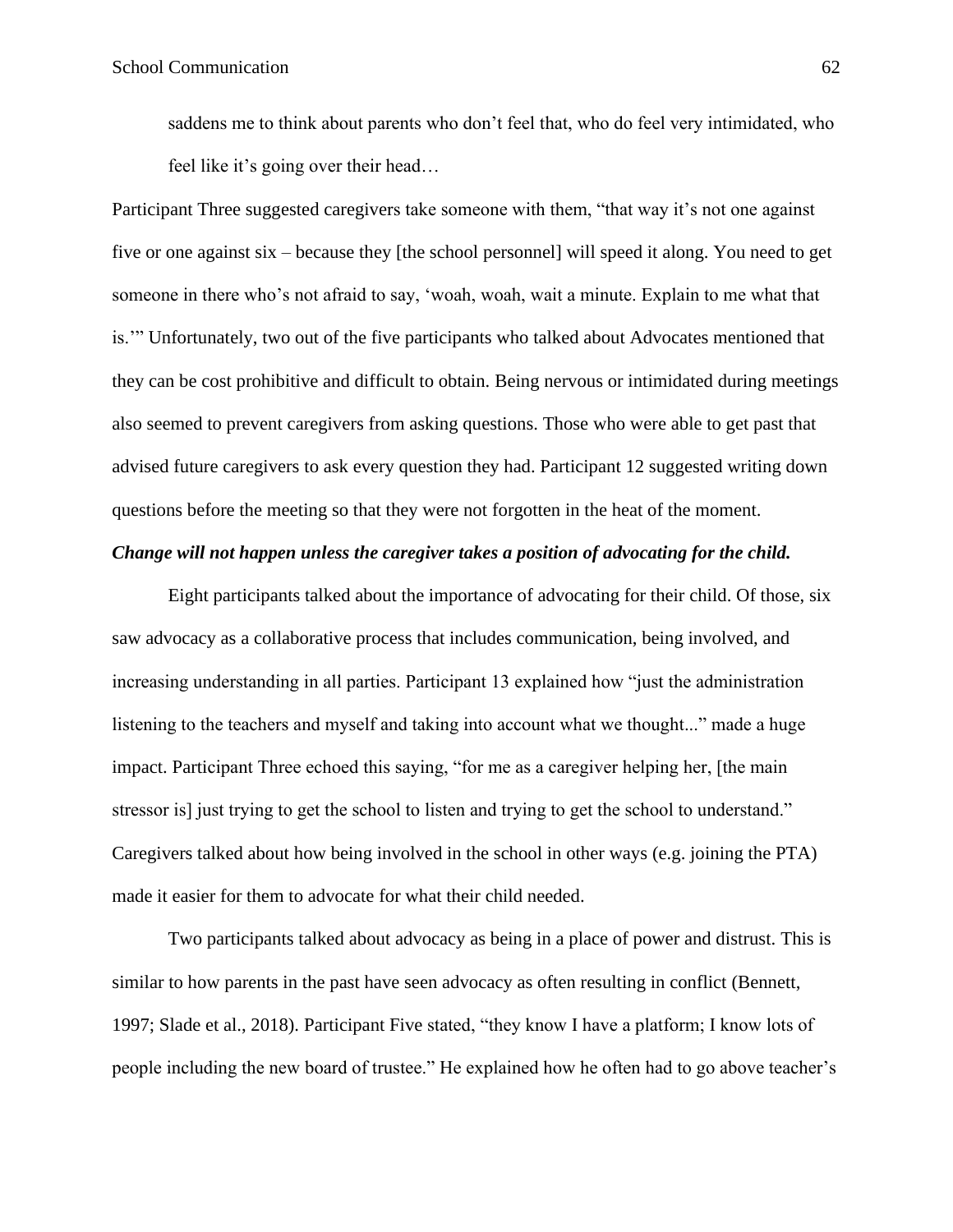saddens me to think about parents who don't feel that, who do feel very intimidated, who feel like it's going over their head…

Participant Three suggested caregivers take someone with them, "that way it's not one against five or one against six – because they [the school personnel] will speed it along. You need to get someone in there who's not afraid to say, 'woah, woah, wait a minute. Explain to me what that is.'" Unfortunately, two out of the five participants who talked about Advocates mentioned that they can be cost prohibitive and difficult to obtain. Being nervous or intimidated during meetings also seemed to prevent caregivers from asking questions. Those who were able to get past that advised future caregivers to ask every question they had. Participant 12 suggested writing down questions before the meeting so that they were not forgotten in the heat of the moment.

## *Change will not happen unless the caregiver takes a position of advocating for the child.*

Eight participants talked about the importance of advocating for their child. Of those, six saw advocacy as a collaborative process that includes communication, being involved, and increasing understanding in all parties. Participant 13 explained how "just the administration listening to the teachers and myself and taking into account what we thought..." made a huge impact. Participant Three echoed this saying, "for me as a caregiver helping her, [the main stressor is] just trying to get the school to listen and trying to get the school to understand." Caregivers talked about how being involved in the school in other ways (e.g. joining the PTA) made it easier for them to advocate for what their child needed.

Two participants talked about advocacy as being in a place of power and distrust. This is similar to how parents in the past have seen advocacy as often resulting in conflict (Bennett, 1997; Slade et al., 2018). Participant Five stated, "they know I have a platform; I know lots of people including the new board of trustee." He explained how he often had to go above teacher's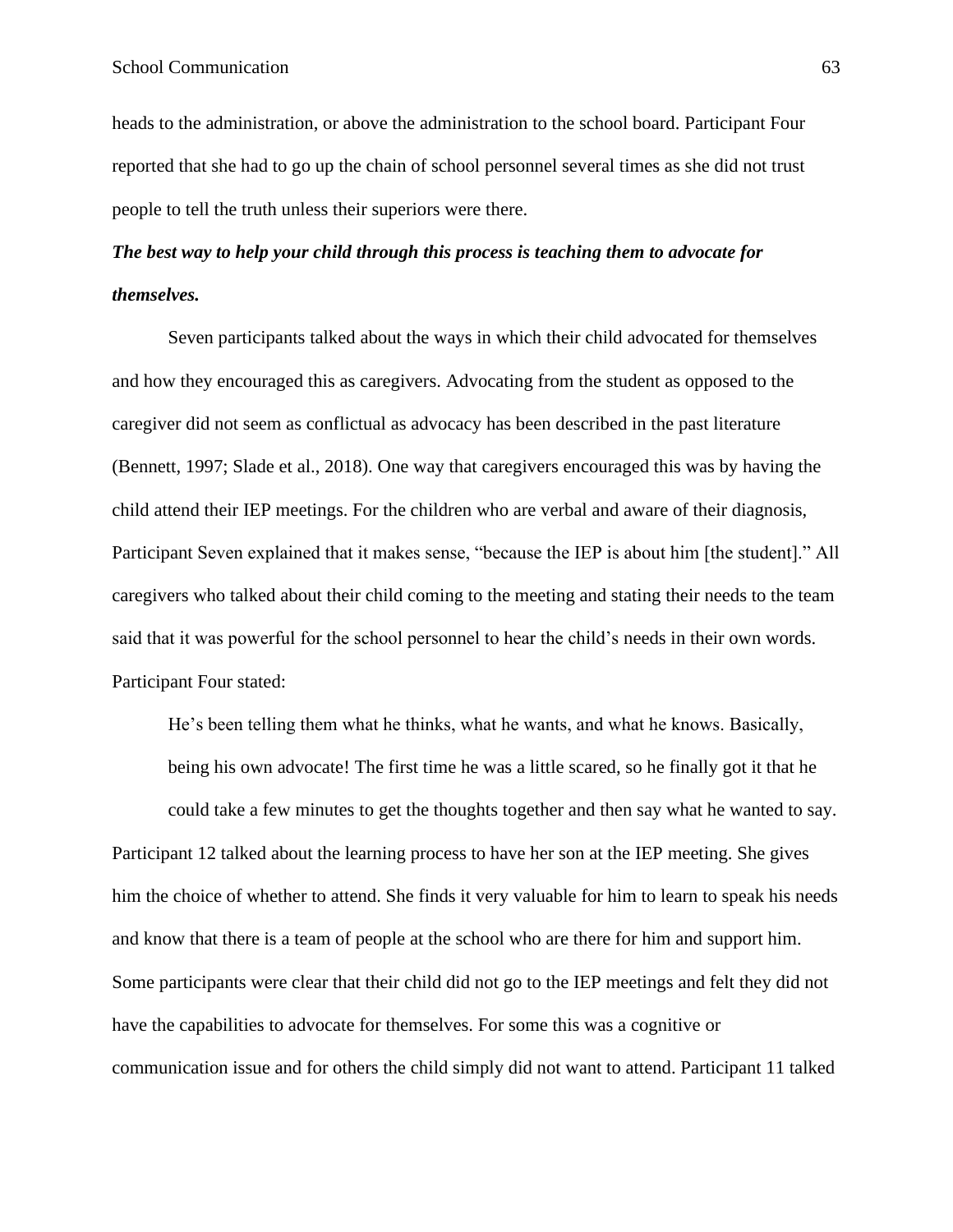heads to the administration, or above the administration to the school board. Participant Four reported that she had to go up the chain of school personnel several times as she did not trust people to tell the truth unless their superiors were there.

# *The best way to help your child through this process is teaching them to advocate for themselves.*

Seven participants talked about the ways in which their child advocated for themselves and how they encouraged this as caregivers. Advocating from the student as opposed to the caregiver did not seem as conflictual as advocacy has been described in the past literature (Bennett, 1997; Slade et al., 2018). One way that caregivers encouraged this was by having the child attend their IEP meetings. For the children who are verbal and aware of their diagnosis, Participant Seven explained that it makes sense, "because the IEP is about him [the student]." All caregivers who talked about their child coming to the meeting and stating their needs to the team said that it was powerful for the school personnel to hear the child's needs in their own words. Participant Four stated:

He's been telling them what he thinks, what he wants, and what he knows. Basically, being his own advocate! The first time he was a little scared, so he finally got it that he could take a few minutes to get the thoughts together and then say what he wanted to say. Participant 12 talked about the learning process to have her son at the IEP meeting. She gives him the choice of whether to attend. She finds it very valuable for him to learn to speak his needs and know that there is a team of people at the school who are there for him and support him. Some participants were clear that their child did not go to the IEP meetings and felt they did not have the capabilities to advocate for themselves. For some this was a cognitive or communication issue and for others the child simply did not want to attend. Participant 11 talked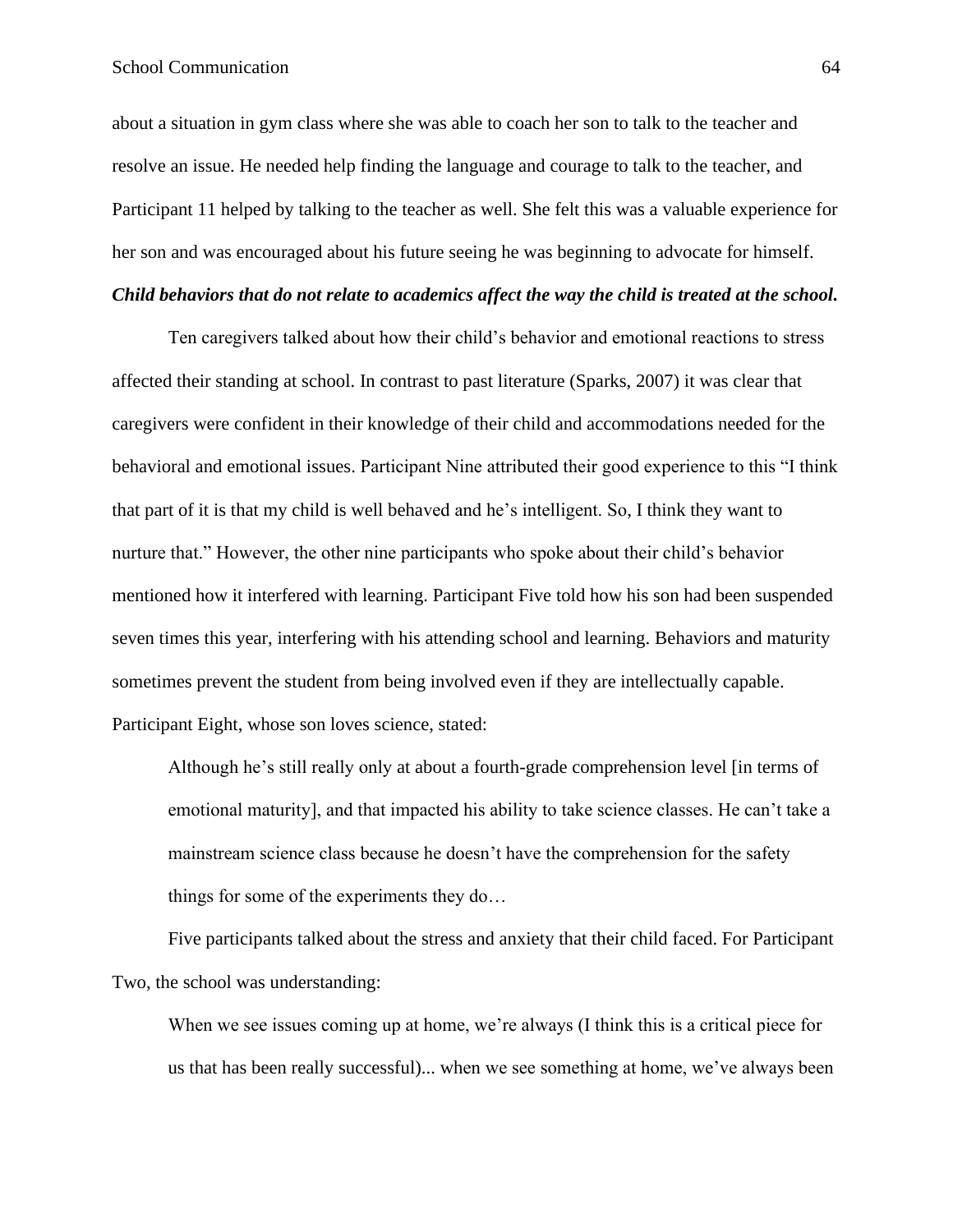about a situation in gym class where she was able to coach her son to talk to the teacher and resolve an issue. He needed help finding the language and courage to talk to the teacher, and Participant 11 helped by talking to the teacher as well. She felt this was a valuable experience for her son and was encouraged about his future seeing he was beginning to advocate for himself.

## *Child behaviors that do not relate to academics affect the way the child is treated at the school.*

Ten caregivers talked about how their child's behavior and emotional reactions to stress affected their standing at school. In contrast to past literature (Sparks, 2007) it was clear that caregivers were confident in their knowledge of their child and accommodations needed for the behavioral and emotional issues. Participant Nine attributed their good experience to this "I think that part of it is that my child is well behaved and he's intelligent. So, I think they want to nurture that." However, the other nine participants who spoke about their child's behavior mentioned how it interfered with learning. Participant Five told how his son had been suspended seven times this year, interfering with his attending school and learning. Behaviors and maturity sometimes prevent the student from being involved even if they are intellectually capable. Participant Eight, whose son loves science, stated:

Although he's still really only at about a fourth-grade comprehension level [in terms of emotional maturity], and that impacted his ability to take science classes. He can't take a mainstream science class because he doesn't have the comprehension for the safety things for some of the experiments they do…

Five participants talked about the stress and anxiety that their child faced. For Participant Two, the school was understanding:

When we see issues coming up at home, we're always (I think this is a critical piece for us that has been really successful)... when we see something at home, we've always been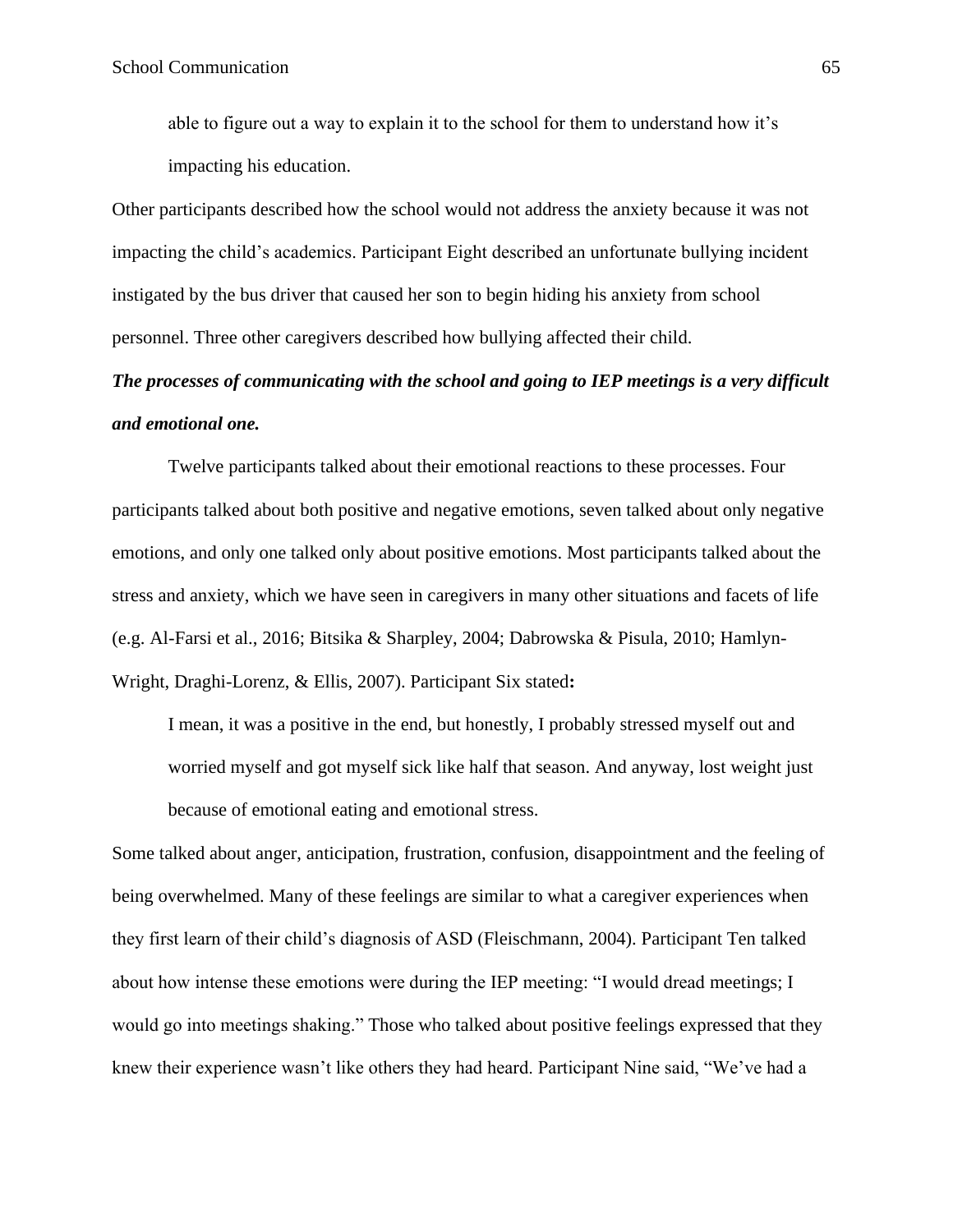able to figure out a way to explain it to the school for them to understand how it's impacting his education.

Other participants described how the school would not address the anxiety because it was not impacting the child's academics. Participant Eight described an unfortunate bullying incident instigated by the bus driver that caused her son to begin hiding his anxiety from school personnel. Three other caregivers described how bullying affected their child.

# *The processes of communicating with the school and going to IEP meetings is a very difficult and emotional one.*

Twelve participants talked about their emotional reactions to these processes. Four participants talked about both positive and negative emotions, seven talked about only negative emotions, and only one talked only about positive emotions. Most participants talked about the stress and anxiety, which we have seen in caregivers in many other situations and facets of life (e.g. Al-Farsi et al., 2016; Bitsika & Sharpley, 2004; Dabrowska & Pisula, 2010; Hamlyn-Wright, Draghi-Lorenz, & Ellis, 2007). Participant Six stated**:**

I mean, it was a positive in the end, but honestly, I probably stressed myself out and worried myself and got myself sick like half that season. And anyway, lost weight just because of emotional eating and emotional stress.

Some talked about anger, anticipation, frustration, confusion, disappointment and the feeling of being overwhelmed. Many of these feelings are similar to what a caregiver experiences when they first learn of their child's diagnosis of ASD (Fleischmann, 2004). Participant Ten talked about how intense these emotions were during the IEP meeting: "I would dread meetings; I would go into meetings shaking." Those who talked about positive feelings expressed that they knew their experience wasn't like others they had heard. Participant Nine said, "We've had a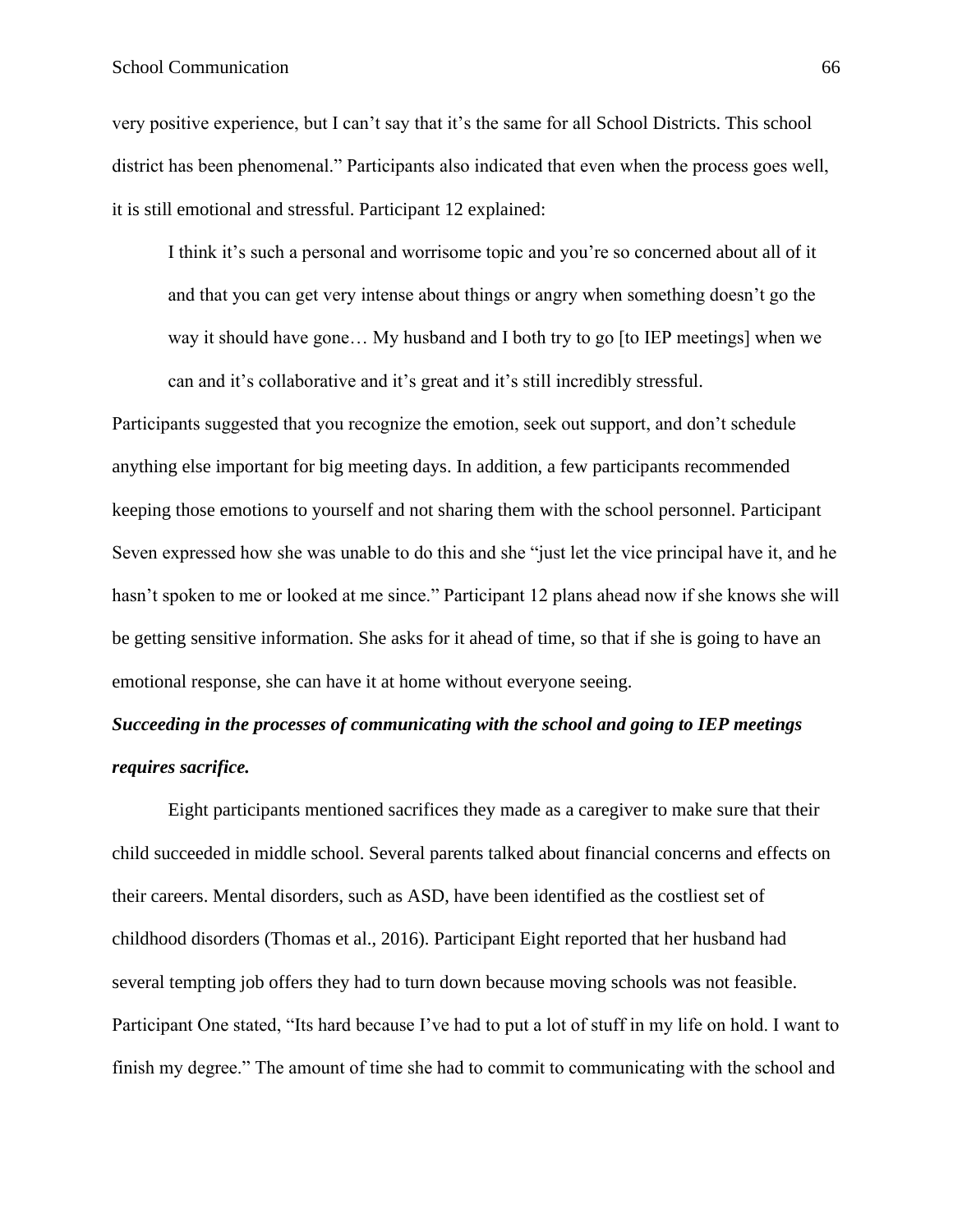## School Communication 66

very positive experience, but I can't say that it's the same for all School Districts. This school district has been phenomenal." Participants also indicated that even when the process goes well, it is still emotional and stressful. Participant 12 explained:

I think it's such a personal and worrisome topic and you're so concerned about all of it and that you can get very intense about things or angry when something doesn't go the way it should have gone… My husband and I both try to go [to IEP meetings] when we can and it's collaborative and it's great and it's still incredibly stressful.

Participants suggested that you recognize the emotion, seek out support, and don't schedule anything else important for big meeting days. In addition, a few participants recommended keeping those emotions to yourself and not sharing them with the school personnel. Participant Seven expressed how she was unable to do this and she "just let the vice principal have it, and he hasn't spoken to me or looked at me since." Participant 12 plans ahead now if she knows she will be getting sensitive information. She asks for it ahead of time, so that if she is going to have an emotional response, she can have it at home without everyone seeing.

## *Succeeding in the processes of communicating with the school and going to IEP meetings requires sacrifice.*

Eight participants mentioned sacrifices they made as a caregiver to make sure that their child succeeded in middle school. Several parents talked about financial concerns and effects on their careers. Mental disorders, such as ASD, have been identified as the costliest set of childhood disorders (Thomas et al., 2016). Participant Eight reported that her husband had several tempting job offers they had to turn down because moving schools was not feasible. Participant One stated, "Its hard because I've had to put a lot of stuff in my life on hold. I want to finish my degree." The amount of time she had to commit to communicating with the school and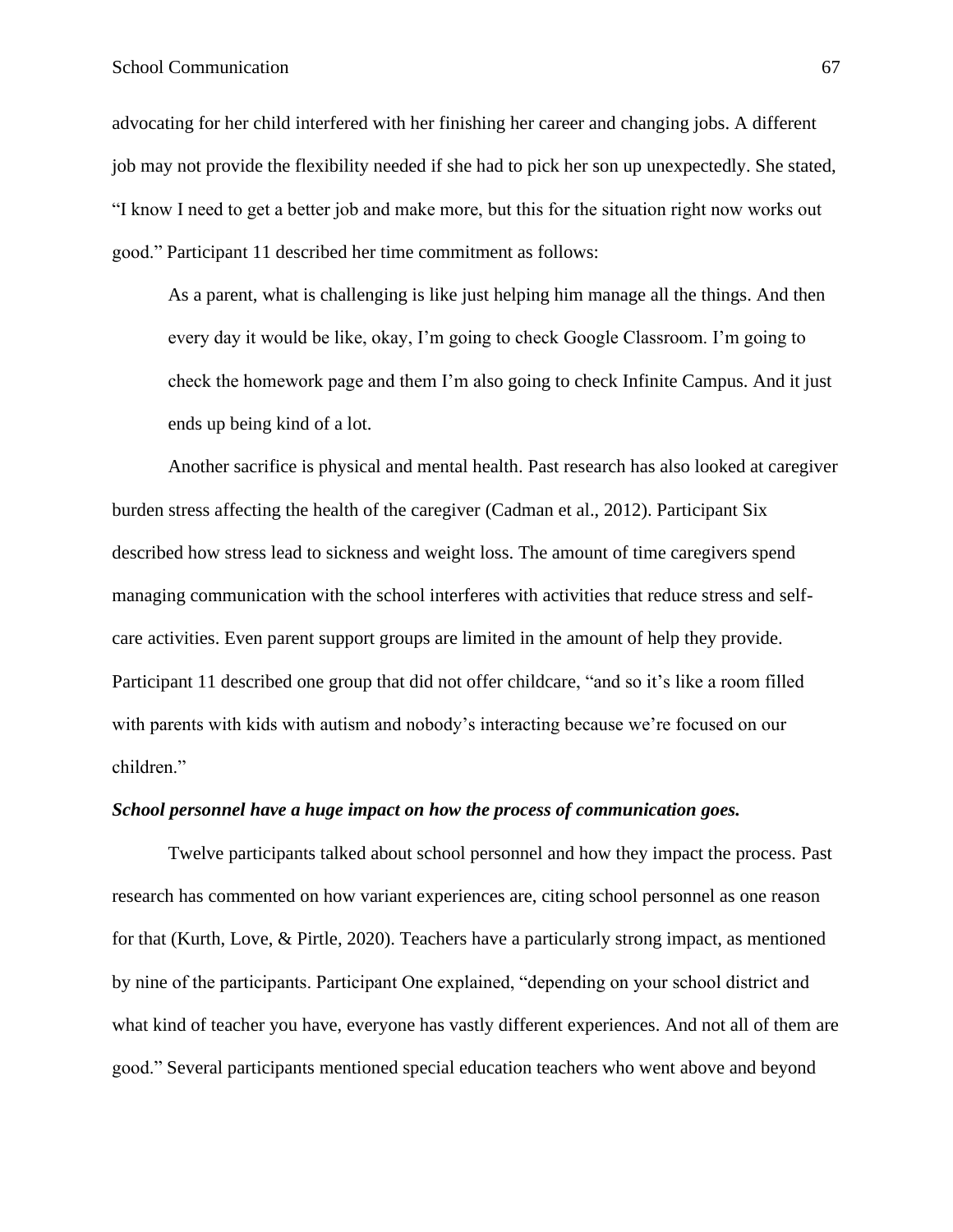## School Communication 67

advocating for her child interfered with her finishing her career and changing jobs. A different job may not provide the flexibility needed if she had to pick her son up unexpectedly. She stated, "I know I need to get a better job and make more, but this for the situation right now works out good." Participant 11 described her time commitment as follows:

As a parent, what is challenging is like just helping him manage all the things. And then every day it would be like, okay, I'm going to check Google Classroom. I'm going to check the homework page and them I'm also going to check Infinite Campus. And it just ends up being kind of a lot.

Another sacrifice is physical and mental health. Past research has also looked at caregiver burden stress affecting the health of the caregiver (Cadman et al., 2012). Participant Six described how stress lead to sickness and weight loss. The amount of time caregivers spend managing communication with the school interferes with activities that reduce stress and selfcare activities. Even parent support groups are limited in the amount of help they provide. Participant 11 described one group that did not offer childcare, "and so it's like a room filled with parents with kids with autism and nobody's interacting because we're focused on our children."

#### *School personnel have a huge impact on how the process of communication goes.*

Twelve participants talked about school personnel and how they impact the process. Past research has commented on how variant experiences are, citing school personnel as one reason for that (Kurth, Love, & Pirtle, 2020). Teachers have a particularly strong impact, as mentioned by nine of the participants. Participant One explained, "depending on your school district and what kind of teacher you have, everyone has vastly different experiences. And not all of them are good." Several participants mentioned special education teachers who went above and beyond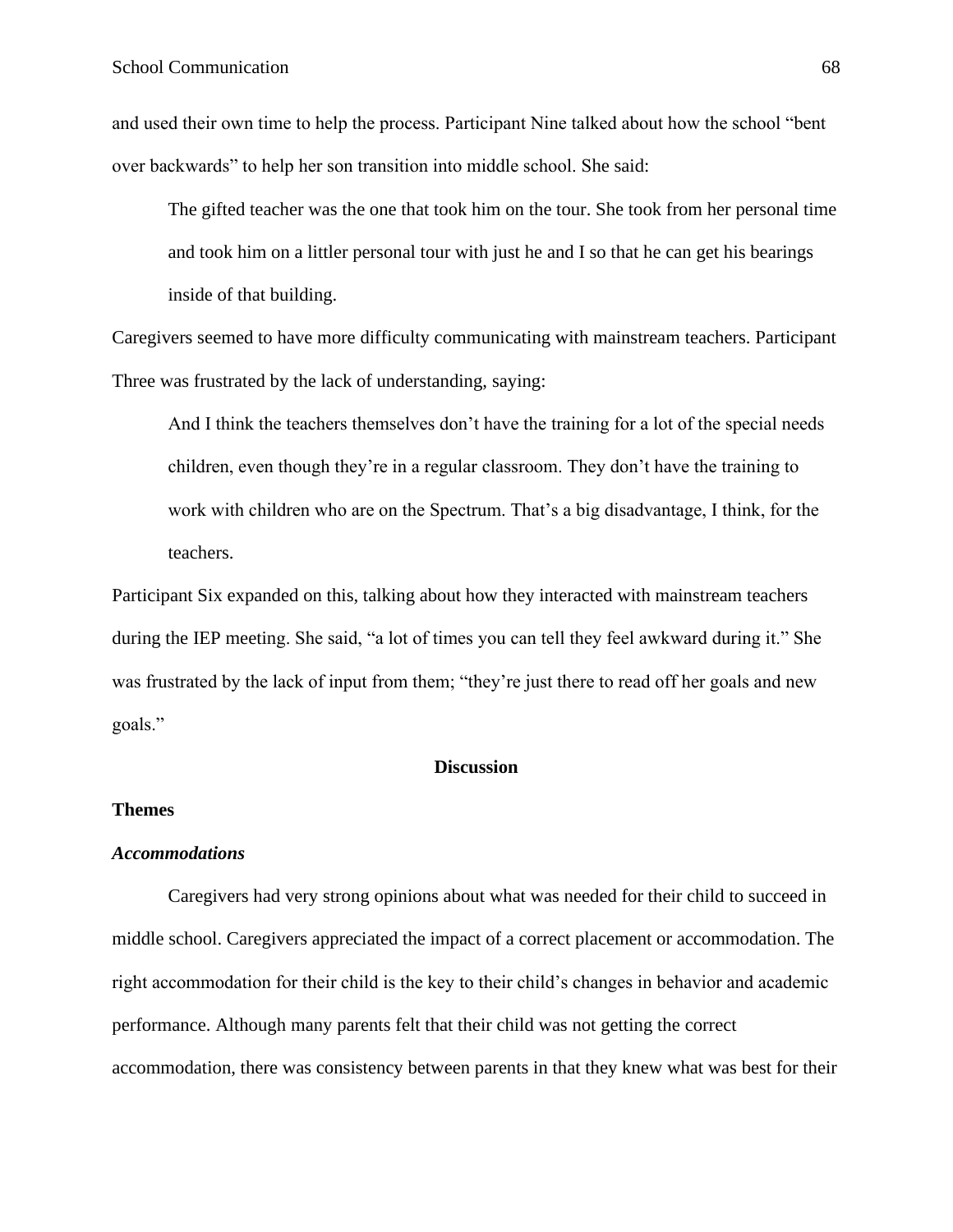and used their own time to help the process. Participant Nine talked about how the school "bent over backwards" to help her son transition into middle school. She said:

The gifted teacher was the one that took him on the tour. She took from her personal time and took him on a littler personal tour with just he and I so that he can get his bearings inside of that building.

Caregivers seemed to have more difficulty communicating with mainstream teachers. Participant Three was frustrated by the lack of understanding, saying:

And I think the teachers themselves don't have the training for a lot of the special needs children, even though they're in a regular classroom. They don't have the training to work with children who are on the Spectrum. That's a big disadvantage, I think, for the teachers.

Participant Six expanded on this, talking about how they interacted with mainstream teachers during the IEP meeting. She said, "a lot of times you can tell they feel awkward during it." She was frustrated by the lack of input from them; "they're just there to read off her goals and new goals."

## **Discussion**

## **Themes**

#### *Accommodations*

Caregivers had very strong opinions about what was needed for their child to succeed in middle school. Caregivers appreciated the impact of a correct placement or accommodation. The right accommodation for their child is the key to their child's changes in behavior and academic performance. Although many parents felt that their child was not getting the correct accommodation, there was consistency between parents in that they knew what was best for their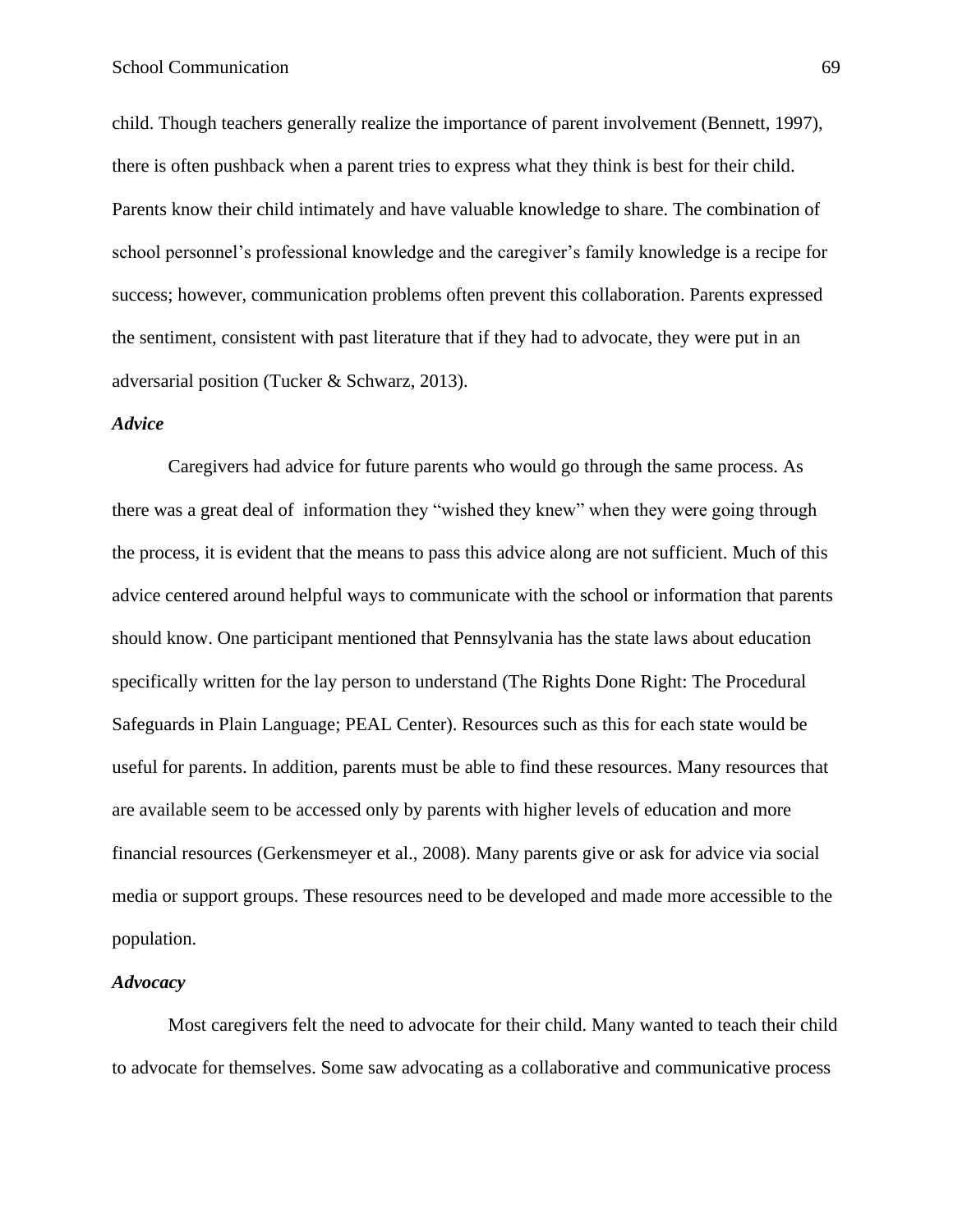child. Though teachers generally realize the importance of parent involvement (Bennett, 1997), there is often pushback when a parent tries to express what they think is best for their child. Parents know their child intimately and have valuable knowledge to share. The combination of school personnel's professional knowledge and the caregiver's family knowledge is a recipe for success; however, communication problems often prevent this collaboration. Parents expressed the sentiment, consistent with past literature that if they had to advocate, they were put in an adversarial position (Tucker & Schwarz, 2013).

#### *Advice*

Caregivers had advice for future parents who would go through the same process. As there was a great deal of information they "wished they knew" when they were going through the process, it is evident that the means to pass this advice along are not sufficient. Much of this advice centered around helpful ways to communicate with the school or information that parents should know. One participant mentioned that Pennsylvania has the state laws about education specifically written for the lay person to understand (The Rights Done Right: The Procedural Safeguards in Plain Language; PEAL Center). Resources such as this for each state would be useful for parents. In addition, parents must be able to find these resources. Many resources that are available seem to be accessed only by parents with higher levels of education and more financial resources (Gerkensmeyer et al., 2008). Many parents give or ask for advice via social media or support groups. These resources need to be developed and made more accessible to the population.

## *Advocacy*

Most caregivers felt the need to advocate for their child. Many wanted to teach their child to advocate for themselves. Some saw advocating as a collaborative and communicative process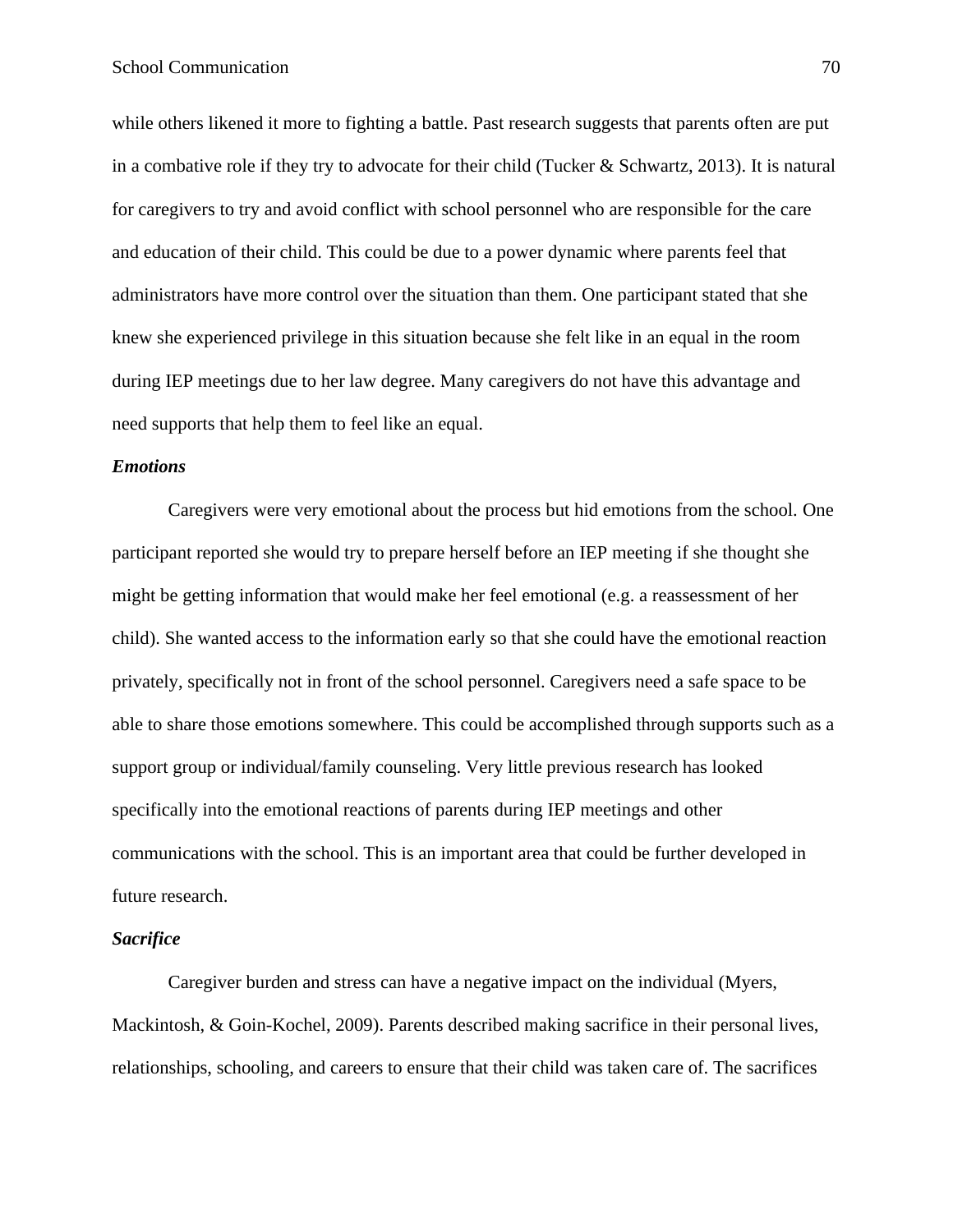while others likened it more to fighting a battle. Past research suggests that parents often are put in a combative role if they try to advocate for their child (Tucker & Schwartz, 2013). It is natural for caregivers to try and avoid conflict with school personnel who are responsible for the care and education of their child. This could be due to a power dynamic where parents feel that administrators have more control over the situation than them. One participant stated that she knew she experienced privilege in this situation because she felt like in an equal in the room during IEP meetings due to her law degree. Many caregivers do not have this advantage and need supports that help them to feel like an equal.

### *Emotions*

Caregivers were very emotional about the process but hid emotions from the school. One participant reported she would try to prepare herself before an IEP meeting if she thought she might be getting information that would make her feel emotional (e.g. a reassessment of her child). She wanted access to the information early so that she could have the emotional reaction privately, specifically not in front of the school personnel. Caregivers need a safe space to be able to share those emotions somewhere. This could be accomplished through supports such as a support group or individual/family counseling. Very little previous research has looked specifically into the emotional reactions of parents during IEP meetings and other communications with the school. This is an important area that could be further developed in future research.

#### *Sacrifice*

Caregiver burden and stress can have a negative impact on the individual (Myers, Mackintosh, & Goin-Kochel, 2009). Parents described making sacrifice in their personal lives, relationships, schooling, and careers to ensure that their child was taken care of. The sacrifices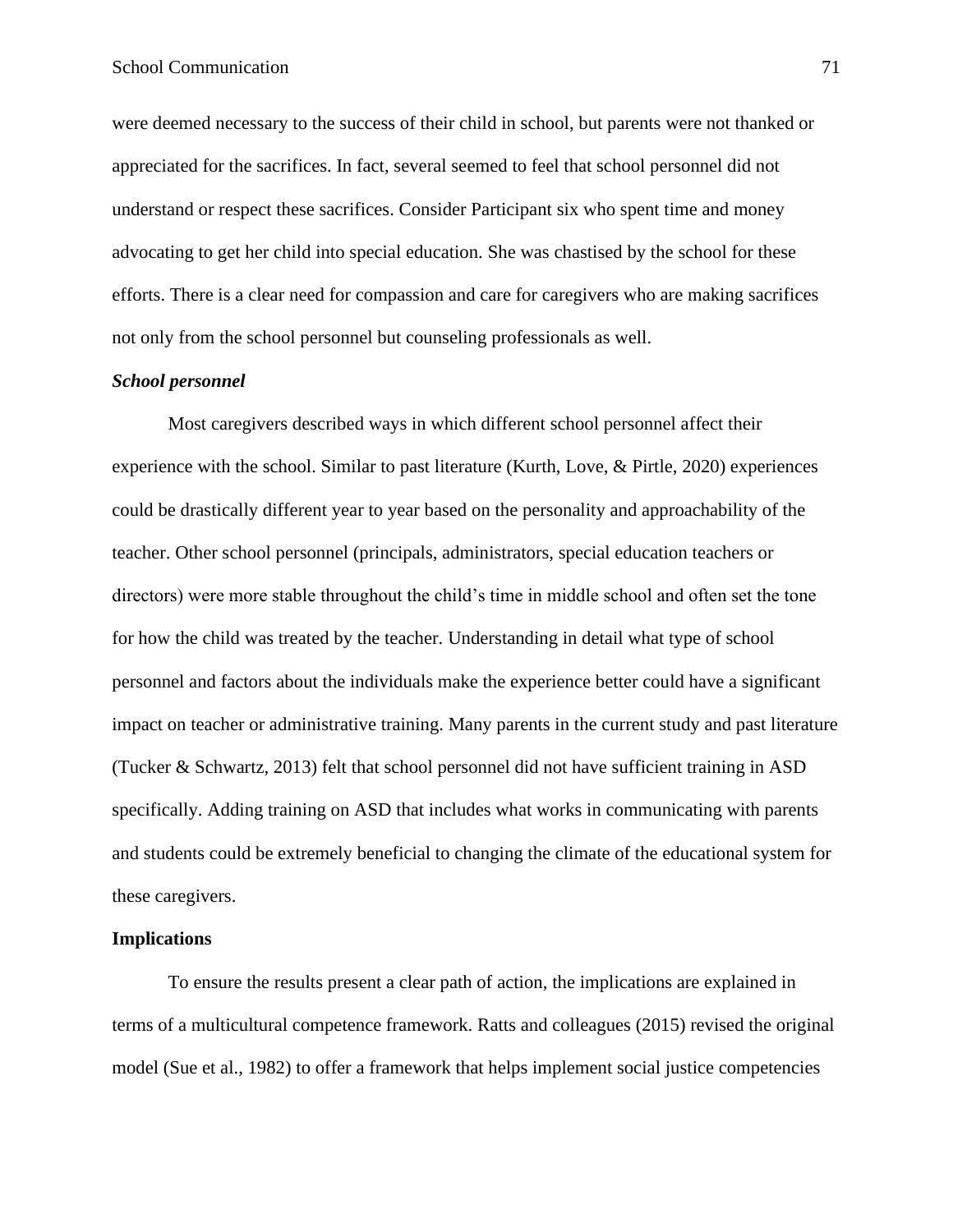were deemed necessary to the success of their child in school, but parents were not thanked or appreciated for the sacrifices. In fact, several seemed to feel that school personnel did not understand or respect these sacrifices. Consider Participant six who spent time and money advocating to get her child into special education. She was chastised by the school for these efforts. There is a clear need for compassion and care for caregivers who are making sacrifices not only from the school personnel but counseling professionals as well.

## *School personnel*

Most caregivers described ways in which different school personnel affect their experience with the school. Similar to past literature (Kurth, Love, & Pirtle, 2020) experiences could be drastically different year to year based on the personality and approachability of the teacher. Other school personnel (principals, administrators, special education teachers or directors) were more stable throughout the child's time in middle school and often set the tone for how the child was treated by the teacher. Understanding in detail what type of school personnel and factors about the individuals make the experience better could have a significant impact on teacher or administrative training. Many parents in the current study and past literature (Tucker & Schwartz, 2013) felt that school personnel did not have sufficient training in ASD specifically. Adding training on ASD that includes what works in communicating with parents and students could be extremely beneficial to changing the climate of the educational system for these caregivers.

## **Implications**

To ensure the results present a clear path of action, the implications are explained in terms of a multicultural competence framework. Ratts and colleagues (2015) revised the original model (Sue et al., 1982) to offer a framework that helps implement social justice competencies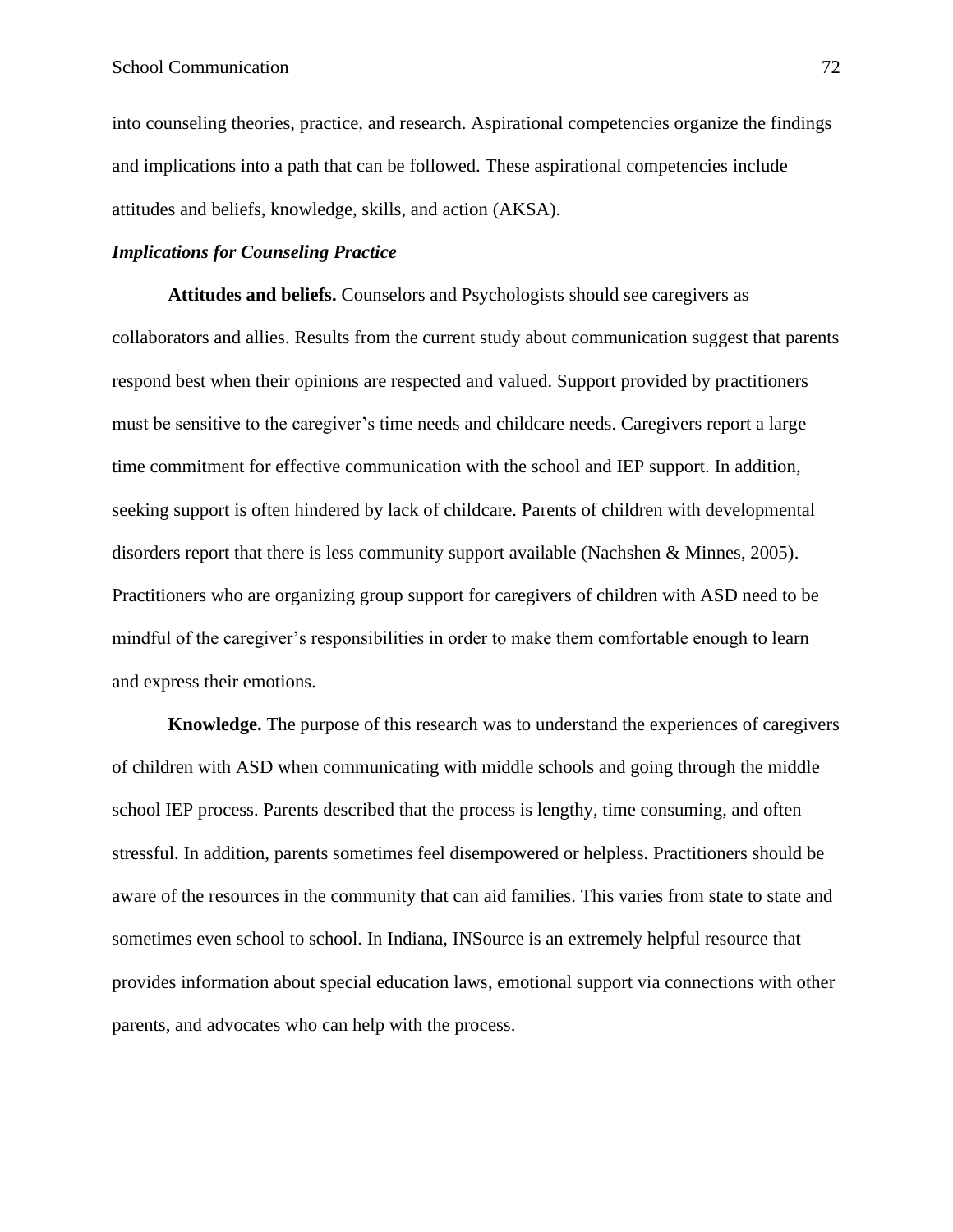into counseling theories, practice, and research. Aspirational competencies organize the findings and implications into a path that can be followed. These aspirational competencies include attitudes and beliefs, knowledge, skills, and action (AKSA).

## *Implications for Counseling Practice*

**Attitudes and beliefs.** Counselors and Psychologists should see caregivers as collaborators and allies. Results from the current study about communication suggest that parents respond best when their opinions are respected and valued. Support provided by practitioners must be sensitive to the caregiver's time needs and childcare needs. Caregivers report a large time commitment for effective communication with the school and IEP support. In addition, seeking support is often hindered by lack of childcare. Parents of children with developmental disorders report that there is less community support available (Nachshen & Minnes, 2005). Practitioners who are organizing group support for caregivers of children with ASD need to be mindful of the caregiver's responsibilities in order to make them comfortable enough to learn and express their emotions.

**Knowledge.** The purpose of this research was to understand the experiences of caregivers of children with ASD when communicating with middle schools and going through the middle school IEP process. Parents described that the process is lengthy, time consuming, and often stressful. In addition, parents sometimes feel disempowered or helpless. Practitioners should be aware of the resources in the community that can aid families. This varies from state to state and sometimes even school to school. In Indiana, INSource is an extremely helpful resource that provides information about special education laws, emotional support via connections with other parents, and advocates who can help with the process.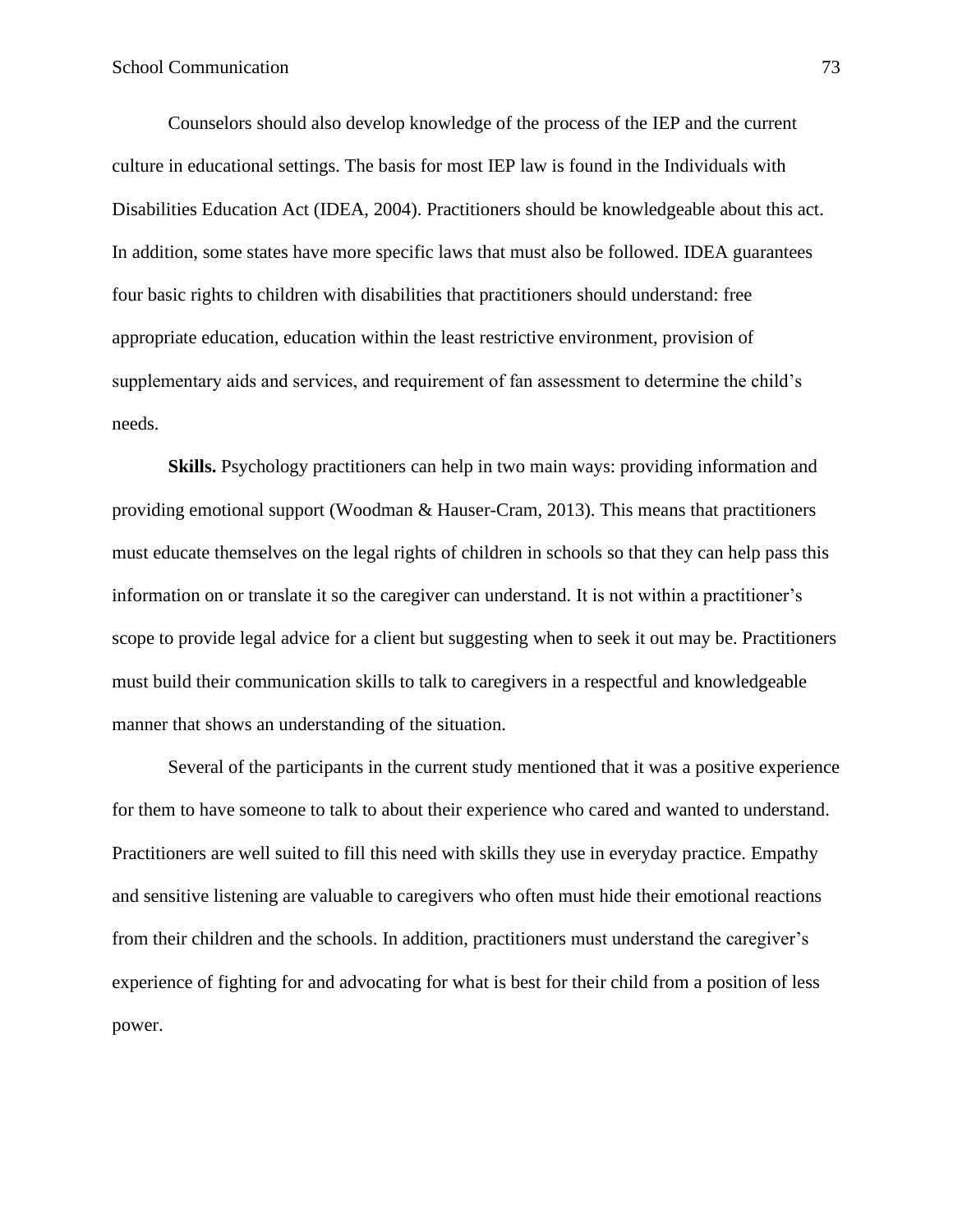Counselors should also develop knowledge of the process of the IEP and the current culture in educational settings. The basis for most IEP law is found in the Individuals with Disabilities Education Act (IDEA, 2004). Practitioners should be knowledgeable about this act. In addition, some states have more specific laws that must also be followed. IDEA guarantees four basic rights to children with disabilities that practitioners should understand: free appropriate education, education within the least restrictive environment, provision of supplementary aids and services, and requirement of fan assessment to determine the child's needs.

**Skills.** Psychology practitioners can help in two main ways: providing information and providing emotional support (Woodman & Hauser-Cram, 2013). This means that practitioners must educate themselves on the legal rights of children in schools so that they can help pass this information on or translate it so the caregiver can understand. It is not within a practitioner's scope to provide legal advice for a client but suggesting when to seek it out may be. Practitioners must build their communication skills to talk to caregivers in a respectful and knowledgeable manner that shows an understanding of the situation.

Several of the participants in the current study mentioned that it was a positive experience for them to have someone to talk to about their experience who cared and wanted to understand. Practitioners are well suited to fill this need with skills they use in everyday practice. Empathy and sensitive listening are valuable to caregivers who often must hide their emotional reactions from their children and the schools. In addition, practitioners must understand the caregiver's experience of fighting for and advocating for what is best for their child from a position of less power.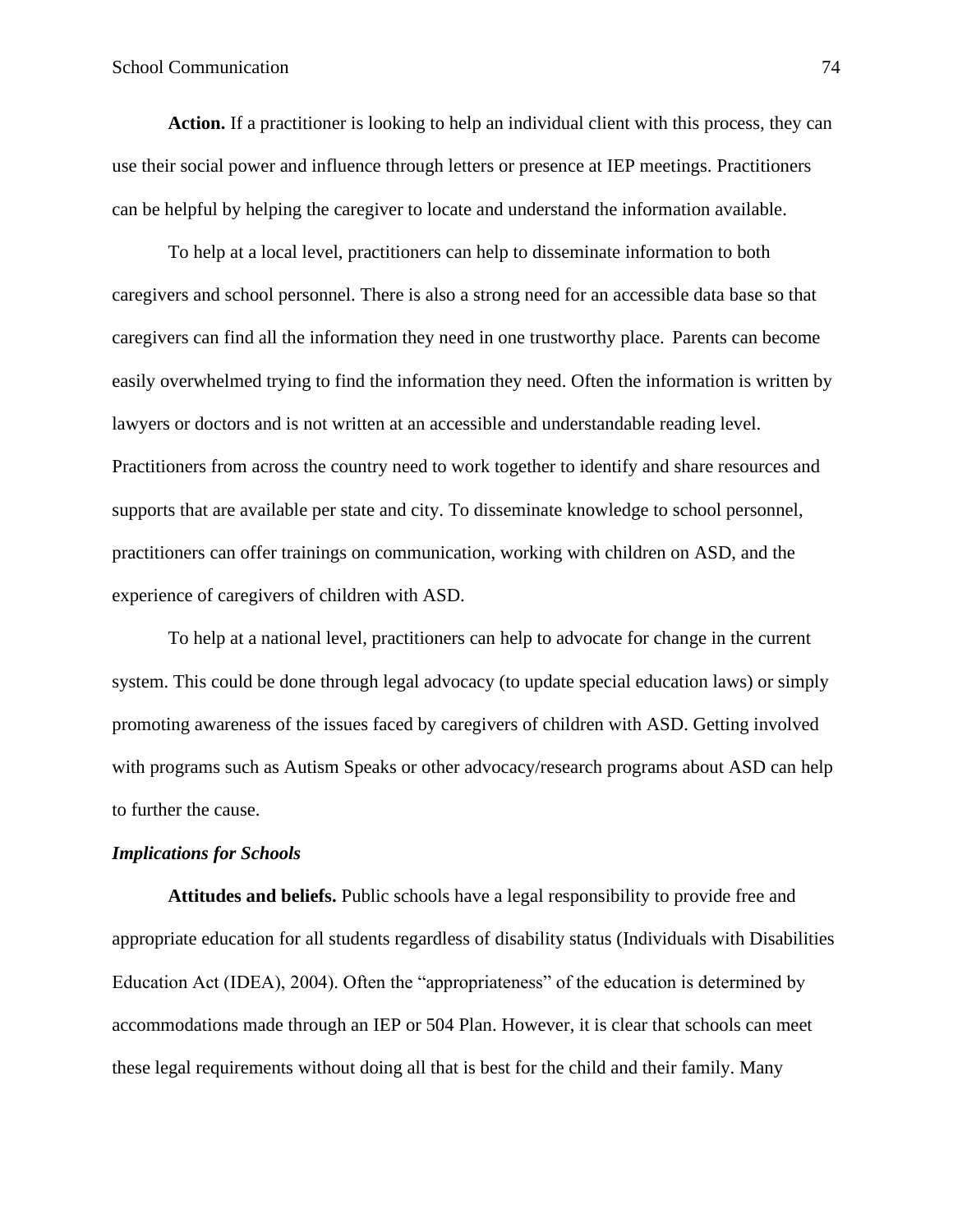**Action.** If a practitioner is looking to help an individual client with this process, they can use their social power and influence through letters or presence at IEP meetings. Practitioners can be helpful by helping the caregiver to locate and understand the information available.

To help at a local level, practitioners can help to disseminate information to both caregivers and school personnel. There is also a strong need for an accessible data base so that caregivers can find all the information they need in one trustworthy place. Parents can become easily overwhelmed trying to find the information they need. Often the information is written by lawyers or doctors and is not written at an accessible and understandable reading level. Practitioners from across the country need to work together to identify and share resources and supports that are available per state and city. To disseminate knowledge to school personnel, practitioners can offer trainings on communication, working with children on ASD, and the experience of caregivers of children with ASD.

To help at a national level, practitioners can help to advocate for change in the current system. This could be done through legal advocacy (to update special education laws) or simply promoting awareness of the issues faced by caregivers of children with ASD. Getting involved with programs such as Autism Speaks or other advocacy/research programs about ASD can help to further the cause.

# *Implications for Schools*

**Attitudes and beliefs.** Public schools have a legal responsibility to provide free and appropriate education for all students regardless of disability status (Individuals with Disabilities Education Act (IDEA), 2004). Often the "appropriateness" of the education is determined by accommodations made through an IEP or 504 Plan. However, it is clear that schools can meet these legal requirements without doing all that is best for the child and their family. Many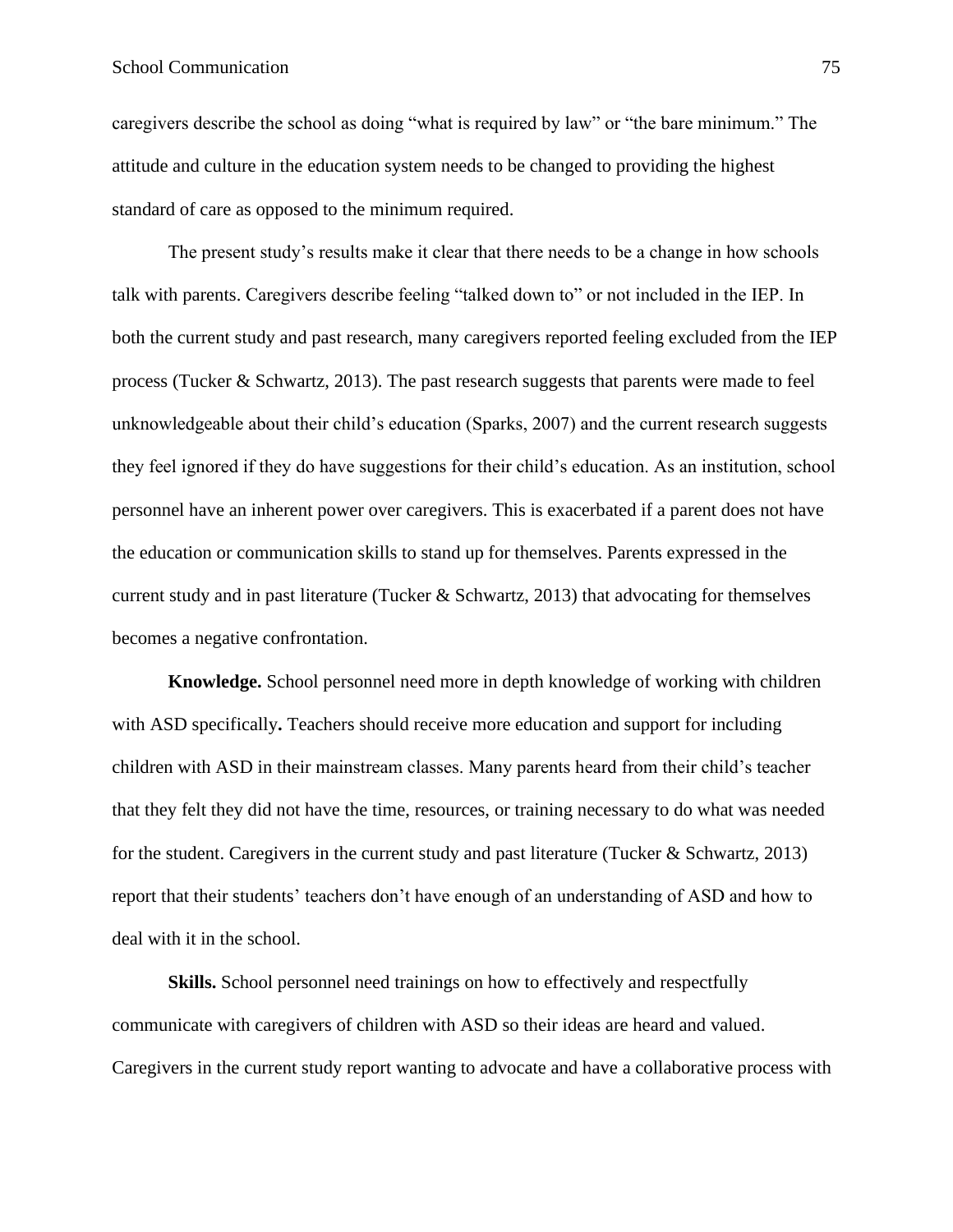# School Communication 75

caregivers describe the school as doing "what is required by law" or "the bare minimum." The attitude and culture in the education system needs to be changed to providing the highest standard of care as opposed to the minimum required.

The present study's results make it clear that there needs to be a change in how schools talk with parents. Caregivers describe feeling "talked down to" or not included in the IEP. In both the current study and past research, many caregivers reported feeling excluded from the IEP process (Tucker  $\&$  Schwartz, 2013). The past research suggests that parents were made to feel unknowledgeable about their child's education (Sparks, 2007) and the current research suggests they feel ignored if they do have suggestions for their child's education. As an institution, school personnel have an inherent power over caregivers. This is exacerbated if a parent does not have the education or communication skills to stand up for themselves. Parents expressed in the current study and in past literature (Tucker  $\&$  Schwartz, 2013) that advocating for themselves becomes a negative confrontation.

**Knowledge.** School personnel need more in depth knowledge of working with children with ASD specifically. Teachers should receive more education and support for including children with ASD in their mainstream classes. Many parents heard from their child's teacher that they felt they did not have the time, resources, or training necessary to do what was needed for the student. Caregivers in the current study and past literature (Tucker & Schwartz, 2013) report that their students' teachers don't have enough of an understanding of ASD and how to deal with it in the school.

**Skills.** School personnel need trainings on how to effectively and respectfully communicate with caregivers of children with ASD so their ideas are heard and valued. Caregivers in the current study report wanting to advocate and have a collaborative process with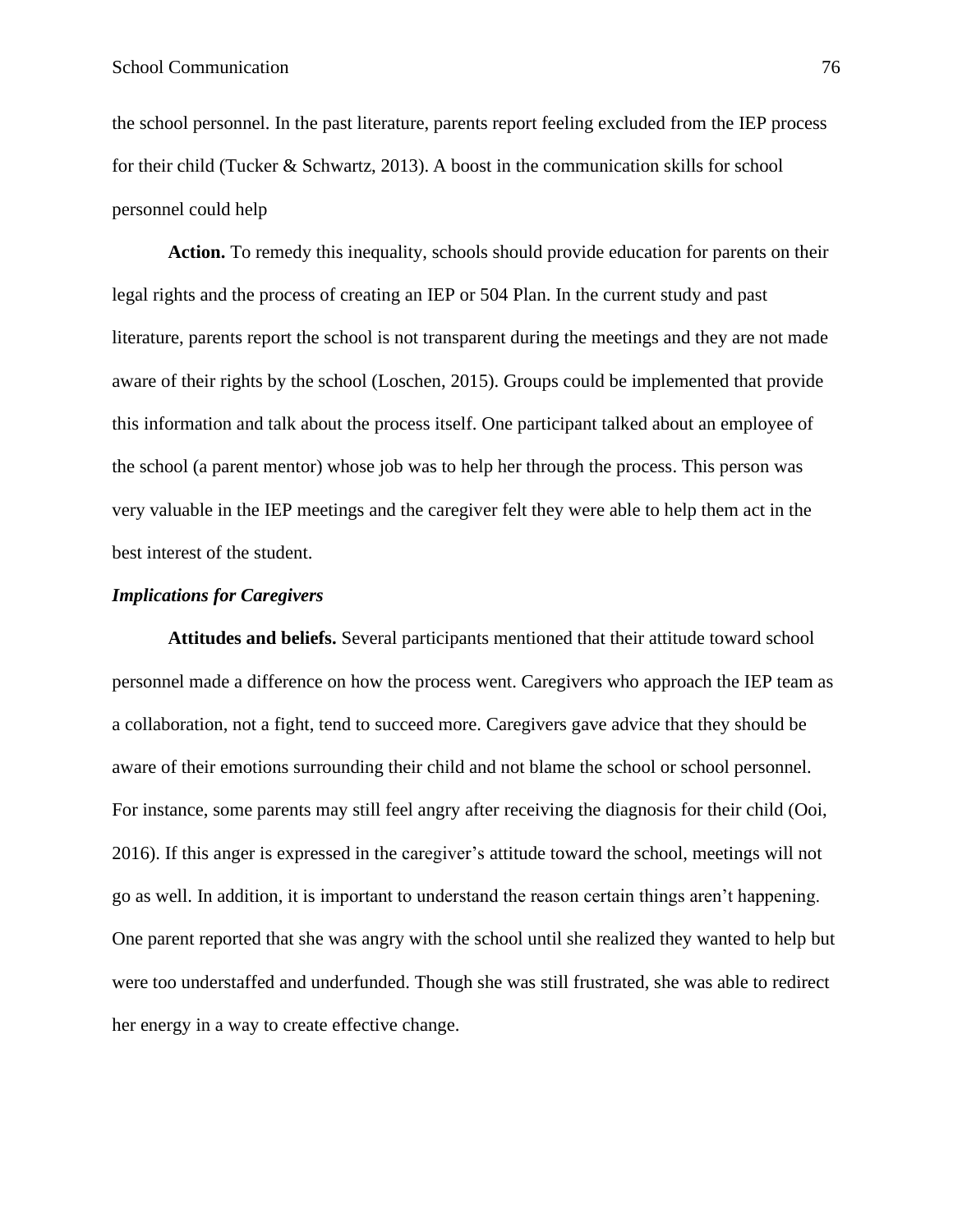the school personnel. In the past literature, parents report feeling excluded from the IEP process for their child (Tucker & Schwartz, 2013). A boost in the communication skills for school personnel could help

**Action.** To remedy this inequality, schools should provide education for parents on their legal rights and the process of creating an IEP or 504 Plan. In the current study and past literature, parents report the school is not transparent during the meetings and they are not made aware of their rights by the school (Loschen, 2015). Groups could be implemented that provide this information and talk about the process itself. One participant talked about an employee of the school (a parent mentor) whose job was to help her through the process. This person was very valuable in the IEP meetings and the caregiver felt they were able to help them act in the best interest of the student.

# *Implications for Caregivers*

**Attitudes and beliefs.** Several participants mentioned that their attitude toward school personnel made a difference on how the process went. Caregivers who approach the IEP team as a collaboration, not a fight, tend to succeed more. Caregivers gave advice that they should be aware of their emotions surrounding their child and not blame the school or school personnel. For instance, some parents may still feel angry after receiving the diagnosis for their child (Ooi, 2016). If this anger is expressed in the caregiver's attitude toward the school, meetings will not go as well. In addition, it is important to understand the reason certain things aren't happening. One parent reported that she was angry with the school until she realized they wanted to help but were too understaffed and underfunded. Though she was still frustrated, she was able to redirect her energy in a way to create effective change.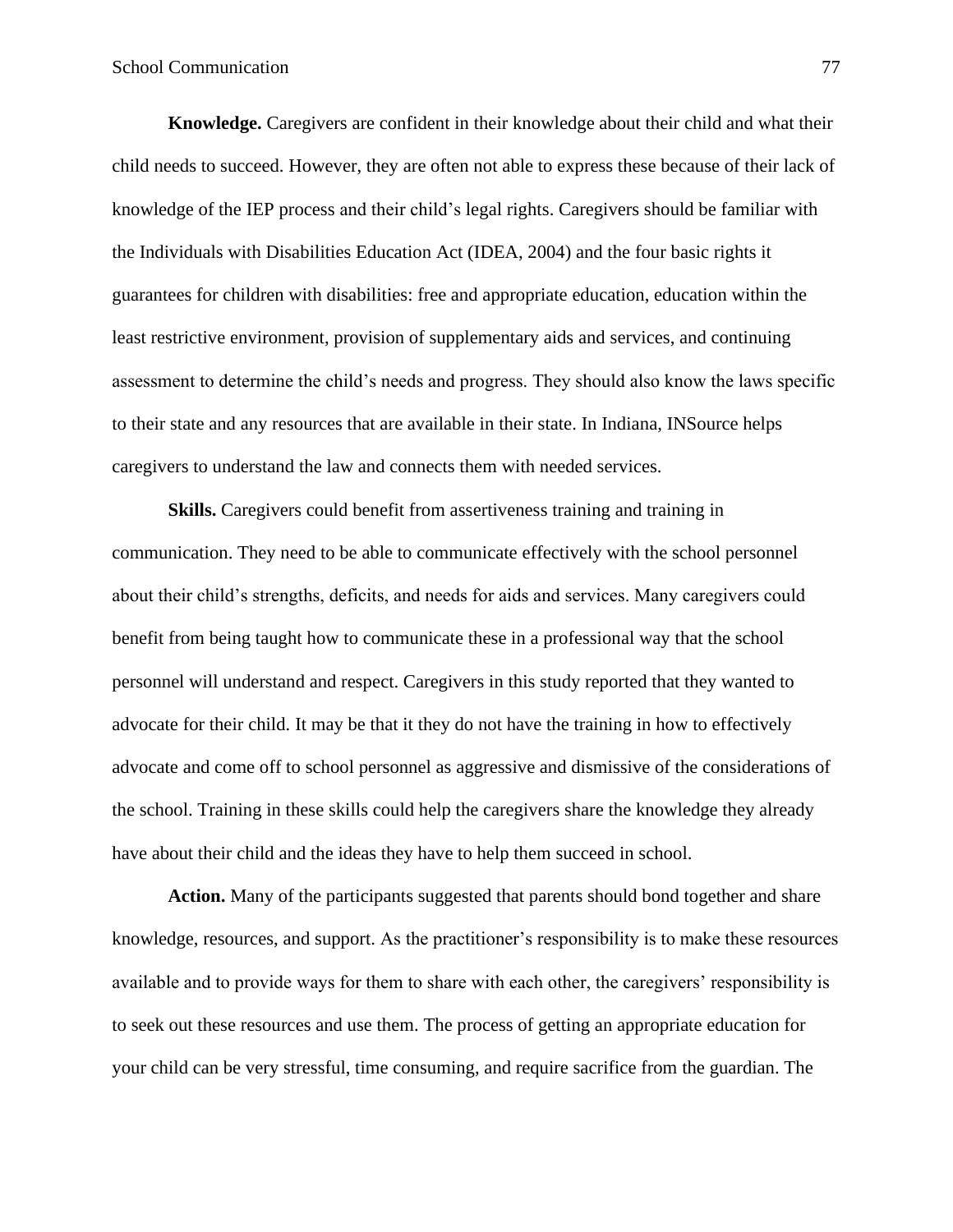**Knowledge.** Caregivers are confident in their knowledge about their child and what their child needs to succeed. However, they are often not able to express these because of their lack of knowledge of the IEP process and their child's legal rights. Caregivers should be familiar with the Individuals with Disabilities Education Act (IDEA, 2004) and the four basic rights it guarantees for children with disabilities: free and appropriate education, education within the least restrictive environment, provision of supplementary aids and services, and continuing assessment to determine the child's needs and progress. They should also know the laws specific to their state and any resources that are available in their state. In Indiana, INSource helps caregivers to understand the law and connects them with needed services.

**Skills.** Caregivers could benefit from assertiveness training and training in communication. They need to be able to communicate effectively with the school personnel about their child's strengths, deficits, and needs for aids and services. Many caregivers could benefit from being taught how to communicate these in a professional way that the school personnel will understand and respect. Caregivers in this study reported that they wanted to advocate for their child. It may be that it they do not have the training in how to effectively advocate and come off to school personnel as aggressive and dismissive of the considerations of the school. Training in these skills could help the caregivers share the knowledge they already have about their child and the ideas they have to help them succeed in school.

**Action.** Many of the participants suggested that parents should bond together and share knowledge, resources, and support. As the practitioner's responsibility is to make these resources available and to provide ways for them to share with each other, the caregivers' responsibility is to seek out these resources and use them. The process of getting an appropriate education for your child can be very stressful, time consuming, and require sacrifice from the guardian. The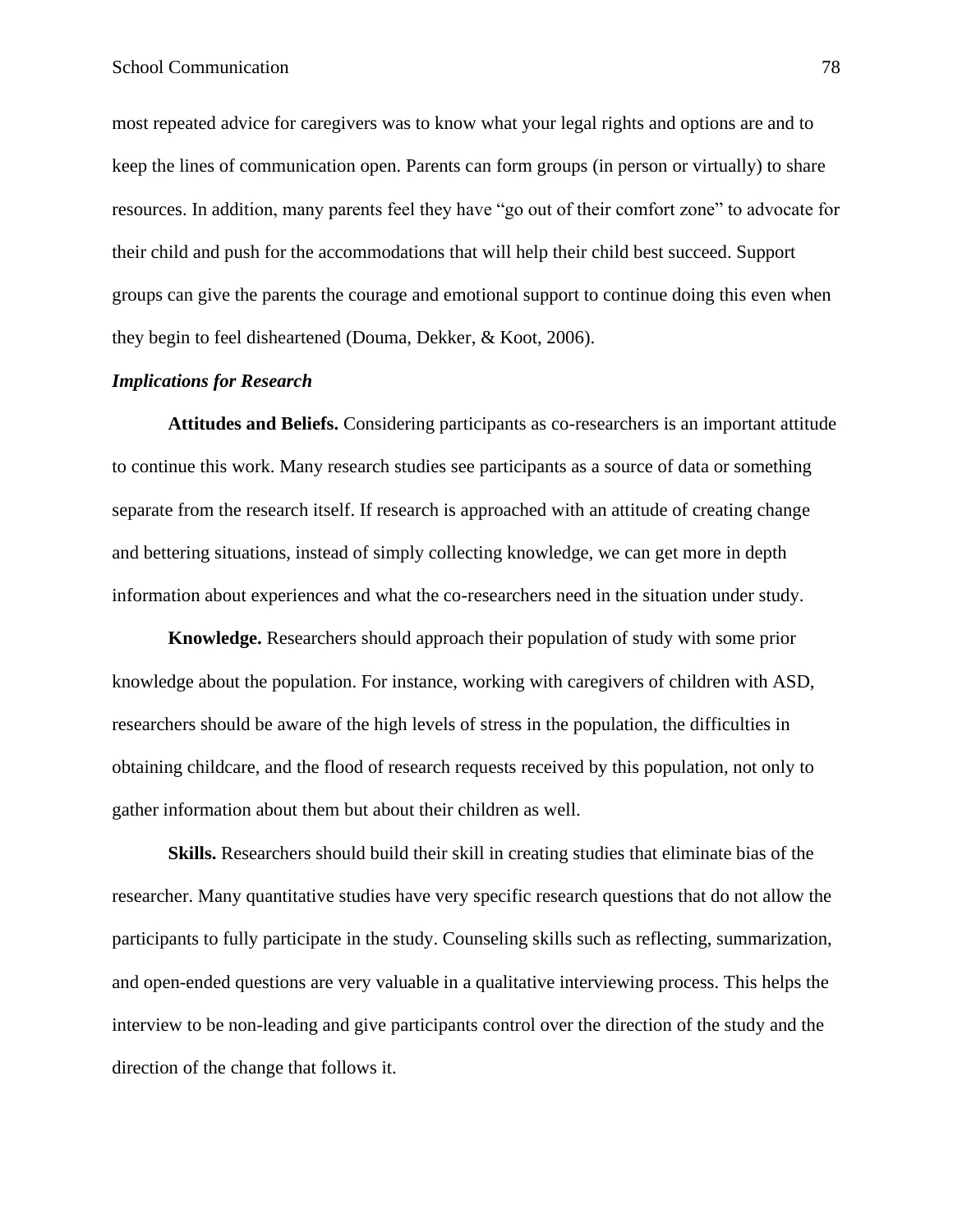most repeated advice for caregivers was to know what your legal rights and options are and to keep the lines of communication open. Parents can form groups (in person or virtually) to share resources. In addition, many parents feel they have "go out of their comfort zone" to advocate for their child and push for the accommodations that will help their child best succeed. Support groups can give the parents the courage and emotional support to continue doing this even when they begin to feel disheartened (Douma, Dekker, & Koot, 2006).

### *Implications for Research*

**Attitudes and Beliefs.** Considering participants as co-researchers is an important attitude to continue this work. Many research studies see participants as a source of data or something separate from the research itself. If research is approached with an attitude of creating change and bettering situations, instead of simply collecting knowledge, we can get more in depth information about experiences and what the co-researchers need in the situation under study.

**Knowledge.** Researchers should approach their population of study with some prior knowledge about the population. For instance, working with caregivers of children with ASD, researchers should be aware of the high levels of stress in the population, the difficulties in obtaining childcare, and the flood of research requests received by this population, not only to gather information about them but about their children as well.

**Skills.** Researchers should build their skill in creating studies that eliminate bias of the researcher. Many quantitative studies have very specific research questions that do not allow the participants to fully participate in the study. Counseling skills such as reflecting, summarization, and open-ended questions are very valuable in a qualitative interviewing process. This helps the interview to be non-leading and give participants control over the direction of the study and the direction of the change that follows it.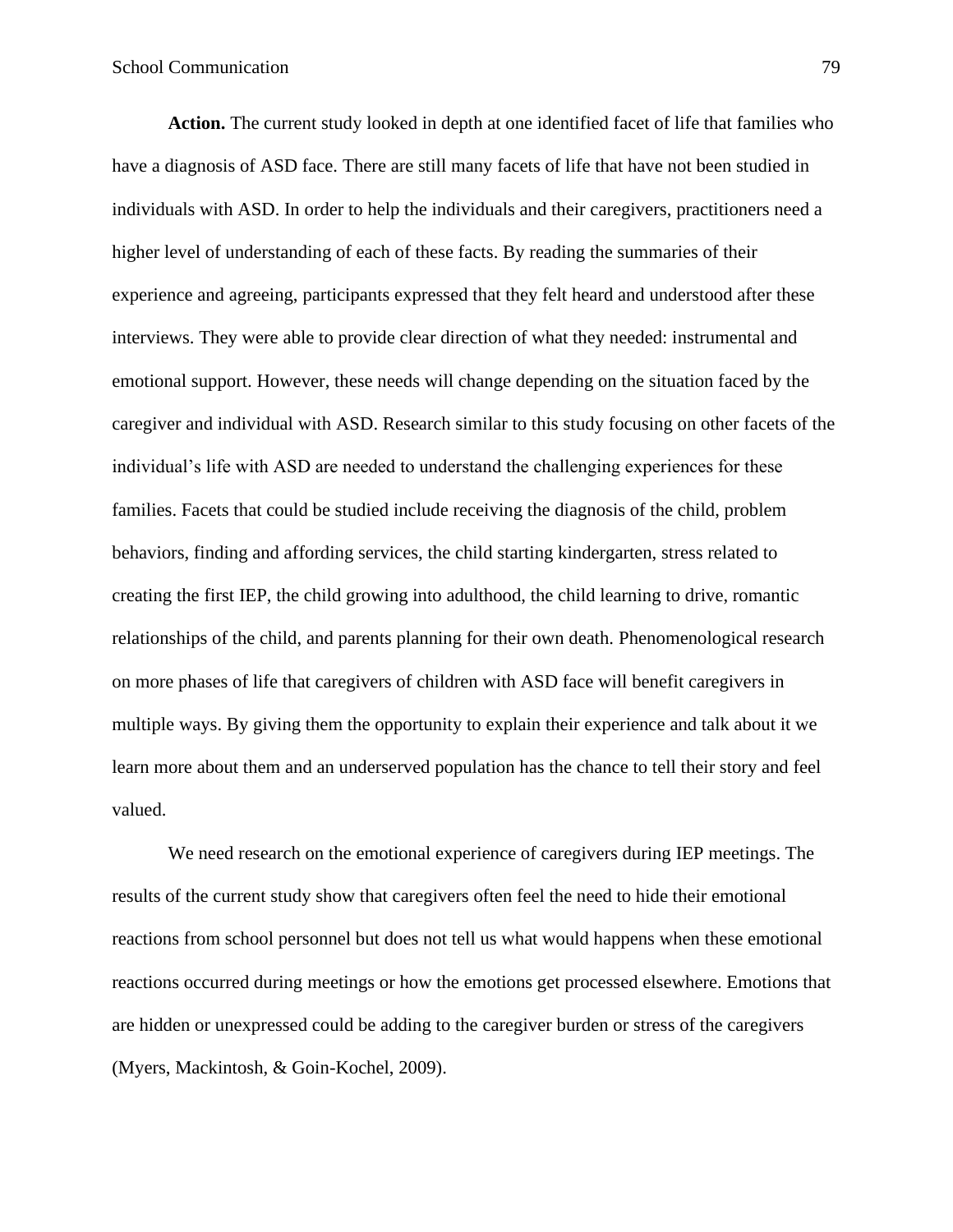**Action.** The current study looked in depth at one identified facet of life that families who have a diagnosis of ASD face. There are still many facets of life that have not been studied in individuals with ASD. In order to help the individuals and their caregivers, practitioners need a higher level of understanding of each of these facts. By reading the summaries of their experience and agreeing, participants expressed that they felt heard and understood after these interviews. They were able to provide clear direction of what they needed: instrumental and emotional support. However, these needs will change depending on the situation faced by the caregiver and individual with ASD. Research similar to this study focusing on other facets of the individual's life with ASD are needed to understand the challenging experiences for these families. Facets that could be studied include receiving the diagnosis of the child, problem behaviors, finding and affording services, the child starting kindergarten, stress related to creating the first IEP, the child growing into adulthood, the child learning to drive, romantic relationships of the child, and parents planning for their own death. Phenomenological research on more phases of life that caregivers of children with ASD face will benefit caregivers in multiple ways. By giving them the opportunity to explain their experience and talk about it we learn more about them and an underserved population has the chance to tell their story and feel valued.

We need research on the emotional experience of caregivers during IEP meetings. The results of the current study show that caregivers often feel the need to hide their emotional reactions from school personnel but does not tell us what would happens when these emotional reactions occurred during meetings or how the emotions get processed elsewhere. Emotions that are hidden or unexpressed could be adding to the caregiver burden or stress of the caregivers (Myers, Mackintosh, & Goin-Kochel, 2009).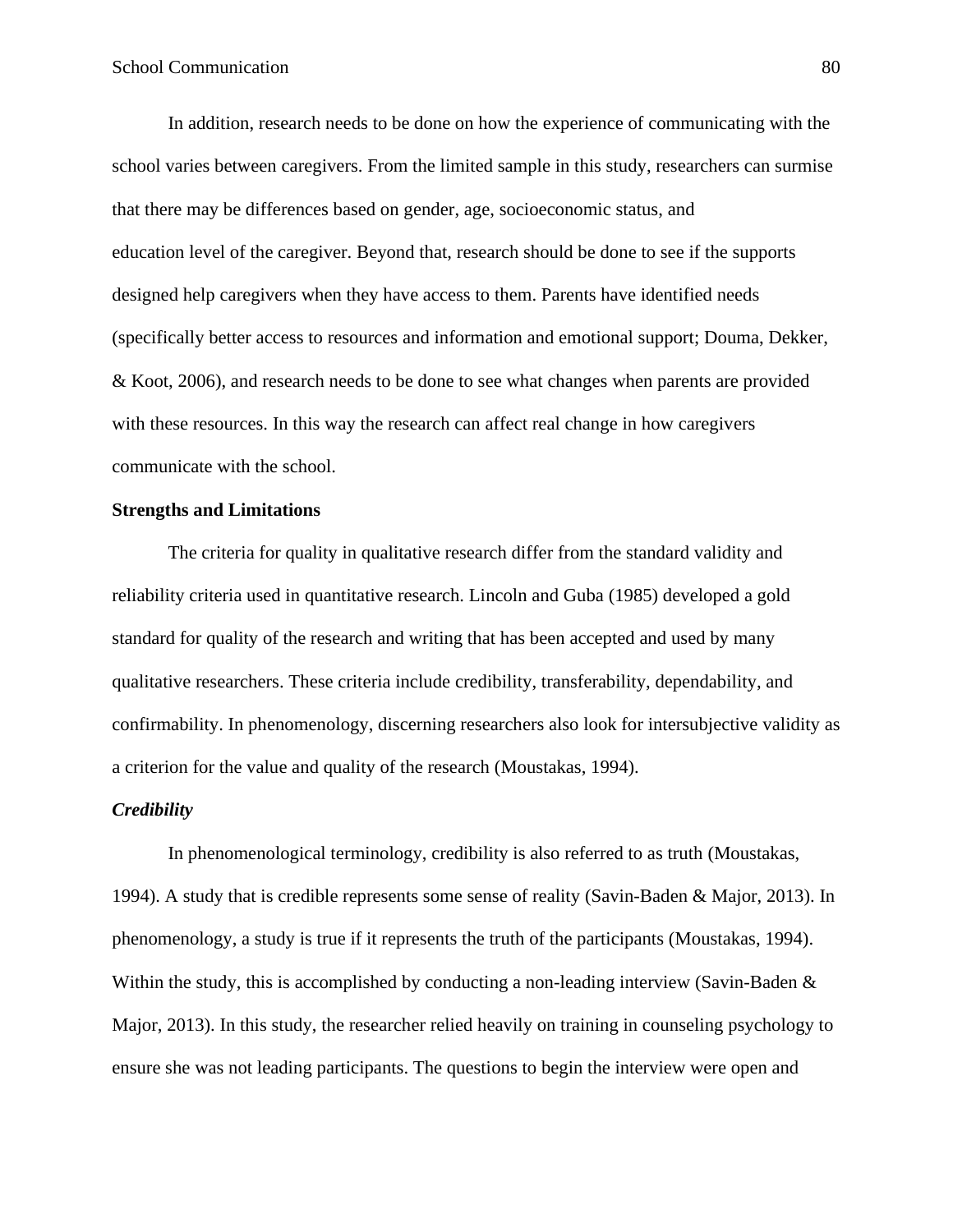In addition, research needs to be done on how the experience of communicating with the school varies between caregivers. From the limited sample in this study, researchers can surmise that there may be differences based on gender, age, socioeconomic status, and education level of the caregiver. Beyond that, research should be done to see if the supports designed help caregivers when they have access to them. Parents have identified needs (specifically better access to resources and information and emotional support; Douma, Dekker, & Koot, 2006), and research needs to be done to see what changes when parents are provided with these resources. In this way the research can affect real change in how caregivers communicate with the school.

# **Strengths and Limitations**

The criteria for quality in qualitative research differ from the standard validity and reliability criteria used in quantitative research. Lincoln and Guba (1985) developed a gold standard for quality of the research and writing that has been accepted and used by many qualitative researchers. These criteria include credibility, transferability, dependability, and confirmability. In phenomenology, discerning researchers also look for intersubjective validity as a criterion for the value and quality of the research (Moustakas, 1994).

### *Credibility*

In phenomenological terminology, credibility is also referred to as truth (Moustakas, 1994). A study that is credible represents some sense of reality (Savin-Baden & Major, 2013). In phenomenology, a study is true if it represents the truth of the participants (Moustakas, 1994). Within the study, this is accomplished by conducting a non-leading interview (Savin-Baden & Major, 2013). In this study, the researcher relied heavily on training in counseling psychology to ensure she was not leading participants. The questions to begin the interview were open and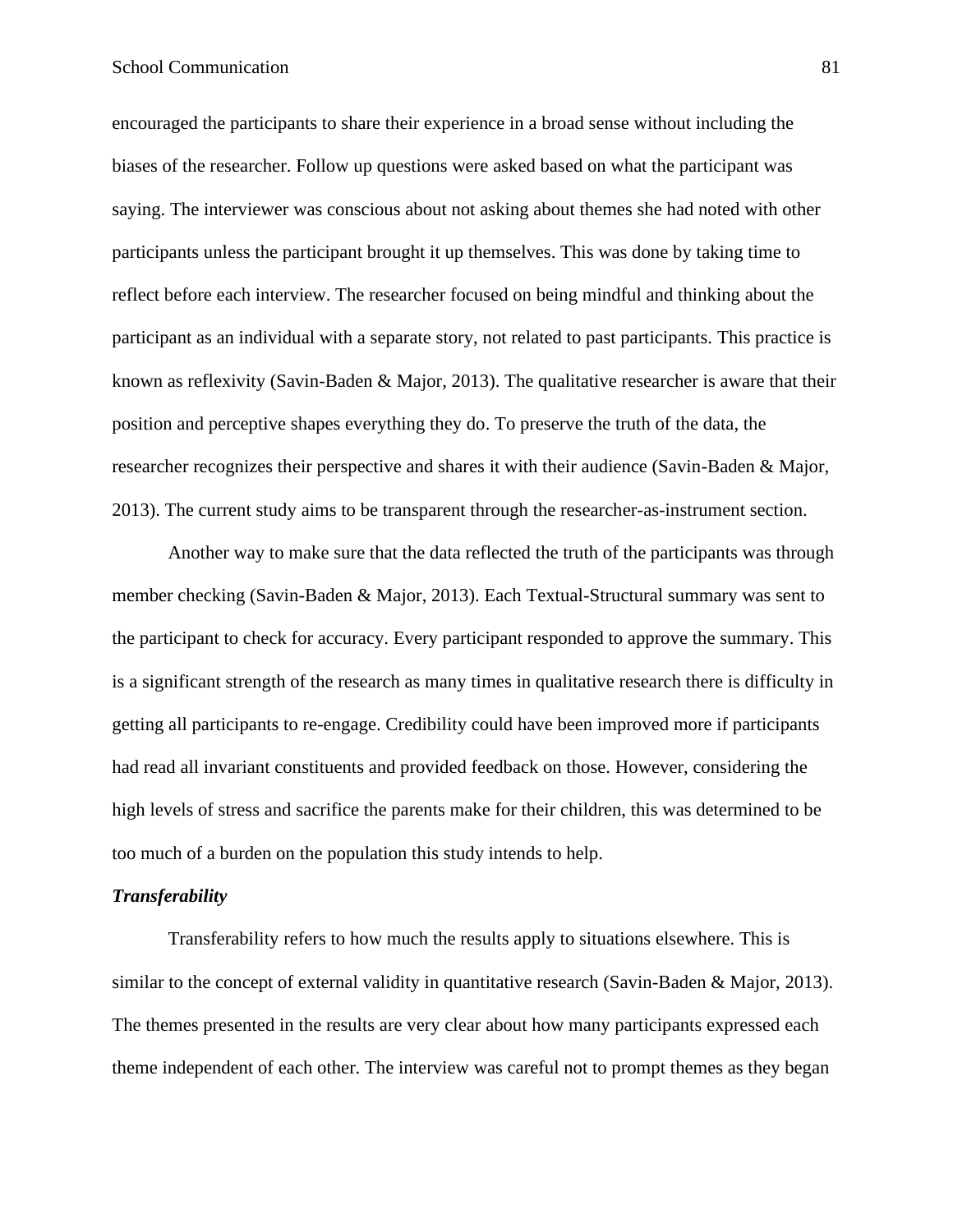encouraged the participants to share their experience in a broad sense without including the biases of the researcher. Follow up questions were asked based on what the participant was saying. The interviewer was conscious about not asking about themes she had noted with other participants unless the participant brought it up themselves. This was done by taking time to reflect before each interview. The researcher focused on being mindful and thinking about the participant as an individual with a separate story, not related to past participants. This practice is known as reflexivity (Savin-Baden & Major, 2013). The qualitative researcher is aware that their position and perceptive shapes everything they do. To preserve the truth of the data, the researcher recognizes their perspective and shares it with their audience (Savin-Baden & Major, 2013). The current study aims to be transparent through the researcher-as-instrument section.

Another way to make sure that the data reflected the truth of the participants was through member checking (Savin-Baden & Major, 2013). Each Textual-Structural summary was sent to the participant to check for accuracy. Every participant responded to approve the summary. This is a significant strength of the research as many times in qualitative research there is difficulty in getting all participants to re-engage. Credibility could have been improved more if participants had read all invariant constituents and provided feedback on those. However, considering the high levels of stress and sacrifice the parents make for their children, this was determined to be too much of a burden on the population this study intends to help.

#### *Transferability*

Transferability refers to how much the results apply to situations elsewhere. This is similar to the concept of external validity in quantitative research (Savin-Baden & Major, 2013). The themes presented in the results are very clear about how many participants expressed each theme independent of each other. The interview was careful not to prompt themes as they began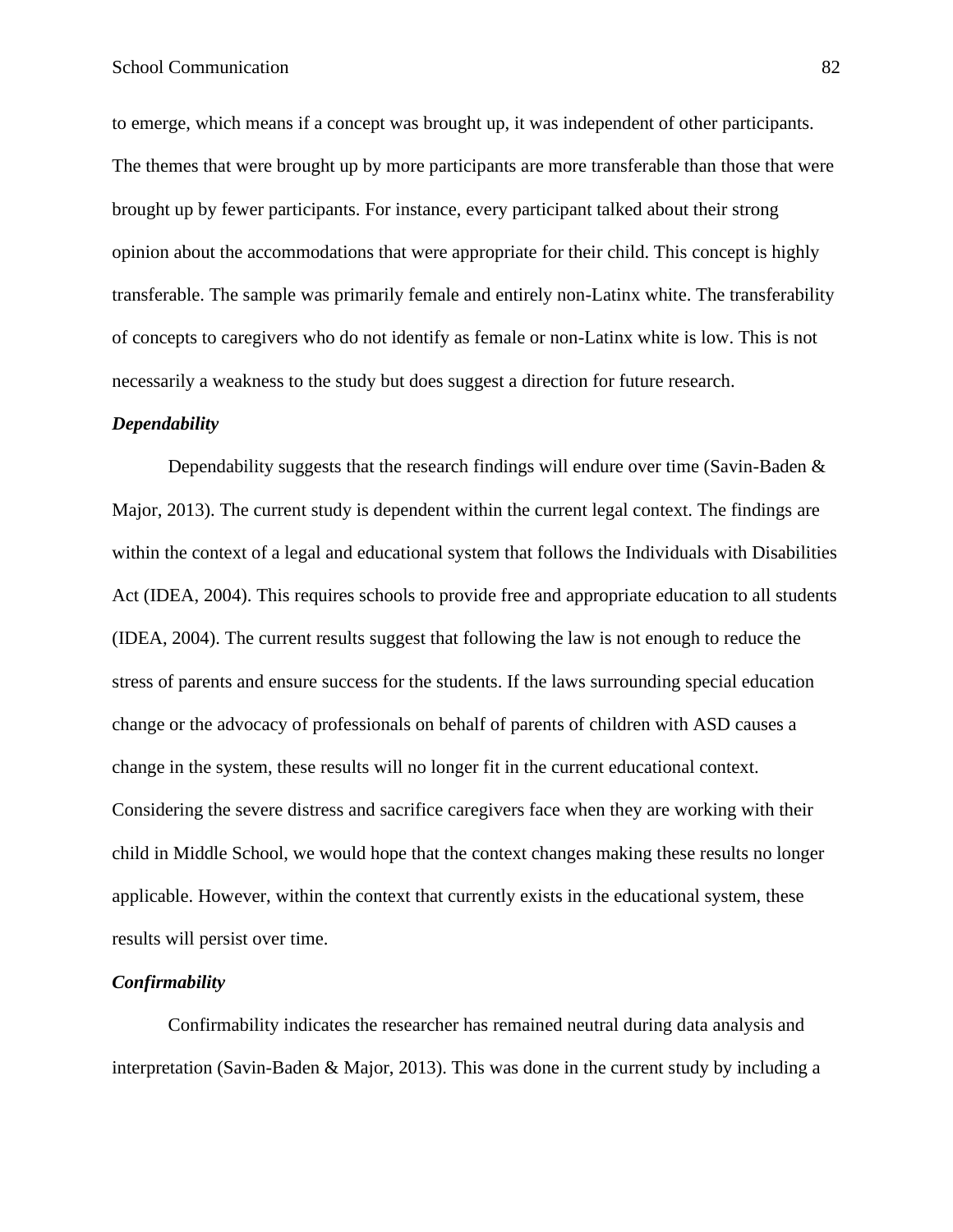to emerge, which means if a concept was brought up, it was independent of other participants. The themes that were brought up by more participants are more transferable than those that were brought up by fewer participants. For instance, every participant talked about their strong opinion about the accommodations that were appropriate for their child. This concept is highly transferable. The sample was primarily female and entirely non-Latinx white. The transferability of concepts to caregivers who do not identify as female or non-Latinx white is low. This is not necessarily a weakness to the study but does suggest a direction for future research.

### *Dependability*

Dependability suggests that the research findings will endure over time (Savin-Baden  $\&$ Major, 2013). The current study is dependent within the current legal context. The findings are within the context of a legal and educational system that follows the Individuals with Disabilities Act (IDEA, 2004). This requires schools to provide free and appropriate education to all students (IDEA, 2004). The current results suggest that following the law is not enough to reduce the stress of parents and ensure success for the students. If the laws surrounding special education change or the advocacy of professionals on behalf of parents of children with ASD causes a change in the system, these results will no longer fit in the current educational context. Considering the severe distress and sacrifice caregivers face when they are working with their child in Middle School, we would hope that the context changes making these results no longer applicable. However, within the context that currently exists in the educational system, these results will persist over time.

# *Confirmability*

Confirmability indicates the researcher has remained neutral during data analysis and interpretation (Savin-Baden & Major, 2013). This was done in the current study by including a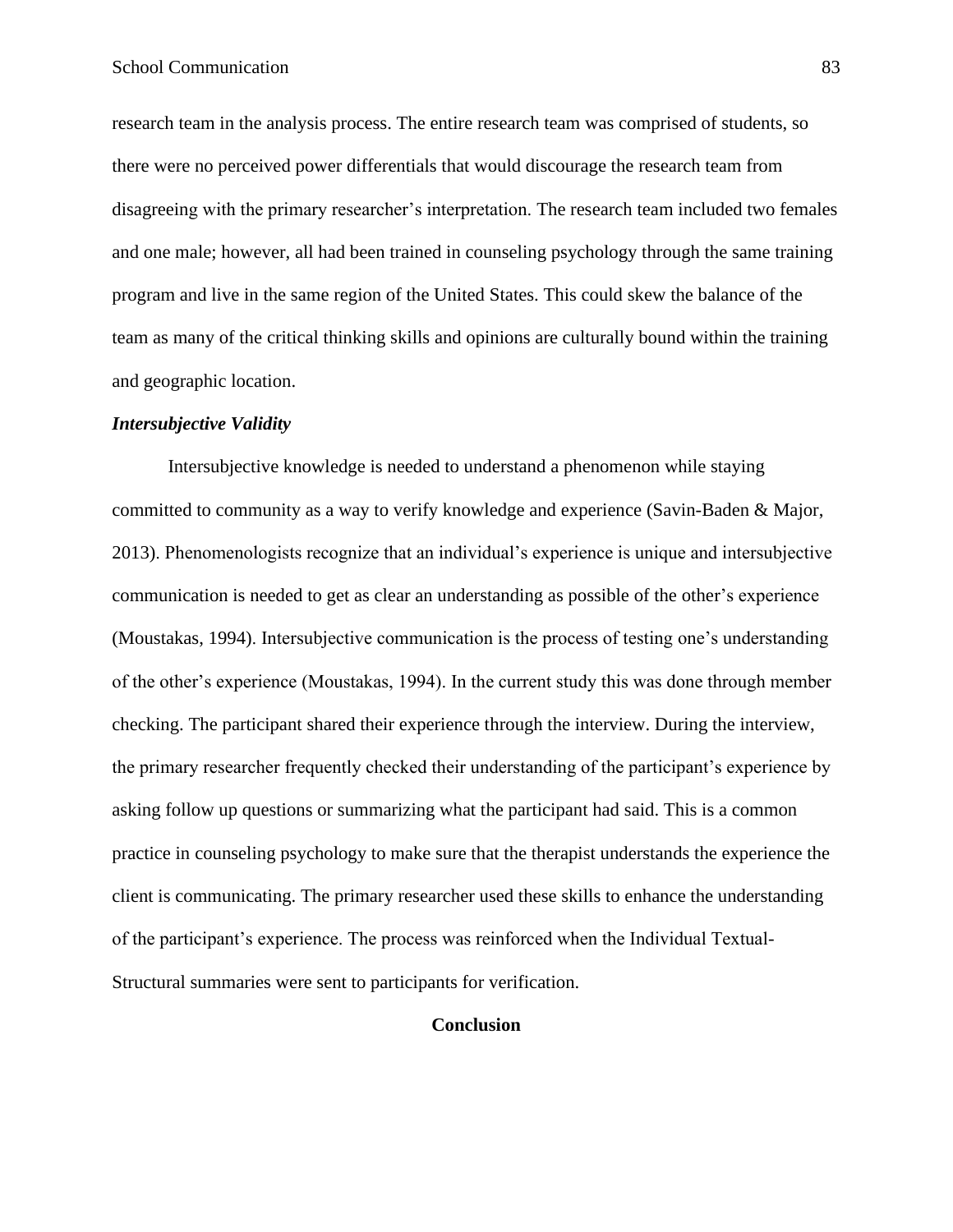research team in the analysis process. The entire research team was comprised of students, so there were no perceived power differentials that would discourage the research team from disagreeing with the primary researcher's interpretation. The research team included two females and one male; however, all had been trained in counseling psychology through the same training program and live in the same region of the United States. This could skew the balance of the team as many of the critical thinking skills and opinions are culturally bound within the training and geographic location.

### *Intersubjective Validity*

Intersubjective knowledge is needed to understand a phenomenon while staying committed to community as a way to verify knowledge and experience (Savin-Baden & Major, 2013). Phenomenologists recognize that an individual's experience is unique and intersubjective communication is needed to get as clear an understanding as possible of the other's experience (Moustakas, 1994). Intersubjective communication is the process of testing one's understanding of the other's experience (Moustakas, 1994). In the current study this was done through member checking. The participant shared their experience through the interview. During the interview, the primary researcher frequently checked their understanding of the participant's experience by asking follow up questions or summarizing what the participant had said. This is a common practice in counseling psychology to make sure that the therapist understands the experience the client is communicating. The primary researcher used these skills to enhance the understanding of the participant's experience. The process was reinforced when the Individual Textual-Structural summaries were sent to participants for verification.

# **Conclusion**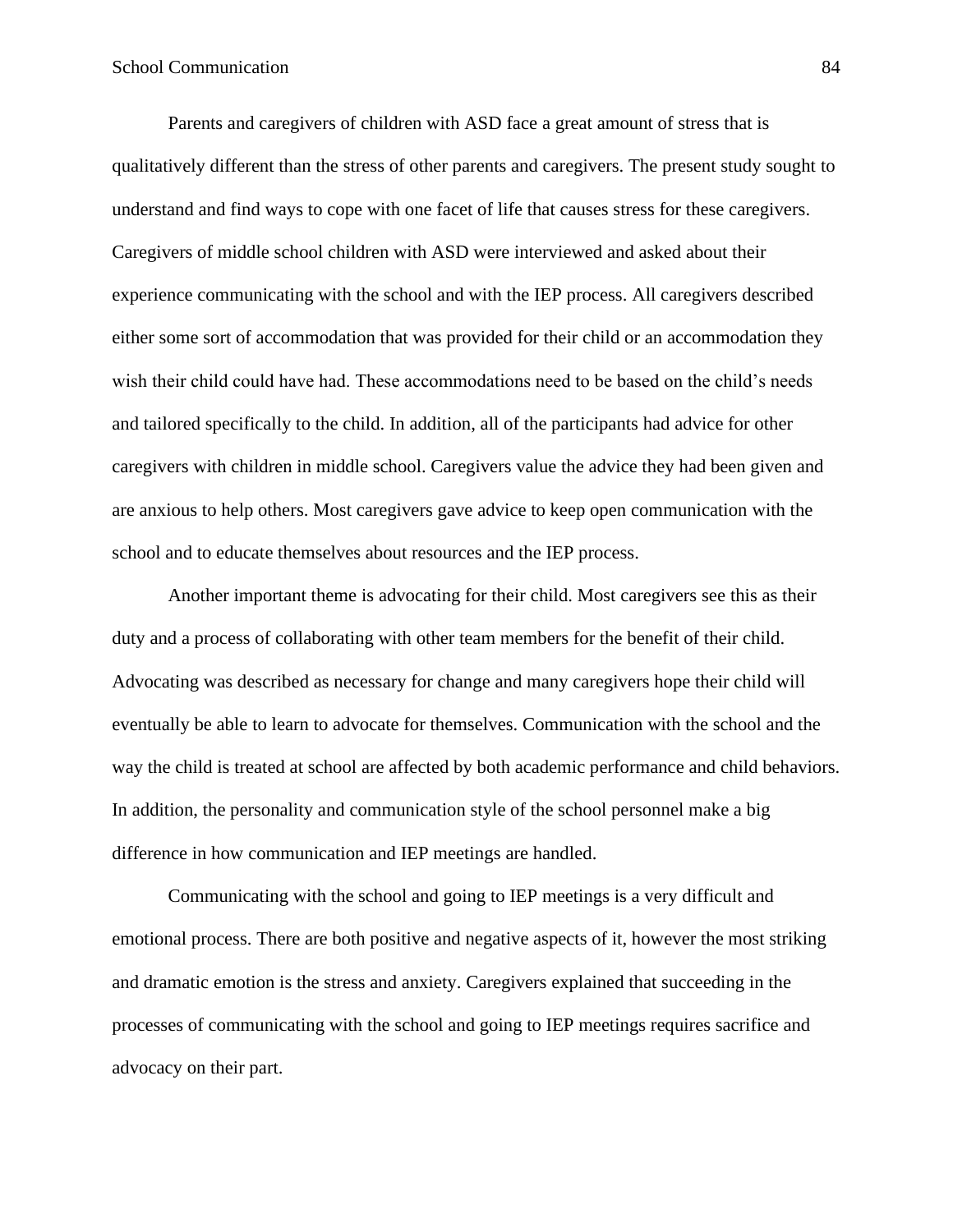Parents and caregivers of children with ASD face a great amount of stress that is qualitatively different than the stress of other parents and caregivers. The present study sought to understand and find ways to cope with one facet of life that causes stress for these caregivers. Caregivers of middle school children with ASD were interviewed and asked about their experience communicating with the school and with the IEP process. All caregivers described either some sort of accommodation that was provided for their child or an accommodation they wish their child could have had. These accommodations need to be based on the child's needs and tailored specifically to the child. In addition, all of the participants had advice for other caregivers with children in middle school. Caregivers value the advice they had been given and are anxious to help others. Most caregivers gave advice to keep open communication with the school and to educate themselves about resources and the IEP process.

Another important theme is advocating for their child. Most caregivers see this as their duty and a process of collaborating with other team members for the benefit of their child. Advocating was described as necessary for change and many caregivers hope their child will eventually be able to learn to advocate for themselves. Communication with the school and the way the child is treated at school are affected by both academic performance and child behaviors. In addition, the personality and communication style of the school personnel make a big difference in how communication and IEP meetings are handled.

Communicating with the school and going to IEP meetings is a very difficult and emotional process. There are both positive and negative aspects of it, however the most striking and dramatic emotion is the stress and anxiety. Caregivers explained that succeeding in the processes of communicating with the school and going to IEP meetings requires sacrifice and advocacy on their part.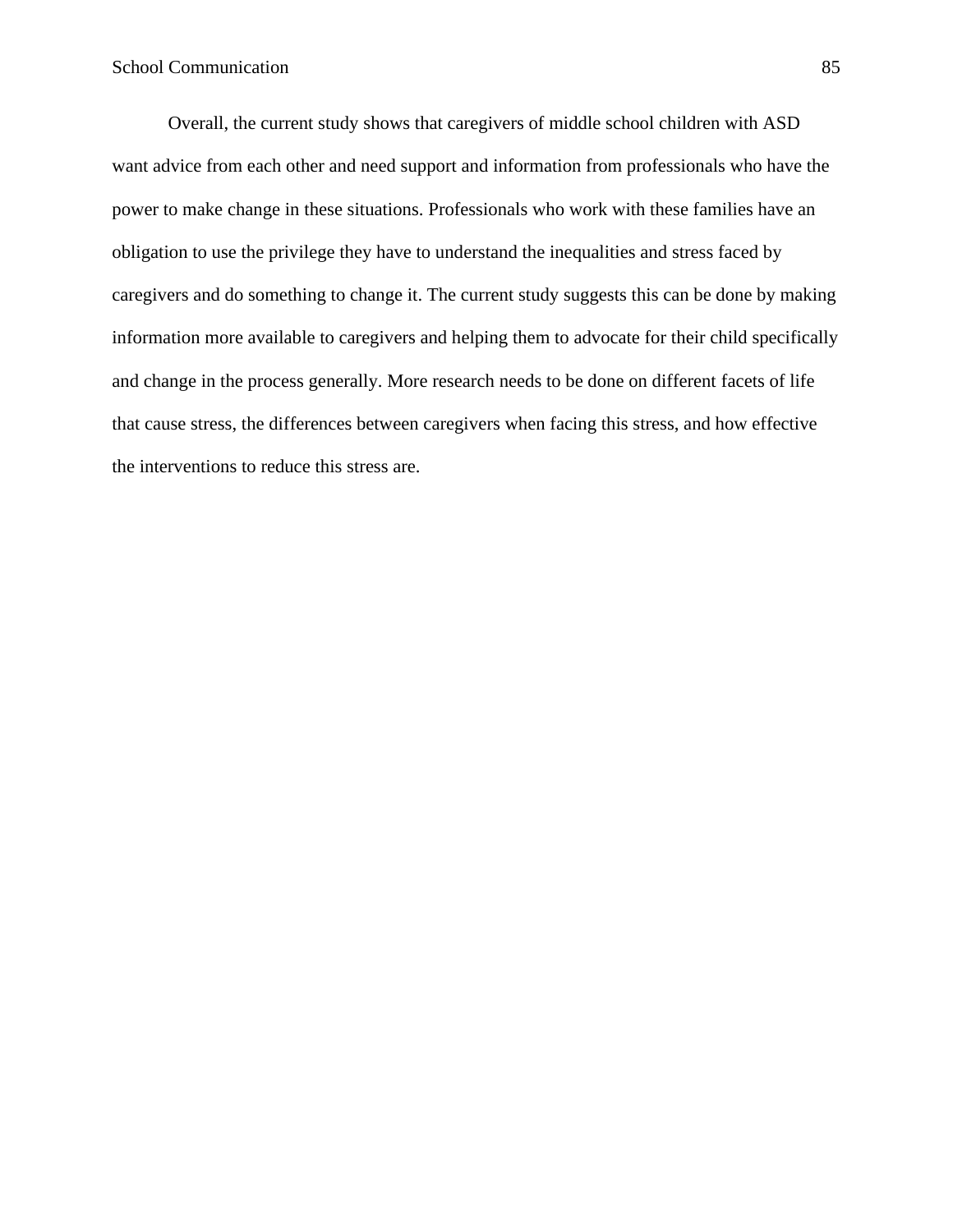Overall, the current study shows that caregivers of middle school children with ASD want advice from each other and need support and information from professionals who have the power to make change in these situations. Professionals who work with these families have an obligation to use the privilege they have to understand the inequalities and stress faced by caregivers and do something to change it. The current study suggests this can be done by making information more available to caregivers and helping them to advocate for their child specifically and change in the process generally. More research needs to be done on different facets of life that cause stress, the differences between caregivers when facing this stress, and how effective the interventions to reduce this stress are.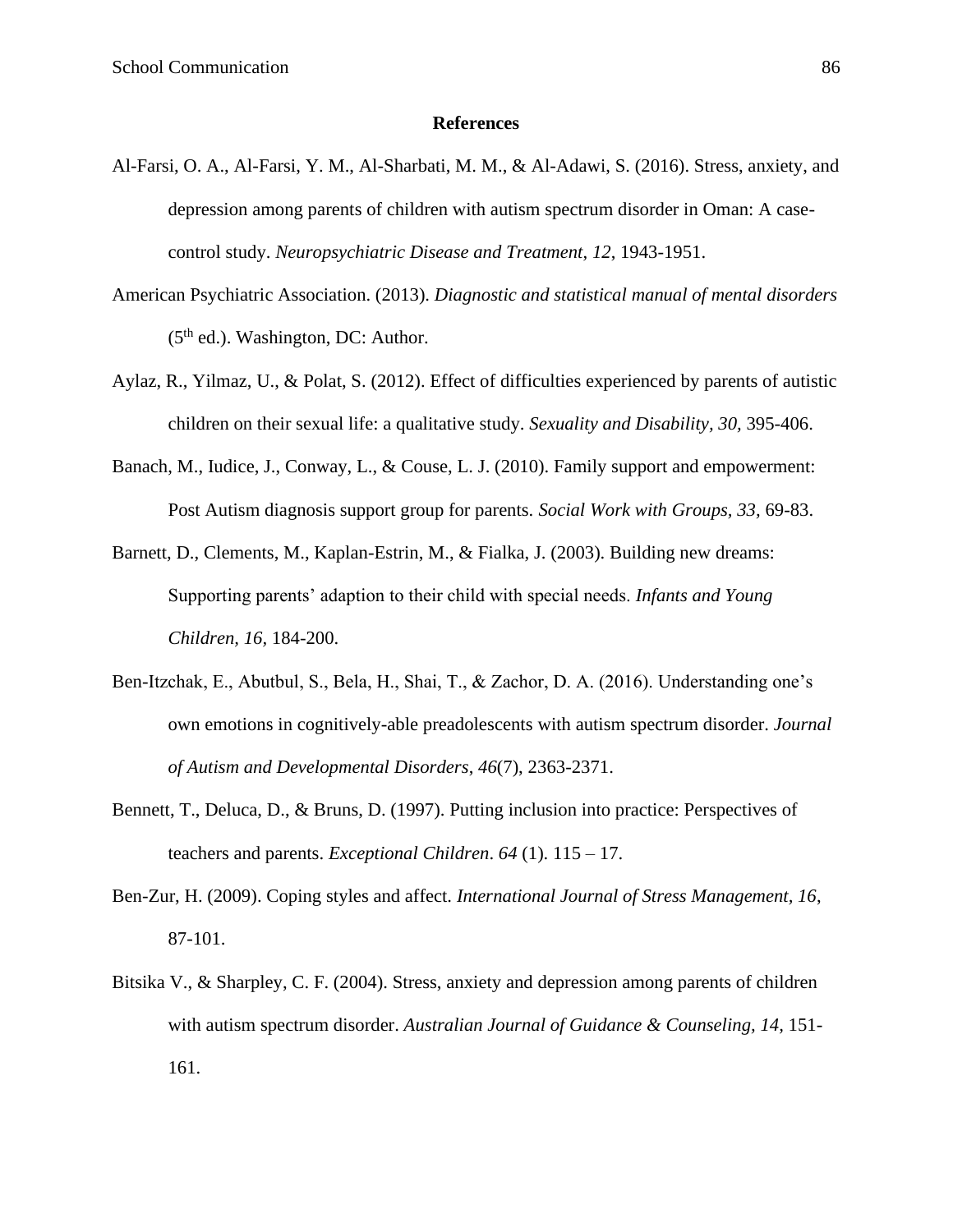#### **References**

- Al-Farsi, O. A., Al-Farsi, Y. M., Al-Sharbati, M. M., & Al-Adawi, S. (2016). Stress, anxiety, and depression among parents of children with autism spectrum disorder in Oman: A casecontrol study. *Neuropsychiatric Disease and Treatment*, *12*, 1943-1951.
- American Psychiatric Association. (2013). *Diagnostic and statistical manual of mental disorders*   $(5<sup>th</sup>$  ed.). Washington, DC: Author.
- Aylaz, R., Yilmaz, U., & Polat, S. (2012). Effect of difficulties experienced by parents of autistic children on their sexual life: a qualitative study. *Sexuality and Disability, 30,* 395-406.
- Banach, M., Iudice, J., Conway, L., & Couse, L. J. (2010). Family support and empowerment: Post Autism diagnosis support group for parents. *Social Work with Groups, 33,* 69-83.
- Barnett, D., Clements, M., Kaplan-Estrin, M., & Fialka, J. (2003). Building new dreams: Supporting parents' adaption to their child with special needs. *Infants and Young Children, 16,* 184-200.
- Ben-Itzchak, E., Abutbul, S., Bela, H., Shai, T., & Zachor, D. A. (2016). Understanding one's own emotions in cognitively-able preadolescents with autism spectrum disorder. *Journal of Autism and Developmental Disorders*, *46*(7), 2363-2371.
- Bennett, T., Deluca, D., & Bruns, D. (1997). Putting inclusion into practice: Perspectives of teachers and parents. *Exceptional Children*. *64* (1). 115 – 17.
- Ben-Zur, H. (2009). Coping styles and affect. *International Journal of Stress Management, 16*, 87-101.
- Bitsika V., & Sharpley, C. F. (2004). Stress, anxiety and depression among parents of children with autism spectrum disorder. *Australian Journal of Guidance & Counseling, 14,* 151- 161.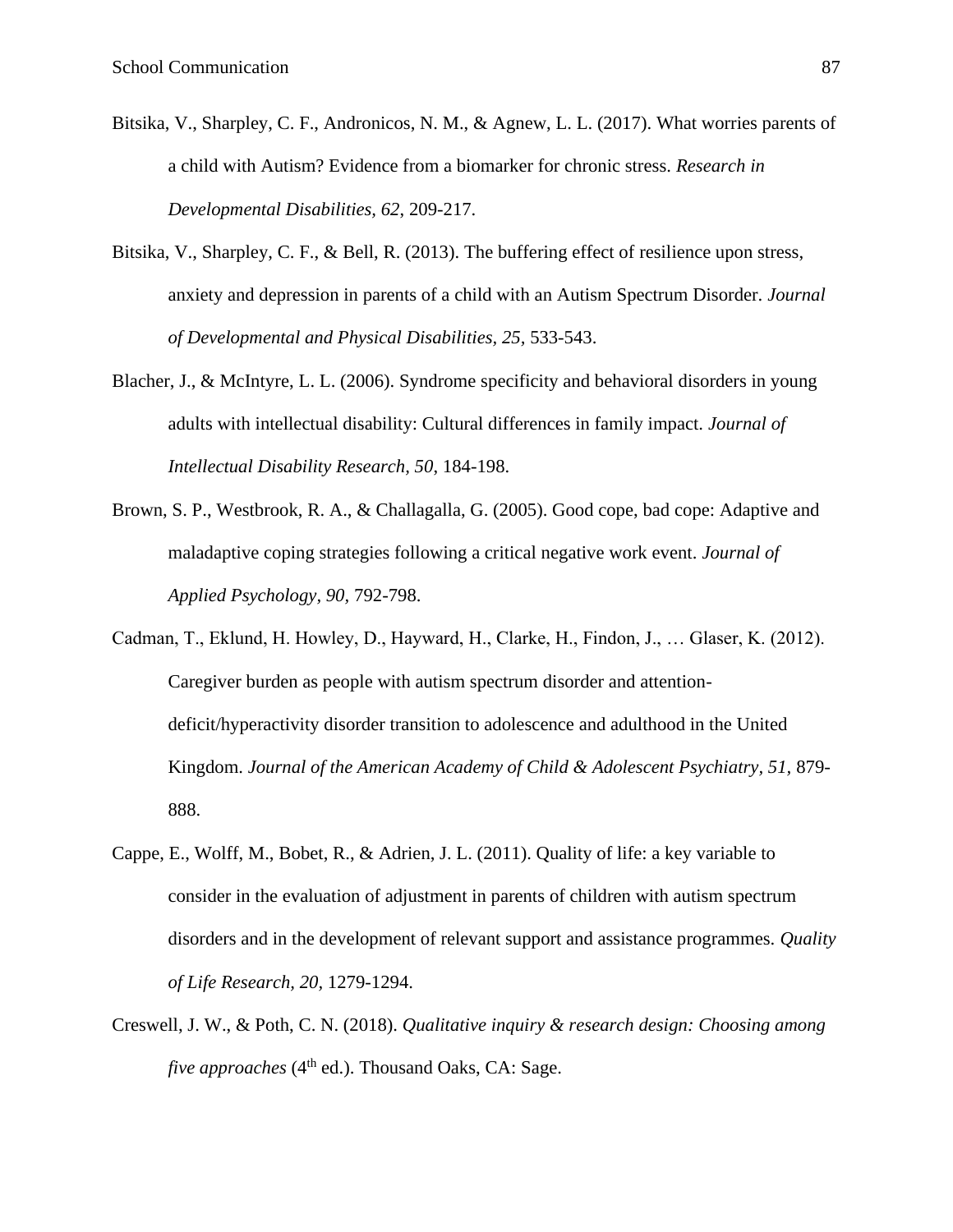- Bitsika, V., Sharpley, C. F., Andronicos, N. M., & Agnew, L. L. (2017). What worries parents of a child with Autism? Evidence from a biomarker for chronic stress. *Research in Developmental Disabilities, 62*, 209-217.
- Bitsika, V., Sharpley, C. F., & Bell, R. (2013). The buffering effect of resilience upon stress, anxiety and depression in parents of a child with an Autism Spectrum Disorder. *Journal of Developmental and Physical Disabilities, 25,* 533-543.
- Blacher, J., & McIntyre, L. L. (2006). Syndrome specificity and behavioral disorders in young adults with intellectual disability: Cultural differences in family impact. *Journal of Intellectual Disability Research, 50*, 184-198.
- Brown, S. P., Westbrook, R. A., & Challagalla, G. (2005). Good cope, bad cope: Adaptive and maladaptive coping strategies following a critical negative work event. *Journal of Applied Psychology, 90,* 792-798.
- Cadman, T., Eklund, H. Howley, D., Hayward, H., Clarke, H., Findon, J., … Glaser, K. (2012). Caregiver burden as people with autism spectrum disorder and attentiondeficit/hyperactivity disorder transition to adolescence and adulthood in the United Kingdom. *Journal of the American Academy of Child & Adolescent Psychiatry, 51,* 879- 888.
- Cappe, E., Wolff, M., Bobet, R., & Adrien, J. L. (2011). Quality of life: a key variable to consider in the evaluation of adjustment in parents of children with autism spectrum disorders and in the development of relevant support and assistance programmes. *Quality of Life Research, 20,* 1279-1294.
- Creswell, J. W., & Poth, C. N. (2018). *Qualitative inquiry & research design: Choosing among five approaches* (4<sup>th</sup> ed.). Thousand Oaks, CA: Sage.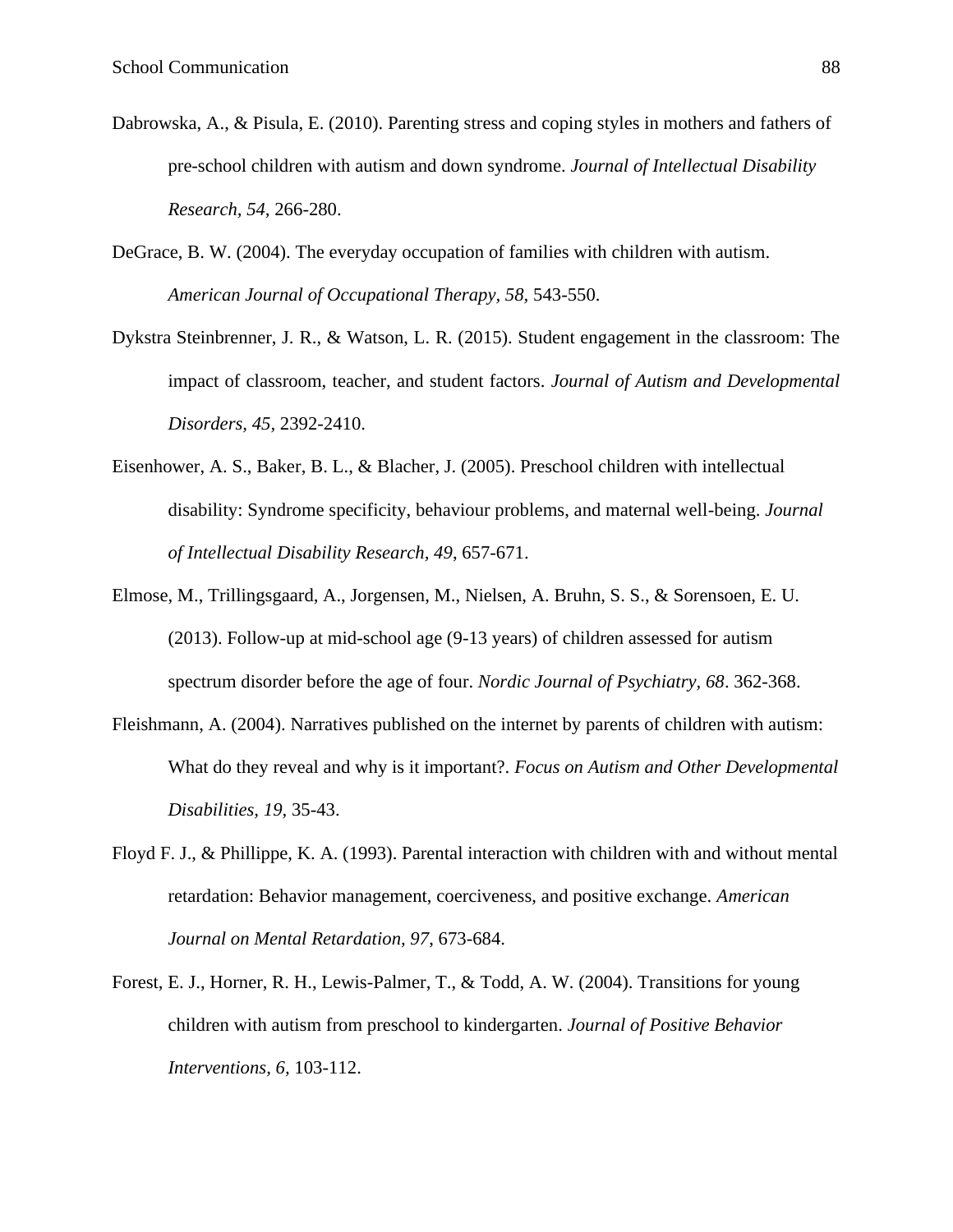- Dabrowska, A., & Pisula, E. (2010). Parenting stress and coping styles in mothers and fathers of pre-school children with autism and down syndrome. *Journal of Intellectual Disability Research, 54,* 266-280.
- DeGrace, B. W. (2004). The everyday occupation of families with children with autism. *American Journal of Occupational Therapy, 58,* 543-550.
- Dykstra Steinbrenner, J. R., & Watson, L. R. (2015). Student engagement in the classroom: The impact of classroom, teacher, and student factors. *Journal of Autism and Developmental Disorders, 45,* 2392-2410.
- Eisenhower, A. S., Baker, B. L., & Blacher, J. (2005). Preschool children with intellectual disability: Syndrome specificity, behaviour problems, and maternal well-being. *Journal of Intellectual Disability Research, 49*, 657-671.
- Elmose, M., Trillingsgaard, A., Jorgensen, M., Nielsen, A. Bruhn, S. S., & Sorensoen, E. U. (2013). Follow-up at mid-school age (9-13 years) of children assessed for autism spectrum disorder before the age of four. *Nordic Journal of Psychiatry, 68*. 362-368.
- Fleishmann, A. (2004). Narratives published on the internet by parents of children with autism: What do they reveal and why is it important?. *Focus on Autism and Other Developmental Disabilities, 19,* 35-43.
- Floyd F. J., & Phillippe, K. A. (1993). Parental interaction with children with and without mental retardation: Behavior management, coerciveness, and positive exchange. *American Journal on Mental Retardation, 97*, 673-684.
- Forest, E. J., Horner, R. H., Lewis-Palmer, T., & Todd, A. W. (2004). Transitions for young children with autism from preschool to kindergarten. *Journal of Positive Behavior Interventions, 6,* 103-112.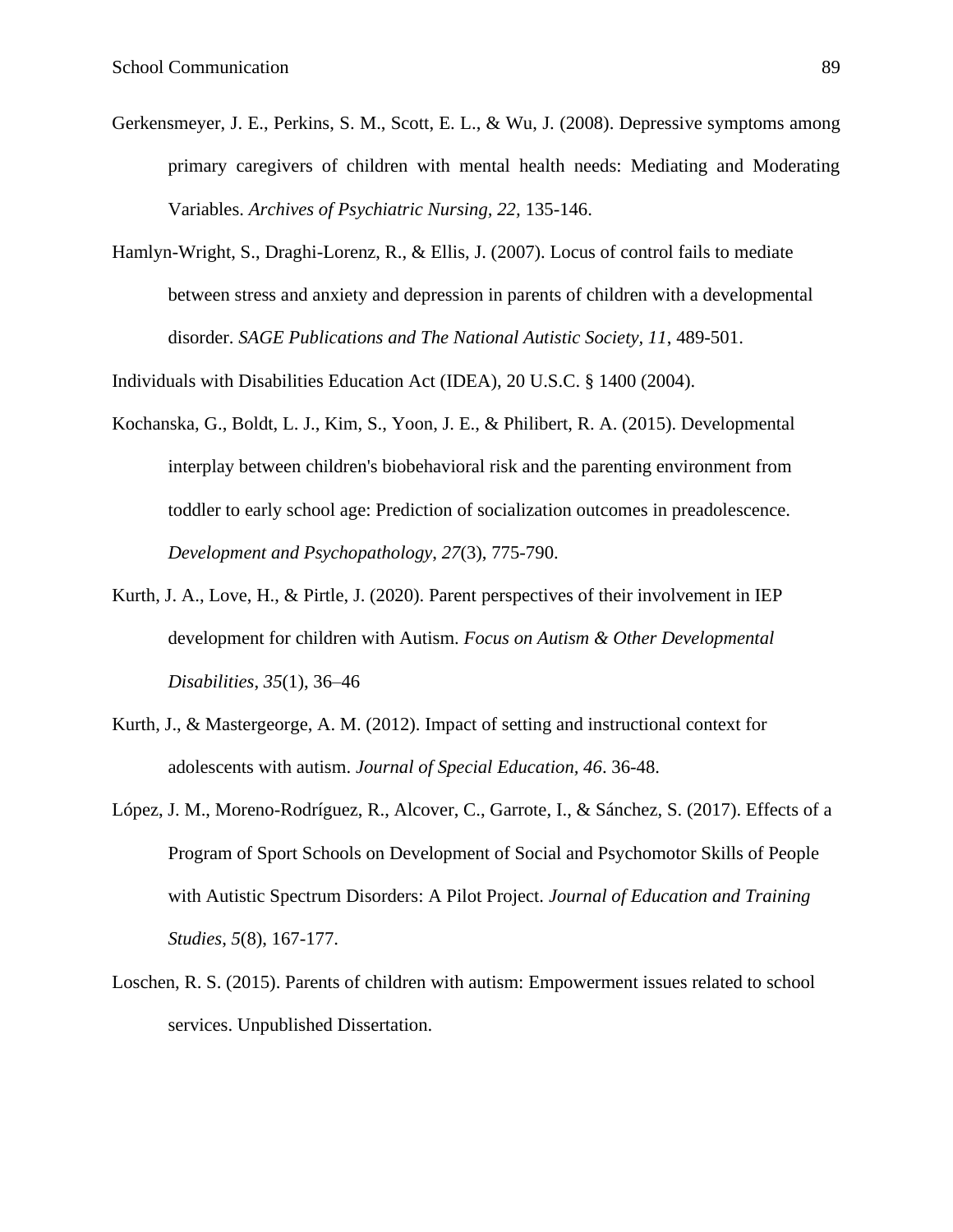- Gerkensmeyer, J. E., Perkins, S. M., Scott, E. L., & Wu, J. (2008). Depressive symptoms among primary caregivers of children with mental health needs: Mediating and Moderating Variables. *Archives of Psychiatric Nursing, 22,* 135-146.
- Hamlyn-Wright, S., Draghi-Lorenz, R., & Ellis, J. (2007). Locus of control fails to mediate between stress and anxiety and depression in parents of children with a developmental disorder. *SAGE Publications and The National Autistic Society, 11*, 489-501.

Individuals with Disabilities Education Act (IDEA), 20 U.S.C. § 1400 (2004).

- Kochanska, G., Boldt, L. J., Kim, S., Yoon, J. E., & Philibert, R. A. (2015). Developmental interplay between children's biobehavioral risk and the parenting environment from toddler to early school age: Prediction of socialization outcomes in preadolescence. *Development and Psychopathology*, *27*(3), 775-790.
- Kurth, J. A., Love, H., & Pirtle, J. (2020). Parent perspectives of their involvement in IEP development for children with Autism. *Focus on Autism & Other Developmental Disabilities*, *35*(1), 36–46
- Kurth, J., & Mastergeorge, A. M. (2012). Impact of setting and instructional context for adolescents with autism. *Journal of Special Education, 46*. 36-48.
- López, J. M., Moreno-Rodríguez, R., Alcover, C., Garrote, I., & Sánchez, S. (2017). Effects of a Program of Sport Schools on Development of Social and Psychomotor Skills of People with Autistic Spectrum Disorders: A Pilot Project. *Journal of Education and Training Studies*, *5*(8), 167-177.
- Loschen, R. S. (2015). Parents of children with autism: Empowerment issues related to school services. Unpublished Dissertation.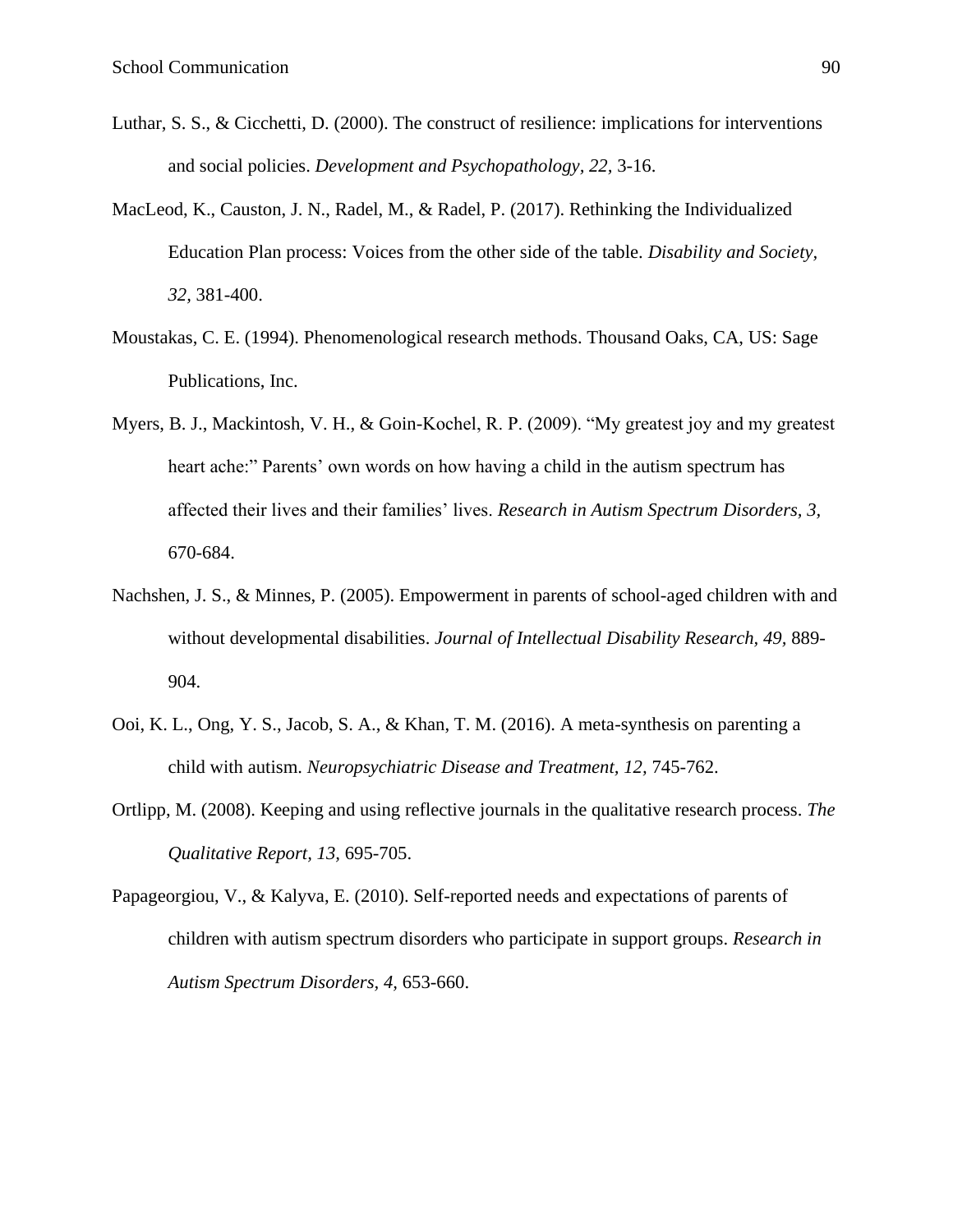- Luthar, S. S., & Cicchetti, D. (2000). The construct of resilience: implications for interventions and social policies. *Development and Psychopathology, 22,* 3-16.
- MacLeod, K., Causton, J. N., Radel, M., & Radel, P. (2017). Rethinking the Individualized Education Plan process: Voices from the other side of the table. *Disability and Society, 32,* 381-400.
- Moustakas, C. E. (1994). Phenomenological research methods. Thousand Oaks, CA, US: Sage Publications, Inc.
- Myers, B. J., Mackintosh, V. H., & Goin-Kochel, R. P. (2009). "My greatest joy and my greatest heart ache:" Parents' own words on how having a child in the autism spectrum has affected their lives and their families' lives. *Research in Autism Spectrum Disorders, 3,*  670-684.
- Nachshen, J. S., & Minnes, P. (2005). Empowerment in parents of school-aged children with and without developmental disabilities. *Journal of Intellectual Disability Research, 49,* 889- 904.
- Ooi, K. L., Ong, Y. S., Jacob, S. A., & Khan, T. M. (2016). A meta-synthesis on parenting a child with autism. *Neuropsychiatric Disease and Treatment, 12,* 745-762.
- Ortlipp, M. (2008). Keeping and using reflective journals in the qualitative research process. *The Qualitative Report, 13,* 695-705.

Papageorgiou, V., & Kalyva, E. (2010). Self-reported needs and expectations of parents of children with autism spectrum disorders who participate in support groups. *Research in Autism Spectrum Disorders, 4,* 653-660.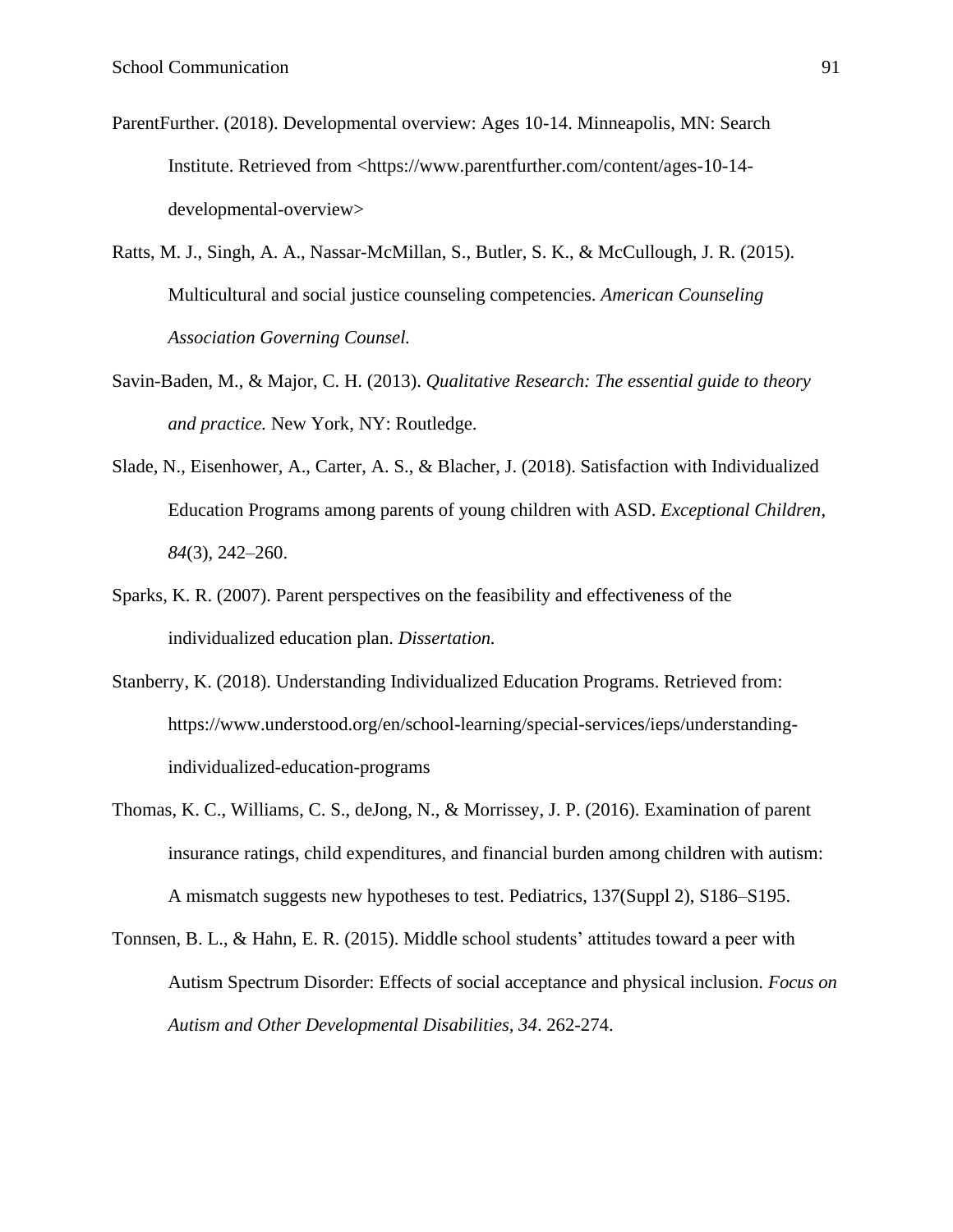- ParentFurther. (2018). Developmental overview: Ages 10-14. Minneapolis, MN: Search Institute. Retrieved from <https://www.parentfurther.com/content/ages-10-14developmental-overview>
- Ratts, M. J., Singh, A. A., Nassar-McMillan, S., Butler, S. K., & McCullough, J. R. (2015). Multicultural and social justice counseling competencies. *American Counseling Association Governing Counsel.*
- Savin-Baden, M., & Major, C. H. (2013). *Qualitative Research: The essential guide to theory and practice.* New York, NY: Routledge.
- Slade, N., Eisenhower, A., Carter, A. S., & Blacher, J. (2018). Satisfaction with Individualized Education Programs among parents of young children with ASD. *Exceptional Children*, *84*(3), 242–260.
- Sparks, K. R. (2007). Parent perspectives on the feasibility and effectiveness of the individualized education plan. *Dissertation.*
- Stanberry, K. (2018). Understanding Individualized Education Programs. Retrieved from: https://www.understood.org/en/school-learning/special-services/ieps/understandingindividualized-education-programs
- Thomas, K. C., Williams, C. S., deJong, N., & Morrissey, J. P. (2016). Examination of parent insurance ratings, child expenditures, and financial burden among children with autism: A mismatch suggests new hypotheses to test. Pediatrics, 137(Suppl 2), S186–S195.
- Tonnsen, B. L., & Hahn, E. R. (2015). Middle school students' attitudes toward a peer with Autism Spectrum Disorder: Effects of social acceptance and physical inclusion. *Focus on Autism and Other Developmental Disabilities, 34*. 262-274.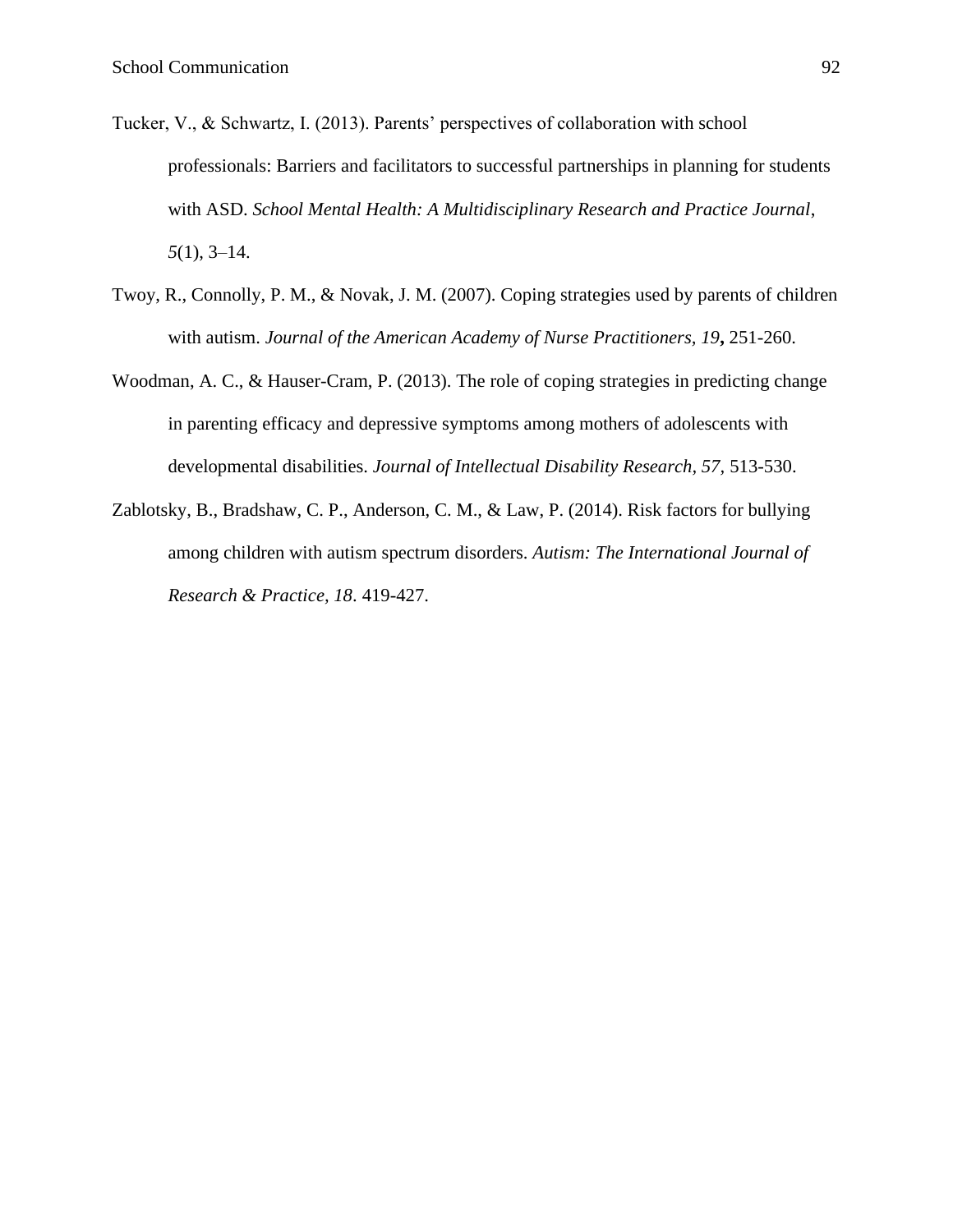- Tucker, V., & Schwartz, I. (2013). Parents' perspectives of collaboration with school professionals: Barriers and facilitators to successful partnerships in planning for students with ASD. *School Mental Health: A Multidisciplinary Research and Practice Journal*, *5*(1), 3–14.
- Twoy, R., Connolly, P. M., & Novak, J. M. (2007). Coping strategies used by parents of children with autism. *Journal of the American Academy of Nurse Practitioners, 19***,** 251-260.
- Woodman, A. C., & Hauser-Cram, P. (2013). The role of coping strategies in predicting change in parenting efficacy and depressive symptoms among mothers of adolescents with developmental disabilities. *Journal of Intellectual Disability Research, 57,* 513-530.
- Zablotsky, B., Bradshaw, C. P., Anderson, C. M., & Law, P. (2014). Risk factors for bullying among children with autism spectrum disorders. *Autism: The International Journal of Research & Practice, 18*. 419-427.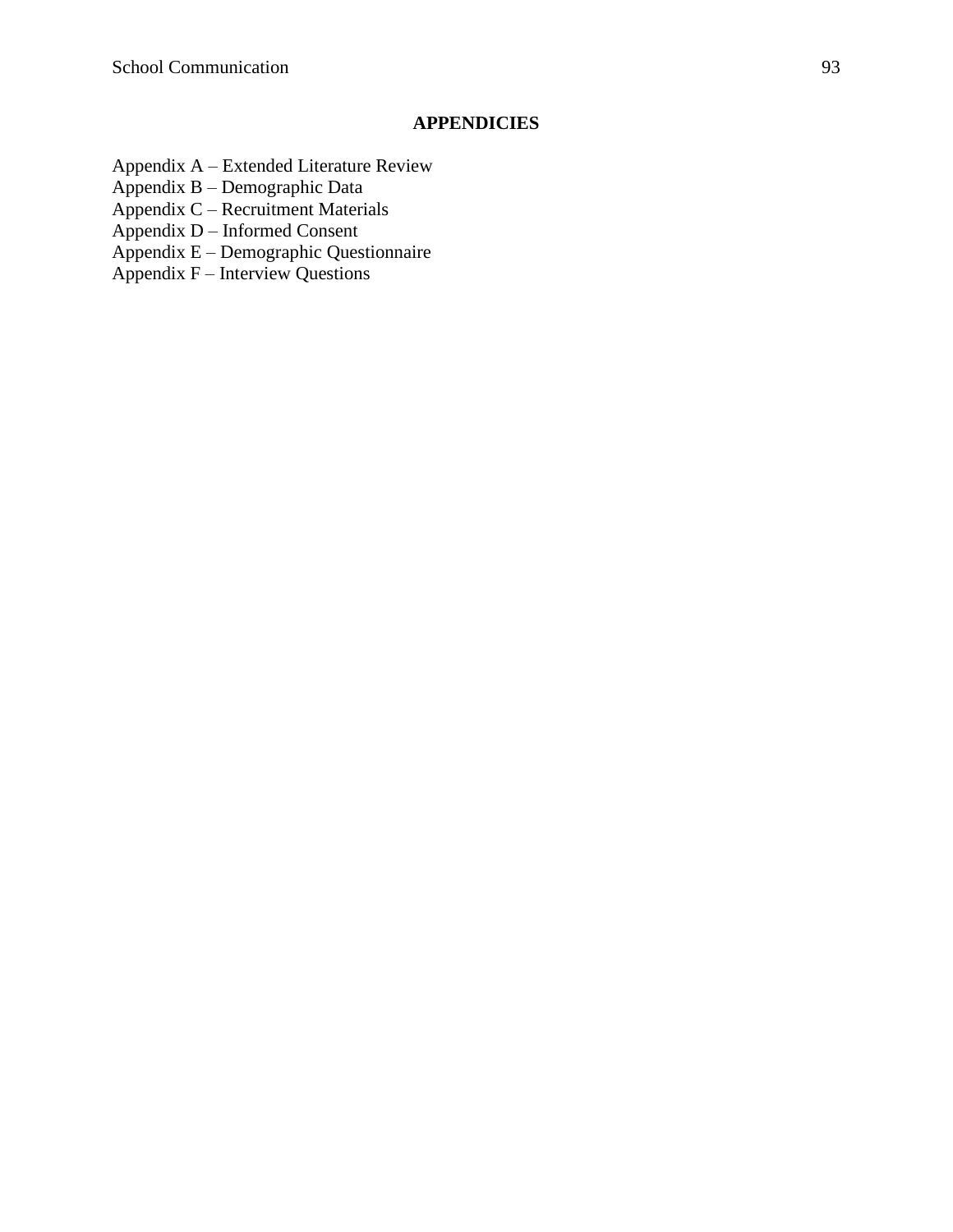# **APPENDICIES**

- Appendix A Extended Literature Review
- Appendix B Demographic Data
- Appendix C Recruitment Materials
- Appendix D Informed Consent
- Appendix E Demographic Questionnaire
- $Appendix F Interview$  Questions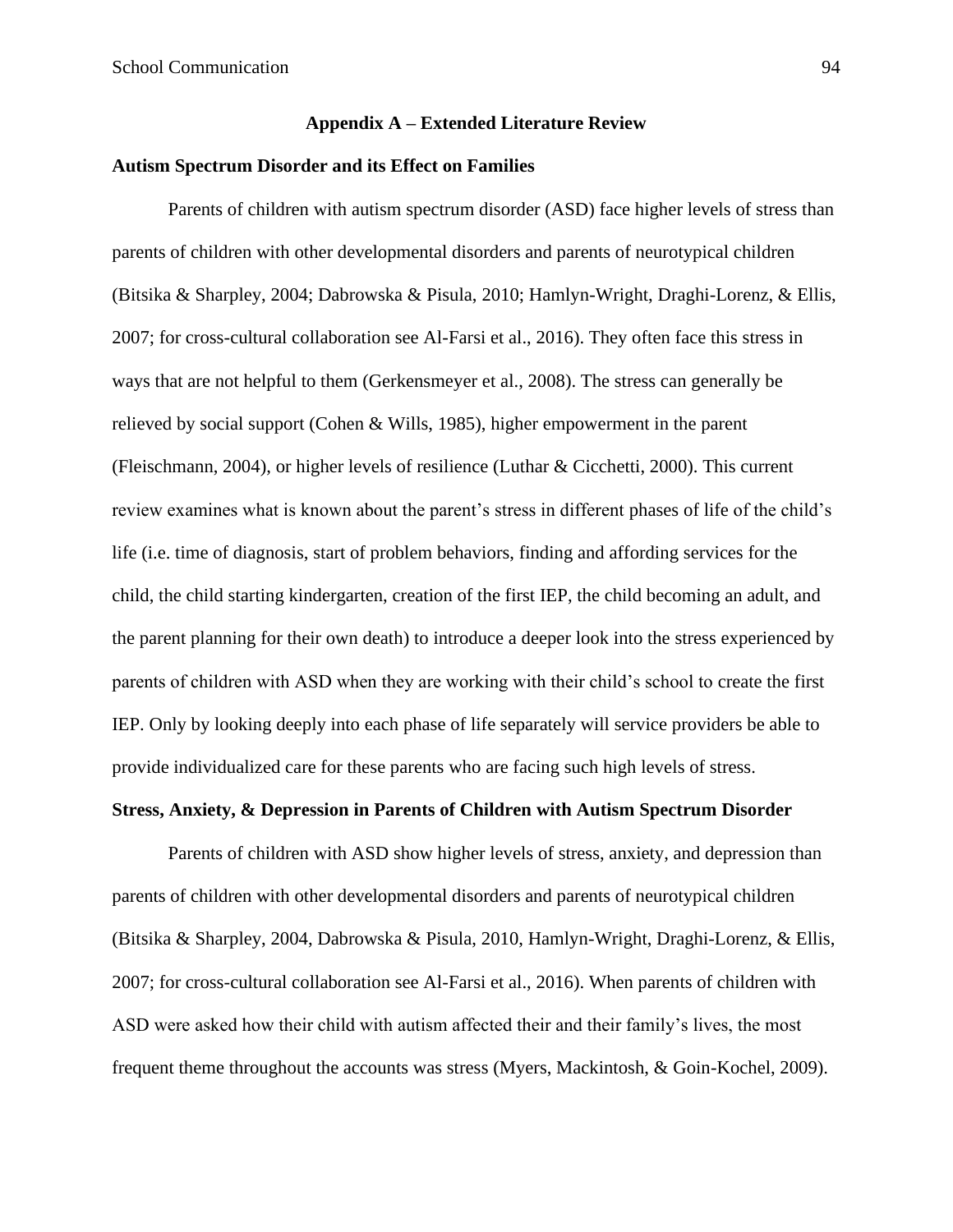# **Appendix A – Extended Literature Review**

# **Autism Spectrum Disorder and its Effect on Families**

Parents of children with autism spectrum disorder (ASD) face higher levels of stress than parents of children with other developmental disorders and parents of neurotypical children (Bitsika & Sharpley, 2004; Dabrowska & Pisula, 2010; Hamlyn-Wright, Draghi-Lorenz, & Ellis, 2007; for cross-cultural collaboration see Al-Farsi et al., 2016). They often face this stress in ways that are not helpful to them (Gerkensmeyer et al., 2008). The stress can generally be relieved by social support (Cohen & Wills, 1985), higher empowerment in the parent (Fleischmann, 2004), or higher levels of resilience (Luthar & Cicchetti, 2000). This current review examines what is known about the parent's stress in different phases of life of the child's life (i.e. time of diagnosis, start of problem behaviors, finding and affording services for the child, the child starting kindergarten, creation of the first IEP, the child becoming an adult, and the parent planning for their own death) to introduce a deeper look into the stress experienced by parents of children with ASD when they are working with their child's school to create the first IEP. Only by looking deeply into each phase of life separately will service providers be able to provide individualized care for these parents who are facing such high levels of stress.

# **Stress, Anxiety, & Depression in Parents of Children with Autism Spectrum Disorder**

Parents of children with ASD show higher levels of stress, anxiety, and depression than parents of children with other developmental disorders and parents of neurotypical children (Bitsika & Sharpley, 2004, Dabrowska & Pisula, 2010, Hamlyn-Wright, Draghi-Lorenz, & Ellis, 2007; for cross-cultural collaboration see Al-Farsi et al., 2016). When parents of children with ASD were asked how their child with autism affected their and their family's lives, the most frequent theme throughout the accounts was stress (Myers, Mackintosh, & Goin-Kochel, 2009).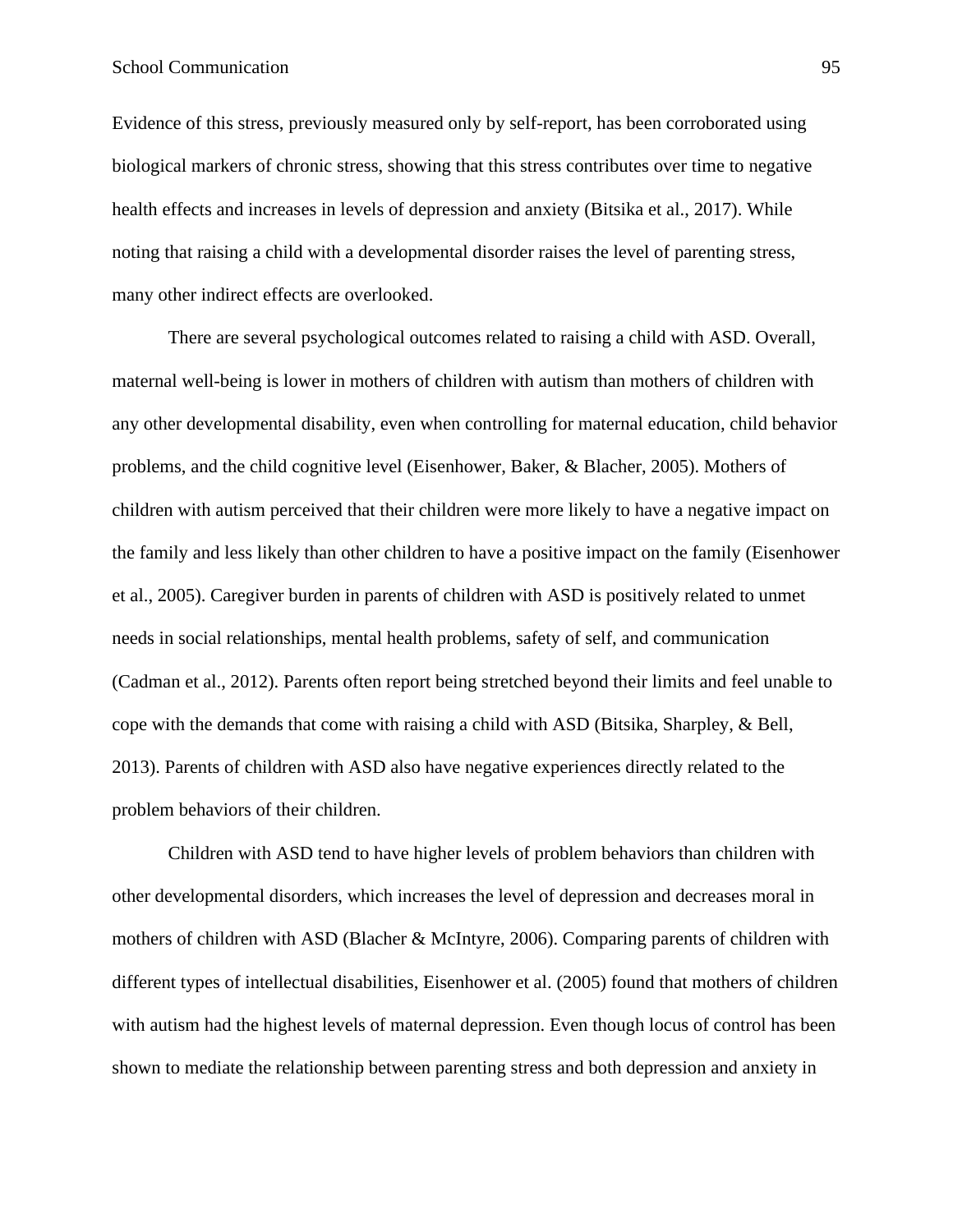# School Communication 95

Evidence of this stress, previously measured only by self-report, has been corroborated using biological markers of chronic stress, showing that this stress contributes over time to negative health effects and increases in levels of depression and anxiety (Bitsika et al., 2017). While noting that raising a child with a developmental disorder raises the level of parenting stress, many other indirect effects are overlooked.

There are several psychological outcomes related to raising a child with ASD. Overall, maternal well-being is lower in mothers of children with autism than mothers of children with any other developmental disability, even when controlling for maternal education, child behavior problems, and the child cognitive level (Eisenhower, Baker, & Blacher, 2005). Mothers of children with autism perceived that their children were more likely to have a negative impact on the family and less likely than other children to have a positive impact on the family (Eisenhower et al., 2005). Caregiver burden in parents of children with ASD is positively related to unmet needs in social relationships, mental health problems, safety of self, and communication (Cadman et al., 2012). Parents often report being stretched beyond their limits and feel unable to cope with the demands that come with raising a child with ASD (Bitsika, Sharpley, & Bell, 2013). Parents of children with ASD also have negative experiences directly related to the problem behaviors of their children.

Children with ASD tend to have higher levels of problem behaviors than children with other developmental disorders, which increases the level of depression and decreases moral in mothers of children with ASD (Blacher & McIntyre, 2006). Comparing parents of children with different types of intellectual disabilities, Eisenhower et al. (2005) found that mothers of children with autism had the highest levels of maternal depression. Even though locus of control has been shown to mediate the relationship between parenting stress and both depression and anxiety in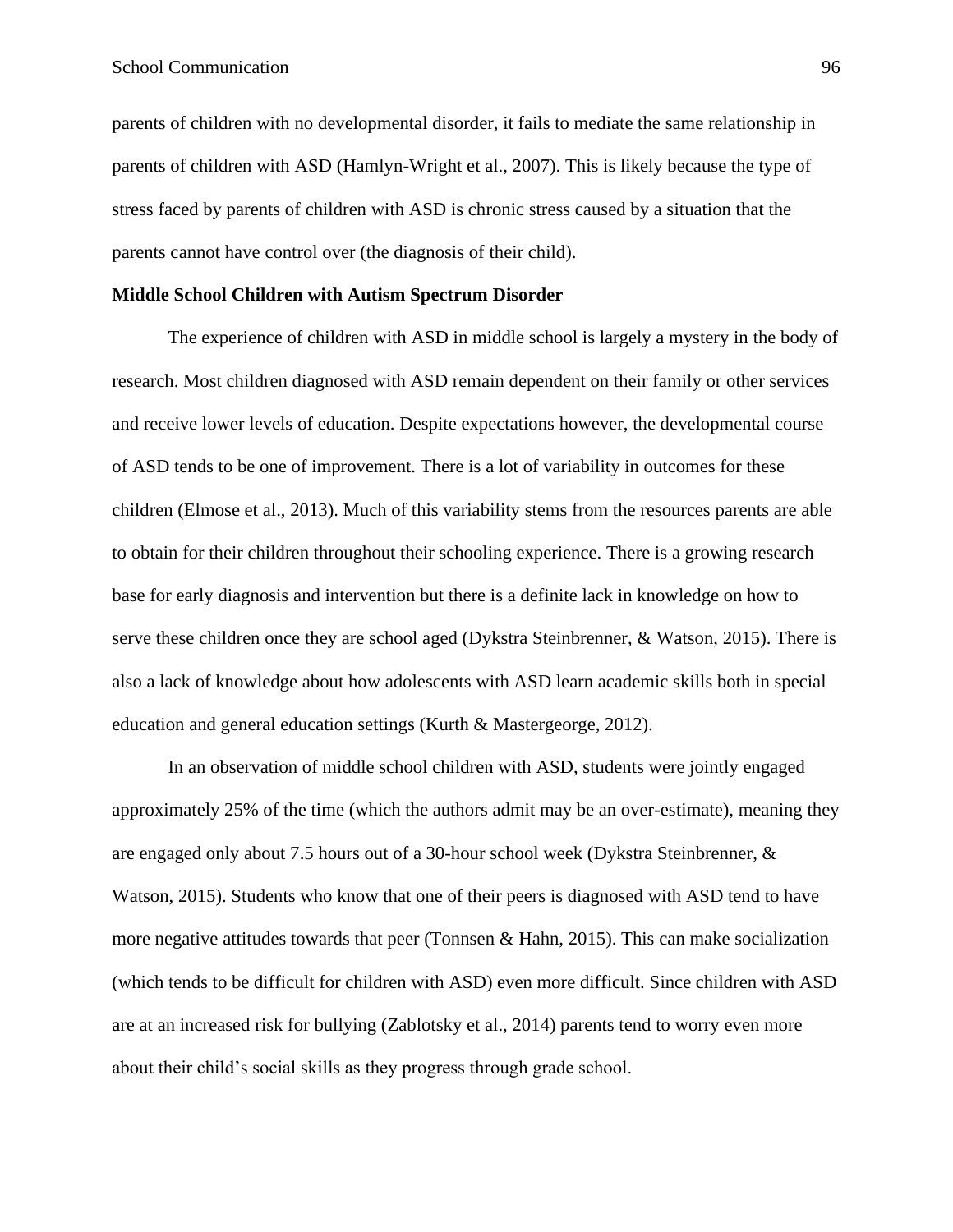parents of children with no developmental disorder, it fails to mediate the same relationship in parents of children with ASD (Hamlyn-Wright et al., 2007). This is likely because the type of stress faced by parents of children with ASD is chronic stress caused by a situation that the parents cannot have control over (the diagnosis of their child).

#### **Middle School Children with Autism Spectrum Disorder**

The experience of children with ASD in middle school is largely a mystery in the body of research. Most children diagnosed with ASD remain dependent on their family or other services and receive lower levels of education. Despite expectations however, the developmental course of ASD tends to be one of improvement. There is a lot of variability in outcomes for these children (Elmose et al., 2013). Much of this variability stems from the resources parents are able to obtain for their children throughout their schooling experience. There is a growing research base for early diagnosis and intervention but there is a definite lack in knowledge on how to serve these children once they are school aged (Dykstra Steinbrenner, & Watson, 2015). There is also a lack of knowledge about how adolescents with ASD learn academic skills both in special education and general education settings (Kurth & Mastergeorge, 2012).

In an observation of middle school children with ASD, students were jointly engaged approximately 25% of the time (which the authors admit may be an over-estimate), meaning they are engaged only about 7.5 hours out of a 30-hour school week (Dykstra Steinbrenner, & Watson, 2015). Students who know that one of their peers is diagnosed with ASD tend to have more negative attitudes towards that peer (Tonnsen & Hahn, 2015). This can make socialization (which tends to be difficult for children with ASD) even more difficult. Since children with ASD are at an increased risk for bullying (Zablotsky et al., 2014) parents tend to worry even more about their child's social skills as they progress through grade school.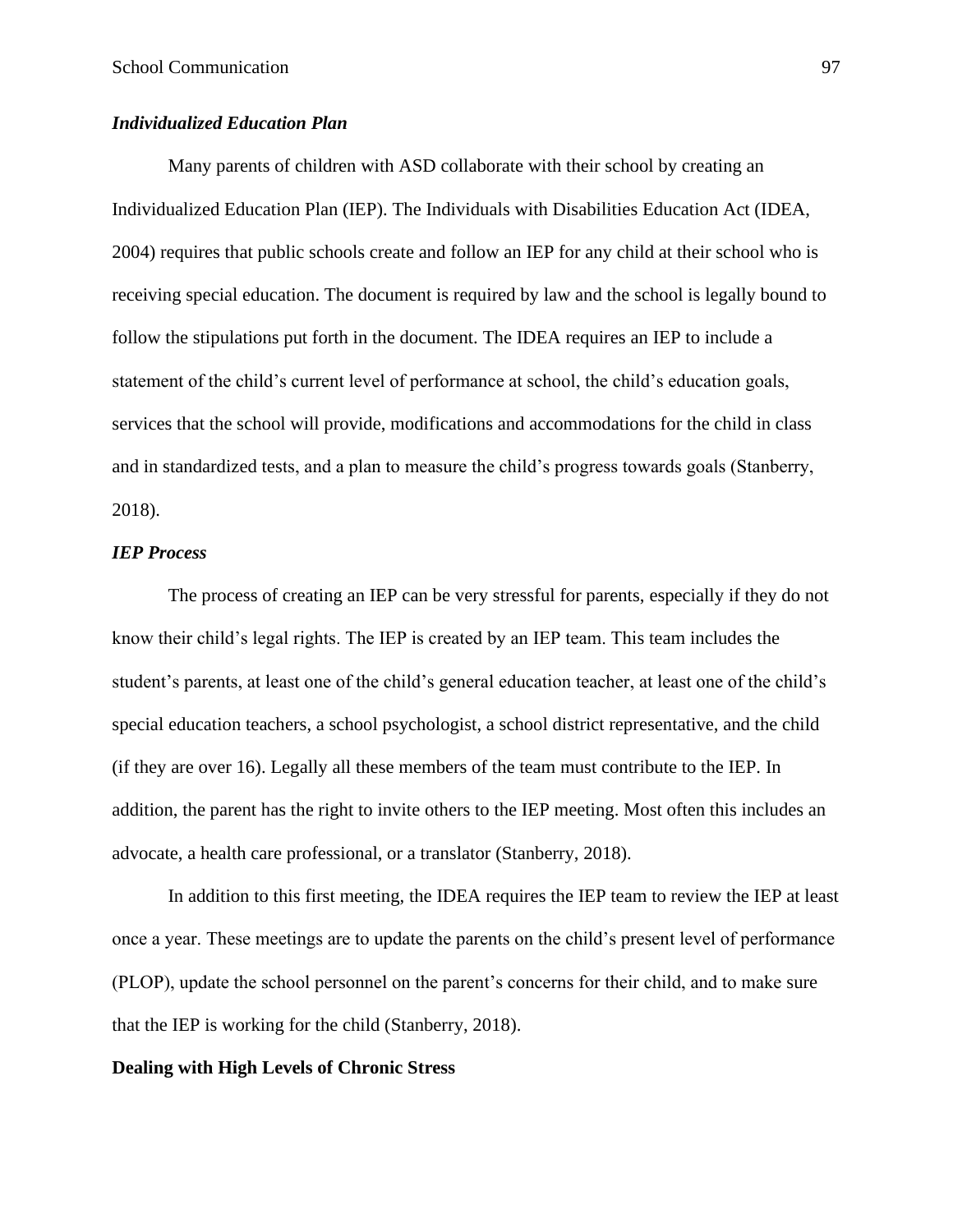# *Individualized Education Plan*

Many parents of children with ASD collaborate with their school by creating an Individualized Education Plan (IEP). The Individuals with Disabilities Education Act (IDEA, 2004) requires that public schools create and follow an IEP for any child at their school who is receiving special education. The document is required by law and the school is legally bound to follow the stipulations put forth in the document. The IDEA requires an IEP to include a statement of the child's current level of performance at school, the child's education goals, services that the school will provide, modifications and accommodations for the child in class and in standardized tests, and a plan to measure the child's progress towards goals (Stanberry, 2018).

### *IEP Process*

The process of creating an IEP can be very stressful for parents, especially if they do not know their child's legal rights. The IEP is created by an IEP team. This team includes the student's parents, at least one of the child's general education teacher, at least one of the child's special education teachers, a school psychologist, a school district representative, and the child (if they are over 16). Legally all these members of the team must contribute to the IEP. In addition, the parent has the right to invite others to the IEP meeting. Most often this includes an advocate, a health care professional, or a translator (Stanberry, 2018).

In addition to this first meeting, the IDEA requires the IEP team to review the IEP at least once a year. These meetings are to update the parents on the child's present level of performance (PLOP), update the school personnel on the parent's concerns for their child, and to make sure that the IEP is working for the child (Stanberry, 2018).

# **Dealing with High Levels of Chronic Stress**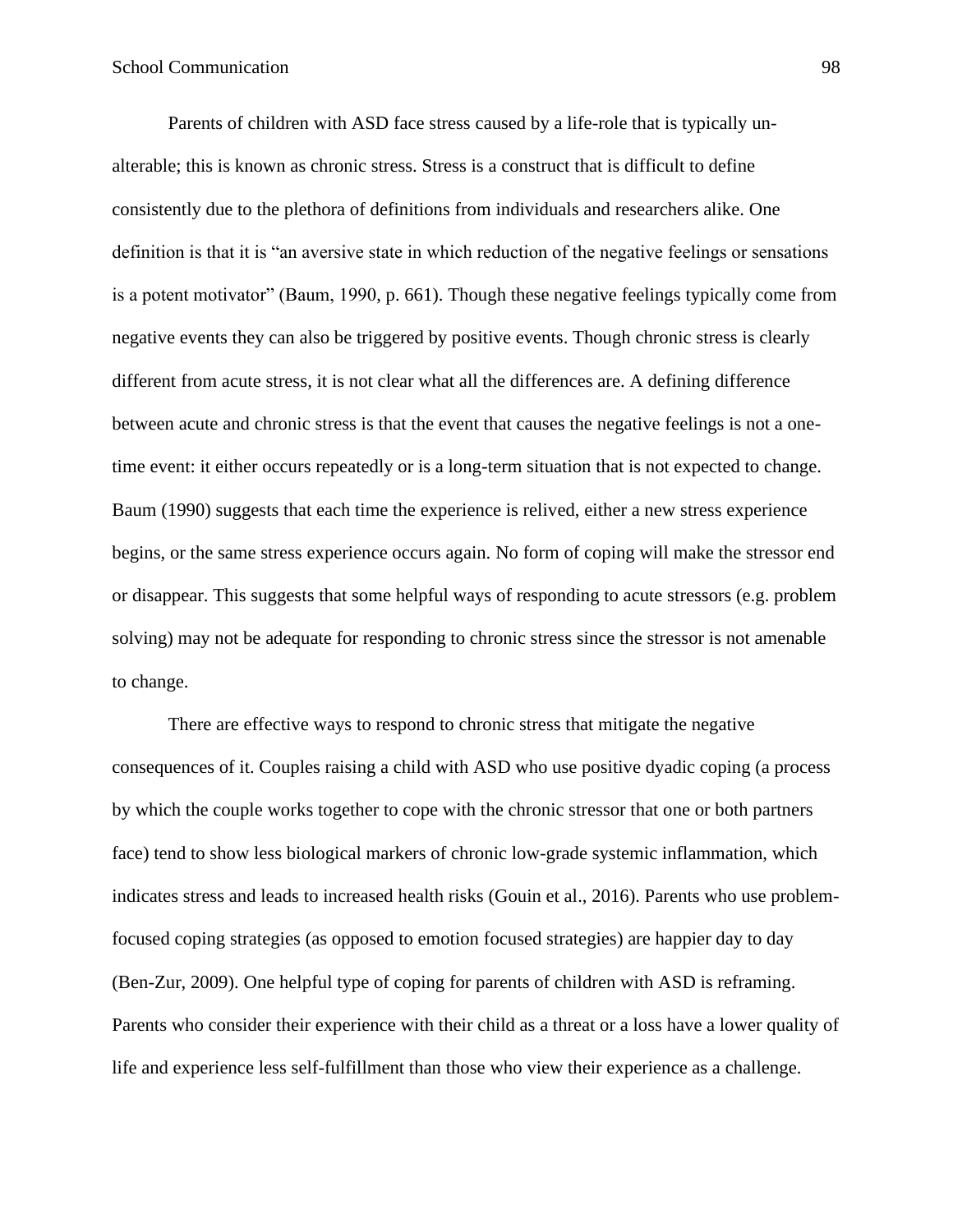Parents of children with ASD face stress caused by a life-role that is typically unalterable; this is known as chronic stress. Stress is a construct that is difficult to define consistently due to the plethora of definitions from individuals and researchers alike. One definition is that it is "an aversive state in which reduction of the negative feelings or sensations is a potent motivator" (Baum, 1990, p. 661). Though these negative feelings typically come from negative events they can also be triggered by positive events. Though chronic stress is clearly different from acute stress, it is not clear what all the differences are. A defining difference between acute and chronic stress is that the event that causes the negative feelings is not a onetime event: it either occurs repeatedly or is a long-term situation that is not expected to change. Baum (1990) suggests that each time the experience is relived, either a new stress experience begins, or the same stress experience occurs again. No form of coping will make the stressor end or disappear. This suggests that some helpful ways of responding to acute stressors (e.g. problem solving) may not be adequate for responding to chronic stress since the stressor is not amenable to change.

There are effective ways to respond to chronic stress that mitigate the negative consequences of it. Couples raising a child with ASD who use positive dyadic coping (a process by which the couple works together to cope with the chronic stressor that one or both partners face) tend to show less biological markers of chronic low-grade systemic inflammation, which indicates stress and leads to increased health risks (Gouin et al., 2016). Parents who use problemfocused coping strategies (as opposed to emotion focused strategies) are happier day to day (Ben-Zur, 2009). One helpful type of coping for parents of children with ASD is reframing. Parents who consider their experience with their child as a threat or a loss have a lower quality of life and experience less self-fulfillment than those who view their experience as a challenge.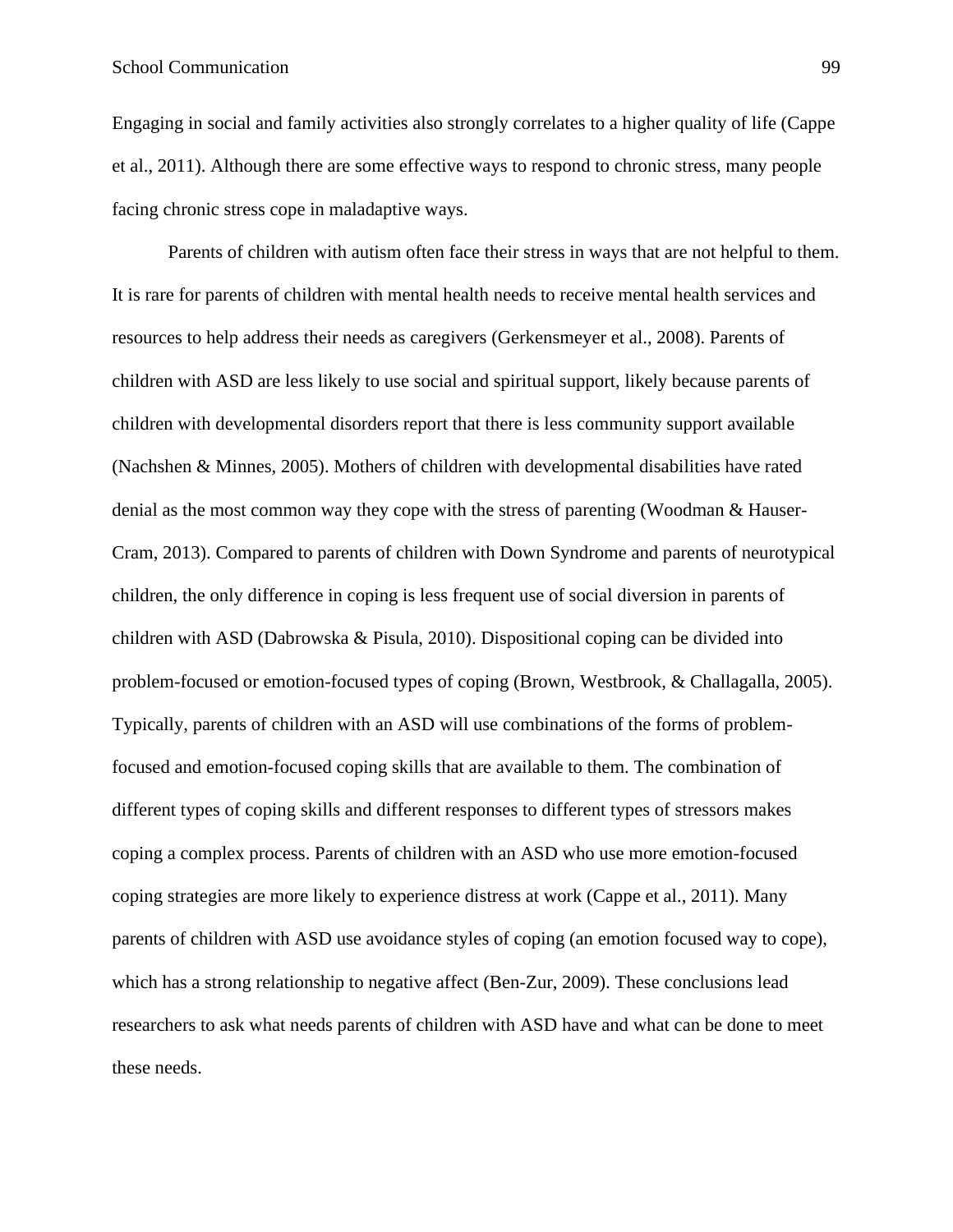Engaging in social and family activities also strongly correlates to a higher quality of life (Cappe et al., 2011). Although there are some effective ways to respond to chronic stress, many people facing chronic stress cope in maladaptive ways.

Parents of children with autism often face their stress in ways that are not helpful to them. It is rare for parents of children with mental health needs to receive mental health services and resources to help address their needs as caregivers (Gerkensmeyer et al., 2008). Parents of children with ASD are less likely to use social and spiritual support, likely because parents of children with developmental disorders report that there is less community support available (Nachshen & Minnes, 2005). Mothers of children with developmental disabilities have rated denial as the most common way they cope with the stress of parenting (Woodman & Hauser-Cram, 2013). Compared to parents of children with Down Syndrome and parents of neurotypical children, the only difference in coping is less frequent use of social diversion in parents of children with ASD (Dabrowska & Pisula, 2010). Dispositional coping can be divided into problem-focused or emotion-focused types of coping (Brown, Westbrook, & Challagalla, 2005). Typically, parents of children with an ASD will use combinations of the forms of problemfocused and emotion-focused coping skills that are available to them. The combination of different types of coping skills and different responses to different types of stressors makes coping a complex process. Parents of children with an ASD who use more emotion-focused coping strategies are more likely to experience distress at work (Cappe et al., 2011). Many parents of children with ASD use avoidance styles of coping (an emotion focused way to cope), which has a strong relationship to negative affect (Ben-Zur, 2009). These conclusions lead researchers to ask what needs parents of children with ASD have and what can be done to meet these needs.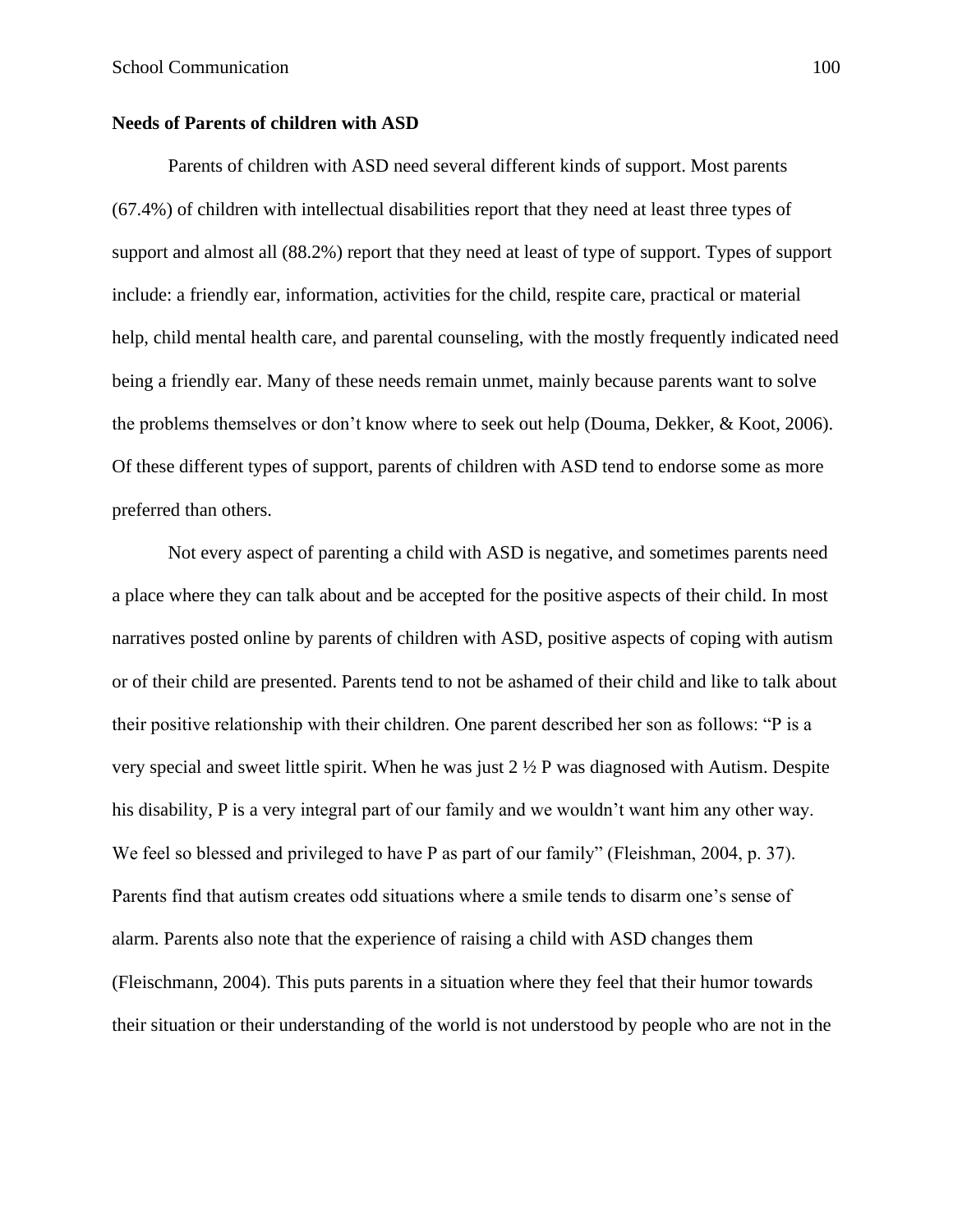# **Needs of Parents of children with ASD**

Parents of children with ASD need several different kinds of support. Most parents (67.4%) of children with intellectual disabilities report that they need at least three types of support and almost all (88.2%) report that they need at least of type of support. Types of support include: a friendly ear, information, activities for the child, respite care, practical or material help, child mental health care, and parental counseling, with the mostly frequently indicated need being a friendly ear. Many of these needs remain unmet, mainly because parents want to solve the problems themselves or don't know where to seek out help (Douma, Dekker, & Koot, 2006). Of these different types of support, parents of children with ASD tend to endorse some as more preferred than others.

Not every aspect of parenting a child with ASD is negative, and sometimes parents need a place where they can talk about and be accepted for the positive aspects of their child. In most narratives posted online by parents of children with ASD, positive aspects of coping with autism or of their child are presented. Parents tend to not be ashamed of their child and like to talk about their positive relationship with their children. One parent described her son as follows: "P is a very special and sweet little spirit. When he was just  $2\frac{1}{2}P$  was diagnosed with Autism. Despite his disability, P is a very integral part of our family and we wouldn't want him any other way. We feel so blessed and privileged to have P as part of our family" (Fleishman, 2004, p. 37). Parents find that autism creates odd situations where a smile tends to disarm one's sense of alarm. Parents also note that the experience of raising a child with ASD changes them (Fleischmann, 2004). This puts parents in a situation where they feel that their humor towards their situation or their understanding of the world is not understood by people who are not in the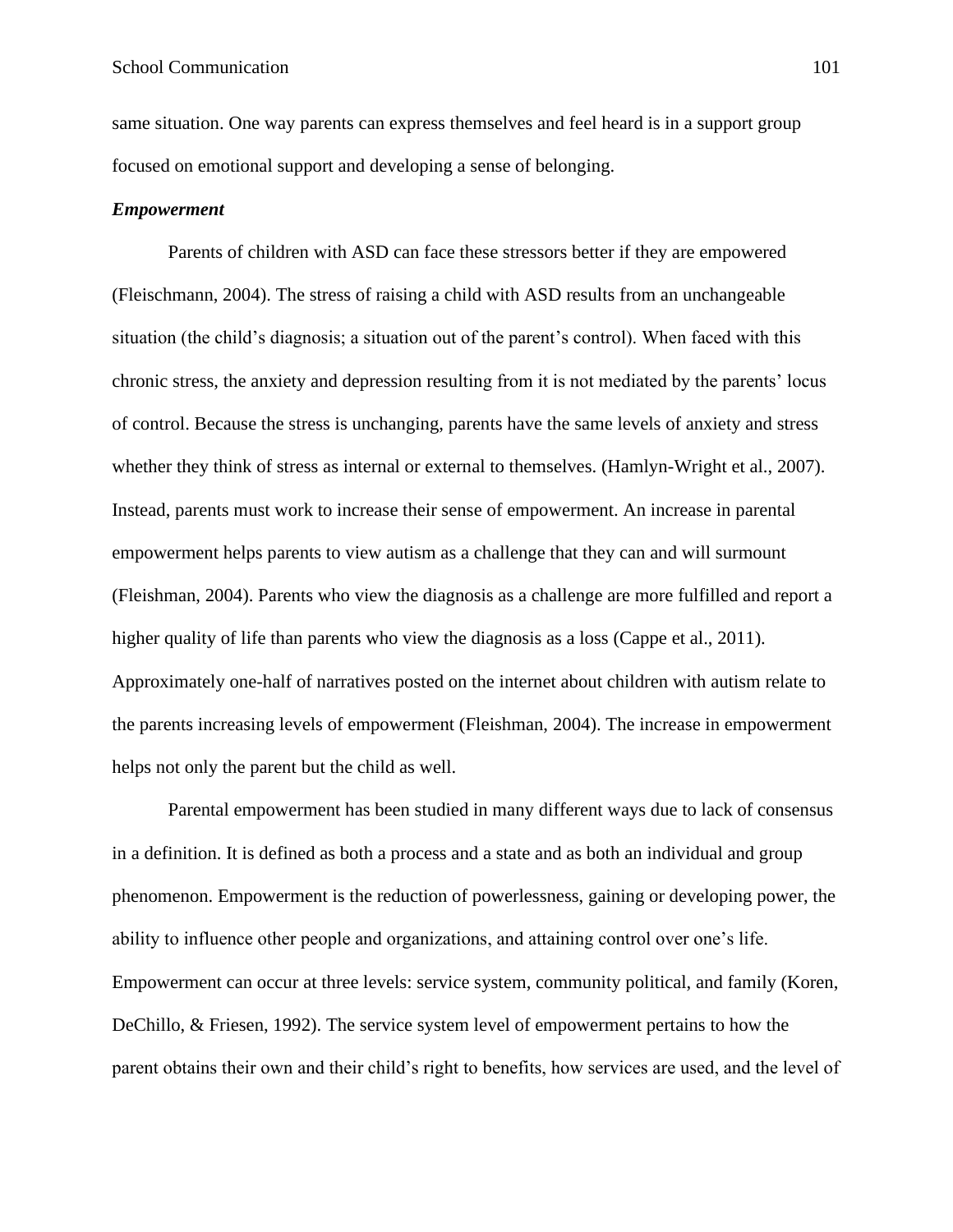same situation. One way parents can express themselves and feel heard is in a support group focused on emotional support and developing a sense of belonging.

#### *Empowerment*

Parents of children with ASD can face these stressors better if they are empowered (Fleischmann, 2004). The stress of raising a child with ASD results from an unchangeable situation (the child's diagnosis; a situation out of the parent's control). When faced with this chronic stress, the anxiety and depression resulting from it is not mediated by the parents' locus of control. Because the stress is unchanging, parents have the same levels of anxiety and stress whether they think of stress as internal or external to themselves. (Hamlyn-Wright et al., 2007). Instead, parents must work to increase their sense of empowerment. An increase in parental empowerment helps parents to view autism as a challenge that they can and will surmount (Fleishman, 2004). Parents who view the diagnosis as a challenge are more fulfilled and report a higher quality of life than parents who view the diagnosis as a loss (Cappe et al., 2011). Approximately one-half of narratives posted on the internet about children with autism relate to the parents increasing levels of empowerment (Fleishman, 2004). The increase in empowerment helps not only the parent but the child as well.

Parental empowerment has been studied in many different ways due to lack of consensus in a definition. It is defined as both a process and a state and as both an individual and group phenomenon. Empowerment is the reduction of powerlessness, gaining or developing power, the ability to influence other people and organizations, and attaining control over one's life. Empowerment can occur at three levels: service system, community political, and family (Koren, DeChillo, & Friesen, 1992). The service system level of empowerment pertains to how the parent obtains their own and their child's right to benefits, how services are used, and the level of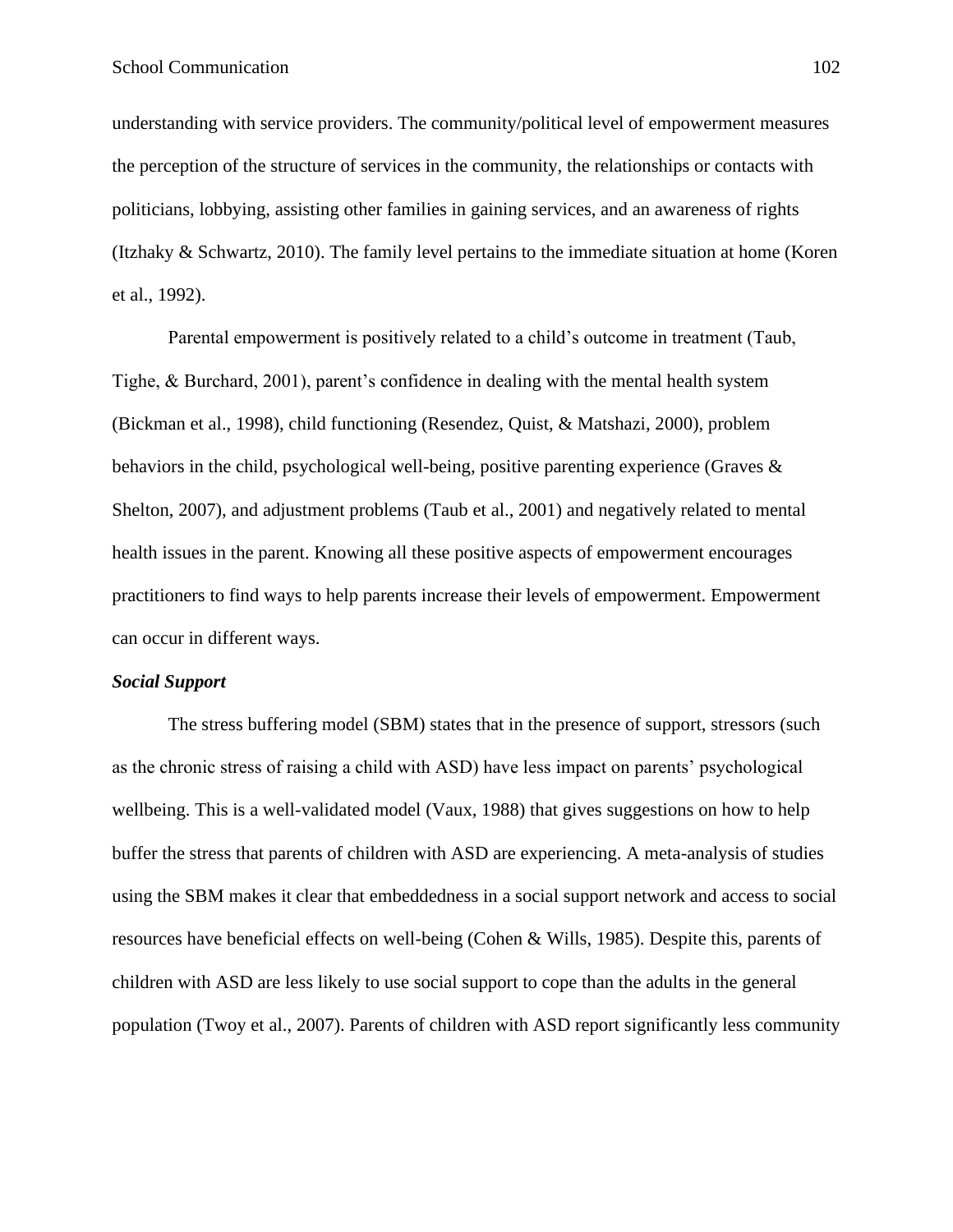understanding with service providers. The community/political level of empowerment measures the perception of the structure of services in the community, the relationships or contacts with politicians, lobbying, assisting other families in gaining services, and an awareness of rights (Itzhaky & Schwartz, 2010). The family level pertains to the immediate situation at home (Koren et al., 1992).

Parental empowerment is positively related to a child's outcome in treatment (Taub, Tighe, & Burchard, 2001), parent's confidence in dealing with the mental health system (Bickman et al., 1998), child functioning (Resendez, Quist, & Matshazi, 2000), problem behaviors in the child, psychological well-being, positive parenting experience (Graves & Shelton, 2007), and adjustment problems (Taub et al., 2001) and negatively related to mental health issues in the parent. Knowing all these positive aspects of empowerment encourages practitioners to find ways to help parents increase their levels of empowerment. Empowerment can occur in different ways.

#### *Social Support*

The stress buffering model (SBM) states that in the presence of support, stressors (such as the chronic stress of raising a child with ASD) have less impact on parents' psychological wellbeing. This is a well-validated model (Vaux, 1988) that gives suggestions on how to help buffer the stress that parents of children with ASD are experiencing. A meta-analysis of studies using the SBM makes it clear that embeddedness in a social support network and access to social resources have beneficial effects on well-being (Cohen & Wills, 1985). Despite this, parents of children with ASD are less likely to use social support to cope than the adults in the general population (Twoy et al., 2007). Parents of children with ASD report significantly less community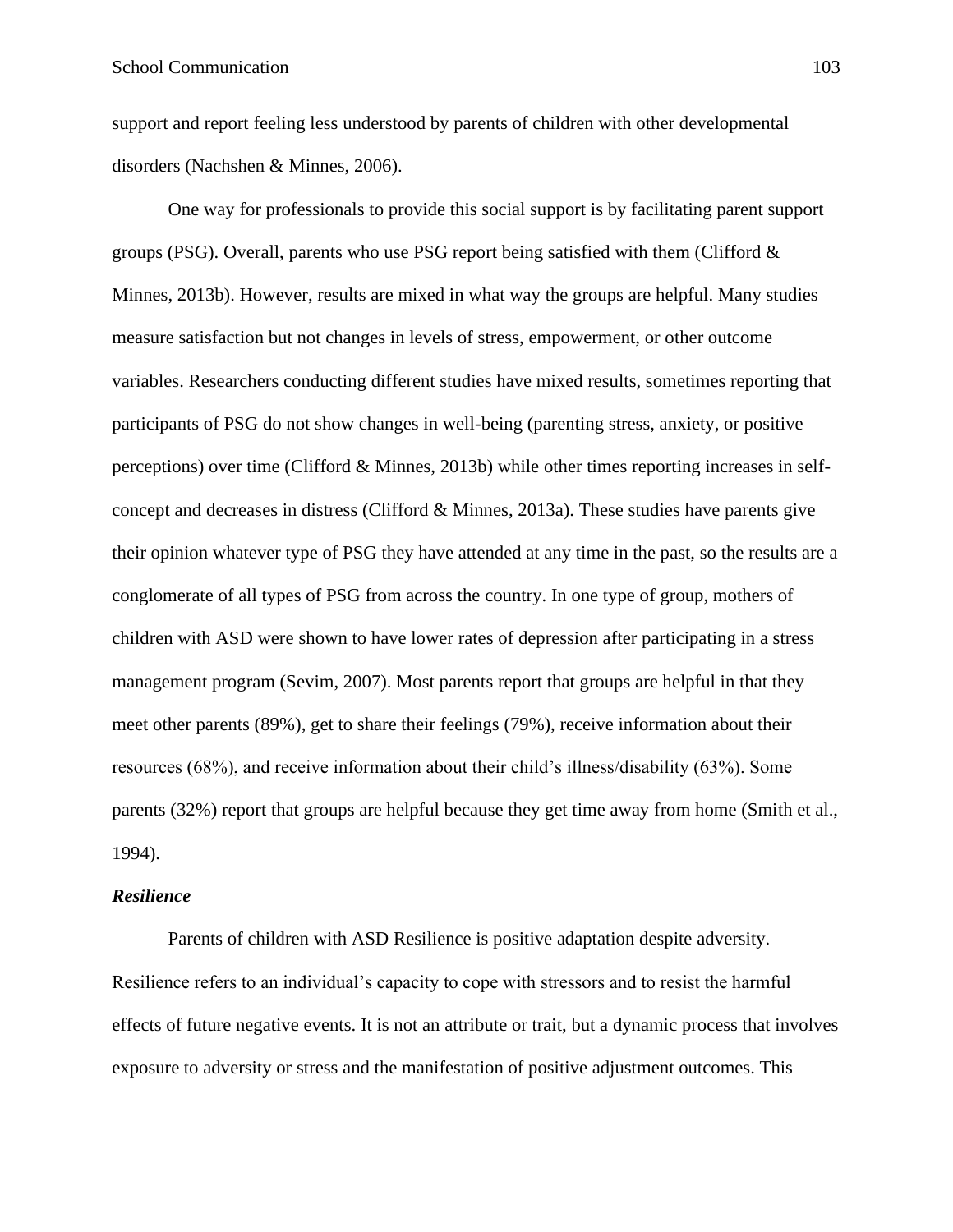support and report feeling less understood by parents of children with other developmental disorders (Nachshen & Minnes, 2006).

One way for professionals to provide this social support is by facilitating parent support groups (PSG). Overall, parents who use PSG report being satisfied with them (Clifford  $\&$ Minnes, 2013b). However, results are mixed in what way the groups are helpful. Many studies measure satisfaction but not changes in levels of stress, empowerment, or other outcome variables. Researchers conducting different studies have mixed results, sometimes reporting that participants of PSG do not show changes in well-being (parenting stress, anxiety, or positive perceptions) over time (Clifford & Minnes, 2013b) while other times reporting increases in selfconcept and decreases in distress (Clifford & Minnes, 2013a). These studies have parents give their opinion whatever type of PSG they have attended at any time in the past, so the results are a conglomerate of all types of PSG from across the country. In one type of group, mothers of children with ASD were shown to have lower rates of depression after participating in a stress management program (Sevim, 2007). Most parents report that groups are helpful in that they meet other parents (89%), get to share their feelings (79%), receive information about their resources (68%), and receive information about their child's illness/disability (63%). Some parents (32%) report that groups are helpful because they get time away from home (Smith et al., 1994).

# *Resilience*

Parents of children with ASD Resilience is positive adaptation despite adversity. Resilience refers to an individual's capacity to cope with stressors and to resist the harmful effects of future negative events. It is not an attribute or trait, but a dynamic process that involves exposure to adversity or stress and the manifestation of positive adjustment outcomes. This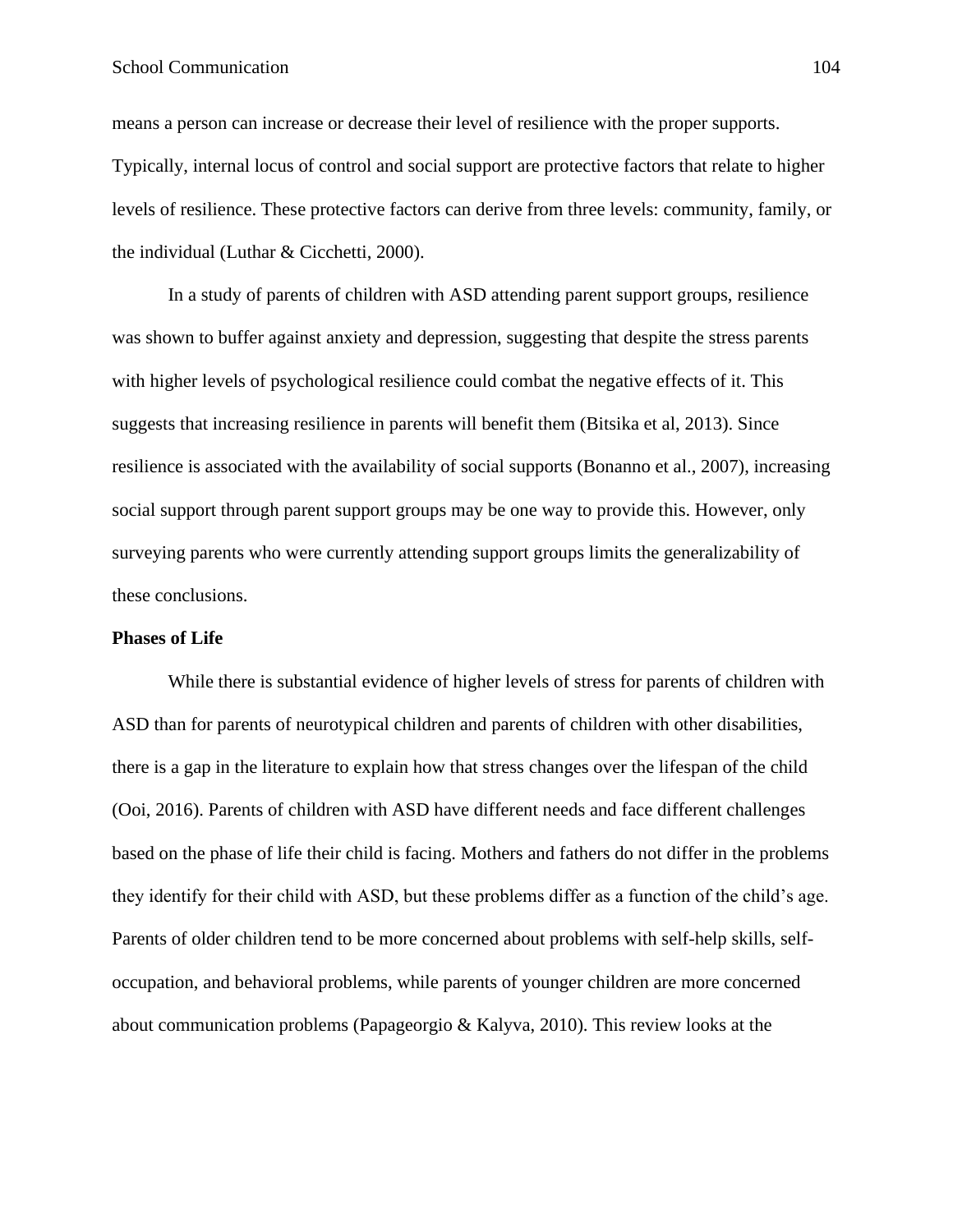means a person can increase or decrease their level of resilience with the proper supports. Typically, internal locus of control and social support are protective factors that relate to higher levels of resilience. These protective factors can derive from three levels: community, family, or the individual (Luthar & Cicchetti, 2000).

In a study of parents of children with ASD attending parent support groups, resilience was shown to buffer against anxiety and depression, suggesting that despite the stress parents with higher levels of psychological resilience could combat the negative effects of it. This suggests that increasing resilience in parents will benefit them (Bitsika et al, 2013). Since resilience is associated with the availability of social supports (Bonanno et al., 2007), increasing social support through parent support groups may be one way to provide this. However, only surveying parents who were currently attending support groups limits the generalizability of these conclusions.

## **Phases of Life**

While there is substantial evidence of higher levels of stress for parents of children with ASD than for parents of neurotypical children and parents of children with other disabilities, there is a gap in the literature to explain how that stress changes over the lifespan of the child (Ooi, 2016). Parents of children with ASD have different needs and face different challenges based on the phase of life their child is facing. Mothers and fathers do not differ in the problems they identify for their child with ASD, but these problems differ as a function of the child's age. Parents of older children tend to be more concerned about problems with self-help skills, selfoccupation, and behavioral problems, while parents of younger children are more concerned about communication problems (Papageorgio & Kalyva, 2010). This review looks at the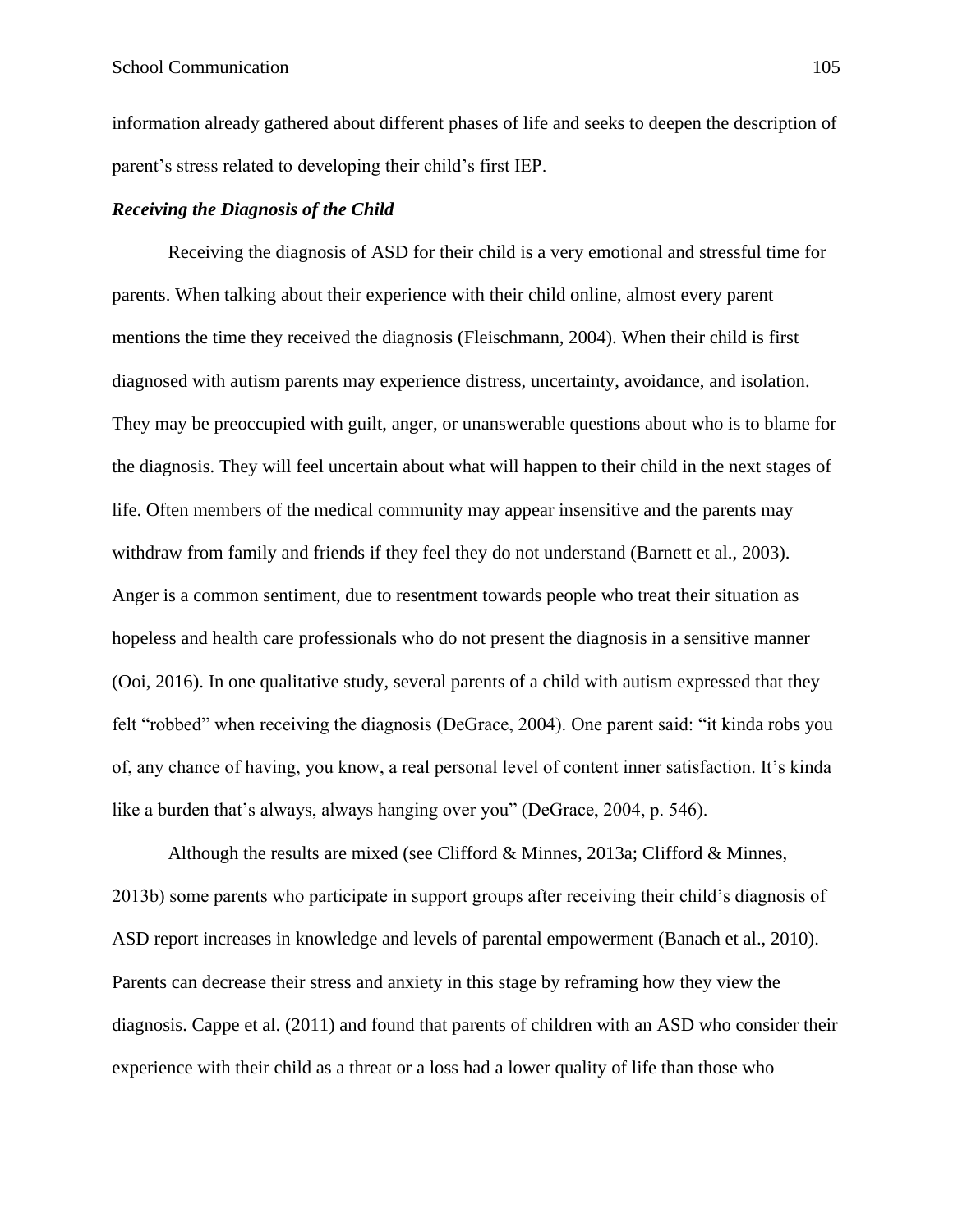information already gathered about different phases of life and seeks to deepen the description of parent's stress related to developing their child's first IEP.

# *Receiving the Diagnosis of the Child*

Receiving the diagnosis of ASD for their child is a very emotional and stressful time for parents. When talking about their experience with their child online, almost every parent mentions the time they received the diagnosis (Fleischmann, 2004). When their child is first diagnosed with autism parents may experience distress, uncertainty, avoidance, and isolation. They may be preoccupied with guilt, anger, or unanswerable questions about who is to blame for the diagnosis. They will feel uncertain about what will happen to their child in the next stages of life. Often members of the medical community may appear insensitive and the parents may withdraw from family and friends if they feel they do not understand (Barnett et al., 2003). Anger is a common sentiment, due to resentment towards people who treat their situation as hopeless and health care professionals who do not present the diagnosis in a sensitive manner (Ooi, 2016). In one qualitative study, several parents of a child with autism expressed that they felt "robbed" when receiving the diagnosis (DeGrace, 2004). One parent said: "it kinda robs you of, any chance of having, you know, a real personal level of content inner satisfaction. It's kinda like a burden that's always, always hanging over you" (DeGrace, 2004, p. 546).

Although the results are mixed (see Clifford & Minnes, 2013a; Clifford & Minnes, 2013b) some parents who participate in support groups after receiving their child's diagnosis of ASD report increases in knowledge and levels of parental empowerment (Banach et al., 2010). Parents can decrease their stress and anxiety in this stage by reframing how they view the diagnosis. Cappe et al. (2011) and found that parents of children with an ASD who consider their experience with their child as a threat or a loss had a lower quality of life than those who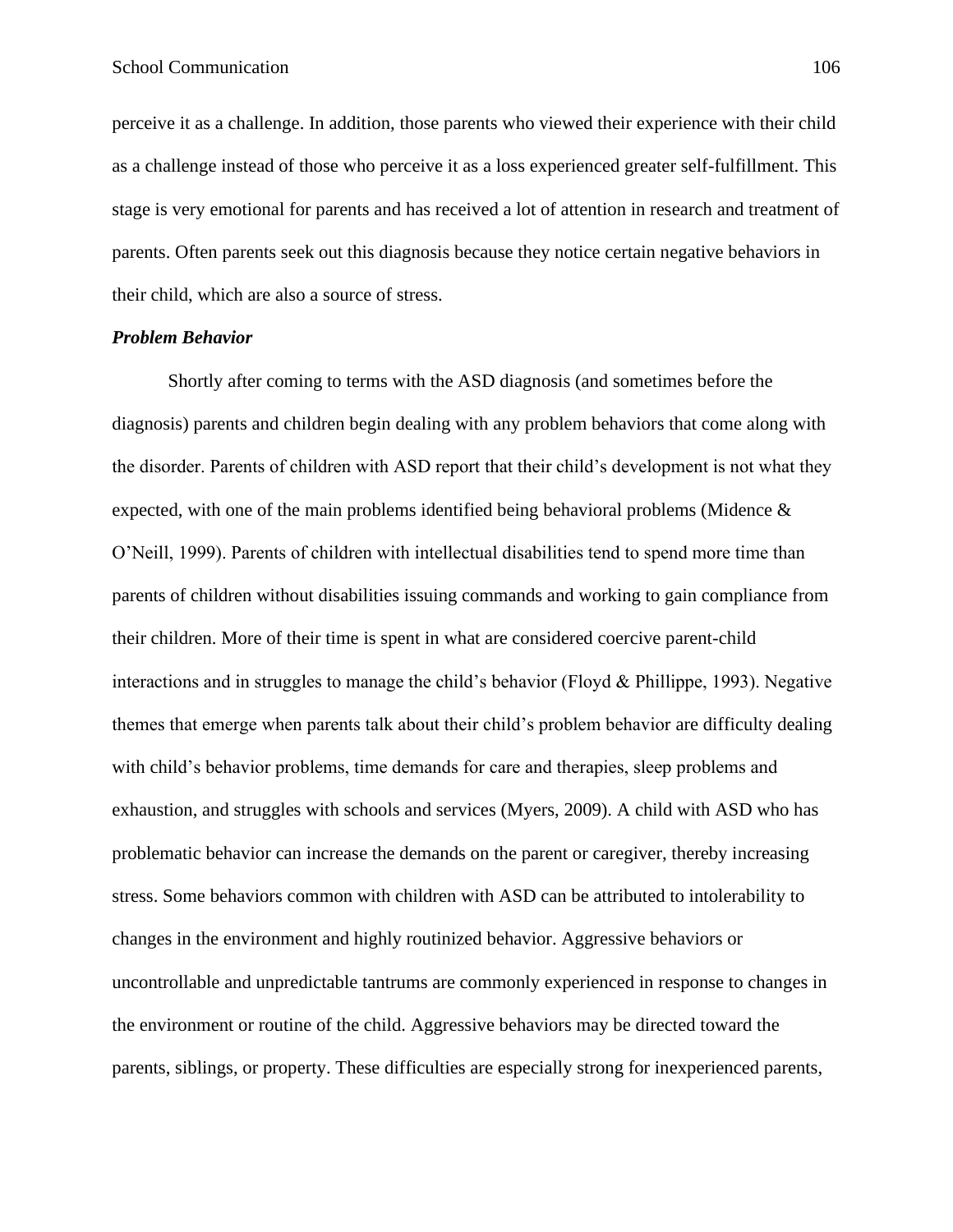perceive it as a challenge. In addition, those parents who viewed their experience with their child as a challenge instead of those who perceive it as a loss experienced greater self-fulfillment. This stage is very emotional for parents and has received a lot of attention in research and treatment of parents. Often parents seek out this diagnosis because they notice certain negative behaviors in their child, which are also a source of stress.

### *Problem Behavior*

Shortly after coming to terms with the ASD diagnosis (and sometimes before the diagnosis) parents and children begin dealing with any problem behaviors that come along with the disorder. Parents of children with ASD report that their child's development is not what they expected, with one of the main problems identified being behavioral problems (Midence & O'Neill, 1999). Parents of children with intellectual disabilities tend to spend more time than parents of children without disabilities issuing commands and working to gain compliance from their children. More of their time is spent in what are considered coercive parent-child interactions and in struggles to manage the child's behavior (Floyd & Phillippe, 1993). Negative themes that emerge when parents talk about their child's problem behavior are difficulty dealing with child's behavior problems, time demands for care and therapies, sleep problems and exhaustion, and struggles with schools and services (Myers, 2009). A child with ASD who has problematic behavior can increase the demands on the parent or caregiver, thereby increasing stress. Some behaviors common with children with ASD can be attributed to intolerability to changes in the environment and highly routinized behavior. Aggressive behaviors or uncontrollable and unpredictable tantrums are commonly experienced in response to changes in the environment or routine of the child. Aggressive behaviors may be directed toward the parents, siblings, or property. These difficulties are especially strong for inexperienced parents,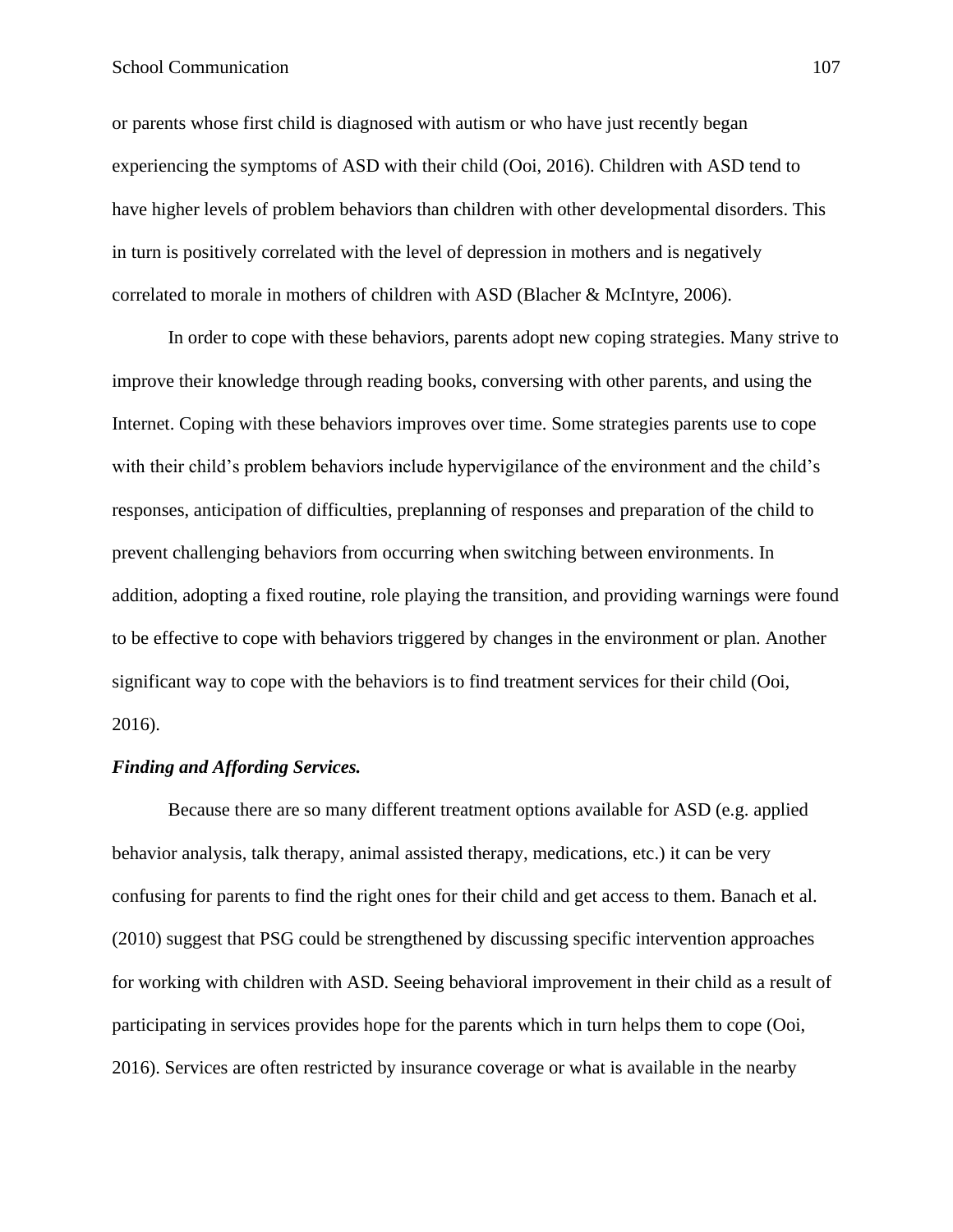# School Communication 107

or parents whose first child is diagnosed with autism or who have just recently began experiencing the symptoms of ASD with their child (Ooi, 2016). Children with ASD tend to have higher levels of problem behaviors than children with other developmental disorders. This in turn is positively correlated with the level of depression in mothers and is negatively correlated to morale in mothers of children with ASD (Blacher & McIntyre, 2006).

In order to cope with these behaviors, parents adopt new coping strategies. Many strive to improve their knowledge through reading books, conversing with other parents, and using the Internet. Coping with these behaviors improves over time. Some strategies parents use to cope with their child's problem behaviors include hypervigilance of the environment and the child's responses, anticipation of difficulties, preplanning of responses and preparation of the child to prevent challenging behaviors from occurring when switching between environments. In addition, adopting a fixed routine, role playing the transition, and providing warnings were found to be effective to cope with behaviors triggered by changes in the environment or plan. Another significant way to cope with the behaviors is to find treatment services for their child (Ooi, 2016).

# *Finding and Affording Services.*

Because there are so many different treatment options available for ASD (e.g. applied behavior analysis, talk therapy, animal assisted therapy, medications, etc.) it can be very confusing for parents to find the right ones for their child and get access to them. Banach et al. (2010) suggest that PSG could be strengthened by discussing specific intervention approaches for working with children with ASD. Seeing behavioral improvement in their child as a result of participating in services provides hope for the parents which in turn helps them to cope (Ooi, 2016). Services are often restricted by insurance coverage or what is available in the nearby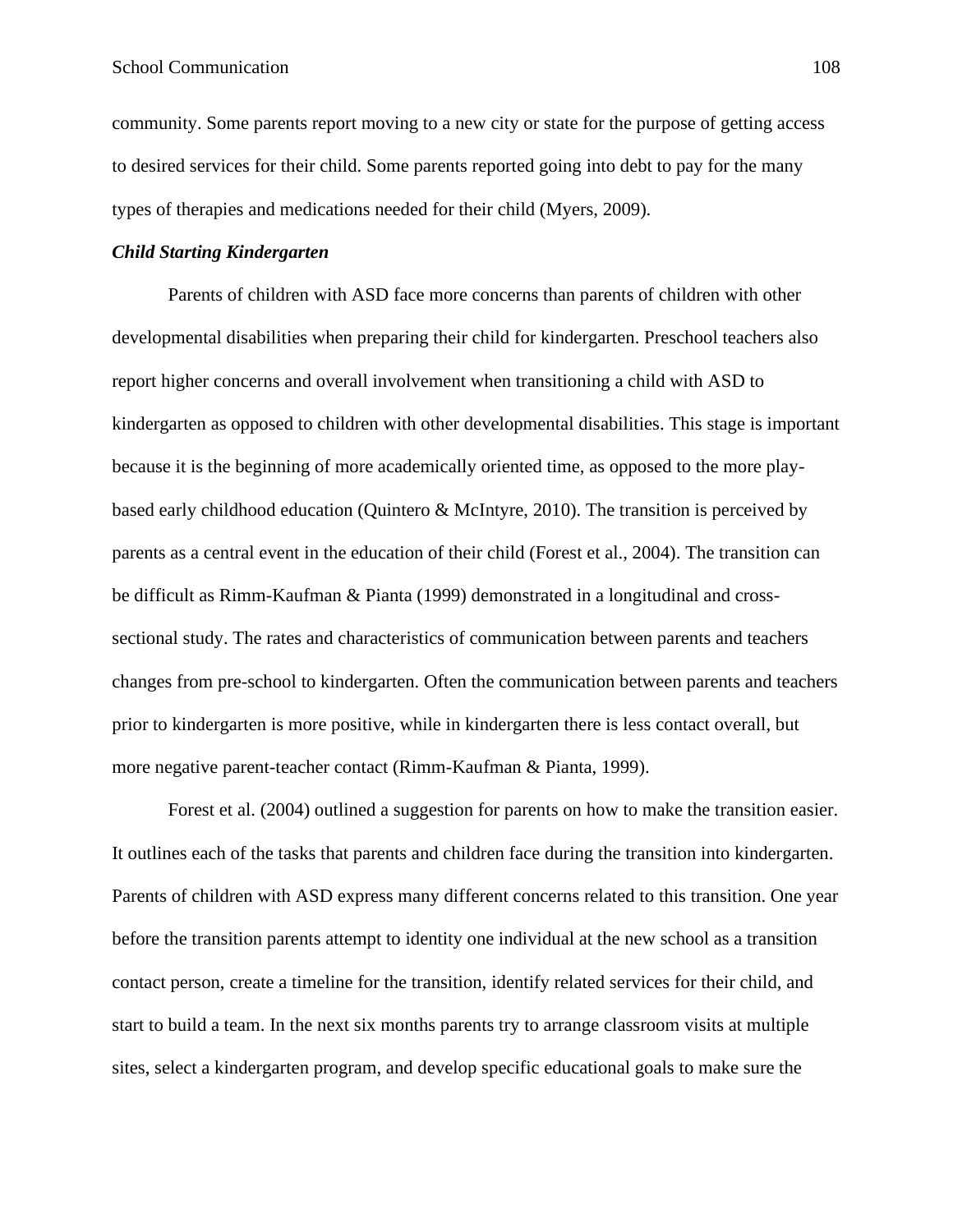community. Some parents report moving to a new city or state for the purpose of getting access to desired services for their child. Some parents reported going into debt to pay for the many types of therapies and medications needed for their child (Myers, 2009).

# *Child Starting Kindergarten*

Parents of children with ASD face more concerns than parents of children with other developmental disabilities when preparing their child for kindergarten. Preschool teachers also report higher concerns and overall involvement when transitioning a child with ASD to kindergarten as opposed to children with other developmental disabilities. This stage is important because it is the beginning of more academically oriented time, as opposed to the more playbased early childhood education (Quintero & McIntyre, 2010). The transition is perceived by parents as a central event in the education of their child (Forest et al., 2004). The transition can be difficult as Rimm-Kaufman & Pianta (1999) demonstrated in a longitudinal and crosssectional study. The rates and characteristics of communication between parents and teachers changes from pre-school to kindergarten. Often the communication between parents and teachers prior to kindergarten is more positive, while in kindergarten there is less contact overall, but more negative parent-teacher contact (Rimm-Kaufman & Pianta, 1999).

Forest et al. (2004) outlined a suggestion for parents on how to make the transition easier. It outlines each of the tasks that parents and children face during the transition into kindergarten. Parents of children with ASD express many different concerns related to this transition. One year before the transition parents attempt to identity one individual at the new school as a transition contact person, create a timeline for the transition, identify related services for their child, and start to build a team. In the next six months parents try to arrange classroom visits at multiple sites, select a kindergarten program, and develop specific educational goals to make sure the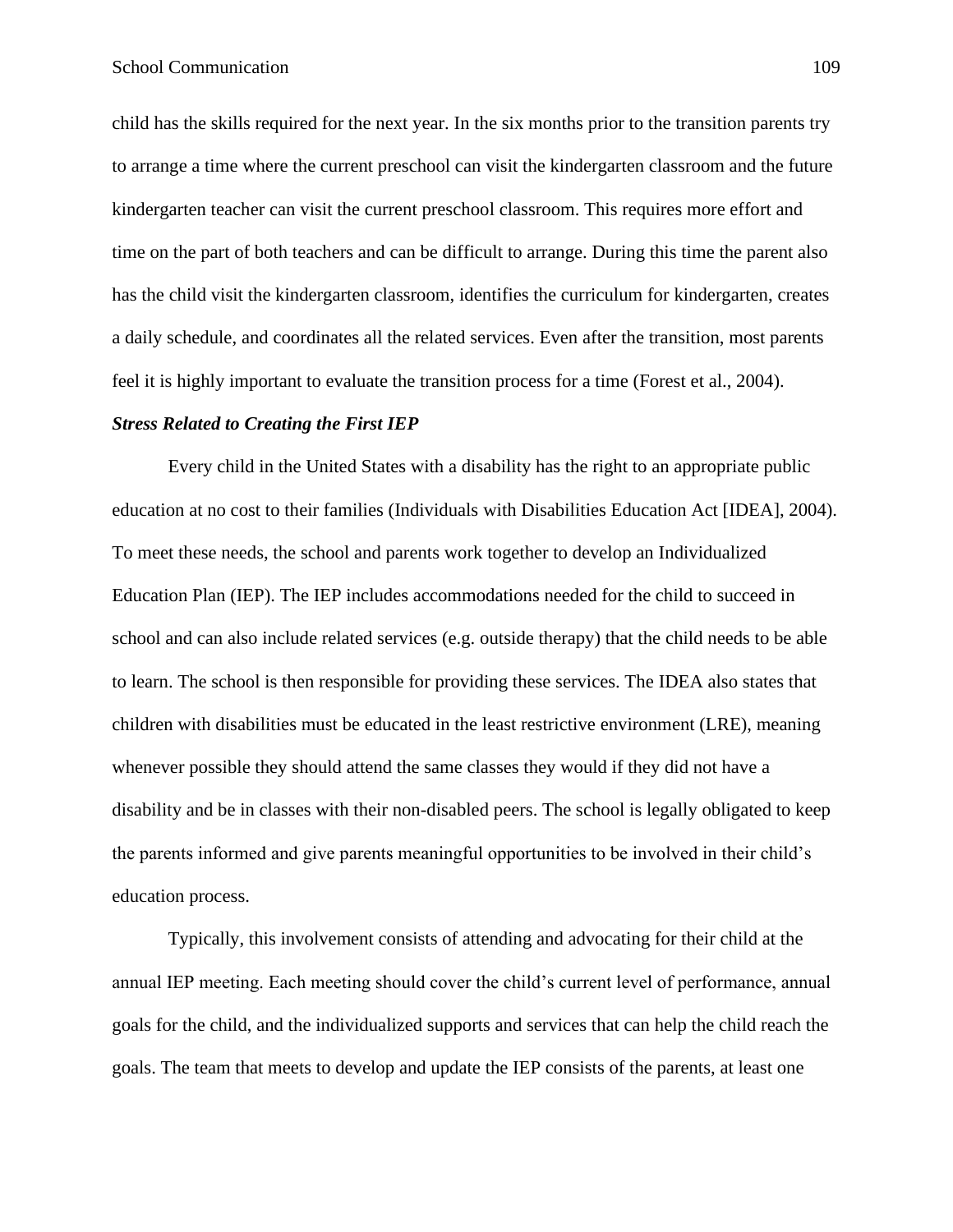child has the skills required for the next year. In the six months prior to the transition parents try to arrange a time where the current preschool can visit the kindergarten classroom and the future kindergarten teacher can visit the current preschool classroom. This requires more effort and time on the part of both teachers and can be difficult to arrange. During this time the parent also has the child visit the kindergarten classroom, identifies the curriculum for kindergarten, creates a daily schedule, and coordinates all the related services. Even after the transition, most parents feel it is highly important to evaluate the transition process for a time (Forest et al., 2004).

#### *Stress Related to Creating the First IEP*

Every child in the United States with a disability has the right to an appropriate public education at no cost to their families (Individuals with Disabilities Education Act [IDEA], 2004). To meet these needs, the school and parents work together to develop an Individualized Education Plan (IEP). The IEP includes accommodations needed for the child to succeed in school and can also include related services (e.g. outside therapy) that the child needs to be able to learn. The school is then responsible for providing these services. The IDEA also states that children with disabilities must be educated in the least restrictive environment (LRE), meaning whenever possible they should attend the same classes they would if they did not have a disability and be in classes with their non-disabled peers. The school is legally obligated to keep the parents informed and give parents meaningful opportunities to be involved in their child's education process.

Typically, this involvement consists of attending and advocating for their child at the annual IEP meeting. Each meeting should cover the child's current level of performance, annual goals for the child, and the individualized supports and services that can help the child reach the goals. The team that meets to develop and update the IEP consists of the parents, at least one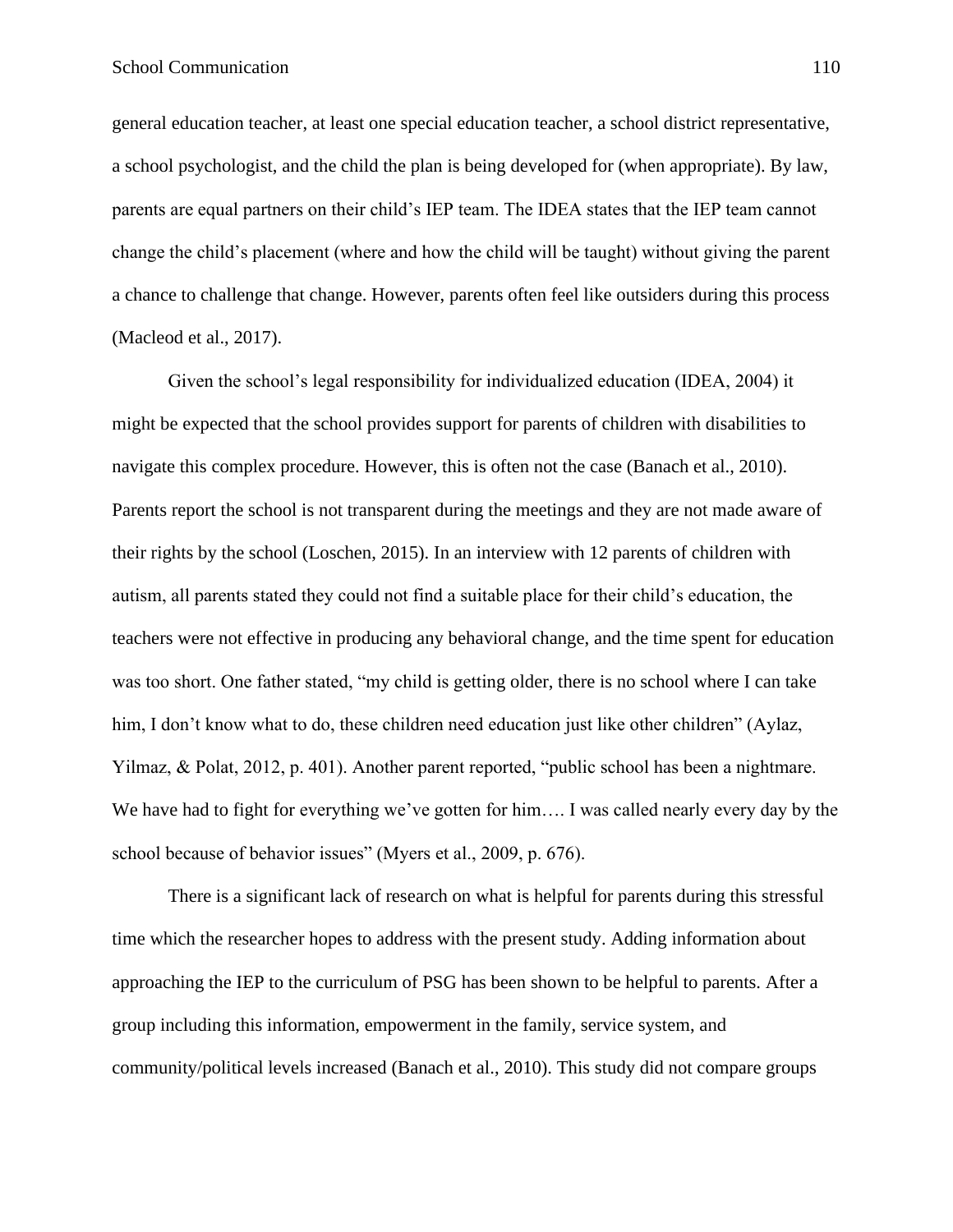general education teacher, at least one special education teacher, a school district representative, a school psychologist, and the child the plan is being developed for (when appropriate). By law, parents are equal partners on their child's IEP team. The IDEA states that the IEP team cannot change the child's placement (where and how the child will be taught) without giving the parent a chance to challenge that change. However, parents often feel like outsiders during this process (Macleod et al., 2017).

Given the school's legal responsibility for individualized education (IDEA, 2004) it might be expected that the school provides support for parents of children with disabilities to navigate this complex procedure. However, this is often not the case (Banach et al., 2010). Parents report the school is not transparent during the meetings and they are not made aware of their rights by the school (Loschen, 2015). In an interview with 12 parents of children with autism, all parents stated they could not find a suitable place for their child's education, the teachers were not effective in producing any behavioral change, and the time spent for education was too short. One father stated, "my child is getting older, there is no school where I can take him, I don't know what to do, these children need education just like other children" (Aylaz, Yilmaz, & Polat, 2012, p. 401). Another parent reported, "public school has been a nightmare. We have had to fight for everything we've gotten for him.... I was called nearly every day by the school because of behavior issues" (Myers et al., 2009, p. 676).

There is a significant lack of research on what is helpful for parents during this stressful time which the researcher hopes to address with the present study. Adding information about approaching the IEP to the curriculum of PSG has been shown to be helpful to parents. After a group including this information, empowerment in the family, service system, and community/political levels increased (Banach et al., 2010). This study did not compare groups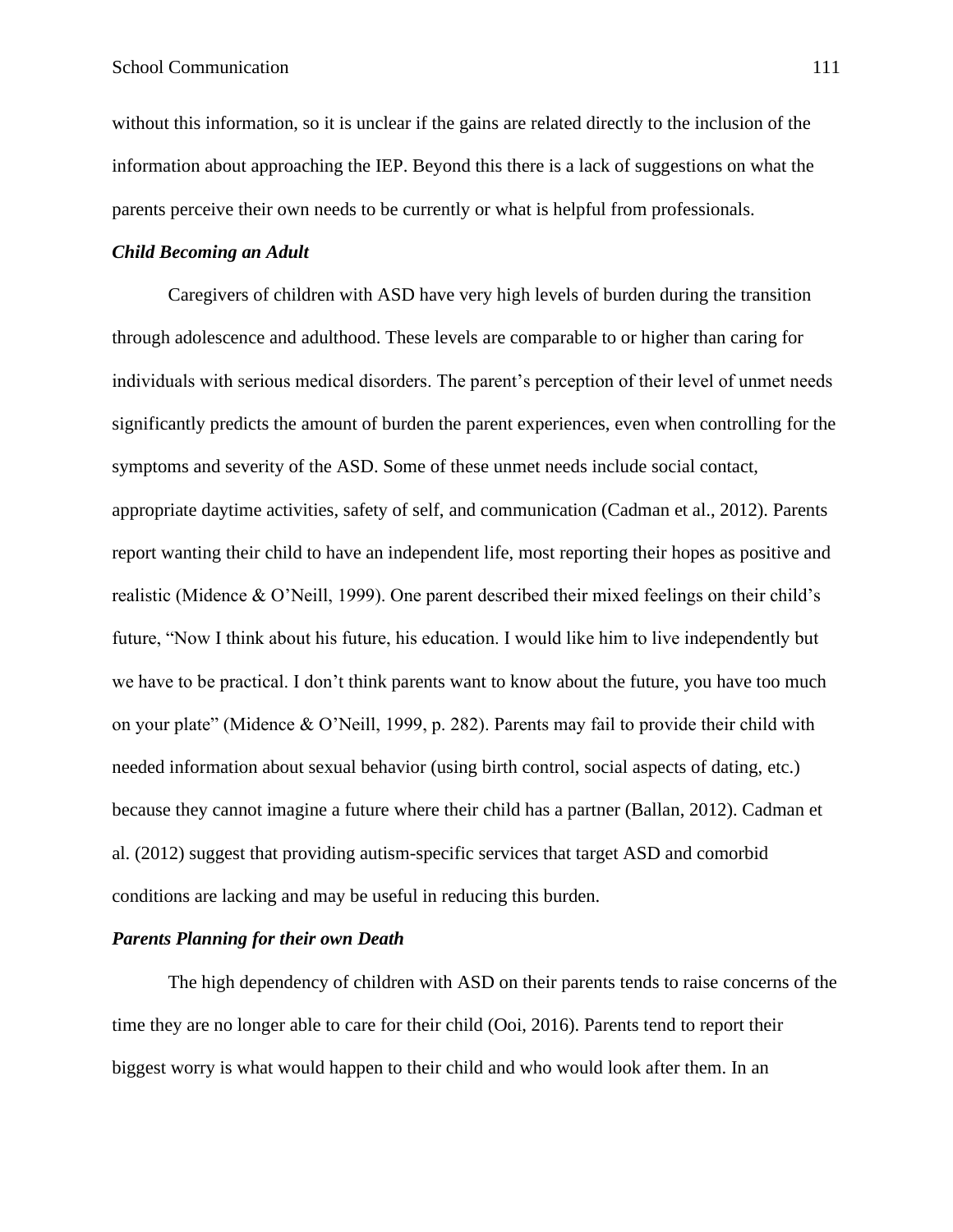without this information, so it is unclear if the gains are related directly to the inclusion of the information about approaching the IEP. Beyond this there is a lack of suggestions on what the parents perceive their own needs to be currently or what is helpful from professionals.

#### *Child Becoming an Adult*

Caregivers of children with ASD have very high levels of burden during the transition through adolescence and adulthood. These levels are comparable to or higher than caring for individuals with serious medical disorders. The parent's perception of their level of unmet needs significantly predicts the amount of burden the parent experiences, even when controlling for the symptoms and severity of the ASD. Some of these unmet needs include social contact, appropriate daytime activities, safety of self, and communication (Cadman et al., 2012). Parents report wanting their child to have an independent life, most reporting their hopes as positive and realistic (Midence & O'Neill, 1999). One parent described their mixed feelings on their child's future, "Now I think about his future, his education. I would like him to live independently but we have to be practical. I don't think parents want to know about the future, you have too much on your plate" (Midence & O'Neill, 1999, p. 282). Parents may fail to provide their child with needed information about sexual behavior (using birth control, social aspects of dating, etc.) because they cannot imagine a future where their child has a partner (Ballan, 2012). Cadman et al. (2012) suggest that providing autism-specific services that target ASD and comorbid conditions are lacking and may be useful in reducing this burden.

#### *Parents Planning for their own Death*

The high dependency of children with ASD on their parents tends to raise concerns of the time they are no longer able to care for their child (Ooi, 2016). Parents tend to report their biggest worry is what would happen to their child and who would look after them. In an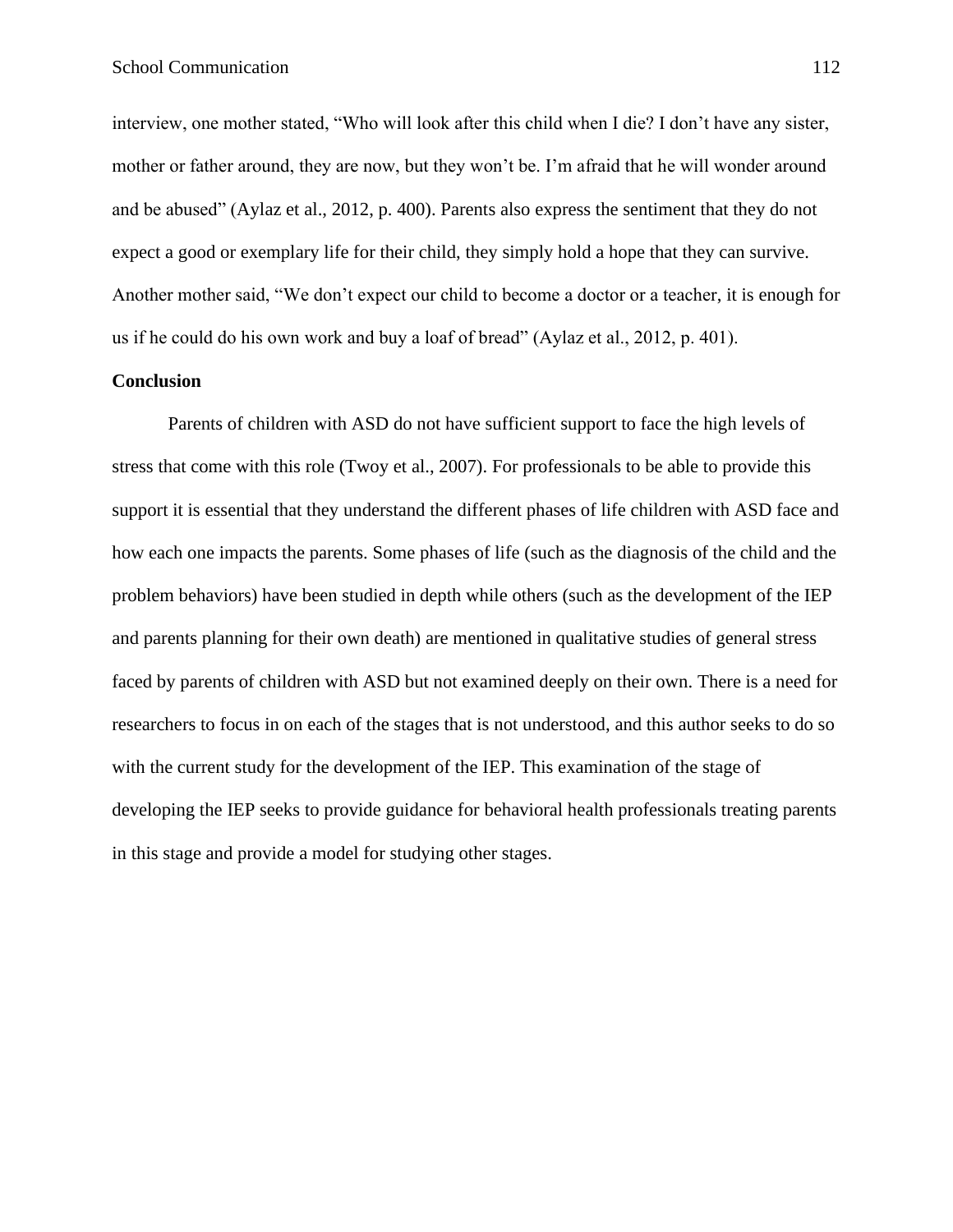interview, one mother stated, "Who will look after this child when I die? I don't have any sister, mother or father around, they are now, but they won't be. I'm afraid that he will wonder around and be abused" (Aylaz et al., 2012, p. 400). Parents also express the sentiment that they do not expect a good or exemplary life for their child, they simply hold a hope that they can survive. Another mother said, "We don't expect our child to become a doctor or a teacher, it is enough for us if he could do his own work and buy a loaf of bread" (Aylaz et al., 2012, p. 401).

#### **Conclusion**

Parents of children with ASD do not have sufficient support to face the high levels of stress that come with this role (Twoy et al., 2007). For professionals to be able to provide this support it is essential that they understand the different phases of life children with ASD face and how each one impacts the parents. Some phases of life (such as the diagnosis of the child and the problem behaviors) have been studied in depth while others (such as the development of the IEP and parents planning for their own death) are mentioned in qualitative studies of general stress faced by parents of children with ASD but not examined deeply on their own. There is a need for researchers to focus in on each of the stages that is not understood, and this author seeks to do so with the current study for the development of the IEP. This examination of the stage of developing the IEP seeks to provide guidance for behavioral health professionals treating parents in this stage and provide a model for studying other stages.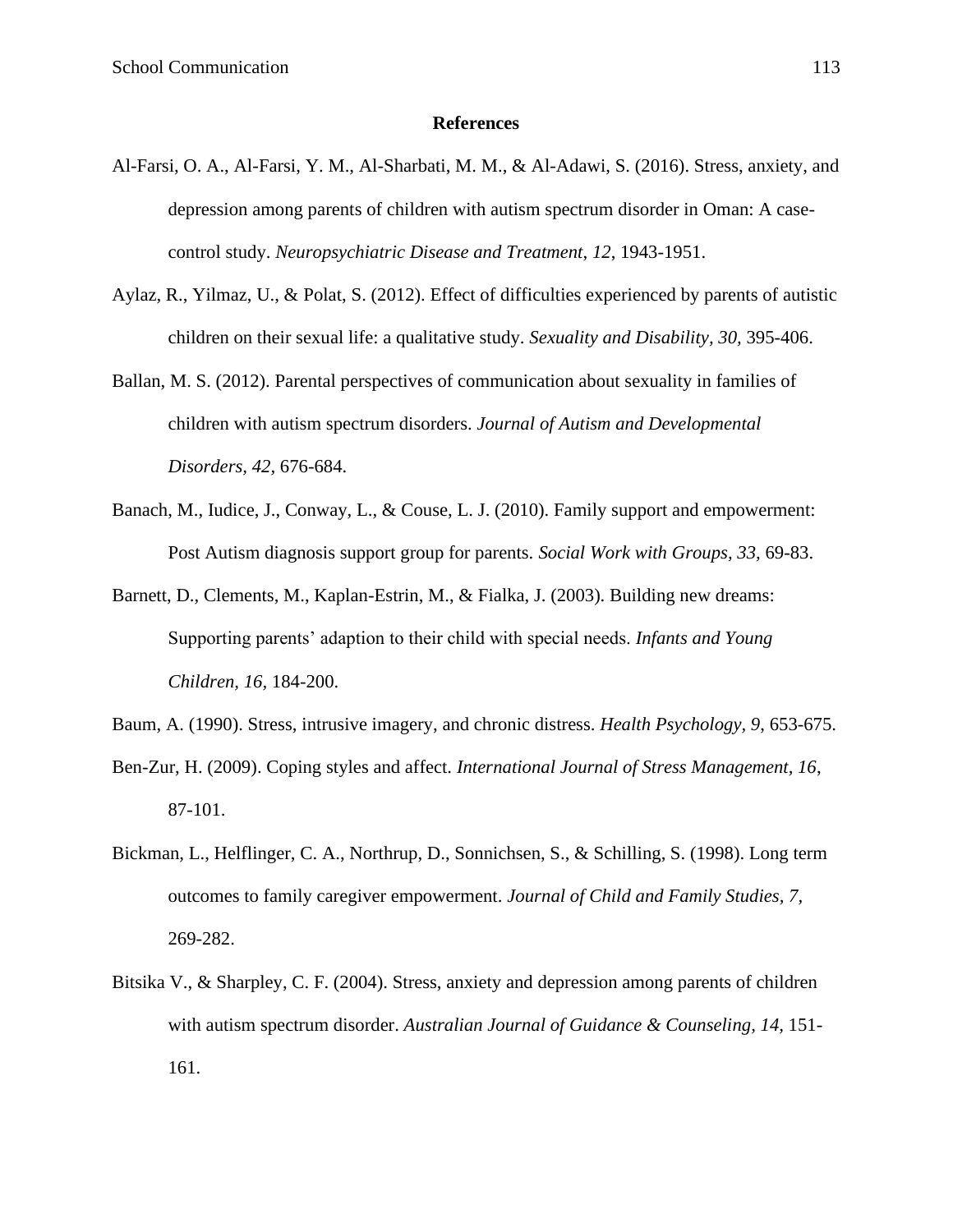#### **References**

- Al-Farsi, O. A., Al-Farsi, Y. M., Al-Sharbati, M. M., & Al-Adawi, S. (2016). Stress, anxiety, and depression among parents of children with autism spectrum disorder in Oman: A casecontrol study. *Neuropsychiatric Disease and Treatment*, *12*, 1943-1951.
- Aylaz, R., Yilmaz, U., & Polat, S. (2012). Effect of difficulties experienced by parents of autistic children on their sexual life: a qualitative study. *Sexuality and Disability, 30,* 395-406.
- Ballan, M. S. (2012). Parental perspectives of communication about sexuality in families of children with autism spectrum disorders. *Journal of Autism and Developmental Disorders, 42,* 676-684.
- Banach, M., Iudice, J., Conway, L., & Couse, L. J. (2010). Family support and empowerment: Post Autism diagnosis support group for parents. *Social Work with Groups, 33,* 69-83.
- Barnett, D., Clements, M., Kaplan-Estrin, M., & Fialka, J. (2003). Building new dreams: Supporting parents' adaption to their child with special needs. *Infants and Young Children, 16,* 184-200.
- Baum, A. (1990). Stress, intrusive imagery, and chronic distress. *Health Psychology, 9*, 653-675.
- Ben-Zur, H. (2009). Coping styles and affect. *International Journal of Stress Management, 16*, 87-101.
- Bickman, L., Helflinger, C. A., Northrup, D., Sonnichsen, S., & Schilling, S. (1998). Long term outcomes to family caregiver empowerment. *Journal of Child and Family Studies, 7,*  269-282.
- Bitsika V., & Sharpley, C. F. (2004). Stress, anxiety and depression among parents of children with autism spectrum disorder. *Australian Journal of Guidance & Counseling, 14,* 151- 161.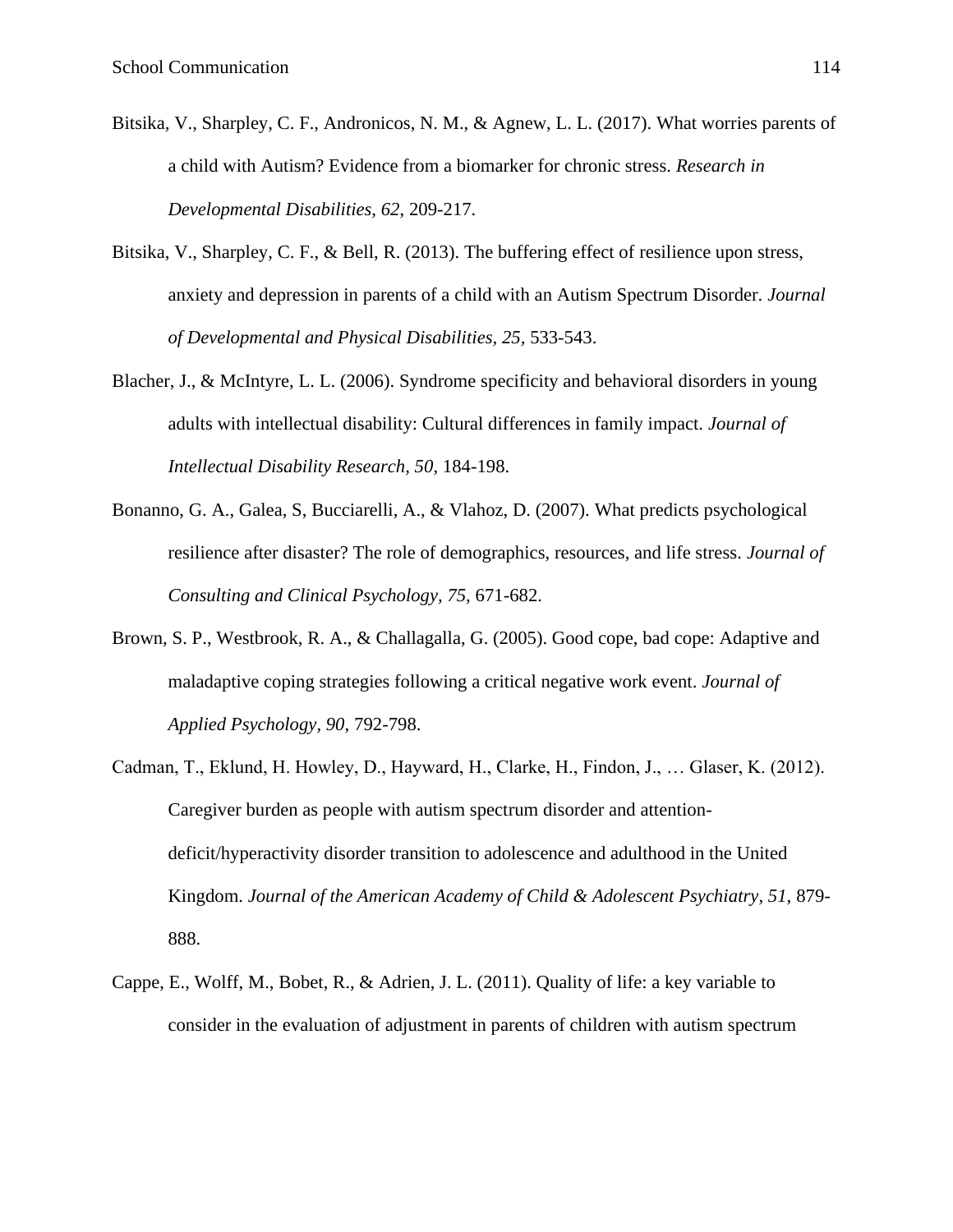- Bitsika, V., Sharpley, C. F., Andronicos, N. M., & Agnew, L. L. (2017). What worries parents of a child with Autism? Evidence from a biomarker for chronic stress. *Research in Developmental Disabilities, 62*, 209-217.
- Bitsika, V., Sharpley, C. F., & Bell, R. (2013). The buffering effect of resilience upon stress, anxiety and depression in parents of a child with an Autism Spectrum Disorder. *Journal of Developmental and Physical Disabilities, 25,* 533-543.
- Blacher, J., & McIntyre, L. L. (2006). Syndrome specificity and behavioral disorders in young adults with intellectual disability: Cultural differences in family impact. *Journal of Intellectual Disability Research, 50*, 184-198.
- Bonanno, G. A., Galea, S, Bucciarelli, A., & Vlahoz, D. (2007). What predicts psychological resilience after disaster? The role of demographics, resources, and life stress. *Journal of Consulting and Clinical Psychology, 75,* 671-682.
- Brown, S. P., Westbrook, R. A., & Challagalla, G. (2005). Good cope, bad cope: Adaptive and maladaptive coping strategies following a critical negative work event. *Journal of Applied Psychology, 90,* 792-798.
- Cadman, T., Eklund, H. Howley, D., Hayward, H., Clarke, H., Findon, J., … Glaser, K. (2012). Caregiver burden as people with autism spectrum disorder and attentiondeficit/hyperactivity disorder transition to adolescence and adulthood in the United Kingdom. *Journal of the American Academy of Child & Adolescent Psychiatry, 51,* 879- 888.
- Cappe, E., Wolff, M., Bobet, R., & Adrien, J. L. (2011). Quality of life: a key variable to consider in the evaluation of adjustment in parents of children with autism spectrum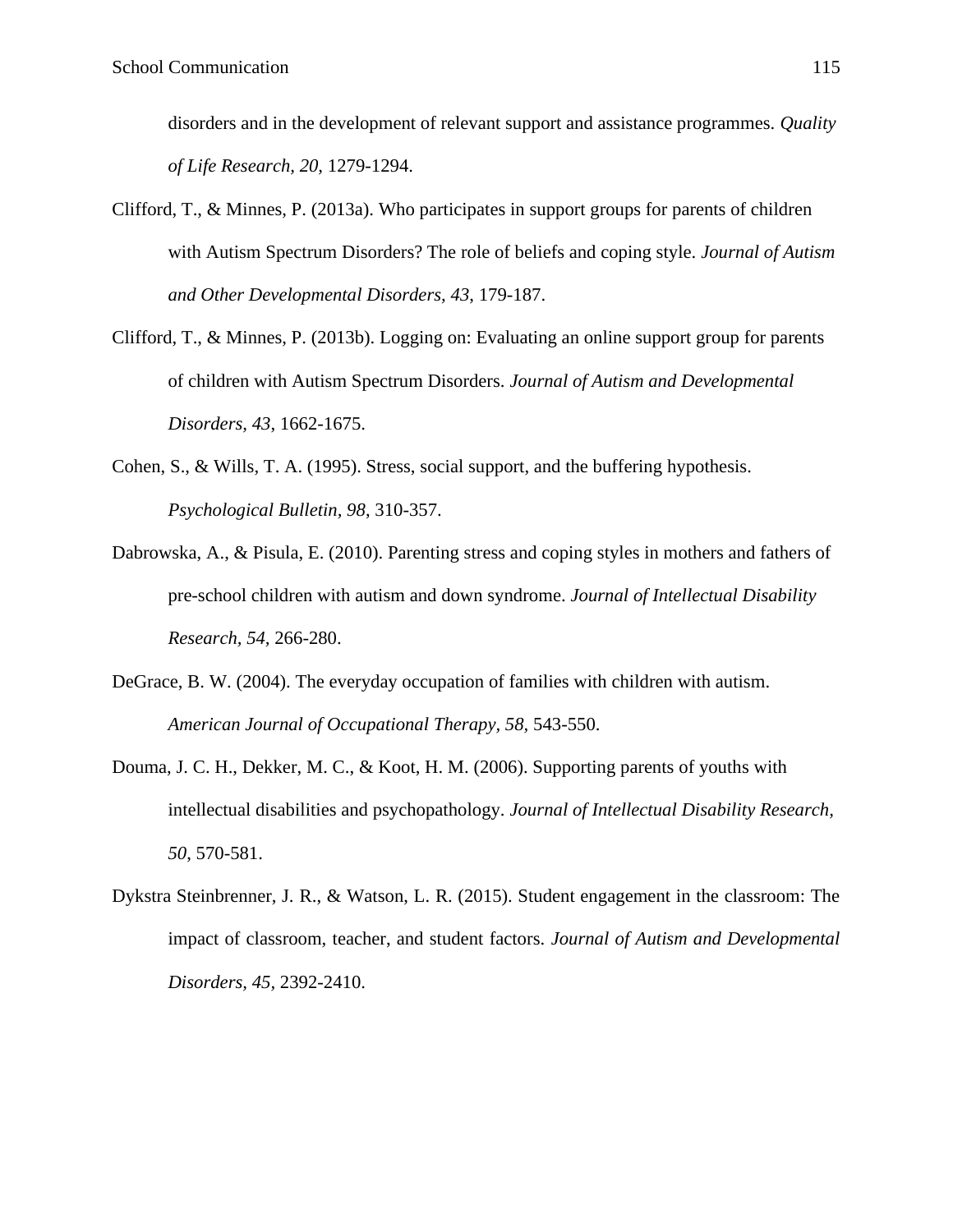disorders and in the development of relevant support and assistance programmes. *Quality of Life Research, 20,* 1279-1294.

- Clifford, T., & Minnes, P. (2013a). Who participates in support groups for parents of children with Autism Spectrum Disorders? The role of beliefs and coping style. *Journal of Autism and Other Developmental Disorders, 43*, 179-187.
- Clifford, T., & Minnes, P. (2013b). Logging on: Evaluating an online support group for parents of children with Autism Spectrum Disorders. *Journal of Autism and Developmental Disorders, 43*, 1662-1675.
- Cohen, S., & Wills, T. A. (1995). Stress, social support, and the buffering hypothesis. *Psychological Bulletin, 98*, 310-357.
- Dabrowska, A., & Pisula, E. (2010). Parenting stress and coping styles in mothers and fathers of pre-school children with autism and down syndrome. *Journal of Intellectual Disability Research, 54,* 266-280.
- DeGrace, B. W. (2004). The everyday occupation of families with children with autism. *American Journal of Occupational Therapy, 58,* 543-550.
- Douma, J. C. H., Dekker, M. C., & Koot, H. M. (2006). Supporting parents of youths with intellectual disabilities and psychopathology. *Journal of Intellectual Disability Research, 50*, 570-581.
- Dykstra Steinbrenner, J. R., & Watson, L. R. (2015). Student engagement in the classroom: The impact of classroom, teacher, and student factors. *Journal of Autism and Developmental Disorders, 45,* 2392-2410.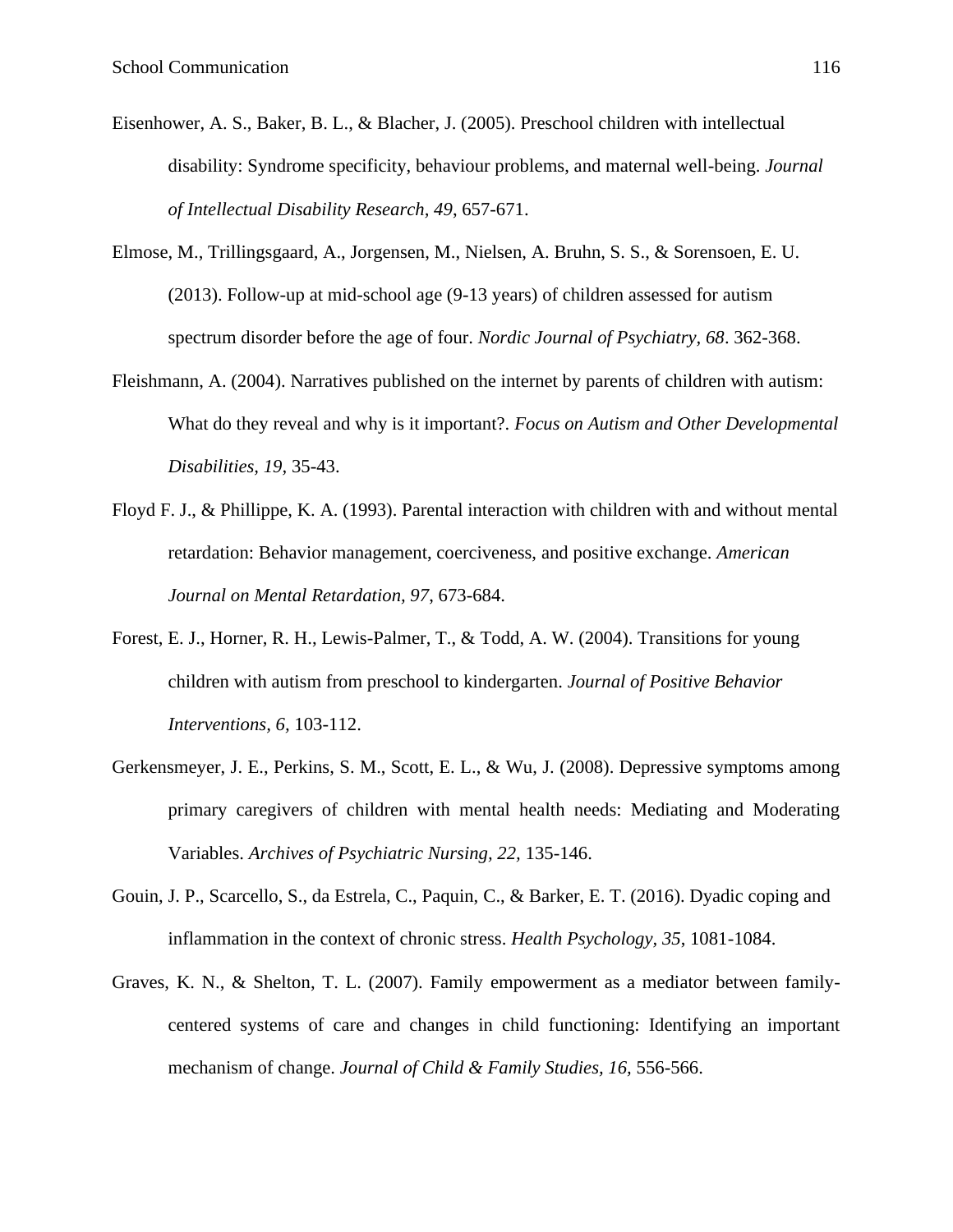- Eisenhower, A. S., Baker, B. L., & Blacher, J. (2005). Preschool children with intellectual disability: Syndrome specificity, behaviour problems, and maternal well-being. *Journal of Intellectual Disability Research, 49*, 657-671.
- Elmose, M., Trillingsgaard, A., Jorgensen, M., Nielsen, A. Bruhn, S. S., & Sorensoen, E. U. (2013). Follow-up at mid-school age (9-13 years) of children assessed for autism spectrum disorder before the age of four. *Nordic Journal of Psychiatry, 68*. 362-368.
- Fleishmann, A. (2004). Narratives published on the internet by parents of children with autism: What do they reveal and why is it important?. *Focus on Autism and Other Developmental Disabilities, 19,* 35-43.
- Floyd F. J., & Phillippe, K. A. (1993). Parental interaction with children with and without mental retardation: Behavior management, coerciveness, and positive exchange. *American Journal on Mental Retardation, 97*, 673-684.
- Forest, E. J., Horner, R. H., Lewis-Palmer, T., & Todd, A. W. (2004). Transitions for young children with autism from preschool to kindergarten. *Journal of Positive Behavior Interventions, 6,* 103-112.
- Gerkensmeyer, J. E., Perkins, S. M., Scott, E. L., & Wu, J. (2008). Depressive symptoms among primary caregivers of children with mental health needs: Mediating and Moderating Variables. *Archives of Psychiatric Nursing, 22,* 135-146.
- Gouin, J. P., Scarcello, S., da Estrela, C., Paquin, C., & Barker, E. T. (2016). Dyadic coping and inflammation in the context of chronic stress. *Health Psychology, 35*, 1081-1084.
- Graves, K. N., & Shelton, T. L. (2007). Family empowerment as a mediator between familycentered systems of care and changes in child functioning: Identifying an important mechanism of change. *Journal of Child & Family Studies, 16,* 556-566.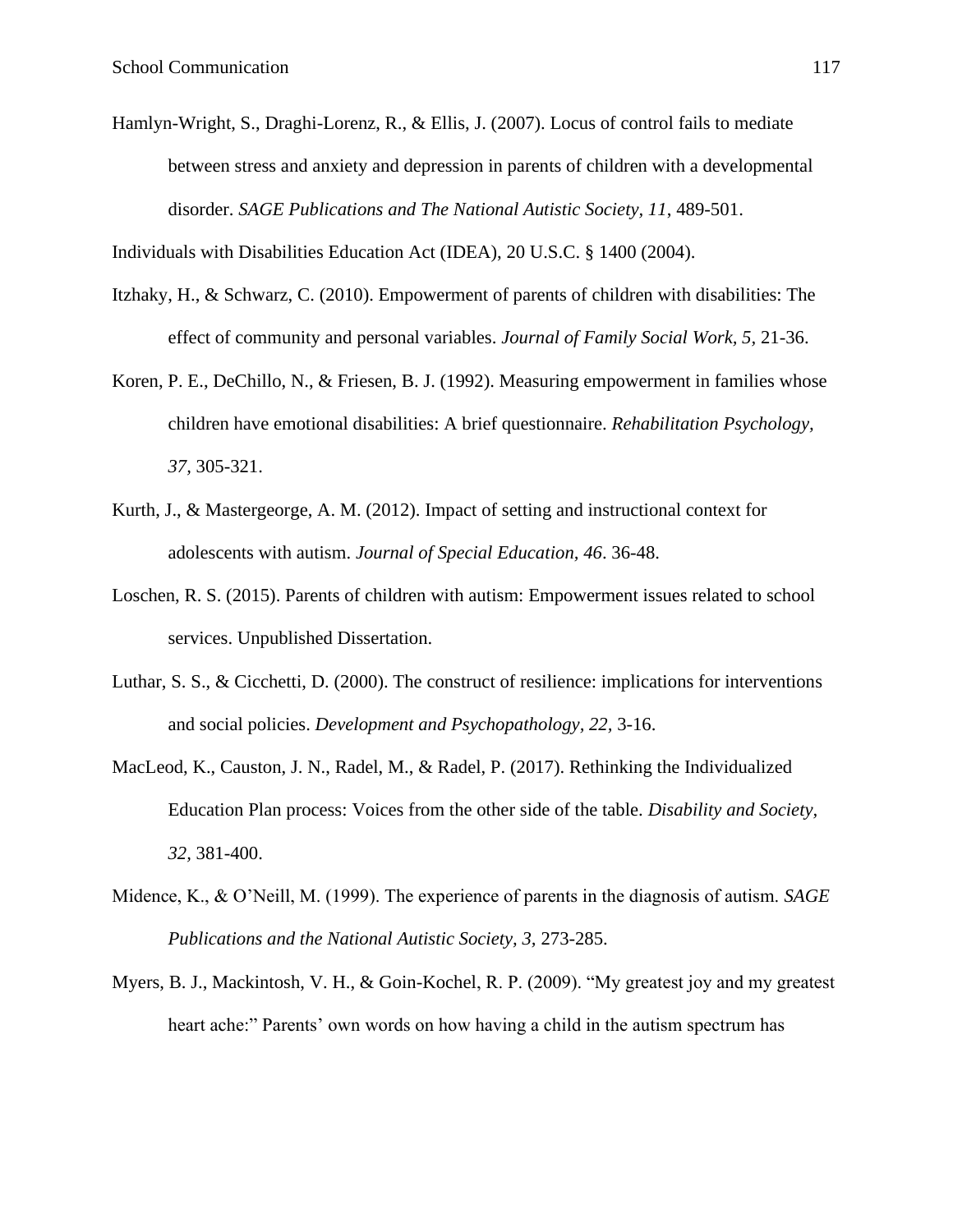Hamlyn-Wright, S., Draghi-Lorenz, R., & Ellis, J. (2007). Locus of control fails to mediate between stress and anxiety and depression in parents of children with a developmental disorder. *SAGE Publications and The National Autistic Society, 11*, 489-501.

Individuals with Disabilities Education Act (IDEA), 20 U.S.C. § 1400 (2004).

- Itzhaky, H., & Schwarz, C. (2010). Empowerment of parents of children with disabilities: The effect of community and personal variables. *Journal of Family Social Work, 5,* 21-36.
- Koren, P. E., DeChillo, N., & Friesen, B. J. (1992). Measuring empowerment in families whose children have emotional disabilities: A brief questionnaire. *Rehabilitation Psychology, 37,* 305-321.
- Kurth, J., & Mastergeorge, A. M. (2012). Impact of setting and instructional context for adolescents with autism. *Journal of Special Education, 46*. 36-48.
- Loschen, R. S. (2015). Parents of children with autism: Empowerment issues related to school services. Unpublished Dissertation.
- Luthar, S. S., & Cicchetti, D. (2000). The construct of resilience: implications for interventions and social policies. *Development and Psychopathology, 22,* 3-16.
- MacLeod, K., Causton, J. N., Radel, M., & Radel, P. (2017). Rethinking the Individualized Education Plan process: Voices from the other side of the table. *Disability and Society, 32,* 381-400.
- Midence, K., & O'Neill, M. (1999). The experience of parents in the diagnosis of autism. *SAGE Publications and the National Autistic Society, 3,* 273-285.
- Myers, B. J., Mackintosh, V. H., & Goin-Kochel, R. P. (2009). "My greatest joy and my greatest heart ache:" Parents' own words on how having a child in the autism spectrum has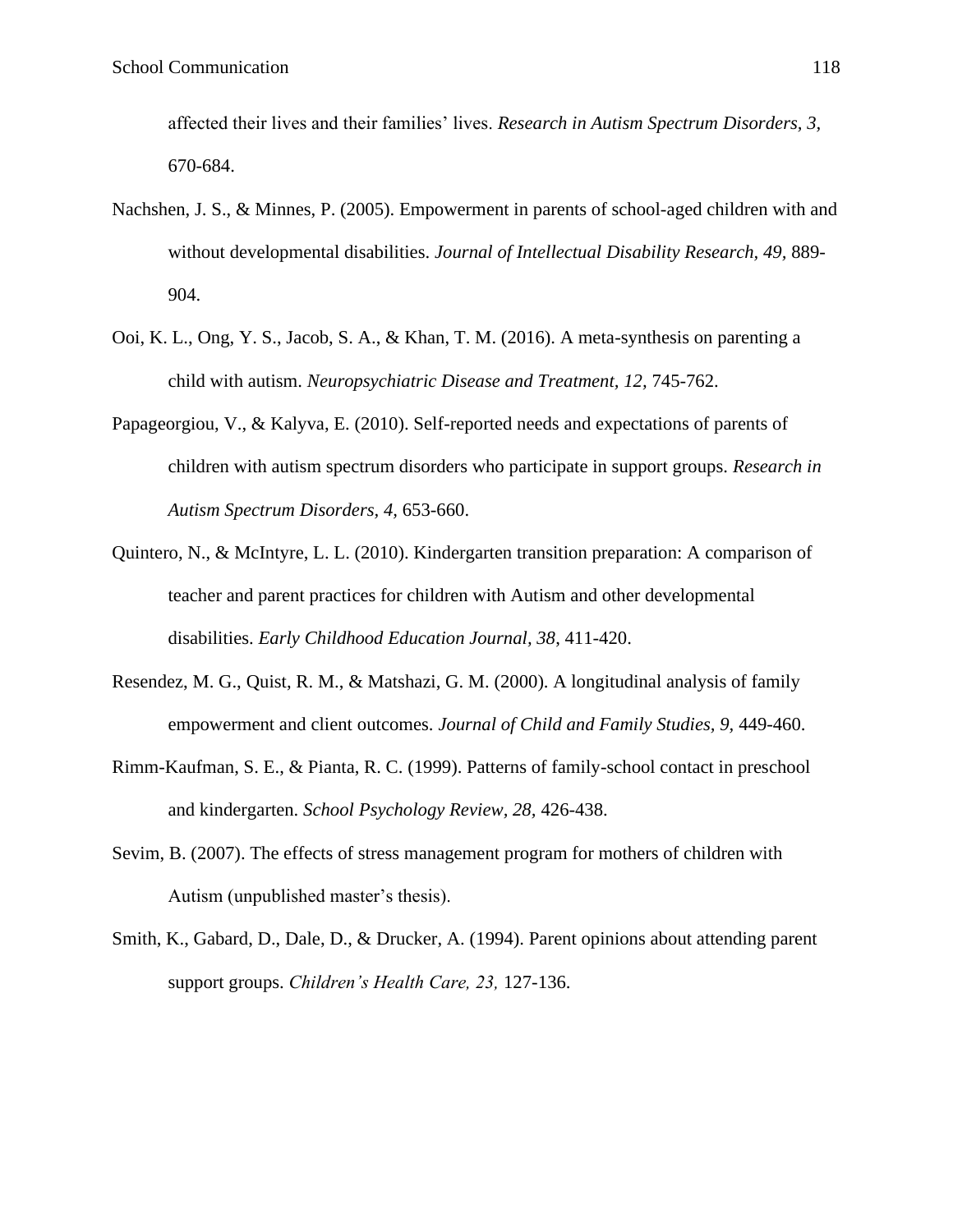affected their lives and their families' lives. *Research in Autism Spectrum Disorders, 3,*  670-684.

- Nachshen, J. S., & Minnes, P. (2005). Empowerment in parents of school-aged children with and without developmental disabilities. *Journal of Intellectual Disability Research, 49,* 889- 904.
- Ooi, K. L., Ong, Y. S., Jacob, S. A., & Khan, T. M. (2016). A meta-synthesis on parenting a child with autism. *Neuropsychiatric Disease and Treatment, 12,* 745-762.
- Papageorgiou, V., & Kalyva, E. (2010). Self-reported needs and expectations of parents of children with autism spectrum disorders who participate in support groups. *Research in Autism Spectrum Disorders, 4,* 653-660.
- Quintero, N., & McIntyre, L. L. (2010). Kindergarten transition preparation: A comparison of teacher and parent practices for children with Autism and other developmental disabilities. *Early Childhood Education Journal, 38*, 411-420.
- Resendez, M. G., Quist, R. M., & Matshazi, G. M. (2000). A longitudinal analysis of family empowerment and client outcomes. *Journal of Child and Family Studies, 9,* 449-460.
- Rimm-Kaufman, S. E., & Pianta, R. C. (1999). Patterns of family-school contact in preschool and kindergarten. *School Psychology Review, 28,* 426-438.
- Sevim, B. (2007). The effects of stress management program for mothers of children with Autism (unpublished master's thesis).
- Smith, K., Gabard, D., Dale, D., & Drucker, A. (1994). Parent opinions about attending parent support groups. *Children's Health Care, 23,* 127-136.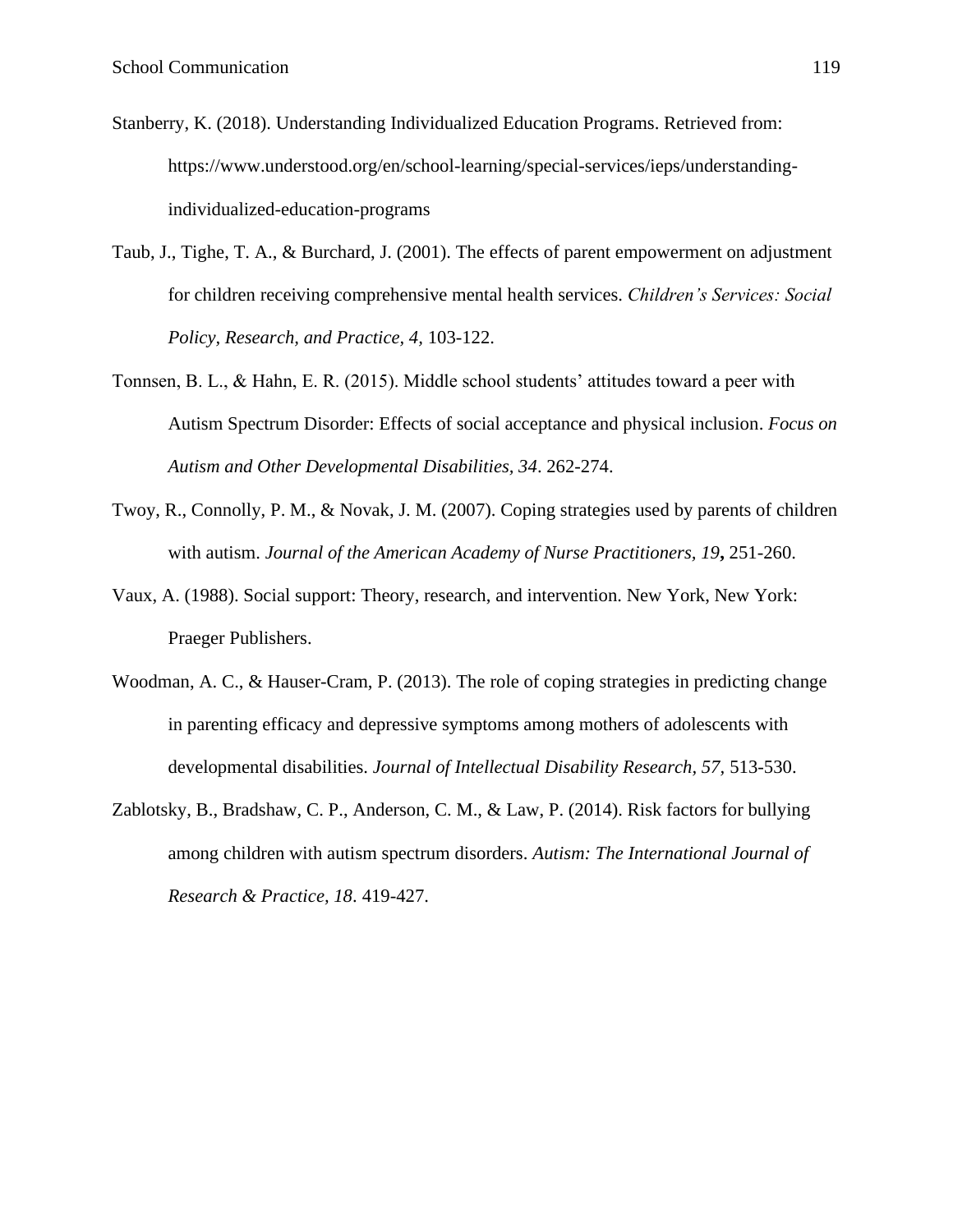- Stanberry, K. (2018). Understanding Individualized Education Programs. Retrieved from: https://www.understood.org/en/school-learning/special-services/ieps/understandingindividualized-education-programs
- Taub, J., Tighe, T. A., & Burchard, J. (2001). The effects of parent empowerment on adjustment for children receiving comprehensive mental health services. *Children's Services: Social Policy, Research, and Practice, 4,* 103-122.
- Tonnsen, B. L., & Hahn, E. R. (2015). Middle school students' attitudes toward a peer with Autism Spectrum Disorder: Effects of social acceptance and physical inclusion. *Focus on Autism and Other Developmental Disabilities, 34*. 262-274.
- Twoy, R., Connolly, P. M., & Novak, J. M. (2007). Coping strategies used by parents of children with autism. *Journal of the American Academy of Nurse Practitioners, 19***,** 251-260.
- Vaux, A. (1988). Social support: Theory, research, and intervention. New York, New York: Praeger Publishers.
- Woodman, A. C., & Hauser-Cram, P. (2013). The role of coping strategies in predicting change in parenting efficacy and depressive symptoms among mothers of adolescents with developmental disabilities. *Journal of Intellectual Disability Research, 57,* 513-530.
- Zablotsky, B., Bradshaw, C. P., Anderson, C. M., & Law, P. (2014). Risk factors for bullying among children with autism spectrum disorders. *Autism: The International Journal of Research & Practice, 18*. 419-427.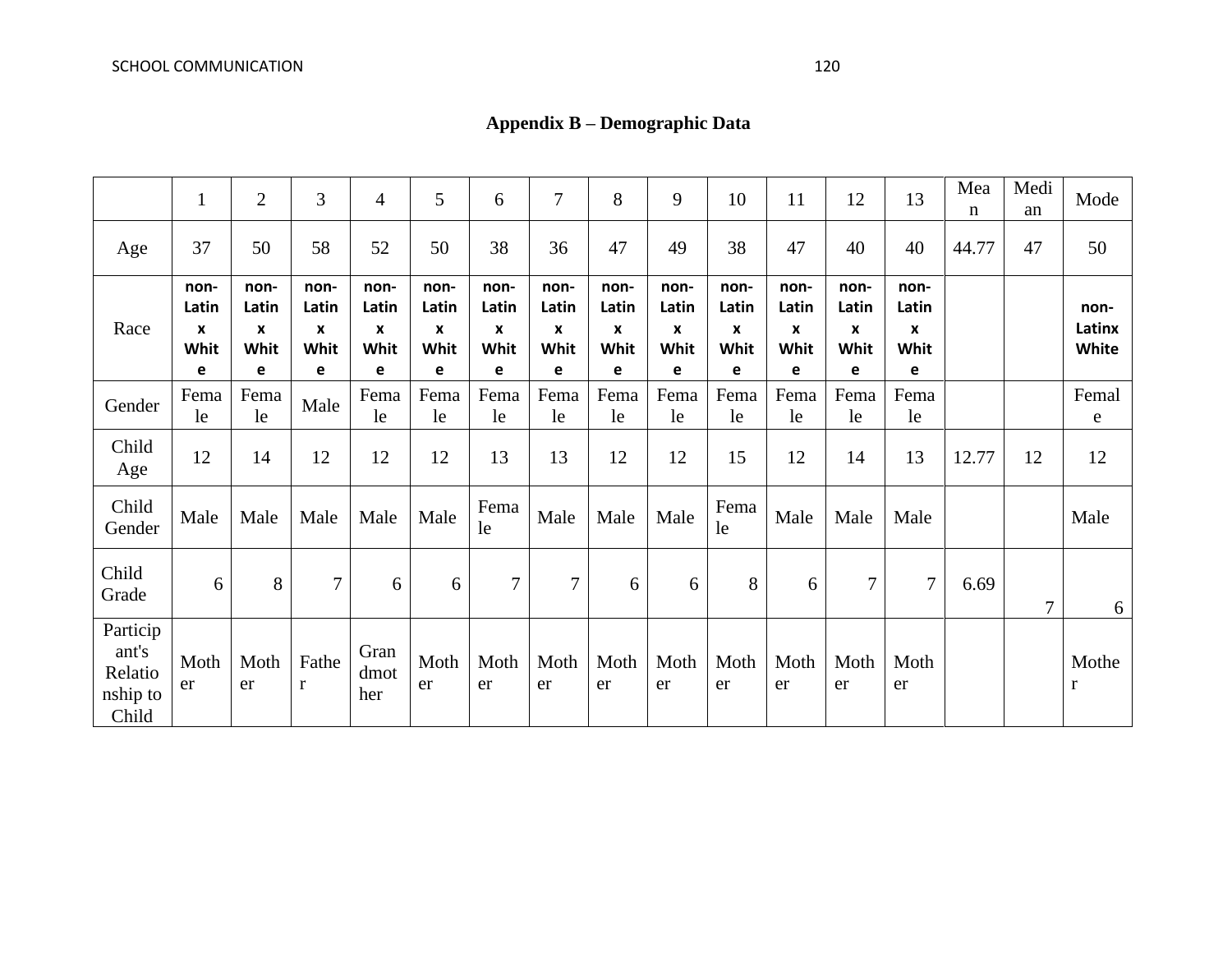# **Appendix B – Demographic Data**

|                                                   | 1                               | $\overline{2}$                  | 3                               | $\overline{4}$                  | 5                               | 6                               | $\overline{7}$                  | 8                               | 9                               | 10                              | 11                              | 12                              | 13                              | Mea<br>$\mathbf n$ | Medi<br>an | Mode                    |
|---------------------------------------------------|---------------------------------|---------------------------------|---------------------------------|---------------------------------|---------------------------------|---------------------------------|---------------------------------|---------------------------------|---------------------------------|---------------------------------|---------------------------------|---------------------------------|---------------------------------|--------------------|------------|-------------------------|
| Age                                               | 37                              | 50                              | 58                              | 52                              | 50                              | 38                              | 36                              | 47                              | 49                              | 38                              | 47                              | 40                              | 40                              | 44.77              | 47         | 50                      |
| Race                                              | non-<br>Latin<br>X<br>Whit<br>e | non-<br>Latin<br>X<br>Whit<br>e | non-<br>Latin<br>X<br>Whit<br>e | non-<br>Latin<br>X<br>Whit<br>e | non-<br>Latin<br>X<br>Whit<br>e | non-<br>Latin<br>X<br>Whit<br>е | non-<br>Latin<br>X<br>Whit<br>e | non-<br>Latin<br>X<br>Whit<br>e | non-<br>Latin<br>X<br>Whit<br>e | non-<br>Latin<br>X<br>Whit<br>e | non-<br>Latin<br>X<br>Whit<br>e | non-<br>Latin<br>X<br>Whit<br>е | non-<br>Latin<br>X<br>Whit<br>e |                    |            | non-<br>Latinx<br>White |
| Gender                                            | Fema<br>le                      | Fema<br>le                      | Male                            | Fema<br>le                      | Fema<br>le                      | Fema<br>le                      | Fema<br>le                      | Fema<br>le                      | Fema<br>le                      | Fema<br>le                      | Fema<br>le                      | Fema<br>le                      | Fema<br>le                      |                    |            | Femal<br>e              |
| Child<br>Age                                      | 12                              | 14                              | 12                              | 12                              | 12                              | 13                              | 13                              | 12                              | 12                              | 15                              | 12                              | 14                              | 13                              | 12.77              | 12         | 12                      |
| Child<br>Gender                                   | Male                            | Male                            | Male                            | Male                            | Male                            | Fema<br>le                      | Male                            | Male                            | Male                            | Fema<br>le                      | Male                            | Male                            | Male                            |                    |            | Male                    |
| Child<br>Grade                                    | 6                               | 8                               | 7                               | 6                               | 6                               | $\tau$                          | $\tau$                          | 6                               | 6                               | 8                               | 6                               | $\overline{7}$                  | $\boldsymbol{7}$                | 6.69               | 7          | 6                       |
| Particip<br>ant's<br>Relatio<br>nship to<br>Child | Moth<br>er                      | Moth<br>er                      | Fathe<br>$\bf r$                | Gran<br>dmot<br>her             | Moth<br>er                      | Moth<br>er                      | Moth<br>er                      | Moth<br>er                      | Moth<br>er                      | Moth<br>er                      | Moth<br>er                      | Moth<br>er                      | Moth<br>er                      |                    |            | Mothe<br>$\mathbf r$    |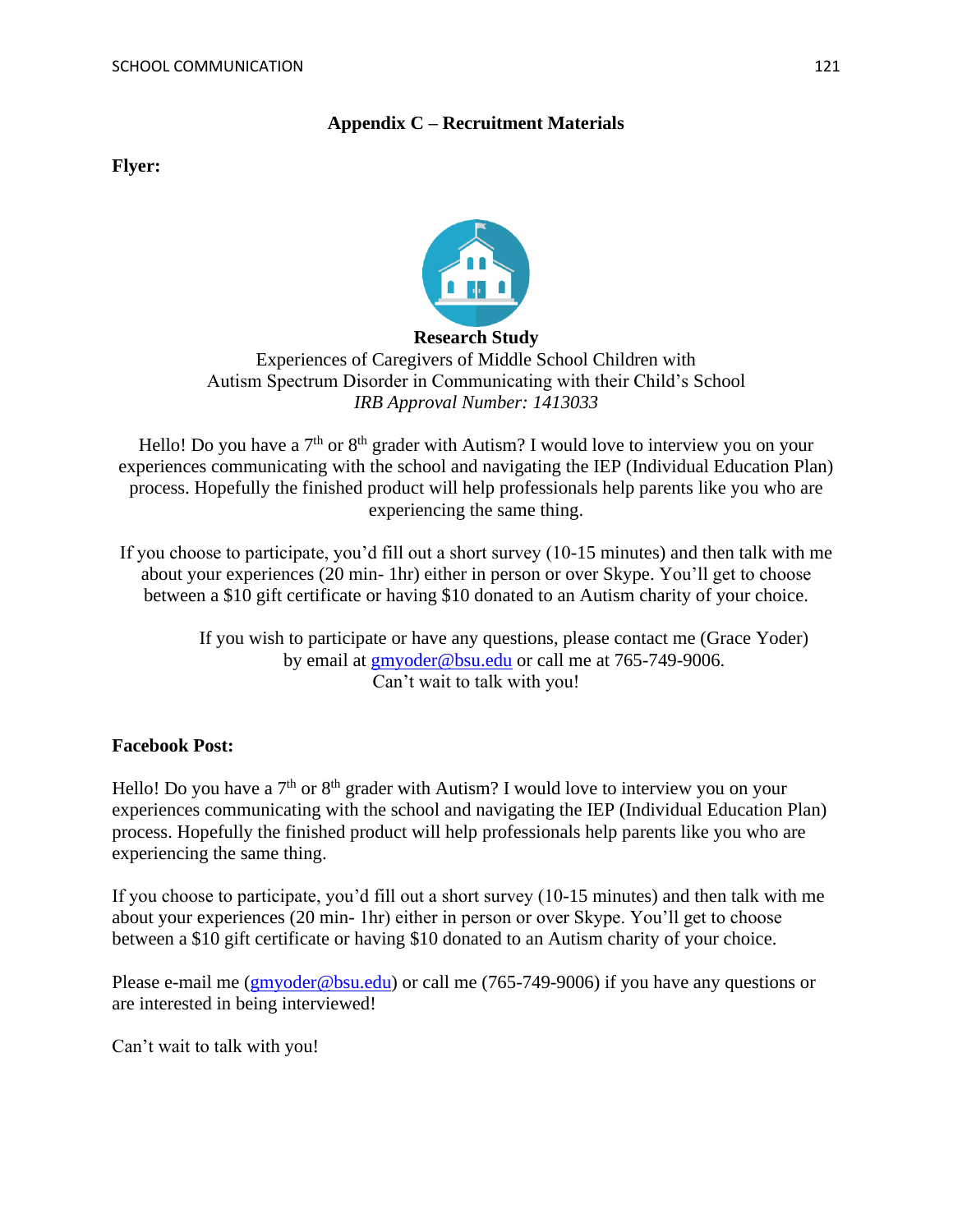#### **Appendix C – Recruitment Materials**

**Flyer:**



**Research Study** Experiences of Caregivers of Middle School Children with Autism Spectrum Disorder in Communicating with their Child's School *IRB Approval Number: 1413033*

Hello! Do you have a  $7<sup>th</sup>$  or  $8<sup>th</sup>$  grader with Autism? I would love to interview you on your experiences communicating with the school and navigating the IEP (Individual Education Plan) process. Hopefully the finished product will help professionals help parents like you who are experiencing the same thing.

If you choose to participate, you'd fill out a short survey (10-15 minutes) and then talk with me about your experiences (20 min- 1hr) either in person or over Skype. You'll get to choose between a \$10 gift certificate or having \$10 donated to an Autism charity of your choice.

> If you wish to participate or have any questions, please contact me (Grace Yoder) by email at [gmyoder@bsu.edu](mailto:gmyoder@bsu.edu) or call me at 765-749-9006. Can't wait to talk with you!

#### **Facebook Post:**

Hello! Do you have a  $7<sup>th</sup>$  or  $8<sup>th</sup>$  grader with Autism? I would love to interview you on your experiences communicating with the school and navigating the IEP (Individual Education Plan) process. Hopefully the finished product will help professionals help parents like you who are experiencing the same thing.

If you choose to participate, you'd fill out a short survey (10-15 minutes) and then talk with me about your experiences (20 min- 1hr) either in person or over Skype. You'll get to choose between a \$10 gift certificate or having \$10 donated to an Autism charity of your choice.

Please e-mail me [\(gmyoder@bsu.edu\)](mailto:gmyoder@bsu.edu) or call me (765-749-9006) if you have any questions or are interested in being interviewed!

Can't wait to talk with you!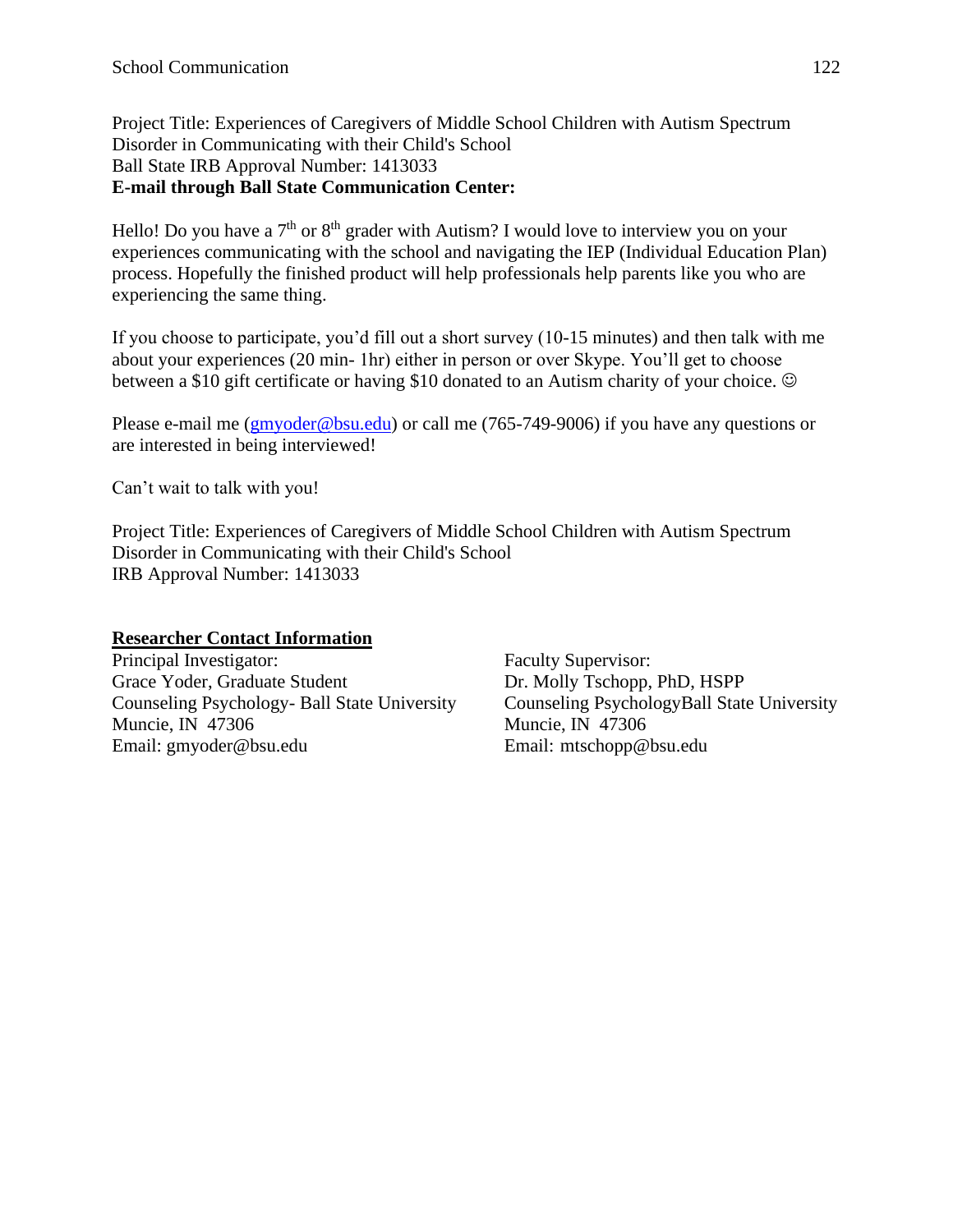Project Title: Experiences of Caregivers of Middle School Children with Autism Spectrum Disorder in Communicating with their Child's School Ball State IRB Approval Number: 1413033 **E-mail through Ball State Communication Center:**

Hello! Do you have a  $7<sup>th</sup>$  or  $8<sup>th</sup>$  grader with Autism? I would love to interview you on your experiences communicating with the school and navigating the IEP (Individual Education Plan) process. Hopefully the finished product will help professionals help parents like you who are experiencing the same thing.

If you choose to participate, you'd fill out a short survey (10-15 minutes) and then talk with me about your experiences (20 min- 1hr) either in person or over Skype. You'll get to choose between a \$10 gift certificate or having \$10 donated to an Autism charity of your choice.  $\odot$ 

Please e-mail me [\(gmyoder@bsu.edu\)](mailto:gmyoder@bsu.edu) or call me (765-749-9006) if you have any questions or are interested in being interviewed!

Can't wait to talk with you!

Project Title: Experiences of Caregivers of Middle School Children with Autism Spectrum Disorder in Communicating with their Child's School IRB Approval Number: 1413033

# **Researcher Contact Information**

Principal Investigator: Faculty Supervisor: Grace Yoder, Graduate Student Dr. Molly Tschopp, PhD, HSPP Counseling Psychology- Ball State University Counseling PsychologyBall State University Muncie, IN 47306 Muncie, IN 47306 Email: gmyoder@bsu.edu Email: mtschopp@bsu.edu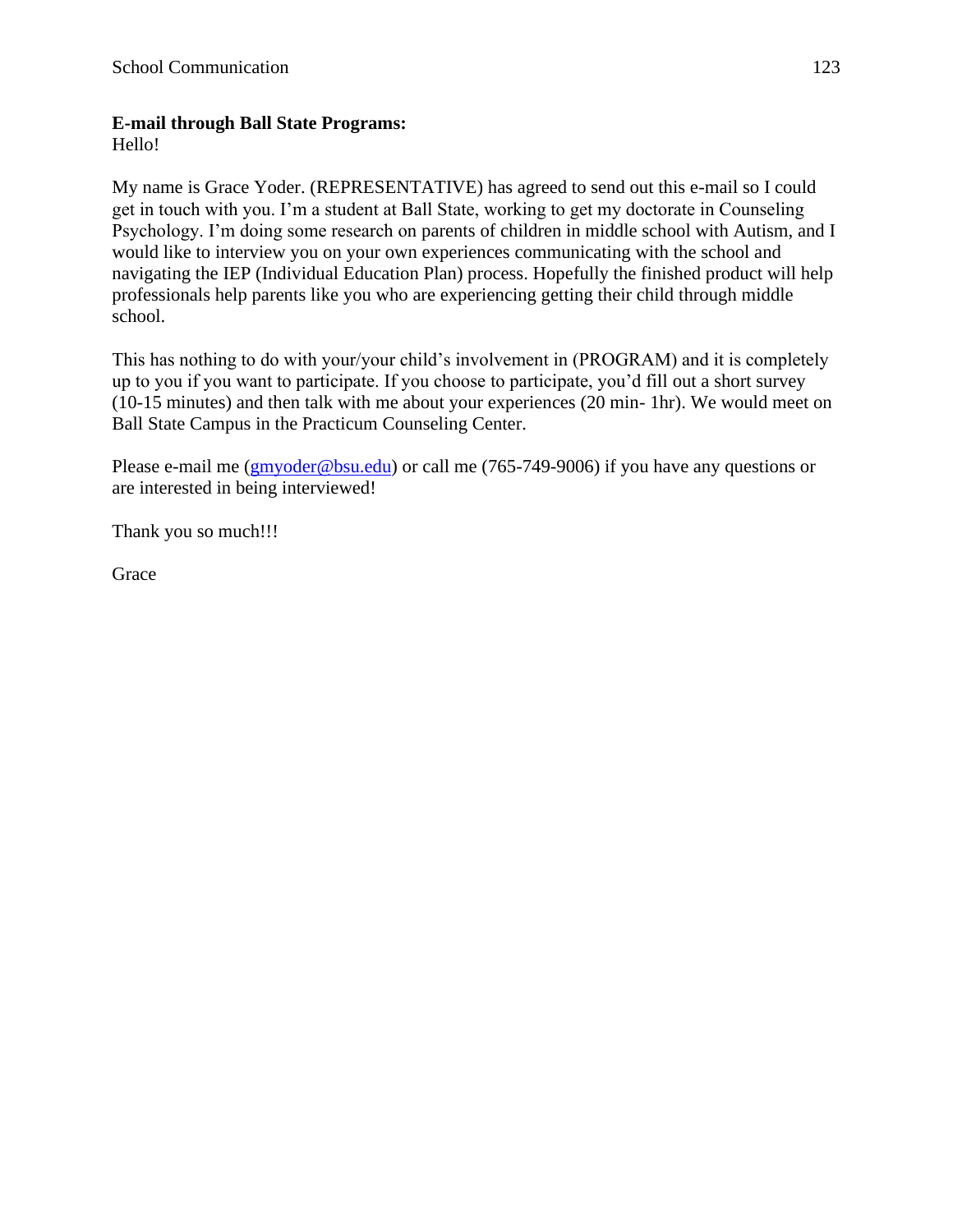#### **E-mail through Ball State Programs:**

Hello!

My name is Grace Yoder. (REPRESENTATIVE) has agreed to send out this e-mail so I could get in touch with you. I'm a student at Ball State, working to get my doctorate in Counseling Psychology. I'm doing some research on parents of children in middle school with Autism, and I would like to interview you on your own experiences communicating with the school and navigating the IEP (Individual Education Plan) process. Hopefully the finished product will help professionals help parents like you who are experiencing getting their child through middle school.

This has nothing to do with your/your child's involvement in (PROGRAM) and it is completely up to you if you want to participate. If you choose to participate, you'd fill out a short survey (10-15 minutes) and then talk with me about your experiences (20 min- 1hr). We would meet on Ball State Campus in the Practicum Counseling Center.

Please e-mail me [\(gmyoder@bsu.edu\)](mailto:gmyoder@bsu.edu) or call me (765-749-9006) if you have any questions or are interested in being interviewed!

Thank you so much!!!

**Grace**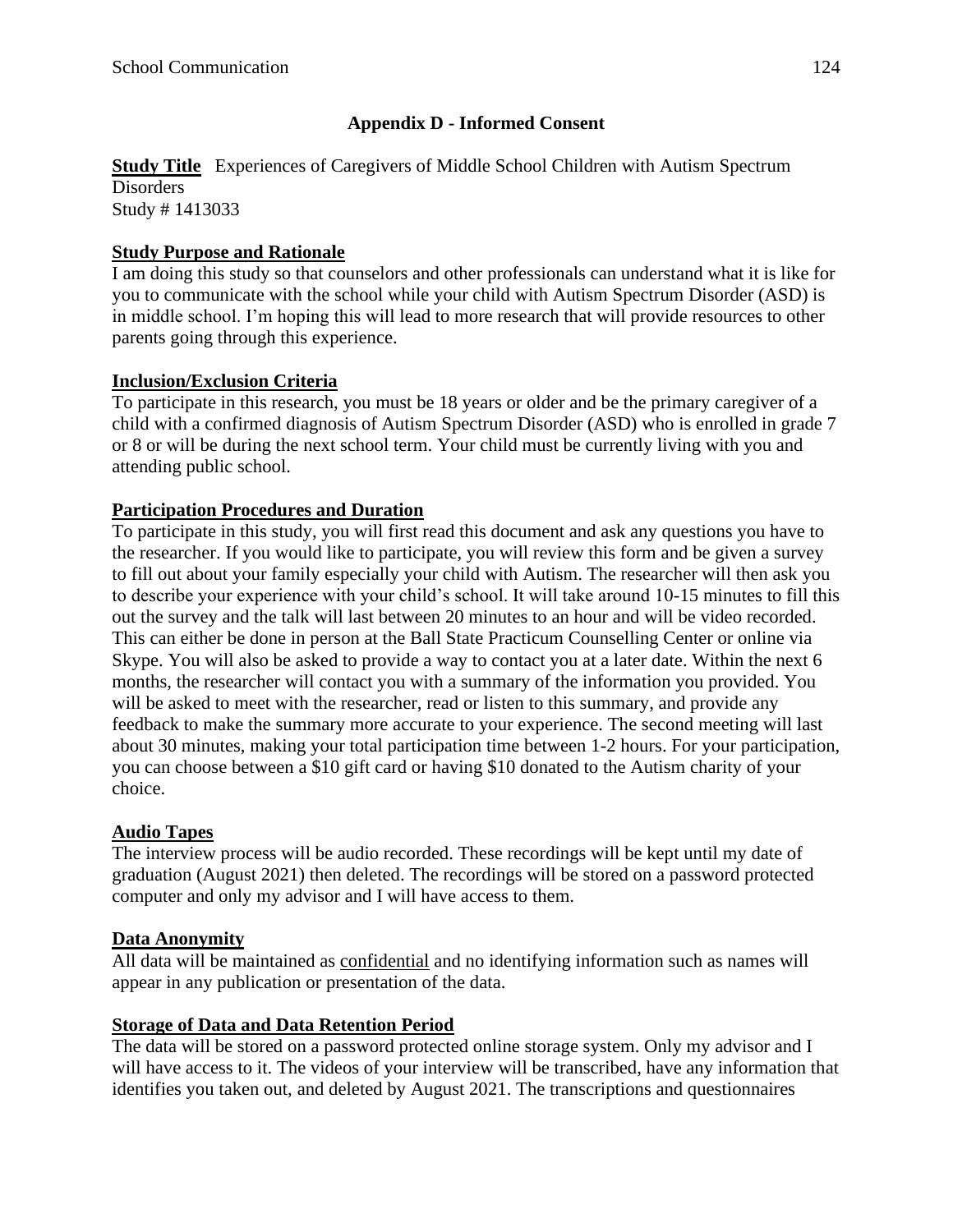### **Appendix D - Informed Consent**

#### **Study Title** Experiences of Caregivers of Middle School Children with Autism Spectrum **Disorders** Study # 1413033

#### **Study Purpose and Rationale**

I am doing this study so that counselors and other professionals can understand what it is like for you to communicate with the school while your child with Autism Spectrum Disorder (ASD) is in middle school. I'm hoping this will lead to more research that will provide resources to other parents going through this experience.

#### **Inclusion/Exclusion Criteria**

To participate in this research, you must be 18 years or older and be the primary caregiver of a child with a confirmed diagnosis of Autism Spectrum Disorder (ASD) who is enrolled in grade 7 or 8 or will be during the next school term. Your child must be currently living with you and attending public school.

#### **Participation Procedures and Duration**

To participate in this study, you will first read this document and ask any questions you have to the researcher. If you would like to participate, you will review this form and be given a survey to fill out about your family especially your child with Autism. The researcher will then ask you to describe your experience with your child's school. It will take around 10-15 minutes to fill this out the survey and the talk will last between 20 minutes to an hour and will be video recorded. This can either be done in person at the Ball State Practicum Counselling Center or online via Skype. You will also be asked to provide a way to contact you at a later date. Within the next 6 months, the researcher will contact you with a summary of the information you provided. You will be asked to meet with the researcher, read or listen to this summary, and provide any feedback to make the summary more accurate to your experience. The second meeting will last about 30 minutes, making your total participation time between 1-2 hours. For your participation, you can choose between a \$10 gift card or having \$10 donated to the Autism charity of your choice.

#### **Audio Tapes**

The interview process will be audio recorded. These recordings will be kept until my date of graduation (August 2021) then deleted. The recordings will be stored on a password protected computer and only my advisor and I will have access to them.

#### **Data Anonymity**

All data will be maintained as confidential and no identifying information such as names will appear in any publication or presentation of the data.

#### **Storage of Data and Data Retention Period**

The data will be stored on a password protected online storage system. Only my advisor and I will have access to it. The videos of your interview will be transcribed, have any information that identifies you taken out, and deleted by August 2021. The transcriptions and questionnaires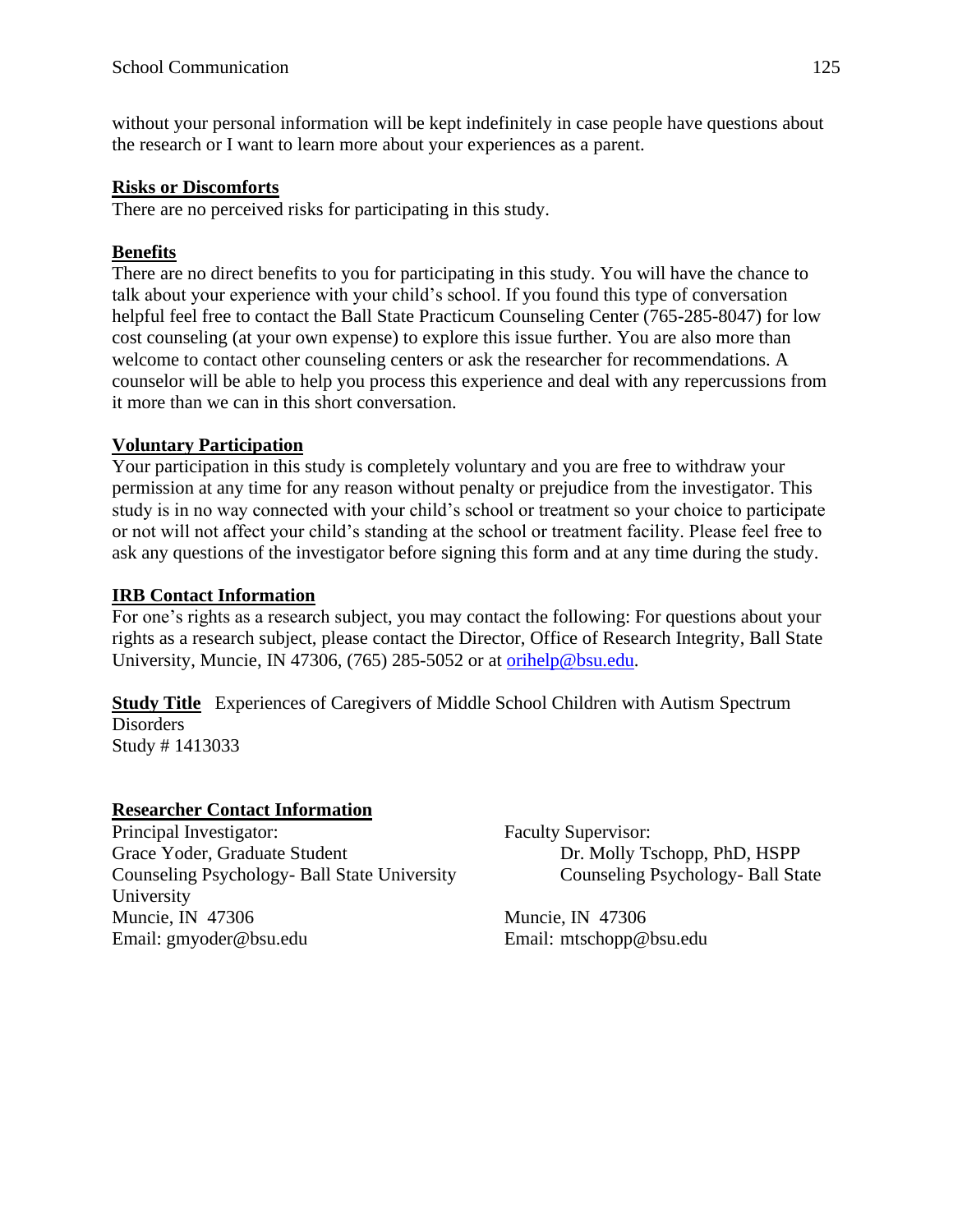without your personal information will be kept indefinitely in case people have questions about the research or I want to learn more about your experiences as a parent.

#### **Risks or Discomforts**

There are no perceived risks for participating in this study.

### **Benefits**

There are no direct benefits to you for participating in this study. You will have the chance to talk about your experience with your child's school. If you found this type of conversation helpful feel free to contact the Ball State Practicum Counseling Center (765-285-8047) for low cost counseling (at your own expense) to explore this issue further. You are also more than welcome to contact other counseling centers or ask the researcher for recommendations. A counselor will be able to help you process this experience and deal with any repercussions from it more than we can in this short conversation.

# **Voluntary Participation**

Your participation in this study is completely voluntary and you are free to withdraw your permission at any time for any reason without penalty or prejudice from the investigator. This study is in no way connected with your child's school or treatment so your choice to participate or not will not affect your child's standing at the school or treatment facility. Please feel free to ask any questions of the investigator before signing this form and at any time during the study.

#### **IRB Contact Information**

For one's rights as a research subject, you may contact the following: For questions about your rights as a research subject, please contact the Director, Office of Research Integrity, Ball State University, Muncie, IN 47306, (765) 285-5052 or at [orihelp@bsu.edu.](mailto:orihelp@bsu.edu)

**Study Title** Experiences of Caregivers of Middle School Children with Autism Spectrum Disorders Study # 1413033

#### **Researcher Contact Information**

Principal Investigator: Faculty Supervisor: Grace Yoder, Graduate Student Dr. Molly Tschopp, PhD, HSPP Counseling Psychology- Ball State University Counseling Psychology- Ball State University Muncie, IN 47306 Muncie, IN 47306 Email: gmyoder@bsu.edu Email: mtschopp@bsu.edu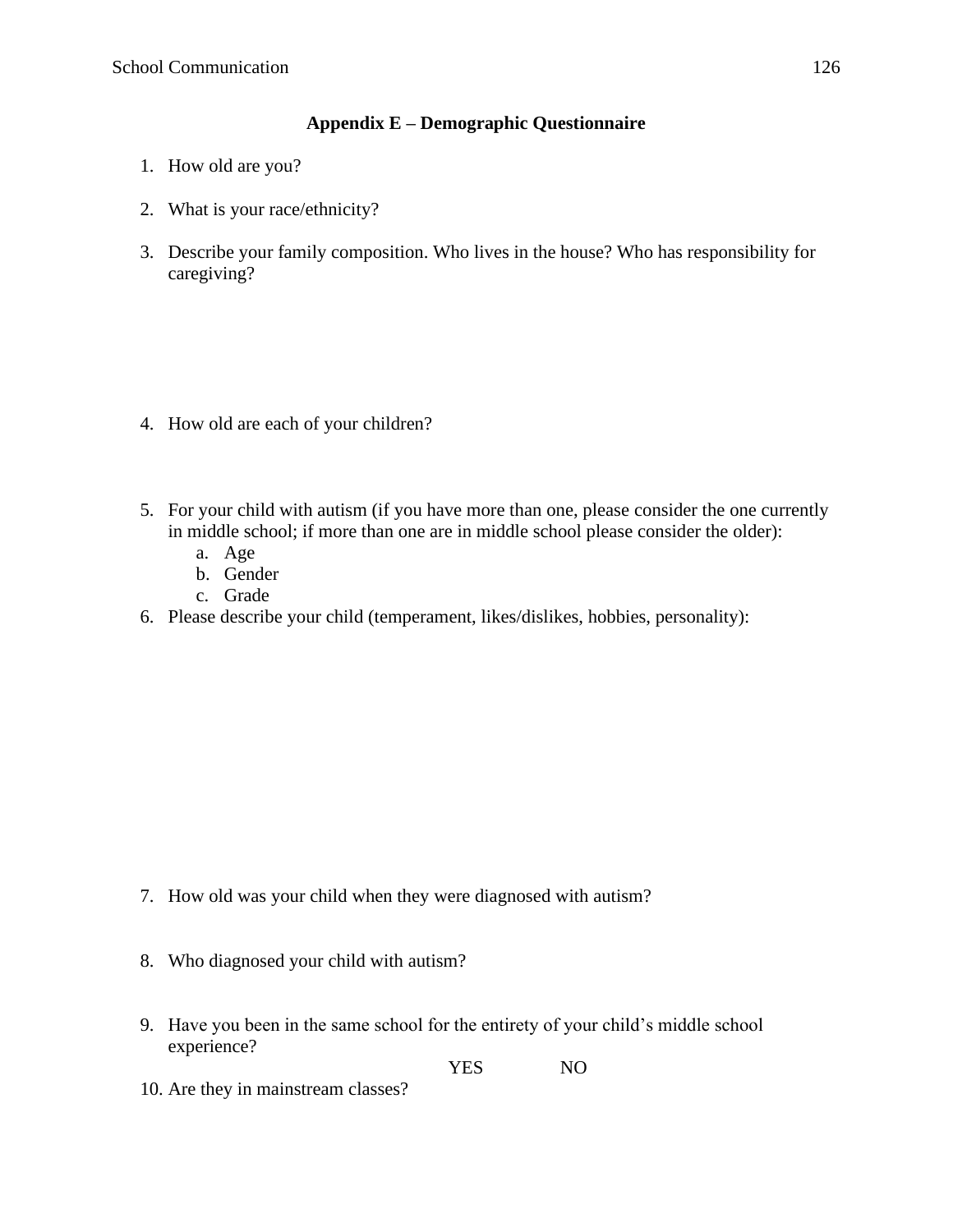### **Appendix E – Demographic Questionnaire**

- 1. How old are you?
- 2. What is your race/ethnicity?
- 3. Describe your family composition. Who lives in the house? Who has responsibility for caregiving?

- 4. How old are each of your children?
- 5. For your child with autism (if you have more than one, please consider the one currently in middle school; if more than one are in middle school please consider the older):
	- a. Age
	- b. Gender
	- c. Grade
- 6. Please describe your child (temperament, likes/dislikes, hobbies, personality):

- 7. How old was your child when they were diagnosed with autism?
- 8. Who diagnosed your child with autism?
- 9. Have you been in the same school for the entirety of your child's middle school experience?

YES NO

10. Are they in mainstream classes?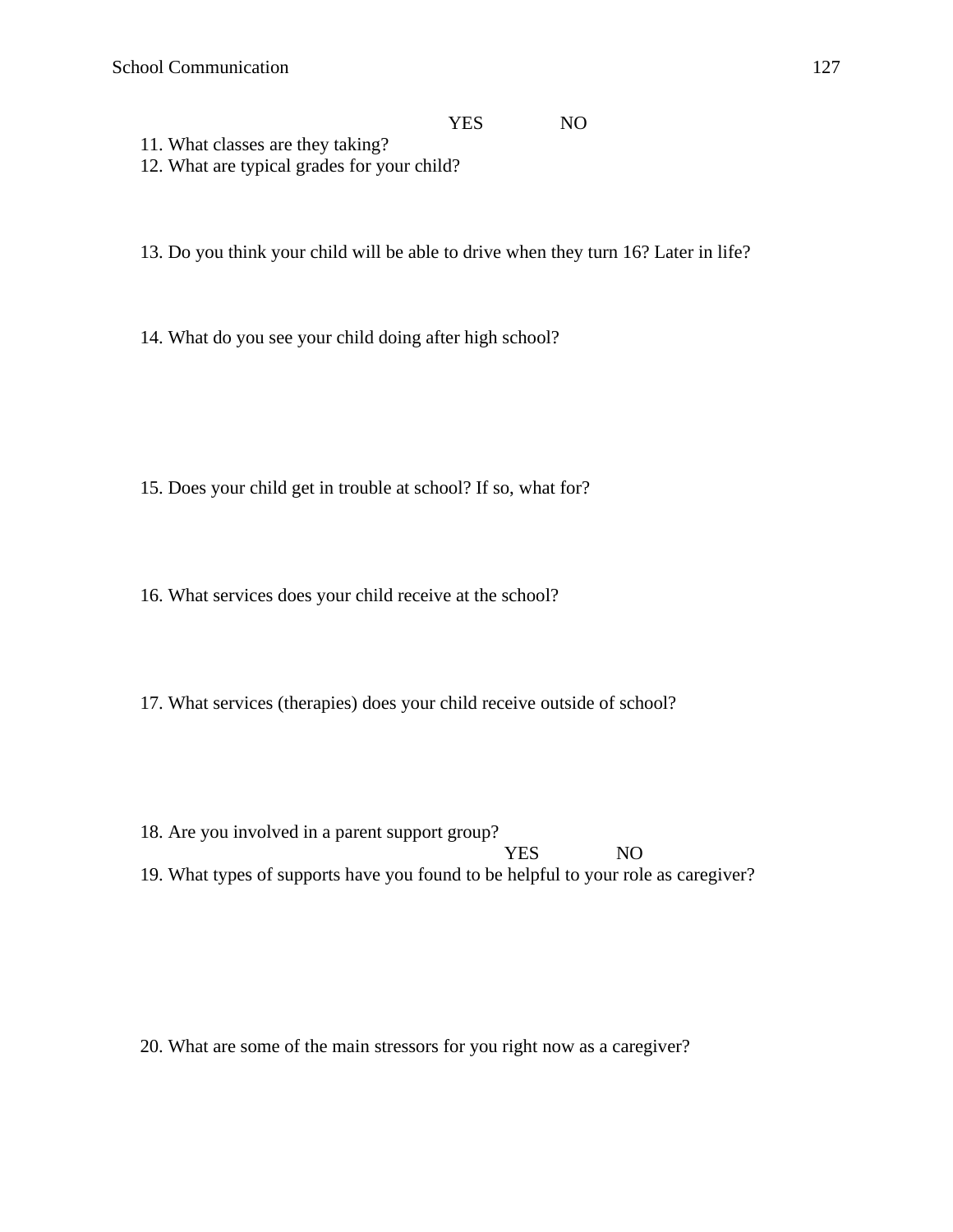#### YES NO

- 11. What classes are they taking? 12. What are typical grades for your child?
- 13. Do you think your child will be able to drive when they turn 16? Later in life?
- 14. What do you see your child doing after high school?

- 15. Does your child get in trouble at school? If so, what for?
- 16. What services does your child receive at the school?
- 17. What services (therapies) does your child receive outside of school?
- 18. Are you involved in a parent support group? YES NO 19. What types of supports have you found to be helpful to your role as caregiver?

20. What are some of the main stressors for you right now as a caregiver?